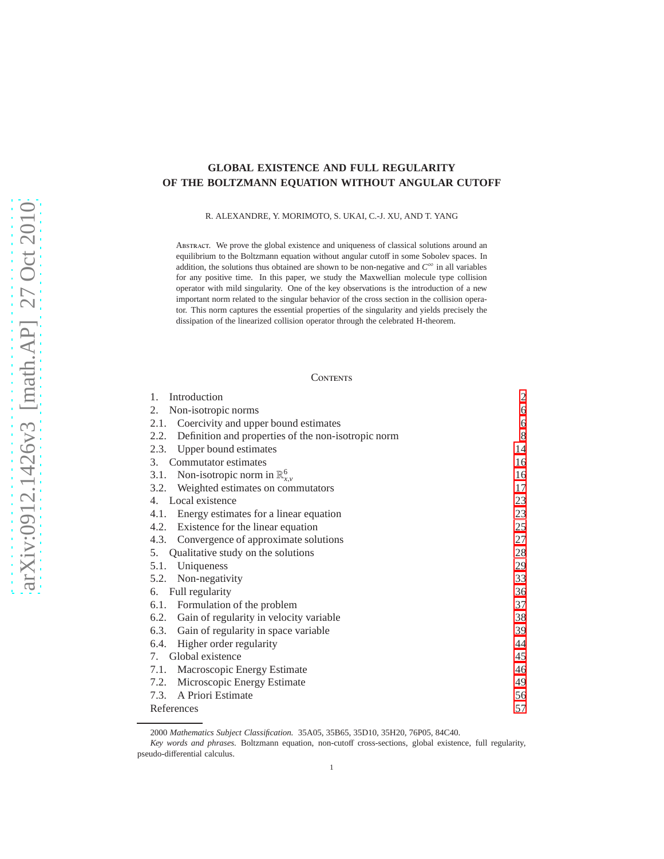# **GLOBAL EXISTENCE AND FULL REGULARITY OF THE BOLTZMANN EQUATION WITHOUT ANGULAR CUTOFF**

## R. ALEXANDRE, Y. MORIMOTO, S. UKAI, C.-J. XU, AND T. YANG

Abstract. We prove the global existence and uniqueness of classical solutions around an equilibrium to the Boltzmann equation without angular cutoff in some Sobolev spaces. In addition, the solutions thus obtained are shown to be non-negative and *C* ∞ in all variables for any positive time. In this paper, we study the Maxwellian molecule type collision operator with mild singularity. One of the key observations is the introduction of a new important norm related to the singular behavior of the cross section in the collision operator. This norm captures the essential properties of the singularity and yields precisely the dissipation of the linearized collision operator through the celebrated H-theorem.

#### **CONTENTS**

| 1.<br>Introduction                                          | $\overline{c}$ |
|-------------------------------------------------------------|----------------|
| Non-isotropic norms<br>2.                                   | $\sqrt{6}$     |
| 2.1. Coercivity and upper bound estimates                   | 6              |
| Definition and properties of the non-isotropic norm<br>2.2. | 8              |
| 2.3. Upper bound estimates                                  | 14             |
| 3. Commutator estimates                                     | 16             |
| 3.1. Non-isotropic norm in $\mathbb{R}^6_{x,y}$             | 16             |
| 3.2. Weighted estimates on commutators                      | 17             |
| 4. Local existence                                          | 23             |
| 4.1. Energy estimates for a linear equation                 | 23             |
| 4.2. Existence for the linear equation                      | 25             |
| 4.3. Convergence of approximate solutions                   | 27             |
| 5. Qualitative study on the solutions                       | 28             |
| 5.1. Uniqueness                                             | 29             |
| 5.2. Non-negativity                                         | 33             |
| Full regularity<br>6.                                       | 36             |
| 6.1. Formulation of the problem                             | 37             |
| 6.2. Gain of regularity in velocity variable                | 38             |
| 6.3. Gain of regularity in space variable                   | 39             |
| 6.4. Higher order regularity                                | 44             |
| 7. Global existence                                         | 45             |
| Macroscopic Energy Estimate<br>7.1.                         | 46             |
| 7.2. Microscopic Energy Estimate                            | 49             |
| 7.3. A Priori Estimate                                      | 56             |
| References                                                  | 57             |

<sup>2000</sup> *Mathematics Subject Classification.* 35A05, 35B65, 35D10, 35H20, 76P05, 84C40.

*Key words and phrases.* Boltzmann equation, non-cutoff cross-sections, global existence, full regularity, pseudo-differential calculus.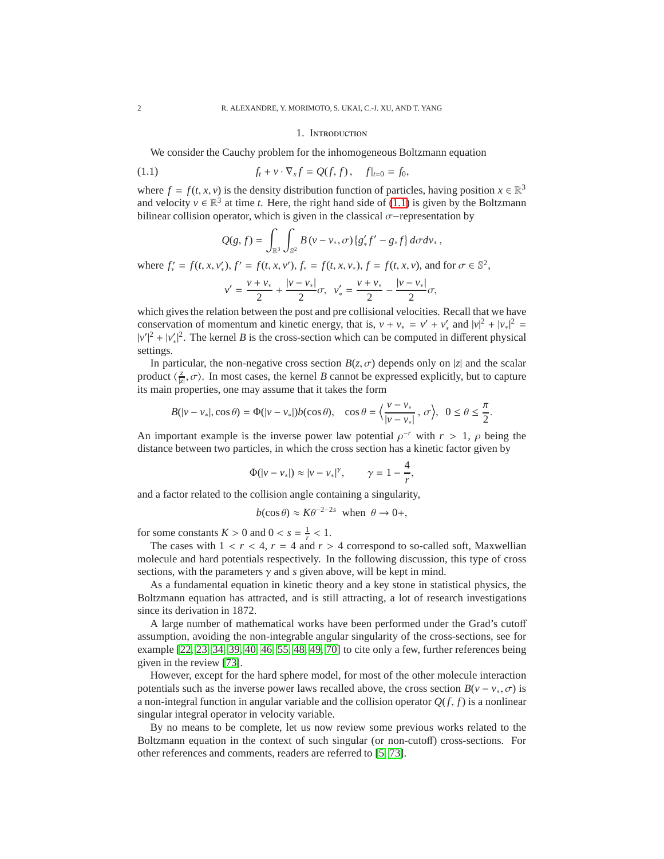#### <span id="page-1-1"></span>1. Introduction

<span id="page-1-0"></span>We consider the Cauchy problem for the inhomogeneous Boltzmann equation

(1.1) 
$$
f_t + v \cdot \nabla_x f = Q(f, f), \quad f|_{t=0} = f_0,
$$

where  $f = f(t, x, v)$  is the density distribution function of particles, having position  $x \in \mathbb{R}^3$ and velocity  $v \in \mathbb{R}^3$  at time *t*. Here, the right hand side of [\(1.1\)](#page-1-1) is given by the Boltzmann bilinear collision operator, which is given in the classical  $\sigma$ −representation by

$$
Q(g,f) = \int_{\mathbb{R}^3} \int_{\mathbb{S}^2} B(v - v_*, \sigma) \{g'_* f' - g_* f\} d\sigma dv_*,
$$

where  $f'_{*} = f(t, x, v'_{*}), f' = f(t, x, v'), f_{*} = f(t, x, v_{*}), f = f(t, x, v),$  and for  $\sigma \in \mathbb{S}^{2}$ ,

$$
\nu' = \frac{\nu + \nu_*}{2} + \frac{|\nu - \nu_*|}{2}\sigma, \ \ \nu'_* = \frac{\nu + \nu_*}{2} - \frac{|\nu - \nu_*|}{2}\sigma,
$$

which gives the relation between the post and pre collisional velocities. Recall that we have conservation of momentum and kinetic energy, that is,  $v + v_* = v' + v'_*$  and  $|v|^2 + |v_*|^2 =$  $|v'|^2 + |v'_*|$ | | <sup>2</sup>. The kernel *B* is the cross-section which can be computed in different physical settings.

In particular, the non-negative cross section  $B(z, \sigma)$  depends only on |*z*| and the scalar product  $\langle \frac{z}{|z|}, \sigma \rangle$ . In most cases, the kernel *B* cannot be expressed explicitly, but to capture its main properties, one may assume that it takes the form

$$
B(|v-v_*|, \cos \theta) = \Phi(|v-v_*|)b(\cos \theta), \quad \cos \theta = \left\langle \frac{v-v_*}{|v-v_*|}, \sigma \right\rangle, \ \ 0 \le \theta \le \frac{\pi}{2}.
$$

An important example is the inverse power law potential  $\rho^{-r}$  with  $r > 1$ ,  $\rho$  being the distance between two particles, in which the cross section has a kinetic factor given by

$$
\Phi(|v - v_*|) \approx |v - v_*|^\gamma
$$
,  $\gamma = 1 - \frac{4}{r}$ ,

and a factor related to the collision angle containing a singularity,

$$
b(\cos \theta) \approx K\theta^{-2-2s}
$$
 when  $\theta \to 0+$ ,

for some constants  $K > 0$  and  $0 < s = \frac{1}{r} < 1$ .

The cases with  $1 < r < 4$ ,  $r = 4$  and  $r > 4$  correspond to so-called soft, Maxwellian molecule and hard potentials respectively. In the following discussion, this type of cross sections, with the parameters  $\gamma$  and  $s$  given above, will be kept in mind.

As a fundamental equation in kinetic theory and a key stone in statistical physics, the Boltzmann equation has attracted, and is still attracting, a lot of research investigations since its derivation in 1872.

A large number of mathematical works have been performed under the Grad's cutoff assumption, avoiding the non-integrable angular singularity of the cross-sections, see for example [\[22,](#page-57-0) [23,](#page-57-1) [34,](#page-57-2) [39,](#page-57-3) [40,](#page-57-4) [46,](#page-57-5) [55,](#page-58-0) [48,](#page-58-1) [49,](#page-58-2) [70\]](#page-58-3) to cite only a few, further references being given in the review [\[73\]](#page-58-4).

However, except for the hard sphere model, for most of the other molecule interaction potentials such as the inverse power laws recalled above, the cross section  $B(v - v_*, \sigma)$  is a non-integral function in angular variable and the collision operator  $Q(f, f)$  is a nonlinear singular integral operator in velocity variable.

By no means to be complete, let us now review some previous works related to the Boltzmann equation in the context of such singular (or non-cutoff) cross-sections. For other references and comments, readers are referred to [\[5,](#page-56-1) [73\]](#page-58-4).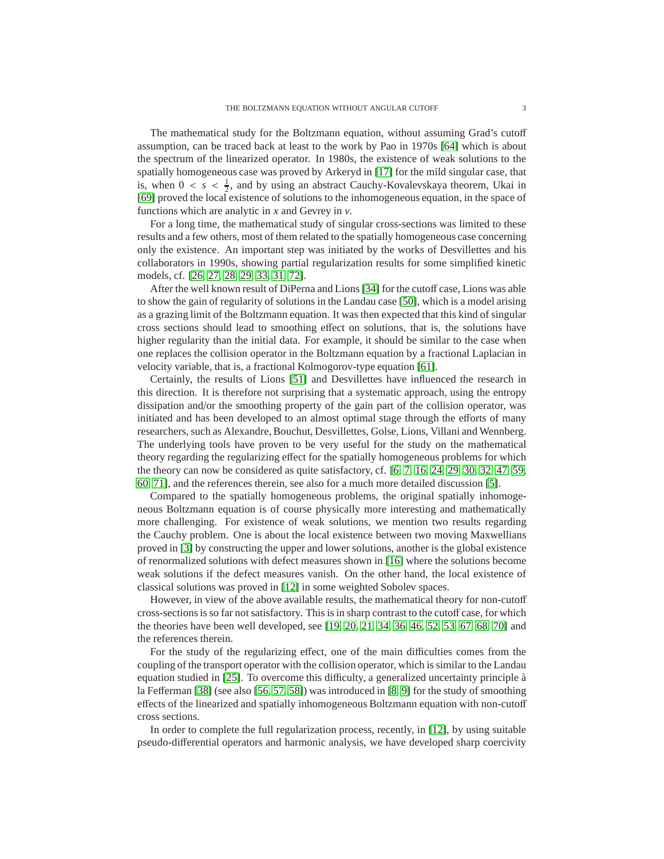The mathematical study for the Boltzmann equation, without assuming Grad's cutoff assumption, can be traced back at least to the work by Pao in 1970s [\[64\]](#page-58-5) which is about the spectrum of the linearized operator. In 1980s, the existence of weak solutions to the spatially homogeneous case was proved by Arkeryd in [\[17\]](#page-57-6) for the mild singular case, that is, when  $0 < s < \frac{1}{2}$ , and by using an abstract Cauchy-Kovalevskaya theorem, Ukai in [\[69\]](#page-58-6) proved the local existence of solutions to the inhomogeneous equation, in the space of functions which are analytic in *x* and Gevrey in *v*.

For a long time, the mathematical study of singular cross-sections was limited to these results and a few others, most of them related to the spatially homogeneous case concerning only the existence. An important step was initiated by the works of Desvillettes and his collaborators in 1990s, showing partial regularization results for some simplified kinetic models, cf. [\[26,](#page-57-7) [27,](#page-57-8) [28,](#page-57-9) [29,](#page-57-10) [33,](#page-57-11) [31,](#page-57-12) [72\]](#page-58-7).

After the well known result of DiPerna and Lions [\[34\]](#page-57-2) for the cutoff case, Lions was able to show the gain of regularity of solutions in the Landau case [\[50\]](#page-58-8), which is a model arising as a grazing limit of the Boltzmann equation. It was then expected that this kind of singular cross sections should lead to smoothing effect on solutions, that is, the solutions have higher regularity than the initial data. For example, it should be similar to the case when one replaces the collision operator in the Boltzmann equation by a fractional Laplacian in velocity variable, that is, a fractional Kolmogorov-type equation [\[61\]](#page-58-9).

Certainly, the results of Lions [\[51\]](#page-58-10) and Desvillettes have influenced the research in this direction. It is therefore not surprising that a systematic approach, using the entropy dissipation and/or the smoothing property of the gain part of the collision operator, was initiated and has been developed to an almost optimal stage through the efforts of many researchers, such as Alexandre, Bouchut, Desvillettes, Golse, Lions, Villani and Wennberg. The underlying tools have proven to be very useful for the study on the mathematical theory regarding the regularizing effect for the spatially homogeneous problems for which the theory can now be considered as quite satisfactory, cf. [\[6,](#page-56-2) [7,](#page-56-3) [16,](#page-56-4) [24,](#page-57-13) [29,](#page-57-10) [30,](#page-57-14) [32,](#page-57-15) [47,](#page-58-11) [59,](#page-58-12) [60,](#page-58-13) [71\]](#page-58-14), and the references therein, see also for a much more detailed discussion [\[5\]](#page-56-1).

Compared to the spatially homogeneous problems, the original spatially inhomogeneous Boltzmann equation is of course physically more interesting and mathematically more challenging. For existence of weak solutions, we mention two results regarding the Cauchy problem. One is about the local existence between two moving Maxwellians proved in [\[3\]](#page-56-5) by constructing the upper and lower solutions, another is the global existence of renormalized solutions with defect measures shown in [\[16\]](#page-56-4) where the solutions become weak solutions if the defect measures vanish. On the other hand, the local existence of classical solutions was proved in [\[12\]](#page-56-6) in some weighted Sobolev spaces.

However, in view of the above available results, the mathematical theory for non-cutoff cross-sections is so far not satisfactory. This is in sharp contrast to the cutoff case, for which the theories have been well developed, see [\[19,](#page-57-16) [20,](#page-57-17) [21,](#page-57-18) [34,](#page-57-2) [36,](#page-57-19) [46,](#page-57-5) [52,](#page-58-15) [53,](#page-58-16) [67,](#page-58-17) [68,](#page-58-18) [70\]](#page-58-3) and the references therein.

For the study of the regularizing effect, one of the main difficulties comes from the coupling of the transport operator with the collision operator, which is similar to the Landau equation studied in  $[25]$ . To overcome this difficulty, a generalized uncertainty principle  $\dot{a}$ la Fefferman [\[38\]](#page-57-21) (see also [\[56,](#page-58-19) [57,](#page-58-20) [58\]](#page-58-21)) was introduced in [\[8,](#page-56-7) [9\]](#page-56-8) for the study of smoothing effects of the linearized and spatially inhomogeneous Boltzmann equation with non-cutoff cross sections.

In order to complete the full regularization process, recently, in [\[12\]](#page-56-6), by using suitable pseudo-differential operators and harmonic analysis, we have developed sharp coercivity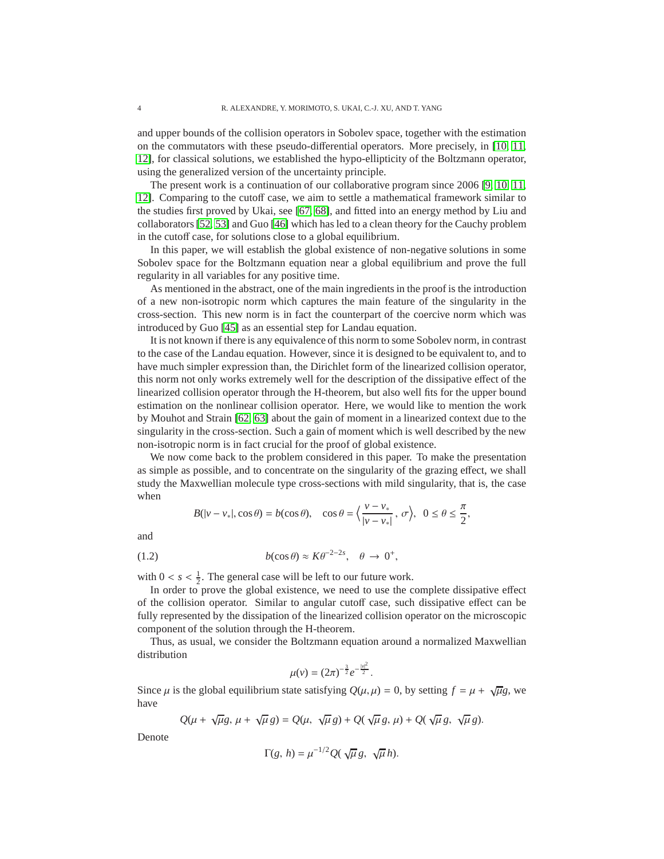and upper bounds of the collision operators in Sobolev space, together with the estimation on the commutators with these pseudo-differential operators. More precisely, in [\[10,](#page-56-9) [11,](#page-56-10) [12\]](#page-56-6), for classical solutions, we established the hypo-ellipticity of the Boltzmann operator, using the generalized version of the uncertainty principle.

The present work is a continuation of our collaborative program since 2006 [\[9,](#page-56-8) [10,](#page-56-9) [11,](#page-56-10) [12\]](#page-56-6). Comparing to the cutoff case, we aim to settle a mathematical framework similar to the studies first proved by Ukai, see [\[67,](#page-58-17) [68\]](#page-58-18), and fitted into an energy method by Liu and collaborators [\[52,](#page-58-15) [53\]](#page-58-16) and Guo [\[46\]](#page-57-5) which has led to a clean theory for the Cauchy problem in the cutoff case, for solutions close to a global equilibrium.

In this paper, we will establish the global existence of non-negative solutions in some Sobolev space for the Boltzmann equation near a global equilibrium and prove the full regularity in all variables for any positive time.

As mentioned in the abstract, one of the main ingredients in the proof is the introduction of a new non-isotropic norm which captures the main feature of the singularity in the cross-section. This new norm is in fact the counterpart of the coercive norm which was introduced by Guo [\[45\]](#page-57-22) as an essential step for Landau equation.

It is not known if there is any equivalence of this norm to some Sobolev norm, in contrast to the case of the Landau equation. However, since it is designed to be equivalent to, and to have much simpler expression than, the Dirichlet form of the linearized collision operator, this norm not only works extremely well for the description of the dissipative effect of the linearized collision operator through the H-theorem, but also well fits for the upper bound estimation on the nonlinear collision operator. Here, we would like to mention the work by Mouhot and Strain [\[62,](#page-58-22) [63\]](#page-58-23) about the gain of moment in a linearized context due to the singularity in the cross-section. Such a gain of moment which is well described by the new non-isotropic norm is in fact crucial for the proof of global existence.

We now come back to the problem considered in this paper. To make the presentation as simple as possible, and to concentrate on the singularity of the grazing effect, we shall study the Maxwellian molecule type cross-sections with mild singularity, that is, the case when

<span id="page-3-0"></span>
$$
B(|v - v_*|, \cos \theta) = b(\cos \theta), \quad \cos \theta = \left\langle \frac{v - v_*}{|v - v_*|}, \sigma \right\rangle, \ \ 0 \le \theta \le \frac{\pi}{2},
$$

and

(1.2) 
$$
b(\cos \theta) \approx K\theta^{-2-2s}, \quad \theta \to 0^+,
$$

with  $0 < s < \frac{1}{2}$ . The general case will be left to our future work.

In order to prove the global existence, we need to use the complete dissipative effect of the collision operator. Similar to angular cutoff case, such dissipative effect can be fully represented by the dissipation of the linearized collision operator on the microscopic component of the solution through the H-theorem.

Thus, as usual, we consider the Boltzmann equation around a normalized Maxwellian distribution

$$
\mu(v) = (2\pi)^{-\frac{3}{2}}e^{-\frac{|v|^2}{2}}.
$$

Since  $\mu$  is the global equilibrium state satisfying  $Q(\mu, \mu) = 0$ , by setting  $f = \mu + \sqrt{\mu}g$ , we have

$$
Q(\mu+\sqrt{\mu}g,\,\mu+\sqrt{\mu}\,g)=Q(\mu,\,\,\sqrt{\mu}\,g)+Q(\sqrt{\mu}\,g,\,\mu)+Q(\sqrt{\mu}\,g,\,\sqrt{\mu}\,g).
$$

Denote

$$
\Gamma(g, h) = \mu^{-1/2} Q(\sqrt{\mu} g, \sqrt{\mu} h).
$$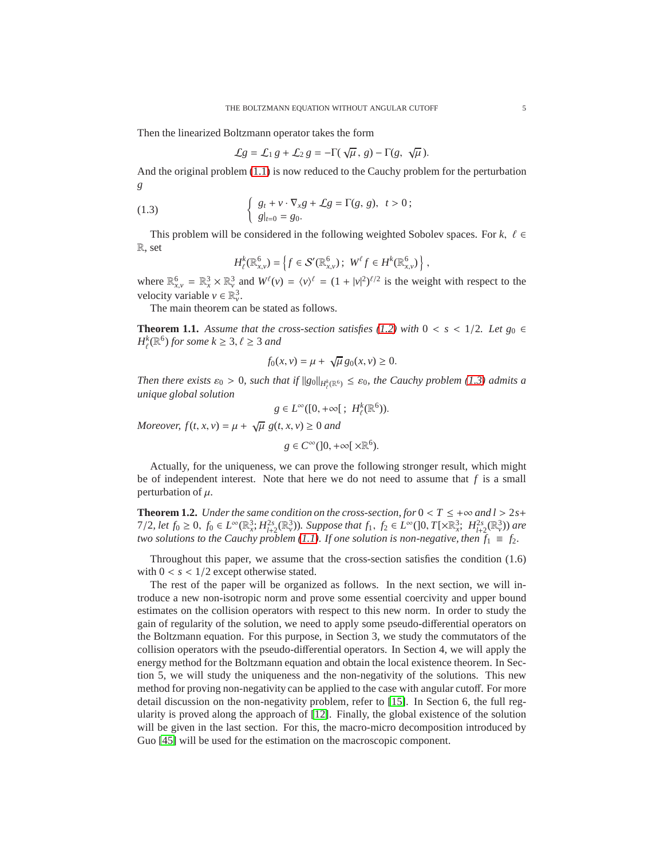Then the linearized Boltzmann operator takes the form

$$
\mathcal{L}g = \mathcal{L}_1 g + \mathcal{L}_2 g = -\Gamma(\sqrt{\mu}, g) - \Gamma(g, \sqrt{\mu}).
$$

And the original problem [\(1.1\)](#page-1-1) is now reduced to the Cauchy problem for the perturbation *g*

(1.3) 
$$
\begin{cases} g_t + v \cdot \nabla_x g + \mathcal{L} g = \Gamma(g, g), \ t > 0; \\ g|_{t=0} = g_0. \end{cases}
$$

This problem will be considered in the following weighted Sobolev spaces. For  $k, \ell \in$ R, set

<span id="page-4-0"></span>
$$
H^k_{\ell}(\mathbb{R}^6_{x,v}) = \left\{ f \in \mathcal{S}'(\mathbb{R}^6_{x,v}); \ W^{\ell} f \in H^k(\mathbb{R}^6_{x,v}) \right\},\
$$

where  $\mathbb{R}_{x,v}^6 = \mathbb{R}_x^3 \times \mathbb{R}_y^3$  and  $W^{\ell}(v) = \langle v \rangle^{\ell} = (1 + |v|^2)^{\ell/2}$  is the weight with respect to the velocity variable  $v \in \mathbb{R}^3$ .

The main theorem can be stated as follows.

<span id="page-4-2"></span>**Theorem 1.1.** *Assume that the cross-section satisfies* [\(1.2\)](#page-3-0) *with*  $0 < s < 1/2$ *. Let*  $g_0 \in$  $H^k_\ell(\mathbb{R}^6)$  *for some k*  $\geq 3$ ,  $\ell \geq 3$  *and* 

$$
f_0(x, v) = \mu + \sqrt{\mu} g_0(x, v) \ge 0.
$$

*Then there exists*  $\varepsilon_0 > 0$ *, such that if*  $||g_0||_{H^k_{\ell}(\mathbb{R}^6)} \leq \varepsilon_0$ *, the Cauchy problem* [\(1.3\)](#page-4-0) *admits a unique global solution*

$$
g \in L^{\infty}([0, +\infty[ \ ; H_{\ell}^k(\mathbb{R}^6)).
$$

*Moreover,*  $f(t, x, v) = \mu + \sqrt{\mu} g(t, x, v) \ge 0$  *and* 

$$
g \in C^{\infty}(]0, +\infty[\times \mathbb{R}^6).
$$

Actually, for the uniqueness, we can prove the following stronger result, which might be of independent interest. Note that here we do not need to assume that  $f$  is a small perturbation of  $\mu$ .

<span id="page-4-1"></span>**Theorem 1.2.** *Under the same condition on the cross-section, for*  $0 < T \leq +\infty$  *and l* > 2*s*+ 7/2, let  $f_0 \ge 0$ ,  $f_0 \in L^{\infty}(\mathbb{R}^3_x; H_{l+2}^{2s}(\mathbb{R}^3_v))$ . Suppose that  $f_1, f_2 \in L^{\infty}(]0, T[\times \mathbb{R}^3_x; H_{l+2}^{2s}(\mathbb{R}^3_v))$  are *two solutions to the Cauchy problem* [\(1.1\)](#page-1-1)*. If one solution is non-negative, then*  $f_1 \equiv f_2$ *.* 

Throughout this paper, we assume that the cross-section satisfies the condition (1.6) with  $0 < s < 1/2$  except otherwise stated.

The rest of the paper will be organized as follows. In the next section, we will introduce a new non-isotropic norm and prove some essential coercivity and upper bound estimates on the collision operators with respect to this new norm. In order to study the gain of regularity of the solution, we need to apply some pseudo-differential operators on the Boltzmann equation. For this purpose, in Section 3, we study the commutators of the collision operators with the pseudo-differential operators. In Section 4, we will apply the energy method for the Boltzmann equation and obtain the local existence theorem. In Section 5, we will study the uniqueness and the non-negativity of the solutions. This new method for proving non-negativity can be applied to the case with angular cutoff. For more detail discussion on the non-negativity problem, refer to [\[15\]](#page-56-11). In Section 6, the full regularity is proved along the approach of [\[12\]](#page-56-6). Finally, the global existence of the solution will be given in the last section. For this, the macro-micro decomposition introduced by Guo [\[45\]](#page-57-22) will be used for the estimation on the macroscopic component.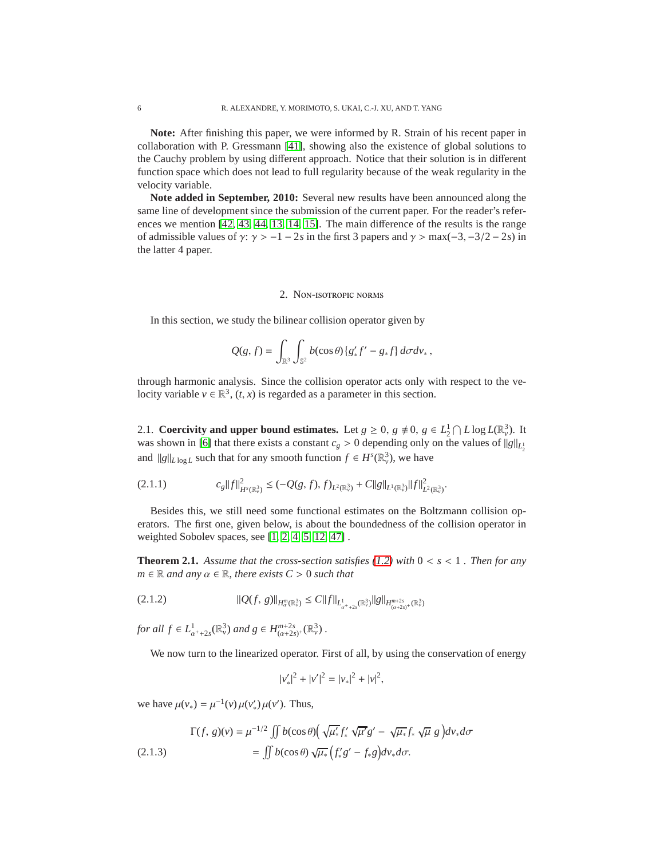**Note:** After finishing this paper, we were informed by R. Strain of his recent paper in collaboration with P. Gressmann [\[41\]](#page-57-23), showing also the existence of global solutions to the Cauchy problem by using different approach. Notice that their solution is in different function space which does not lead to full regularity because of the weak regularity in the velocity variable.

**Note added in September, 2010:** Several new results have been announced along the same line of development since the submission of the current paper. For the reader's references we mention [\[42,](#page-57-24) [43,](#page-57-25) [44,](#page-57-26) [13,](#page-56-12) [14,](#page-56-13) [15\]](#page-56-11). The main difference of the results is the range of admissible values of  $\gamma$ :  $\gamma > -1 - 2s$  in the first 3 papers and  $\gamma > \max(-3, -3/2 - 2s)$  in the latter 4 paper.

#### 2. Non-isotropic norms

<span id="page-5-0"></span>In this section, we study the bilinear collision operator given by

$$
Q(g,f)=\int_{\mathbb{R}^3}\int_{\mathbb{S}^2}b(\cos\theta)\left\{g'_*f'-g_*f\right\}d\sigma dv_*,
$$

through harmonic analysis. Since the collision operator acts only with respect to the velocity variable  $v \in \mathbb{R}^3$ ,  $(t, x)$  is regarded as a parameter in this section.

<span id="page-5-1"></span>2.1. **Coercivity and upper bound estimates.** Let  $g \ge 0$ ,  $g \neq 0$ ,  $g \in L^1_2 \cap L \log L(\mathbb{R}^3_\nu)$ . It was shown in [\[6\]](#page-56-2) that there exists a constant  $c_g > 0$  depending only on the values of  $||g||_{L_2^1}$ and  $||g||_{L \log L}$  such that for any smooth function  $f \in H^s(\mathbb{R}^3_\nu)$ , we have

$$
(2.1.1) \t\t c_g||f||^2_{H^s(\mathbb{R}^3_v)} \leq (-Q(g, f), f)_{L^2(\mathbb{R}^3_v)} + C||g||_{L^1(\mathbb{R}^3_v)}||f||^2_{L^2(\mathbb{R}^3_v)}.
$$

Besides this, we still need some functional estimates on the Boltzmann collision operators. The first one, given below, is about the boundedness of the collision operator in weighted Sobolev spaces, see [\[1,](#page-56-14) [2,](#page-56-15) [4,](#page-56-16) [5,](#page-56-1) [12,](#page-56-6) [47\]](#page-58-11) .

<span id="page-5-2"></span>**Theorem 2.1.** *Assume that the cross-section satisfies [\(1.2\)](#page-3-0)* with  $0 < s < 1$ . *Then for any*  $m \in \mathbb{R}$  *and any*  $\alpha \in \mathbb{R}$ *, there exists*  $C > 0$  *such that* 

$$
||Q(f, g)||_{H^{m}_{\alpha}(\mathbb{R}^{3}_{\nu})} \leq C||f||_{L^{1}_{\alpha+2s}(\mathbb{R}^{3}_{\nu})}||g||_{H^{m+2s}_{(\alpha+2s)^{+}}(\mathbb{R}^{3}_{\nu})}
$$

*for all*  $f \in L^1_{\alpha^+ + 2s}(\mathbb{R}^3_\nu)$  *and*  $g \in H^{m+2s}_{(\alpha+2s)^+}(\mathbb{R}^3_\nu)$ .

We now turn to the linearized operator. First of all, by using the conservation of energy

$$
|v_*'|^2 + |v'|^2 = |v_*|^2 + |v|^2,
$$

we have  $\mu(v_*) = \mu^{-1}(v) \mu(v'_*) \mu(v')$ . Thus,

$$
\Gamma(f, g)(v) = \mu^{-1/2} \iint b(\cos \theta) \left(\sqrt{\mu_*'} f_*' \sqrt{\mu'} g' - \sqrt{\mu_*} f_* \sqrt{\mu} g\right) dv_* d\sigma
$$
  
(2.1.3) 
$$
= \iint b(\cos \theta) \sqrt{\mu_*} \left(f_*' g' - f_* g\right) dv_* d\sigma.
$$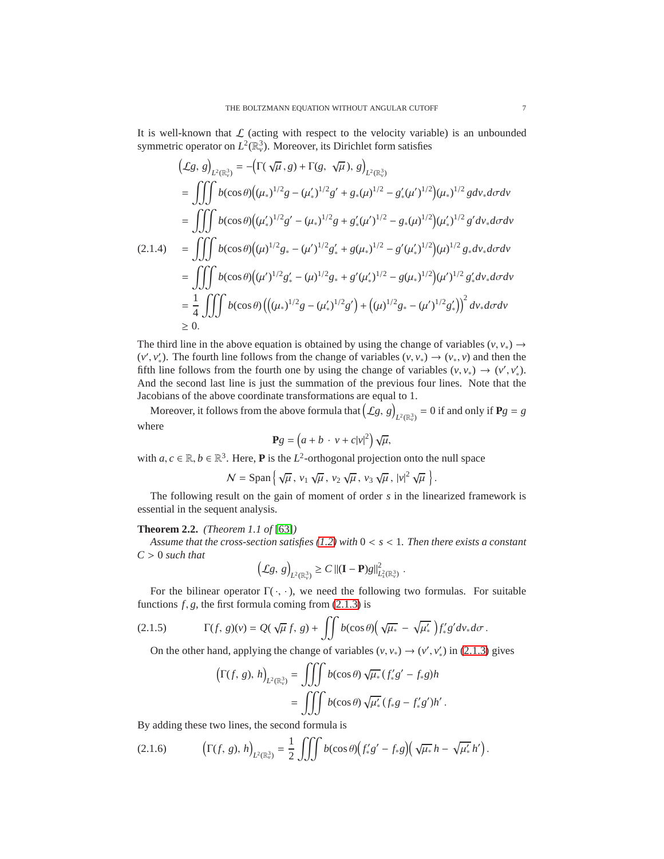It is well-known that  $\mathcal L$  (acting with respect to the velocity variable) is an unbounded symmetric operator on  $L^2(\mathbb{R}^3_\nu)$ . Moreover, its Dirichlet form satisfies

$$
\begin{split}\n\left(\mathcal{L}g, g\right)_{L^{2}(\mathbb{R}_{v}^{3})} &= -\left(\Gamma(\sqrt{\mu}, g) + \Gamma(g, \sqrt{\mu}), g\right)_{L^{2}(\mathbb{R}_{v}^{3})} \\
&= \iiint b(\cos\theta) \left((\mu_{*})^{1/2}g - (\mu'_{*})^{1/2}g' + g_{*}(\mu)^{1/2} - g'_{*}(\mu')^{1/2}\right)(\mu_{*})^{1/2}g dv_{*}d\sigma dv \\
&= \iiint b(\cos\theta) \left((\mu'_{*})^{1/2}g' - (\mu_{*})^{1/2}g + g'_{*}(\mu')^{1/2} - g_{*}(\mu)^{1/2}\right)(\mu'_{*})^{1/2}g' dv_{*}d\sigma dv \\
&= \iiint b(\cos\theta) \left((\mu)^{1/2}g_{*} - (\mu')^{1/2}g'_{*} + g(\mu_{*})^{1/2} - g'(\mu'_{*})^{1/2}\right)(\mu)^{1/2}g_{*}dv_{*}d\sigma dv \\
&= \iiint b(\cos\theta) \left((\mu')^{1/2}g'_{*} - (\mu)^{1/2}g_{*} + g'(\mu'_{*})^{1/2} - g(\mu_{*})^{1/2}\right)(\mu')^{1/2}g'_{*}dv_{*}d\sigma dv \\
&= \frac{1}{4} \iiint b(\cos\theta) \left(((\mu_{*})^{1/2}g - (\mu'_{*})^{1/2}g') + ((\mu)^{1/2}g_{*} - (\mu')^{1/2}g'_{*})\right)^{2} dv_{*}d\sigma dv \\
&\geq 0.\n\end{split}
$$

The third line in the above equation is obtained by using the change of variables  $(v, v_*) \rightarrow$  $(v', v'_*)$ . The fourth line follows from the change of variables  $(v, v_*) \to (v_*, v)$  and then the fifth line follows from the fourth one by using the change of variables  $(v, v_*) \rightarrow (v', v'_*)$ . And the second last line is just the summation of the previous four lines. Note that the Jacobians of the above coordinate transformations are equal to 1.

Moreover, it follows from the above formula that  $(\mathcal{L}g, g)$  $L^2(\mathbb{R}^3_\nu) = 0$  if and only if  $\mathbf{P}g = g$ where

$$
\mathbf{P}g = \left(a + b \, \cdot \, v + c|v|^2\right)\sqrt{\mu},
$$

with  $a, c \in \mathbb{R}, b \in \mathbb{R}^3$ . Here, **P** is the  $L^2$ -orthogonal projection onto the null space

$$
\mathcal{N} = \text{Span}\left\{\sqrt{\mu}, \, v_1\sqrt{\mu}, \, v_2\sqrt{\mu}, \, v_3\sqrt{\mu}, \, |v|^2\sqrt{\mu}\,\right\}.
$$

The following result on the gain of moment of order *s* in the linearized framework is essential in the sequent analysis.

## <span id="page-6-0"></span>**Theorem 2.2.** *(Theorem 1.1 of* [\[63\]](#page-58-23)*)*

*Assume that the cross-section satisfies [\(1.2\)](#page-3-0) with* 0 < *s* < 1*. Then there exists a constant C* > 0 *such that*

$$
\left(\mathcal{L}g,\,g\right)_{L^2(\mathbb{R}^3_v)} \geq C\left\|(\mathbf{I}-\mathbf{P})g\right\|_{L^2_s(\mathbb{R}^3_v)}^2
$$

.

For the bilinear operator  $\Gamma(\cdot, \cdot)$ , we need the following two formulas. For suitable functions  $f$ ,  $g$ , the first formula coming from  $(2.1.3)$  is

$$
(2.1.5) \t\Gamma(f, g)(v) = Q(\sqrt{\mu} f, g) + \iint b(\cos \theta) \left(\sqrt{\mu_*} - \sqrt{\mu_*'}\right) f'_* g' dv_* d\sigma.
$$

On the other hand, applying the change of variables  $(v, v_*) \rightarrow (v', v'_*)$  in [\(2.1.3\)](#page-7-1) gives

$$
\left(\Gamma(f,g),h\right)_{L^2(\mathbb{R}^3_v)} = \iiint b(\cos\theta)\sqrt{\mu_*}\left(f'_*g'-f_*g\right)h
$$
  
= 
$$
\iiint b(\cos\theta)\sqrt{\mu_*'}\left(f_*g-f'_*g'\right)h'.
$$

By adding these two lines, the second formula is

$$
(2.1.6) \t\t (\Gamma(f, g), h)_{L^2(\mathbb{R}^3_v)} = \frac{1}{2} \iiint b(\cos \theta) (f'_*g' - f_*g) (\sqrt{\mu_*} h - \sqrt{\mu_*} h').
$$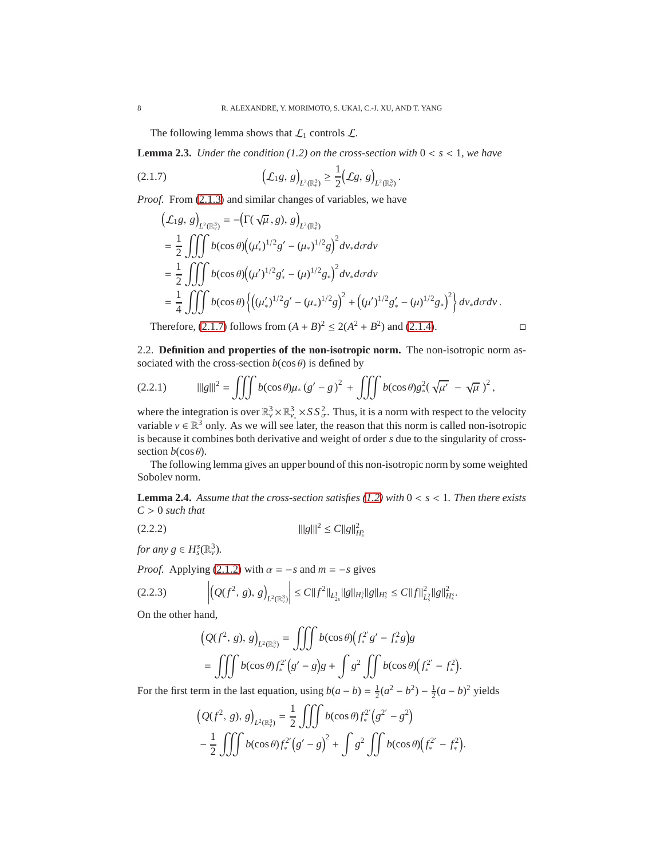The following lemma shows that  $\mathcal{L}_1$  controls  $\mathcal{L}$ .

<span id="page-7-4"></span>**Lemma 2.3.** *Under the condition* (1.2) on the cross-section with  $0 < s < 1$ , we have

$$
(2.1.7) \qquad \qquad \left(\mathcal{L}_1 g, \, g\right)_{L^2(\mathbb{R}^3_v)} \ge \frac{1}{2} \left(\mathcal{L} g, \, g\right)_{L^2(\mathbb{R}^3_v)}.
$$

*Proof.* From [\(2.1.3\)](#page-7-1) and similar changes of variables, we have

$$
\begin{split}\n&\left(\mathcal{L}_{1}g, g\right)_{L^{2}(\mathbb{R}_{v}^{3})} = -\left(\Gamma(\sqrt{\mu}, g), g\right)_{L^{2}(\mathbb{R}_{v}^{3})} \\
&= \frac{1}{2} \iiint b(\cos \theta) \left((\mu_{*}')^{1/2}g' - (\mu_{*})^{1/2}g\right)^{2} dv_{*} d\sigma dv \\
&= \frac{1}{2} \iiint b(\cos \theta) \left((\mu')^{1/2}g'_{*} - (\mu)^{1/2}g_{*}\right)^{2} dv_{*} d\sigma dv \\
&= \frac{1}{4} \iiint b(\cos \theta) \left\{\left((\mu_{*}')^{1/2}g' - (\mu_{*})^{1/2}g\right)^{2} + \left((\mu')^{1/2}g'_{*} - (\mu)^{1/2}g_{*}\right)^{2}\right\} dv_{*} d\sigma dv .\n\end{split}
$$

Therefore, [\(2.1.7\)](#page-10-0) follows from  $(A + B)^2 \le 2(A^2 + B^2)$  and [\(2.1.4\)](#page-8-0).

<span id="page-7-0"></span>2.2. **Definition and properties of the non-isotropic norm.** The non-isotropic norm associated with the cross-section  $b(\cos \theta)$  is defined by

|||*g*|||<sup>2</sup> <sup>=</sup> \$ *<sup>b</sup>*(cos <sup>θ</sup>)µ<sup>∗</sup> *g* ′ − *g* 2 + \$ *<sup>b</sup>*(cos <sup>θ</sup>)*<sup>g</sup>* 2 ∗ p µ ′ − √ µ 2 (2.2.1) ,

where the integration is over  $\mathbb{R}_{\nu}^3 \times \mathbb{R}_{\nu_*}^3 \times S S_{\sigma}^2$ . Thus, it is a norm with respect to the velocity variable  $v \in \mathbb{R}^3$  only. As we will see later, the reason that this norm is called non-isotropic is because it combines both derivative and weight of order *s* due to the singularity of crosssection  $b(\cos \theta)$ .

The following lemma gives an upper bound of this non-isotropic norm by some weighted Sobolev norm.

<span id="page-7-3"></span>**Lemma 2.4.** Assume that the cross-section satisfies  $(1.2)$  with  $0 < s < 1$ . Then there exists *C* > 0 *such that*

$$
|||g|||^2 \le C ||g||_{H_s^s}^2
$$

*for any*  $g \in H_s^s(\mathbb{R}^3_\nu)$ *.* 

*Proof.* Applying [\(2.1.2\)](#page-7-2) with  $\alpha = -s$  and  $m = -s$  gives

$$
(2.2.3) \qquad \left| \left( Q(f^2, g), g \right)_{L^2(\mathbb{R}^3_v)} \right| \leq C \| f^2 \|_{L^1_{2s}} \| g \|_{H^s_s} \| g \|_{H^s_s} \leq C \| f \|_{L^2_s}^2 \| g \|_{H^s_s}^2.
$$

On the other hand,

<span id="page-7-2"></span><span id="page-7-1"></span>
$$
\left(Q(f^2, g), g\right)_{L^2(\mathbb{R}^3_v)} = \iiint b(\cos \theta) \left(f_*^2 g' - f_*^2 g\right)g
$$
  
= 
$$
\iiint b(\cos \theta) f_*^2 (g' - g)g + \int g^2 \iint b(\cos \theta) \left(f_*^2 - f_*^2\right)g
$$

.

For the first term in the last equation, using  $b(a - b) = \frac{1}{2}(a^2 - b^2) - \frac{1}{2}(a - b)^2$  yields

$$
\left(Q(f^2, g), g\right)_{L^2(\mathbb{R}^3_v)} = \frac{1}{2} \iiint b(\cos \theta) f_*^{2'}(g^{2'} - g^2)
$$
  
 
$$
-\frac{1}{2} \iiint b(\cos \theta) f_*^{2'}(g' - g)^2 + \int g^2 \iiint b(\cos \theta) (f_*^{2'} - f_*^2).
$$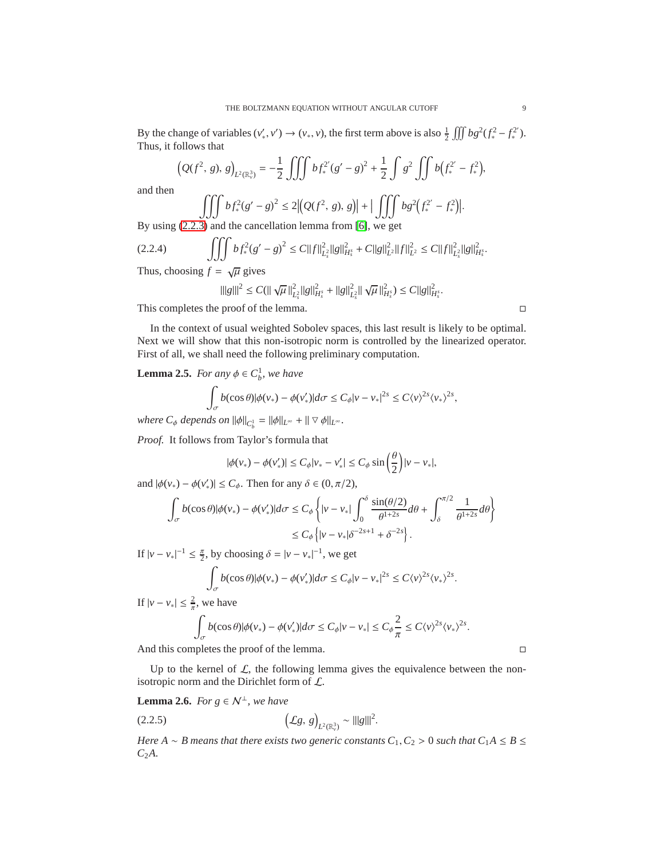By the change of variables  $(v'_*, v') \to (v_*, v)$ , the first term above is also  $\frac{1}{2} \iiint bg^2(f_*^2 - f_*^2').$ Thus, it follows that

$$
\left(Q(f^2, g), g\right)_{L^2(\mathbb{R}^3_v)} = -\frac{1}{2} \iiint b f_*^{2'} (g' - g)^2 + \frac{1}{2} \int g^2 \iiint b \left(f_*^{2'} - f_*^2\right),
$$

and then

$$
\iiint b f_*^2 (g' - g)^2 \le 2 \left| \left( Q(f^2, g), g \right) \right| + \left| \iiint b g^2 (f_*^{2'} - f_*^2) \right|.
$$

By using [\(2.2.3\)](#page-7-1) and the cancellation lemma from [\[6\]](#page-56-2), we get

$$
(2.2.4) \qquad \iiint b f_*^2 (g' - g)^2 \le C ||f||^2_{L^2_s} ||g||^2_{H^s_s} + C ||g||^2_{L^2} ||f||^2_{L^2} \le C ||f||^2_{L^2_s} ||g||^2_{H^s_s}.
$$

Thus, choosing  $f = \sqrt{\mu}$  gives

<span id="page-8-0"></span>
$$
\left|\|g\|\right|^2 \leq C(\|\sqrt{\mu}\,\|_{L_s^2}^2 \|g\|_{H_s^s}^2 + \|g\|_{L_s^2}^2 \|\sqrt{\mu}\,\|_{H_s^s}^2) \leq C \|g\|_{H_s^s}^2.
$$

This completes the proof of the lemma.

In the context of usual weighted Sobolev spaces, this last result is likely to be optimal. Next we will show that this non-isotropic norm is controlled by the linearized operator. First of all, we shall need the following preliminary computation.

# <span id="page-8-2"></span>**Lemma 2.5.** *For any*  $\phi \in C_b^1$ *, we have*

$$
\int_{\sigma} b(\cos \theta) |\phi(v_*)-\phi(v'_*)|d\sigma \leq C_{\phi} |v-v_*|^{2s} \leq C \langle v \rangle^{2s} \langle v_* \rangle^{2s},
$$

*where*  $C_{\phi}$  *depends on*  $\|\phi\|_{C_b^1} = \|\phi\|_{L^{\infty}} + \|\nabla \phi\|_{L^{\infty}}$ .

*Proof.* It follows from Taylor's formula that

$$
|\phi(v_*)-\phi(v'_*)|\leq C_\phi|v_*-v'_*|\leq C_\phi\sin\left(\frac{\theta}{2}\right)|v-v_*|,
$$

and  $|\phi(v_*) - \phi(v'_*)| \le C_\phi$ . Then for any  $\delta \in (0, \pi/2)$ ,

$$
\int_{\sigma} b(\cos \theta) |\phi(v_*) - \phi(v'_*)| d\sigma \le C_{\phi} \left\{ |v - v_*| \int_0^{\delta} \frac{\sin(\theta/2)}{\theta^{1+2s}} d\theta + \int_{\delta}^{\pi/2} \frac{1}{\theta^{1+2s}} d\theta \right\}
$$

$$
\le C_{\phi} \left\{ |v - v_*| \delta^{-2s+1} + \delta^{-2s} \right\}.
$$

If  $|v - v_*|^{-1} \le \frac{\pi}{2}$ , by choosing  $\delta = |v - v_*|^{-1}$ , we get

$$
\int_{\sigma} b(\cos \theta) |\phi(v_*) - \phi(v'_*)| d\sigma \le C_{\phi} |v - v_*|^{2s} \le C \langle v \rangle^{2s} \langle v_* \rangle^{2s}.
$$

If  $|v - v_*| \leq \frac{2}{\pi}$ , we have

<span id="page-8-1"></span>
$$
\int_{\sigma} b(\cos \theta) |\phi(v_*) - \phi(v'_*)| d\sigma \le C_{\phi} |v - v_*| \le C_{\phi} \frac{2}{\pi} \le C \langle v \rangle^{2s} \langle v_* \rangle^{2s}.
$$

And this completes the proof of the lemma.

Up to the kernel of  $\mathcal{L}$ , the following lemma gives the equivalence between the nonisotropic norm and the Dirichlet form of  $\mathcal{L}$ .

<span id="page-8-3"></span>**Lemma 2.6.** *For*  $g \in \mathcal{N}^{\perp}$ *, we have* 

(2.2.5) 
$$
\left(\mathcal{L}g, g\right)_{L^2(\mathbb{R}^3_v)} \sim ||g|||^2.
$$

*Here A* ∼ *B* means that there exists two generic constants  $C_1$ ,  $C_2$  > 0 such that  $C_1A \leq B \leq$ *C*2*A.*

$$
\Box
$$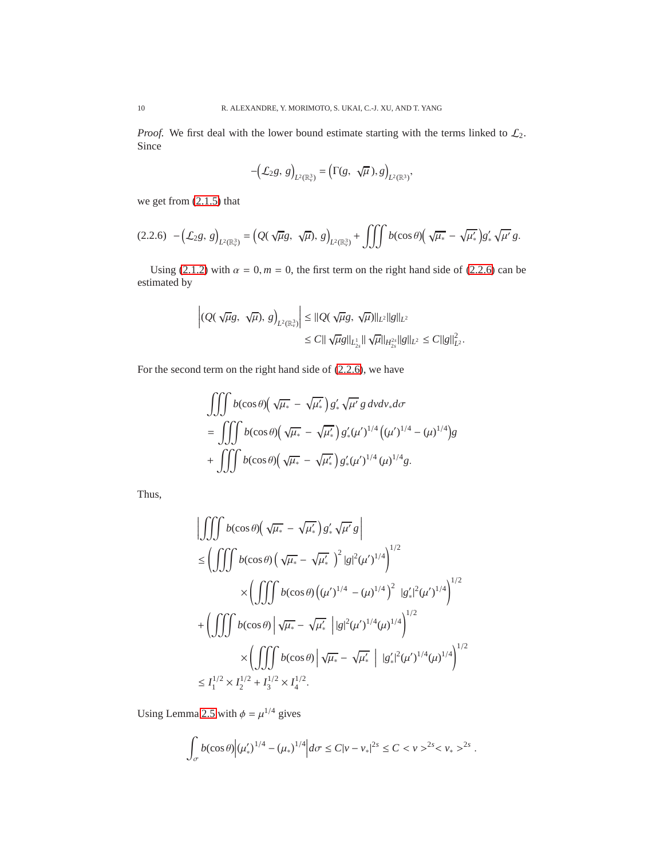*Proof.* We first deal with the lower bound estimate starting with the terms linked to  $\mathcal{L}_2$ . Since

$$
-\big(\mathcal{L}_2g,\,g\big)_{L^2(\mathbb{R}^3_\nu)}=\big(\Gamma(g,\,\sqrt{\mu}\,),g\big)_{L^2(\mathbb{R}^3)},
$$

we get from [\(2.1.5\)](#page-8-1) that

<span id="page-9-0"></span>
$$
(2.2.6) \quad -\left(\mathcal{L}_{2}g, g\right)_{L^{2}(\mathbb{R}^{3}_{\nu})} = \left(Q(\sqrt{\mu}g, \sqrt{\mu}), g\right)_{L^{2}(\mathbb{R}^{3}_{\nu})} + \iiint b(\cos\theta) \left(\sqrt{\mu_{*}} - \sqrt{\mu'_{*}}\right) g'_{*} \sqrt{\mu'} g.
$$

Using [\(2.1.2\)](#page-7-2) with  $\alpha = 0$ ,  $m = 0$ , the first term on the right hand side of [\(2.2.6\)](#page-9-0) can be estimated by

$$
\left| (Q(\sqrt{\mu}g, \sqrt{\mu}), g)_{L^2(\mathbb{R}^3_v)} \right| \leq ||Q(\sqrt{\mu}g, \sqrt{\mu})||_{L^2}||g||_{L^2}
$$
  

$$
\leq C ||\sqrt{\mu}g||_{L^1_{2s}} ||\sqrt{\mu}||_{H^{2s}_{2s}} ||g||_{L^2} \leq C ||g||_{L^2}^2.
$$

For the second term on the right hand side of [\(2.2.6\)](#page-9-0), we have

$$
\iiint b(\cos \theta) \left(\sqrt{\mu_*} - \sqrt{\mu'_*}\right) g'_* \sqrt{\mu'} g \, dv dv_* d\sigma
$$
  
= 
$$
\iiint b(\cos \theta) \left(\sqrt{\mu_*} - \sqrt{\mu'_*}\right) g'_* (\mu')^{1/4} \left((\mu')^{1/4} - (\mu)^{1/4}\right) g'_*
$$
  
+ 
$$
\iiint b(\cos \theta) \left(\sqrt{\mu_*} - \sqrt{\mu'_*}\right) g'_* (\mu')^{1/4} (\mu)^{1/4} g.
$$

Thus,

$$
\left| \iiint b(\cos \theta) \left( \sqrt{\mu_*} - \sqrt{\mu_*'} \right) g'_* \sqrt{\mu'} g \right|
$$
  
\n
$$
\leq \left( \iiint b(\cos \theta) \left( \sqrt{\mu_*} - \sqrt{\mu_*'} \right)^2 |g|^2 (\mu')^{1/4} \right)^{1/2}
$$
  
\n
$$
\times \left( \iiint b(\cos \theta) \left( (\mu')^{1/4} - (\mu)^{1/4} \right)^2 |g'_*|^2 (\mu')^{1/4} \right)^{1/2}
$$
  
\n
$$
+ \left( \iiint b(\cos \theta) |\sqrt{\mu_*} - \sqrt{\mu_*'} |g|^2 (\mu')^{1/4} (\mu)^{1/4} \right)^{1/2}
$$
  
\n
$$
\times \left( \iiint b(\cos \theta) |\sqrt{\mu_*} - \sqrt{\mu_*'} |g'_*|^2 (\mu')^{1/4} (\mu)^{1/4} \right)^{1/2}
$$
  
\n
$$
\leq I_1^{1/2} \times I_2^{1/2} + I_3^{1/2} \times I_4^{1/2}.
$$

Using Lemma [2.5](#page-8-2) with  $\phi = \mu^{1/4}$  gives

$$
\int_{\sigma} b(\cos \theta) \Big| (\mu_*')^{1/4} - (\mu_*)^{1/4} \Big| d\sigma \leq C |v - v_*|^{2s} \leq C < v >^{2s} < v_* >^{2s}.
$$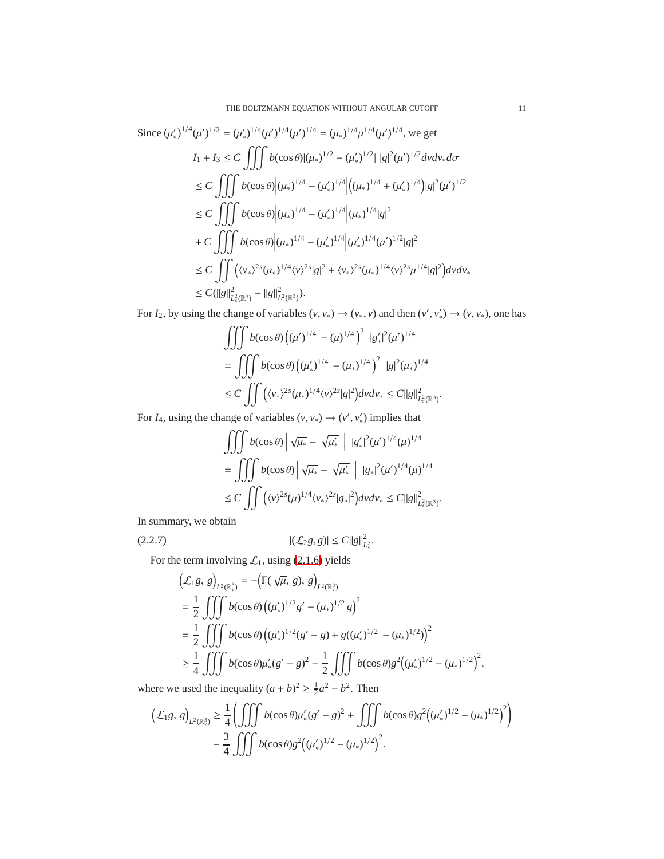Since 
$$
(\mu'_*)^{1/4}(\mu')^{1/2} = (\mu'_*)^{1/4}(\mu')^{1/4}(\mu')^{1/4} = (\mu_*)^{1/4}\mu^{1/4}(\mu')^{1/4}
$$
, we get  
\n
$$
I_1 + I_3 \le C \iiint b(\cos \theta)|(\mu_*)^{1/2} - (\mu'_*)^{1/2}| |g|^2(\mu')^{1/2} dv dv_* d\sigma
$$
\n
$$
\le C \iiint b(\cos \theta)|(\mu_*)^{1/4} - (\mu'_*)^{1/4}|((\mu_*)^{1/4} + (\mu'_*)^{1/4})|g|^2(\mu')^{1/2}
$$
\n
$$
\le C \iiint b(\cos \theta)|(\mu_*)^{1/4} - (\mu'_*)^{1/4}|(\mu_*)^{1/4}|g|^2
$$
\n
$$
+ C \iiint b(\cos \theta)|(\mu_*)^{1/4} - (\mu'_*)^{1/4}|(\mu'_*)^{1/4}(\mu')^{1/2}|g|^2
$$
\n
$$
\le C \iiint (\langle \nu_* \rangle^{2s}(\mu_*)^{1/4} \langle \nu \rangle^{2s}|g|^2 + \langle \nu_* \rangle^{2s}(\mu_*)^{1/4} \langle \nu \rangle^{2s} \mu^{1/4}|g|^2 d\mu \nu_*
$$
\n
$$
\le C (\|g\|_{L^2(\mathbb{R}^3)}^2 + \|g\|_{L^2(\mathbb{R}^3)}^2).
$$

For  $I_2$ , by using the change of variables  $(v, v_*) \to (v_*, v)$  and then  $(v', v'_*) \to (v, v_*)$ , one has

$$
\iiint b(\cos \theta) (\mu')^{1/4} - (\mu)^{1/4} \Big)^2 |g'_*|^2 (\mu')^{1/4}
$$
  
= 
$$
\iiint b(\cos \theta) (\mu'_*)^{1/4} - (\mu_*)^{1/4} \Big)^2 |g|^2 (\mu_*)^{1/4}
$$
  

$$
\leq C \iiint (\langle v_* \rangle^{2s} (\mu_*)^{1/4} \langle v \rangle^{2s} |g|^2) dv dv_* \leq C ||g||^2_{L^2_s(\mathbb{R}^3)}
$$

.

For  $I_4$ , using the change of variables  $(v, v_*) \rightarrow (v', v'_*)$  implies that

$$
\iiint b(\cos \theta) \sqrt{\mu_*} - \sqrt{\mu_*} \left| |g'_*|^2 (\mu')^{1/4} (\mu)^{1/4} \right|
$$
  
= 
$$
\iiint b(\cos \theta) \sqrt{\mu_*} - \sqrt{\mu_*} \left| |g_*|^2 (\mu')^{1/4} (\mu)^{1/4} \right|
$$
  

$$
\leq C \iiint (\langle v \rangle^{2s} (\mu)^{1/4} \langle v_* \rangle^{2s} |g_*|^2) dv dv_* \leq C ||g||^2_{L^2_s(\mathbb{R}^3)}.
$$

In summary, we obtain

$$
|(2.2.7) \t |(2.2.8) | \leq C ||g||_{L_x^2}^2.
$$

For the term involving  $\mathcal{L}_1$ , using [\(2.1.6\)](#page-9-0) yields

<span id="page-10-0"></span>
$$
\begin{split} & \left( \mathcal{L}_{1}g, \, g \right)_{L^{2}(\mathbb{R}_{v}^{3})} = -\left( \Gamma(\sqrt{\mu}, \, g), \, g \right)_{L^{2}(\mathbb{R}_{v}^{3})} \\ & = \frac{1}{2} \, \int \!\!\! \int \!\!\! \int \int b(\cos \theta) \left( (\mu_{*}')^{1/2} g' - (\mu_{*})^{1/2} \, g \right)^{2} \\ & = \frac{1}{2} \, \int \!\!\! \int \!\!\! \int \int b(\cos \theta) \left( (\mu_{*}')^{1/2} (g' - g) + g((\mu_{*}')^{1/2} - (\mu_{*})^{1/2}) \right)^{2} \\ & \geq \frac{1}{4} \, \int \!\!\! \int \!\!\! \int \int b(\cos \theta) \mu_{*}'(g' - g)^{2} - \frac{1}{2} \, \int \!\!\! \int \!\!\! \int \int b(\cos \theta) g^{2} \left( (\mu_{*}')^{1/2} - (\mu_{*})^{1/2} \right)^{2} , \end{split}
$$

where we used the inequality  $(a + b)^2 \ge \frac{1}{2}a^2 - b^2$ . Then

$$
\left(\mathcal{L}_1 g, g\right)_{L^2(\mathbb{R}_v^3)} \ge \frac{1}{4} \left( \iiint b(\cos \theta) \mu'_*(g' - g)^2 + \iiint b(\cos \theta) g^2 \left( (\mu'_*)^{1/2} - (\mu_*)^{1/2} \right)^2 \right) - \frac{3}{4} \iiint b(\cos \theta) g^2 \left( (\mu'_*)^{1/2} - (\mu_*)^{1/2} \right)^2.
$$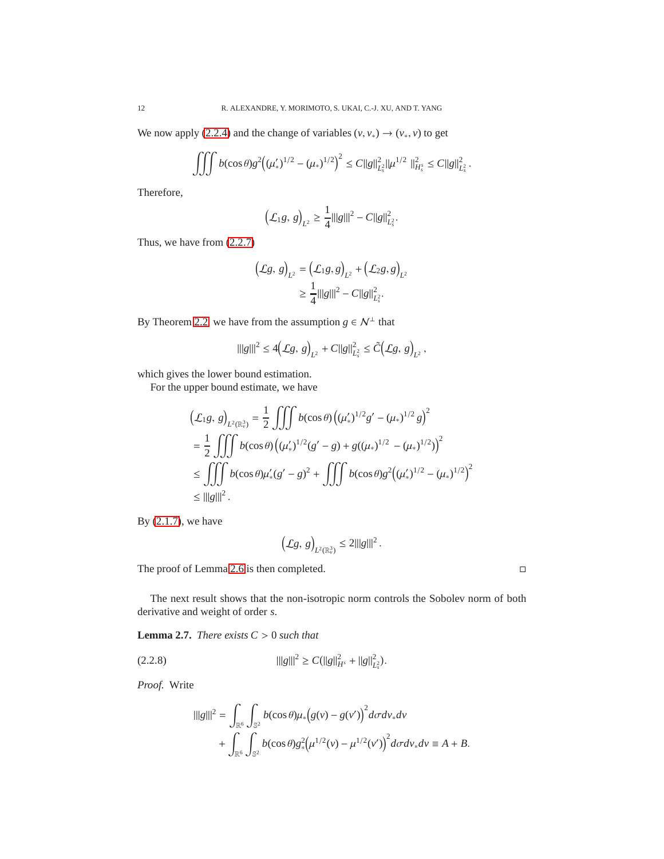We now apply [\(2.2.4\)](#page-8-0) and the change of variables  $(v, v_*) \rightarrow (v_*, v)$  to get

$$
\iiint b(\cos \theta)g^{2} \big( (\mu_{*}')^{1/2} - (\mu_{*})^{1/2} \big)^{2} \leq C ||g||^{2}_{L_{s}^{2}} ||\mu^{1/2}||^{2}_{H_{s}^{s}} \leq C ||g||^{2}_{L_{s}^{2}}.
$$

Therefore,

$$
\left(\mathcal{L}_1 g, g\right)_{L^2} \ge \frac{1}{4} ||g||^2 - C ||g||^2_{L^2}.
$$

Thus, we have from [\(2.2.7\)](#page-10-0)

$$
\begin{aligned} \left(\mathcal{L}g, g\right)_{L^2} &= \left(\mathcal{L}_1g, g\right)_{L^2} + \left(\mathcal{L}_2g, g\right)_{L^2} \\ &\ge \frac{1}{4} |||g|||^2 - C ||g||^2_{L^2_s}. \end{aligned}
$$

By Theorem [2.2,](#page-6-0) we have from the assumption  $g \in \mathcal{N}^{\perp}$  that

$$
\| |g|||^2 \le 4 \Big( \mathcal{L} g, g \Big)_{L^2} + C \|g\|_{L^2_s}^2 \le \tilde{C} \Big( \mathcal{L} g, g \Big)_{L^2},
$$

which gives the lower bound estimation.

For the upper bound estimate, we have

$$
\begin{aligned} &\left(\mathcal{L}_{1}g, g\right)_{L^{2}(\mathbb{R}_{v}^{3})} = \frac{1}{2} \iiint b(\cos\theta) \left((\mu'_{*})^{1/2}g' - (\mu_{*})^{1/2}g\right)^{2} \\ &= \frac{1}{2} \iiint b(\cos\theta) \left((\mu'_{*})^{1/2}(g' - g) + g((\mu_{*})^{1/2} - (\mu_{*})^{1/2})\right)^{2} \\ &\leq \iiint b(\cos\theta) \mu'_{*}(g' - g)^{2} + \iiint b(\cos\theta) g^{2} \left((\mu'_{*})^{1/2} - (\mu_{*})^{1/2}\right)^{2} \\ &\leq ||g|||^{2} .\end{aligned}
$$

By [\(2.1.7\)](#page-10-0), we have

$$
\left(\mathcal{L}g,\,g\right)_{L^2(\mathbb{R}^3_\nu)}\leq 2\|\left|g\right\|^2.
$$

The proof of Lemma [2.6](#page-8-3) is then completed.

The next result shows that the non-isotropic norm controls the Sobolev norm of both derivative and weight of order *s*.

**Lemma 2.7.** *There exists*  $C > 0$  *such that* 

$$
|||g|||^2 \ge C(||g||_{H^s}^2 + ||g||_{L^2}^2).
$$

*Proof.* Write

<span id="page-11-0"></span>
$$
\|\|g\|\|^2 = \int_{\mathbb{R}^6} \int_{\mathbb{S}^2} b(\cos \theta) \mu_* (g(v) - g(v'))^2 d\sigma dv_* dv + \int_{\mathbb{R}^6} \int_{\mathbb{S}^2} b(\cos \theta) g_*^2 (\mu^{1/2}(v) - \mu^{1/2}(v'))^2 d\sigma dv_* dv \equiv A + B.
$$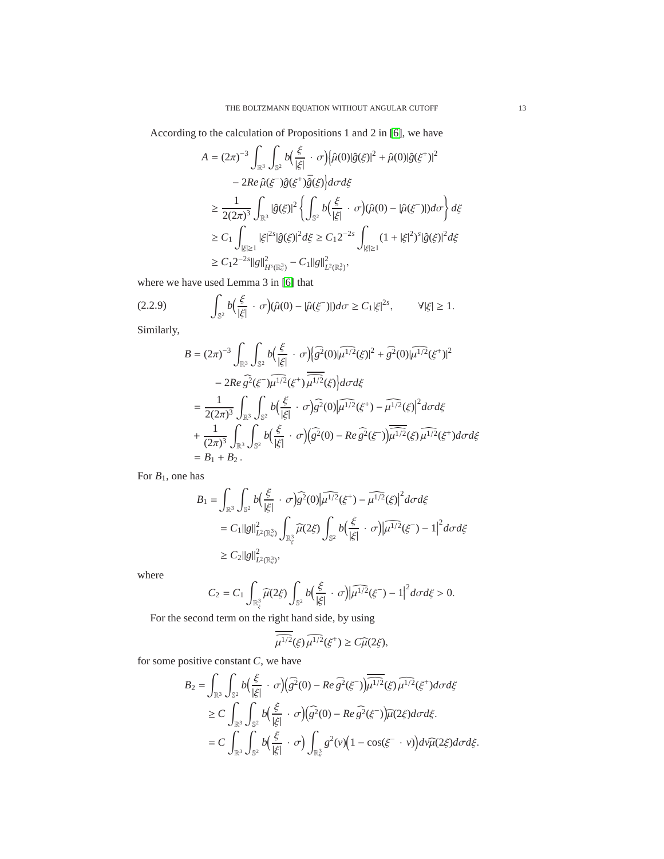According to the calculation of Propositions 1 and 2 in [\[6\]](#page-56-2), we have

$$
A = (2\pi)^{-3} \int_{\mathbb{R}^3} \int_{\mathbb{S}^2} b\left(\frac{\xi}{|\xi|} \cdot \sigma\right) \left\{\hat{\mu}(0)|\hat{g}(\xi)|^2 + \hat{\mu}(0)|\hat{g}(\xi^+)|^2 - 2Re \,\hat{\mu}(\xi^-)\hat{g}(\xi^+)\hat{g}(\xi)\right\} d\sigma d\xi
$$
  
\n
$$
\geq \frac{1}{2(2\pi)^3} \int_{\mathbb{R}^3} |\hat{g}(\xi)|^2 \left\{\int_{\mathbb{S}^2} b\left(\frac{\xi}{|\xi|} \cdot \sigma\right) (\hat{\mu}(0) - |\hat{\mu}(\xi^-)|) d\sigma\right\} d\xi
$$
  
\n
$$
\geq C_1 \int_{|\xi| \geq 1} |\xi|^{2s} |\hat{g}(\xi)|^2 d\xi \geq C_1 2^{-2s} \int_{|\xi| \geq 1} (1 + |\xi|^2)^s |\hat{g}(\xi)|^2 d\xi
$$
  
\n
$$
\geq C_1 2^{-2s} ||g||^2_{H^s(\mathbb{R}^3_v)} - C_1 ||g||^2_{L^2(\mathbb{R}^3_v)},
$$

where we have used Lemma 3 in [\[6\]](#page-56-2) that

$$
(2.2.9) \qquad \int_{\mathbb{S}^2} b\Big(\frac{\xi}{|\xi|} \cdot \sigma\Big) (\hat{\mu}(0) - |\hat{\mu}(\xi^-)|) d\sigma \ge C_1 |\xi|^{2s}, \qquad \forall |\xi| \ge 1.
$$

Similarly,

$$
B = (2\pi)^{-3} \int_{\mathbb{R}^3} \int_{\mathbb{S}^2} b\left(\frac{\xi}{|\xi|} \cdot \sigma\right) \left\{\widehat{g^2}(0) | \widehat{\mu^{1/2}}(\xi)|^2 + \widehat{g^2}(0) | \widehat{\mu^{1/2}}(\xi^+)|^2 - 2Re \widehat{g^2}(\xi^-) \widehat{\mu^{1/2}}(\xi^+) \overline{\widehat{\mu^{1/2}}(\xi)}\right\} d\sigma d\xi
$$
  
\n
$$
= \frac{1}{2(2\pi)^3} \int_{\mathbb{R}^3} \int_{\mathbb{S}^2} b\left(\frac{\xi}{|\xi|} \cdot \sigma\right) \widehat{g^2}(0) |\widehat{\mu^{1/2}}(\xi^+) - \widehat{\mu^{1/2}}(\xi)|^2 d\sigma d\xi
$$
  
\n
$$
+ \frac{1}{(2\pi)^3} \int_{\mathbb{R}^3} \int_{\mathbb{S}^2} b\left(\frac{\xi}{|\xi|} \cdot \sigma\right) (\widehat{g^2}(0) - Re \widehat{g^2}(\xi^-)) \overline{\widehat{\mu^{1/2}}(\xi)} \widehat{\mu^{1/2}}(\xi^+) d\sigma d\xi
$$
  
\n
$$
= B_1 + B_2.
$$

For  $B_1$ , one has

$$
B_1 = \int_{\mathbb{R}^3} \int_{\mathbb{S}^2} b \left( \frac{\xi}{|\xi|} \cdot \sigma \right) \widehat{g^2}(0) \left| \widehat{\mu^{1/2}}(\xi^+) - \widehat{\mu^{1/2}}(\xi) \right|^2 d\sigma d\xi
$$
  
\n
$$
= C_1 ||g||^2_{L^2(\mathbb{R}^3_v)} \int_{\mathbb{R}^3_\xi} \widehat{\mu}(2\xi) \int_{\mathbb{S}^2} b \left( \frac{\xi}{|\xi|} \cdot \sigma \right) \left| \widehat{\mu^{1/2}}(\xi^-) - 1 \right|^2 d\sigma d\xi
$$
  
\n
$$
\geq C_2 ||g||^2_{L^2(\mathbb{R}^3_v)},
$$

where

$$
C_2=C_1\int_{\mathbb{R}^3_\xi}\widehat{\mu}(2\xi)\int_{\mathbb{S}^2}b\Big(\frac{\xi}{|\xi|}\,\cdot\,\sigma\Big)\widehat{|\mu^{1/2}(\xi^-)}-1\Big|^2d\sigma d\xi>0.
$$

For the second term on the right hand side, by using

 $\sim$ 

$$
\widehat{\mu^{1/2}}(\xi)\widehat{\mu^{1/2}}(\xi^+) \geq C\widehat{\mu}(2\xi),
$$

for some positive constant *C*, we have

$$
B_2 = \int_{\mathbb{R}^3} \int_{\mathbb{S}^2} b\left(\frac{\xi}{|\xi|} \cdot \sigma\right) \left(\widehat{g^2}(0) - Re \,\widehat{g^2}(\xi^-)\right) \overline{\widehat{\mu^{1/2}}}(\xi) \,\widehat{\mu^{1/2}}(\xi^+) d\sigma d\xi
$$
  
\n
$$
\geq C \int_{\mathbb{R}^3} \int_{\mathbb{S}^2} b\left(\frac{\xi}{|\xi|} \cdot \sigma\right) \left(\widehat{g^2}(0) - Re \,\widehat{g^2}(\xi^-)\right) \overline{\widehat{\mu}(2\xi)} d\sigma d\xi.
$$
  
\n
$$
= C \int_{\mathbb{R}^3} \int_{\mathbb{S}^2} b\left(\frac{\xi}{|\xi|} \cdot \sigma\right) \int_{\mathbb{R}^3_v} g^2(\nu) \left(1 - \cos(\xi^- \cdot \nu)\right) d\nu \widehat{\mu}(2\xi) d\sigma d\xi.
$$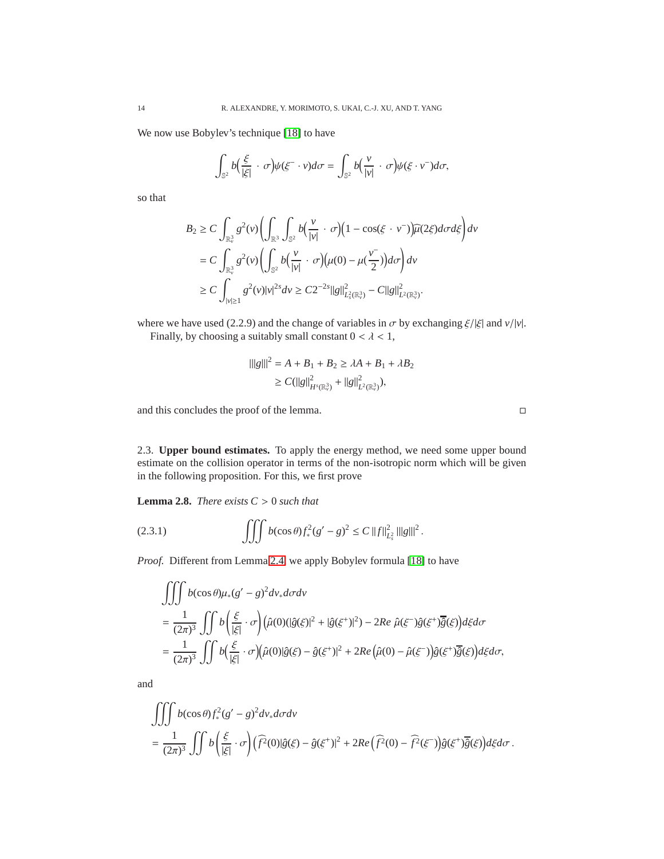We now use Bobylev's technique [\[18\]](#page-57-27) to have

$$
\int_{\mathbb{S}^2} b\Big(\frac{\xi}{|\xi|} \cdot \sigma\Big) \psi(\xi^- \cdot \nu) d\sigma = \int_{\mathbb{S}^2} b\Big(\frac{\nu}{|\nu|} \cdot \sigma\Big) \psi(\xi \cdot \nu^-) d\sigma,
$$

so that

$$
B_2 \geq C \int_{\mathbb{R}^3_v} g^2(v) \left( \int_{\mathbb{R}^3} \int_{\mathbb{S}^2} b \left( \frac{v}{|v|} \cdot \sigma \right) \left( 1 - \cos(\xi \cdot v^-) \right) \widehat{\mu}(2\xi) d\sigma d\xi \right) dv
$$
  
= 
$$
C \int_{\mathbb{R}^3_v} g^2(v) \left( \int_{\mathbb{S}^2} b \left( \frac{v}{|v|} \cdot \sigma \right) \left( \mu(0) - \mu \left( \frac{v^-}{2} \right) \right) d\sigma \right) dv
$$
  

$$
\geq C \int_{|v| \geq 1} g^2(v) |v|^{2s} dv \geq C 2^{-2s} ||g||^2_{L^2(\mathbb{R}^3_v)} - C ||g||^2_{L^2(\mathbb{R}^3_v)}.
$$

where we have used (2.2.9) and the change of variables in  $\sigma$  by exchanging  $\xi/|\xi|$  and  $\nu/|\nu|$ . Finally, by choosing a suitably small constant  $0 < \lambda < 1$ ,

$$
\begin{aligned} |||g|||^2 &= A + B_1 + B_2 \ge \lambda A + B_1 + \lambda B_2 \\ &\ge C(||g||^2_{H^s(\mathbb{R}^3_v)} + ||g||^2_{L^2(\mathbb{R}^3_v)}), \end{aligned}
$$

and this concludes the proof of the lemma.

<span id="page-13-0"></span>2.3. **Upper bound estimates.** To apply the energy method, we need some upper bound estimate on the collision operator in terms of the non-isotropic norm which will be given in the following proposition. For this, we first prove

<span id="page-13-2"></span>**Lemma 2.8.** *There exists*  $C > 0$  *such that* 

$$
(2.3.1) \qquad \iiint b(\cos \theta) f_*^2 (g' - g)^2 \le C \, ||f||_{L_s^2}^2 \, ||g||^2 \, .
$$

*Proof.* Different from Lemma [2.4,](#page-7-3) we apply Bobylev formula [\[18\]](#page-57-27) to have

<span id="page-13-1"></span>
$$
\begin{split}\n&\iint b(\cos\theta)\mu_*(g'-g)^2\,dv_*d\sigma dv \\
&=\frac{1}{(2\pi)^3}\iint b\left(\frac{\xi}{|\xi|}\cdot\sigma\right)\left(\hat{\mu}(0)(|\hat{g}(\xi)|^2+|\hat{g}(\xi^+)|^2)-2Re\ \hat{\mu}(\xi^-)\hat{g}(\xi^+)\overline{\hat{g}(\xi)}\right)d\xi d\sigma \\
&=\frac{1}{(2\pi)^3}\iint b\left(\frac{\xi}{|\xi|}\cdot\sigma\right)\left(\hat{\mu}(0)|\hat{g}(\xi)-\hat{g}(\xi^+)|^2+2Re\left(\hat{\mu}(0)-\hat{\mu}(\xi^-)\right)\hat{g}(\xi^+)\overline{\hat{g}(\xi)}\right)d\xi d\sigma,\n\end{split}
$$

and

$$
\iiint b(\cos\theta) f^2_*(g'-g)^2 dv_* d\sigma dv
$$
  
= 
$$
\frac{1}{(2\pi)^3} \iint b\left(\frac{\xi}{|\xi|} \cdot \sigma\right) (\widehat{f^2}(0)) \widehat{g}(\xi) - \widehat{g}(\xi^+)|^2 + 2Re\left(\widehat{f^2}(0) - \widehat{f^2}(\xi^-)\right) \widehat{g}(\xi^+) \overline{\widehat{g}(\xi)} d\xi d\sigma.
$$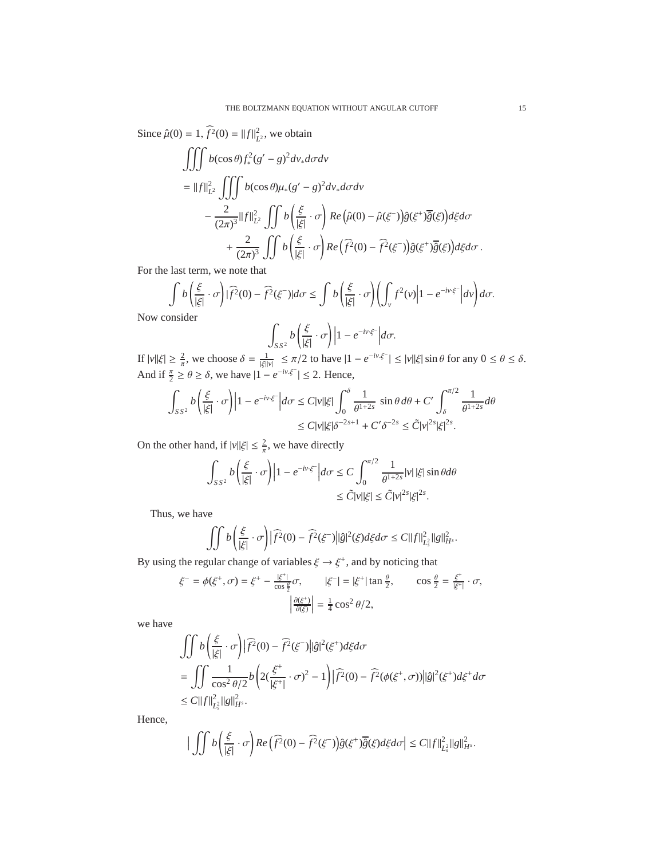Since  $\hat{\mu}(0) = 1, f^2(0) = ||f||^2_{L^2}$ , we obtain

$$
\iiint b(\cos \theta) f_*^2 (g' - g)^2 dv_* d\sigma dv
$$
  
=  $||f||_{L^2}^2 \iiint b(\cos \theta) \mu_* (g' - g)^2 dv_* d\sigma dv$   

$$
- \frac{2}{(2\pi)^3} ||f||_{L^2}^2 \iint b\left(\frac{\xi}{|\xi|} \cdot \sigma\right) Re(\hat{\mu}(0) - \hat{\mu}(\xi^-)) \hat{g}(\xi^+) \overline{\hat{g}}(\xi) d\xi d\sigma
$$
  

$$
+ \frac{2}{(2\pi)^3} \iint b\left(\frac{\xi}{|\xi|} \cdot \sigma\right) Re(\hat{f}^2(0) - \hat{f}^2(\xi^-)) \hat{g}(\xi^+) \overline{\hat{g}}(\xi) d\xi d\sigma.
$$

For the last term, we note that

$$
\int b\left(\frac{\xi}{|\xi|}\cdot\sigma\right)|\widehat{f^2}(0)-\widehat{f^2}(\xi^-)|d\sigma\leq \int b\left(\frac{\xi}{|\xi|}\cdot\sigma\right)|\int_{\nu}f^2(\nu)|1-e^{-i\nu\cdot\xi^-}|d\nu\right)d\sigma.
$$

Now consider

$$
\int_{SS^2} b\left(\frac{\xi}{|\xi|}\cdot\sigma\right) \left|1-e^{-i\nu\cdot\xi}\right| d\sigma.
$$

If  $|v||\xi| \ge \frac{2}{\pi}$ , we choose  $\delta = \frac{1}{|\xi||v|} \le \pi/2$  to have  $|1 - e^{-iv \cdot \xi^-}| \le |v||\xi| \sin \theta$  for any  $0 \le \theta \le \delta$ . And if  $\frac{\pi}{2} \ge \theta \ge \delta$ , we have  $|1 - e^{-iv \cdot \xi^-}| \le 2$ . Hence,

$$
\int_{SS^2} b\left(\frac{\xi}{|\xi|} \cdot \sigma\right) \left|1 - e^{-i\nu \cdot \xi^-} \right| d\sigma \le C|v||\xi| \int_0^{\delta} \frac{1}{\theta^{1+2s}} \sin \theta \, d\theta + C' \int_{\delta}^{\pi/2} \frac{1}{\theta^{1+2s}} d\theta
$$
  

$$
\le C|v||\xi| \delta^{-2s+1} + C' \delta^{-2s} \le \tilde{C}|v|^{2s} |\xi|^{2s}.
$$

On the other hand, if  $|v||\xi| \leq \frac{2}{\pi}$ , we have directly

$$
\int_{SS^2} b\left(\frac{\xi}{|\xi|} \cdot \sigma\right) \left|1 - e^{-i\nu \cdot \xi^-} \right| d\sigma \le C \int_0^{\pi/2} \frac{1}{\theta^{1+2s}} |v| |\xi| \sin \theta d\theta
$$
  

$$
\le \tilde{C} |v| |\xi| \le \tilde{C} |v|^{2s} |\xi|^{2s}.
$$

Thus, we have

$$
\iint b\left(\frac{\xi}{|\xi|}\cdot\sigma\right)|\widehat{f^2}(0)-\widehat{f^2}(\xi^-)\big||\widehat{g}|^2(\xi)d\xi d\sigma\leq C||f||^2_{L^2_s}||g||^2_{H^s}.
$$

By using the regular change of variables  $\xi \to \xi^+$ , and by noticing that

$$
\xi^{-} = \phi(\xi^{+}, \sigma) = \xi^{+} - \frac{|\xi^{+}|}{\cos\frac{\theta}{2}}\sigma, \qquad |\xi^{-}| = |\xi^{+}| \tan\frac{\theta}{2}, \qquad \cos\frac{\theta}{2} = \frac{\xi^{+}}{|\xi^{+}|} \cdot \sigma,
$$

$$
\left|\frac{\partial(\xi^{+})}{\partial(\xi)}\right| = \frac{1}{4}\cos^{2}\theta/2,
$$

we have

$$
\begin{split} &\iint b\left(\frac{\xi}{|\xi|}\cdot\sigma\right)\left|\widehat{f^2}(0)-\widehat{f^2}(\xi^-)\right|\left|\hat{g}\right|^2(\xi^+)d\xi d\sigma\\ &=\iint\limits_{\mathcal{O}\subseteq S^2}\frac{1}{\theta/2}b\left(2(\frac{\xi^+}{|\xi^+|}\cdot\sigma)^2-1\right)\left|\widehat{f^2}(0)-\widehat{f^2}(\phi(\xi^+,\sigma))\right|\left|\hat{g}\right|^2(\xi^+)d\xi^+d\sigma\\ &\leq C\|f\|_{L^2_s}^2\|g\|_{H^s}^2. \end{split}
$$

Hence,

$$
\Big|\int\int b\Big(\frac{\xi}{|\xi|}\cdot\sigma\Big)\text{Re}\Big(\widehat{f^2}(0)-\widehat{f^2}(\xi^-)\Big)\widehat{g}(\xi^+)\overline{\widehat{g}(\xi)}d\xi d\sigma\Big|\leq C\|f\|_{L^2_s}^2\|g\|_{H^s}^2.
$$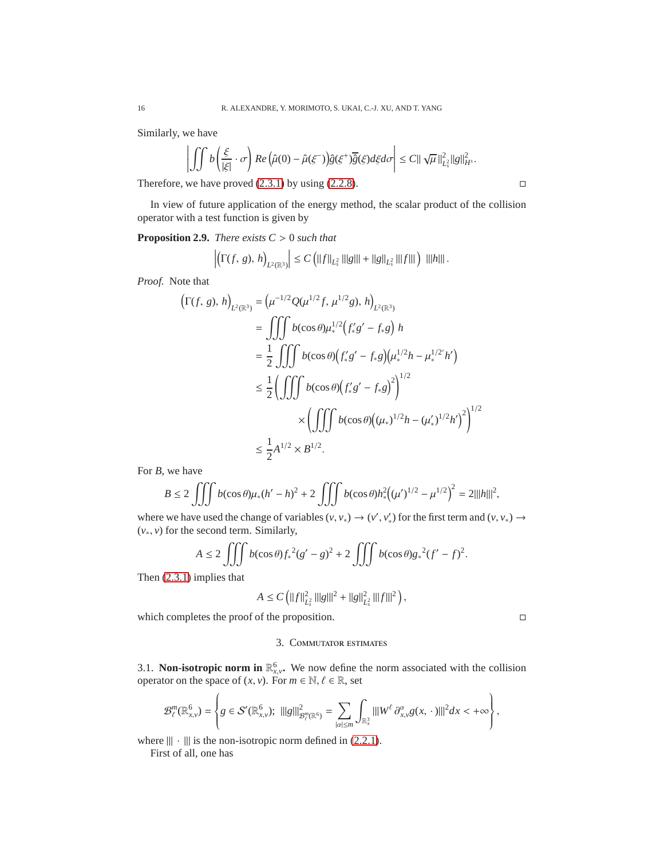Similarly, we have

$$
\left| \iint b\left(\frac{\xi}{|\xi|} \cdot \sigma \right) Re\left(\hat{\mu}(0) - \hat{\mu}(\xi^{-})\right) \hat{g}(\xi^{+}) \overline{\hat{g}}(\xi) d\xi d\sigma \right| \leq C ||\sqrt{\mu}||_{L_{\sigma}^{2}}^{2} ||g||_{H^{s}}^{2}.
$$

Therefore, we have proved  $(2.3.1)$  by using  $(2.2.8)$ .

In view of future application of the energy method, the scalar product of the collision operator with a test function is given by

<span id="page-15-2"></span>**Proposition 2.9.** *There exists C* > 0 *such that*

$$
\left|\left(\Gamma(f,\,g),\,h\right)_{L^2(\mathbb{R}^3)}\right|\leq C\left(\|f\|_{L^2_s}\,\|g\|_{L^2}\,\|g\|_{L^2_s}\,\|f\|\right)\,\,\|h\|\,.
$$

*Proof.* Note that

$$
\begin{split} \left(\Gamma(f, g), h\right)_{L^{2}(\mathbb{R}^{3})} &= \left(\mu^{-1/2} Q(\mu^{1/2} f, \, \mu^{1/2} g), \, h\right)_{L^{2}(\mathbb{R}^{3})} \\ &= \iiint b(\cos\theta) \mu_{*}^{1/2} \left(f_{*}^{'} g^{\prime} - f_{*} g\right) h \\ &= \frac{1}{2} \iiint b(\cos\theta) \left(f_{*}^{'} g^{\prime} - f_{*} g\right) \left(\mu_{*}^{1/2} h - \mu_{*}^{1/2^{\prime}} h^{\prime}\right) \\ &\leq \frac{1}{2} \left(\iiint b(\cos\theta) \left(f_{*}^{'} g^{\prime} - f_{*} g\right)^{2}\right)^{1/2} \\ &\times \left(\iiint b(\cos\theta) \left((\mu_{*})^{1/2} h - (\mu_{*}^{\prime})^{1/2} h^{\prime}\right)^{2}\right)^{1/2} \\ &\leq \frac{1}{2} A^{1/2} \times B^{1/2} . \end{split}
$$

For *B*, we have

$$
B \le 2 \iiint b(\cos \theta) \mu_*(h' - h)^2 + 2 \iiint b(\cos \theta) h_*^2 (\mu')^{1/2} - \mu^{1/2} \mu' = 2 |||h|||^2,
$$

where we have used the change of variables  $(v, v_*) \rightarrow (v', v'_*)$  for the first term and  $(v, v_*) \rightarrow (v', v'_*)$ (*v*∗, *v*) for the second term. Similarly,

$$
A \le 2 \iiint b(\cos \theta) f_*^2 (g' - g)^2 + 2 \iiint b(\cos \theta) g_*^2 (f' - f)^2.
$$

Then [\(2.3.1\)](#page-13-1) implies that

$$
A \leq C \left( ||f||_{L_s^2}^2 ||g|||^2 + ||g||_{L_s^2}^2 ||f|||^2 \right),
$$

<span id="page-15-0"></span>which completes the proof of the proposition.

 $\epsilon$ 

### 3. Commutator estimates

<span id="page-15-1"></span>3.1. **Non-isotropic norm in**  $\mathbb{R}_{x,v}^6$ . We now define the norm associated with the collision operator on the space of  $(x, v)$ . For  $m \in \mathbb{N}$ ,  $\ell \in \mathbb{R}$ , set

$$
\mathcal{B}_{\ell}^m(\mathbb{R}^6_{x,v})=\left\{g\in\mathcal{S}'(\mathbb{R}^6_{x,v});\;|||g|||^2_{\mathcal{B}_{\ell}^m(\mathbb{R}^6)}=\sum_{|\alpha|\leq m}\int_{\mathbb{R}^3_x}|||W^{\ell}\partial_{x,v}^{\alpha}g(x,\,\cdot\,)|||^2dx<+\infty\right\},\;
$$

where  $|| \cdot |||$  is the non-isotropic norm defined in [\(2.2.1\)](#page-13-1).

First of all, one has

 $\sqrt{ }$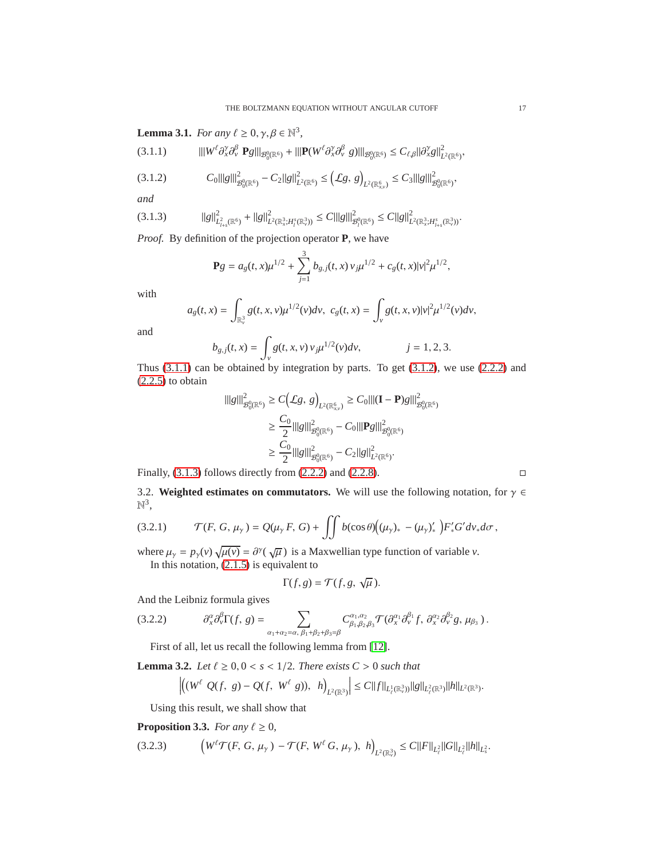**Lemma 3.1.** *For any*  $\ell \geq 0, \gamma, \beta \in \mathbb{N}^3$ ,

(3.1.1) |||*W*<sup>ℓ</sup> ∂ γ *x*∂ β *<sup>v</sup>* **P***g*|||<sup>B</sup> 0 0 (R<sup>6</sup> ) <sup>+</sup> |||**P**(*W*<sup>ℓ</sup> ∂ γ *x*∂ β *<sup>v</sup> g*)|||<sup>B</sup> 0 0 (R<sup>6</sup> ) ≤ *C*ℓ,β||∂ γ *xg*||<sup>2</sup> *L* 2 (R<sup>6</sup> ) ,

$$
(3.1.2) \tC_0|||g|||^2_{\mathcal{B}_0^0(\mathbb{R}^6)} - C_2||g||^2_{L^2(\mathbb{R}^6)} \leq (\mathcal{L}g, g)_{L^2(\mathbb{R}^6_{x,v})} \leq C_3|||g|||^2_{\mathcal{B}_0^0(\mathbb{R}^6)},
$$

*and*

(3.1.3) ||*g*||<sup>2</sup> *L* 2 *l*+*s* (R<sup>6</sup> ) <sup>+</sup> ||*g*||<sup>2</sup> *L* 2 (R 3 *x* ;*H s* (R 3 *v* )) <sup>≤</sup> *<sup>C</sup>*|||*g*|||<sup>2</sup> B 0 (R<sup>6</sup> ) <sup>≤</sup> *<sup>C</sup>*||*g*||<sup>2</sup> *L* 2 (R 3 *x* ;*H s l*+*s* (R 3 *v* )).

*Proof.* By definition of the projection operator **P**, we have

$$
\mathbf{P}g = a_g(t, x)\mu^{1/2} + \sum_{j=1}^3 b_{g,j}(t, x) v_j \mu^{1/2} + c_g(t, x)|v|^2 \mu^{1/2},
$$

with

$$
a_g(t,x) = \int_{\mathbb{R}^3_v} g(t,x,v) \mu^{1/2}(v) dv, \ c_g(t,x) = \int_v g(t,x,v) |v|^2 \mu^{1/2}(v) dv,
$$

and

$$
b_{g,j}(t,x) = \int_{v} g(t,x,v) \, v_j \mu^{1/2}(v) \, dv, \qquad j = 1,2,3.
$$

Thus [\(3.1.1\)](#page-16-1) can be obtained by integration by parts. To get [\(3.1.2\)](#page-16-2), we use [\(2.2.2\)](#page-7-2) and  $(2.2.5)$  to obtain

$$
\begin{aligned} |||g|||_{\mathcal{B}_{0}^{0}(\mathbb{R}^{6})}^{2} &\geq C\big(\mathcal{L}g,\,g\big)_{L^{2}(\mathbb{R}^{6}_{x,v})} \geq C_{0}|||(\mathbf{I}-\mathbf{P})g|||_{\mathcal{B}_{0}^{0}(\mathbb{R}^{6})}^{2} \\ &\geq \frac{C_{0}}{2}|||g|||_{\mathcal{B}_{0}^{0}(\mathbb{R}^{6})}^{2} - C_{0}|||\mathbf{P}g|||_{\mathcal{B}_{0}^{0}(\mathbb{R}^{6})}^{2} \\ &\geq \frac{C_{0}}{2}|||g|||_{\mathcal{B}_{0}^{0}(\mathbb{R}^{6})}^{2} - C_{2}||g||_{L^{2}(\mathbb{R}^{6})}^{2} .\end{aligned}
$$

<span id="page-16-0"></span>Finally,  $(3.1.3)$  follows directly from  $(2.2.2)$  and  $(2.2.8)$ .

3.2. **Weighted estimates on commutators.** We will use the following notation, for  $\gamma \in$  $\mathbb{N}^3$ ,

<span id="page-16-1"></span>
$$
(3.2.1) \t\t \mathcal{T}(F, G, \mu_{\gamma}) = Q(\mu_{\gamma} F, G) + \iint b(\cos \theta) \big( (\mu_{\gamma})_{*} - (\mu_{\gamma})_{*}' \big) F_{*}' G' d\nu_{*} d\sigma,
$$

where  $\mu_{\gamma} = p_{\gamma}(v) \sqrt{\mu(v)} = \partial^{\gamma}(\sqrt{\mu})$  is a Maxwellian type function of variable *v*. In this notation,  $(2.1.5)$  is equivalent to

$$
\Gamma(f,g) = \mathcal{T}(f,g,\sqrt{\mu}).
$$

And the Leibniz formula gives

$$
(3.2.2) \t\t \partial_x^{\alpha} \partial_{\nu}^{\beta} \Gamma(f, g) = \sum_{\alpha_1 + \alpha_2 = \alpha, \beta_1 + \beta_2 + \beta_3 = \beta} C^{\alpha_1, \alpha_2}_{\beta_1, \beta_2, \beta_3} \mathcal{T}(\partial_x^{\alpha_1} \partial_{\nu}^{\beta_1} f, \partial_x^{\alpha_2} \partial_{\nu}^{\beta_2} g, \mu_{\beta_3}).
$$

<span id="page-16-2"></span>First of all, let us recall the following lemma from [\[12\]](#page-56-6).

<span id="page-16-4"></span>**Lemma 3.2.** *Let*  $\ell \geq 0, 0 < s < 1/2$ *. There exists*  $C > 0$  *such that* 

$$
\left|\left((W^\ell \ Q(f, \ g) - Q(f, \ W^\ell \ g)), \ h\right)_{L^2(\mathbb{R}^3)}\right| \leq C \|f\|_{L^1_t(\mathbb{R}^3_v))} \|g\|_{L^2_t(\mathbb{R}^3)} \|h\|_{L^2(\mathbb{R}^3)}.
$$

Using this result, we shall show that

**Proposition 3.3.** For any 
$$
\ell \geq 0
$$
,

<span id="page-16-3"></span>
$$
(3.2.3) \qquad \left(W^{\ell}\mathcal{T}(F, G, \mu_{\gamma}) - \mathcal{T}(F, W^{\ell} G, \mu_{\gamma}), h\right)_{L^{2}(\mathbb{R}^{3}_{\gamma})} \leq C||F||_{L^{2}_{\ell}}||G||_{L^{2}_{\ell}}||h||_{L^{2}_{\gamma}}.
$$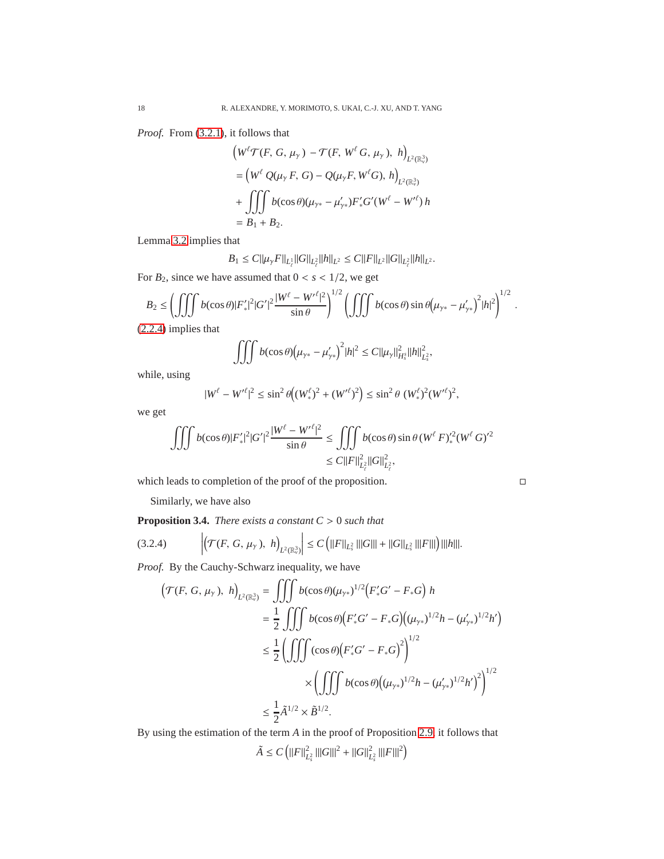*Proof.* From [\(3.2.1\)](#page-16-1), it follows that

$$
\begin{aligned} &\left(W^{\ell}\mathcal{T}(F, G, \mu_{\gamma}) - \mathcal{T}(F, W^{\ell}G, \mu_{\gamma}), h\right)_{L^{2}(\mathbb{R}^{3}_{\gamma})} \\ &= \left(W^{\ell}Q(\mu_{\gamma}F, G) - Q(\mu_{\gamma}F, W^{\ell}G), h\right)_{L^{2}(\mathbb{R}^{3}_{\gamma})} \\ &+ \iiint b(\cos\theta)(\mu_{\gamma*} - \mu_{\gamma*}')F^{\prime}_{*}G^{\prime}(W^{\ell} - W^{\prime\ell})h \\ &= B_{1} + B_{2}. \end{aligned}
$$

Lemma [3.2](#page-16-4) implies that

$$
B_1 \leq C ||\mu_{\gamma} F||_{L^1_{\ell}} ||G||_{L^2_{\ell}} ||h||_{L^2} \leq C ||F||_{L^2} ||G||_{L^2_{\ell}} ||h||_{L^2}.
$$

For  $B_2$ , since we have assumed that  $0 < s < 1/2$ , we get

$$
B_2 \le \left(\iiint b(\cos \theta) |F'_*|^2 |G'|^2 \frac{|W^\ell - W'^\ell|^2}{\sin \theta}\right)^{1/2} \left(\iiint b(\cos \theta) \sin \theta \left(\mu_{\gamma*} - \mu'_{\gamma*}\right)^2 |h|^2\right)^{1/2}.
$$

[\(2.2.4\)](#page-8-0) implies that

$$
\iiint b(\cos\theta) \big(\mu_{\gamma*} - \mu'_{\gamma*}\big)^2 |h|^2 \leq C \|\mu_{\gamma}\|_{H_s^s}^2 \|h\|_{L_s^2}^2,
$$

while, using

$$
|W^{\ell} - W^{\prime \ell}|^{2} \le \sin^{2} \theta \big( (W_{*}^{\ell})^{2} + (W^{\prime \ell})^{2} \big) \le \sin^{2} \theta \ (W_{*}^{\ell})^{2} (W^{\prime \ell})^{2},
$$

we get

$$
\iiint b(\cos \theta) |F'_*|^2 |G'|^2 \frac{|W^\ell - W'^\ell|^2}{\sin \theta} \le \iiint b(\cos \theta) \sin \theta (W^\ell F)_*'^2 (W^\ell G)^{\prime 2} \le C ||F||^2_{L^2_\ell} ||G||^2_{L^2_\ell},
$$

which leads to completion of the proof of the proposition.  $\Box$ 

Similarly, we have also

**Proposition 3.4.** *There exists a constant*  $C > 0$  *such that* 

<span id="page-17-0"></span>
$$
(3.2.4) \qquad \left| \left( \mathcal{T}(F, G, \mu_{\gamma}), h \right)_{L^{2}(\mathbb{R}^{3}_{\gamma})} \right| \leq C \left( ||F||_{L^{2}_{s}} ||G||| + ||G||_{L^{2}_{s}} ||F||| \right) ||h|||.
$$

*Proof.* By the Cauchy-Schwarz inequality, we have

$$
\begin{split} \left(\mathcal{T}(F, G, \mu_{\gamma}), h\right)_{L^{2}(\mathbb{R}_{\gamma}^{3})} &= \iiint b(\cos\theta)(\mu_{\gamma*})^{1/2} \left(F_{*}G^{\prime} - F_{*}G\right)h \\ &= \frac{1}{2} \iiint b(\cos\theta) \left(F_{*}G^{\prime} - F_{*}G\right) \left((\mu_{\gamma*})^{1/2}h - (\mu_{\gamma*}^{\prime})^{1/2}h^{\prime}\right) \\ &\leq \frac{1}{2} \left(\iiint (\cos\theta) \left(F_{*}^{\prime}G^{\prime} - F_{*}G\right)^{2}\right)^{1/2} \\ &\times \left(\iiint b(\cos\theta) \left((\mu_{\gamma*})^{1/2}h - (\mu_{\gamma*}^{\prime})^{1/2}h^{\prime}\right)^{2}\right)^{1/2} \\ &\leq \frac{1}{2}\tilde{A}^{1/2} \times \tilde{B}^{1/2}. \end{split}
$$

By using the estimation of the term *A* in the proof of Proposition [2.9,](#page-15-2) it follows that

$$
\tilde{A} \leq C \left( ||F||_{L_s^2}^2 ||G||^2 + ||G||_{L_s^2}^2 ||F||^2 \right)
$$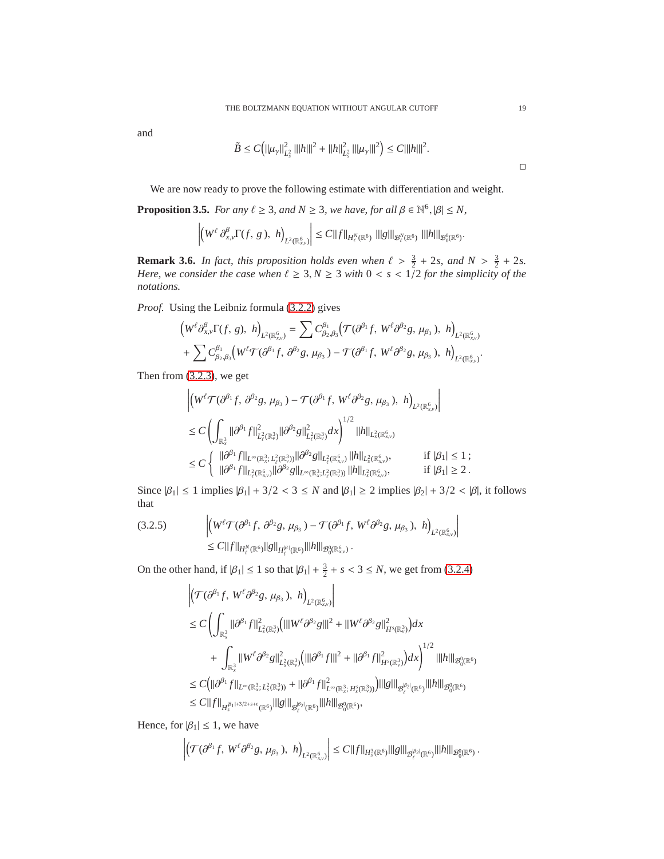and

$$
\tilde{B} \leq C \Big( \|\mu_{\gamma}\|_{L_{s}^{2}}^{2} \|\|h\| \|^2 + \|h\|_{L_{s}^{2}}^{2} \|\mu_{\gamma}\| \|^2 \Big) \leq C \|\|h\| \|^2.
$$

We are now ready to prove the following estimate with differentiation and weight.

<span id="page-18-1"></span>**Proposition 3.5.** *For any*  $\ell \geq 3$ *, and*  $N \geq 3$ *, we have, for all*  $\beta \in \mathbb{N}^6$ *,*  $|\beta| \leq N$ *,* 

$$
\left|\left(W^{\ell}\,\partial_{x,v}^{\beta}\Gamma(f,\,g\,),\,\,h\right)_{L^2(\mathbb{R}^6_{x,v})}\right|\leq C\|f\|_{H^{N}_{\ell}(\mathbb{R}^6)}\,\,\||g|\|_{\mathcal{B}^{N}_{\ell}(\mathbb{R}^6)}\,\,\||h|\|_{\mathcal{B}^{0}_{0}(\mathbb{R}^6)}.
$$

**Remark 3.6.** *In fact, this proposition holds even when*  $\ell > \frac{3}{2} + 2s$ , and  $N > \frac{3}{2} + 2s$ . *Here, we consider the case when*  $\ell \geq 3, N \geq 3$  *with*  $0 < s < 1/2$  *for the simplicity of the notations.*

*Proof.* Using the Leibniz formula [\(3.2.2\)](#page-16-2) gives

$$
\left(W^{\ell}\partial_{x,v}^{\beta}\Gamma(f,g),h\right)_{L^{2}(\mathbb{R}_{x,v}^{6})}=\sum C_{\beta_{2},\beta_{3}}^{\beta_{1}}\left(\mathcal{T}(\partial^{\beta_{1}}f,W^{\ell}\partial^{\beta_{2}}g,\mu_{\beta_{3}}),h\right)_{L^{2}(\mathbb{R}_{x,v}^{6})} + \sum C_{\beta_{2},\beta_{3}}^{\beta_{1}}\left(W^{\ell}\mathcal{T}(\partial^{\beta_{1}}f,\partial^{\beta_{2}}g,\mu_{\beta_{3}})-\mathcal{T}(\partial^{\beta_{1}}f,W^{\ell}\partial^{\beta_{2}}g,\mu_{\beta_{3}}),h\right)_{L^{2}(\mathbb{R}_{x,v}^{6})}.
$$

Then from [\(3.2.3\)](#page-16-3), we get

$$
\begin{aligned} &\left|\left(W^{\ell}\mathcal{T}(\partial^{\beta_{1}}f,\,\partial^{\beta_{2}}g,\,\mu_{\beta_{3}})-\mathcal{T}(\partial^{\beta_{1}}f,\,W^{\ell}\partial^{\beta_{2}}g,\,\mu_{\beta_{3}}),\,\,h\right)_{L^{2}(\mathbb{R}^{6}_{x,v})}\right|\\ &\leq C\left(\int_{\mathbb{R}^{3}_{x}}||\partial^{\beta_{1}}f||^{2}_{L^{2}_{\ell}(\mathbb{R}^{3}_{v})}||\partial^{\beta_{2}}g||^{2}_{L^{2}_{\ell}(\mathbb{R}^{3}_{v})}dx\right)^{1/2}||h||_{L^{2}_{s}(\mathbb{R}^{6}_{x,v})}\\ &\leq C\left\{\begin{array}{ll}||\partial^{\beta_{1}}f||_{L^{\infty}(\mathbb{R}^{3}_{x};\,L^{2}_{\ell}(\mathbb{R}^{3}_{v}))}||\partial^{\beta_{2}}g||_{L^{2}_{\ell}(\mathbb{R}^{6}_{x,v})}||h||_{L^{2}_{s}(\mathbb{R}^{6}_{x,v})}, & \text{if}\,\,|\beta_{1}|\leq 1 \,; \\ ||\partial^{\beta_{1}}f||_{L^{2}_{\ell}(\mathbb{R}^{6}_{x,v})}||\partial^{\beta_{2}}g||_{L^{\infty}(\mathbb{R}^{3}_{x};L^{2}_{\ell}(\mathbb{R}^{3}_{v}))}||h||_{L^{2}_{s}(\mathbb{R}^{6}_{x,v})}, & \text{if}\,\,|\beta_{1}|\geq 2 \,.\end{array}\right. \end{aligned}
$$

Since  $|\beta_1| \le 1$  implies  $|\beta_1| + 3/2 < 3 \le N$  and  $|\beta_1| \ge 2$  implies  $|\beta_2| + 3/2 < |\beta|$ , it follows that

<span id="page-18-0"></span>
$$
(3.2.5) \qquad \left| \left( W^{\ell} \mathcal{T}(\partial^{\beta_1} f, \, \partial^{\beta_2} g, \, \mu_{\beta_3}) - \mathcal{T}(\partial^{\beta_1} f, \, W^{\ell} \partial^{\beta_2} g, \, \mu_{\beta_3}), \, h \right)_{L^2(\mathbb{R}^6_{x,v})} \right|
$$
  
\$\leq C ||f||\_{H\_{\ell}^N(\mathbb{R}^6)} ||g||\_{H\_{\ell}^{|\beta|}(\mathbb{R}^6)} ||h||\_{\mathcal{B}\_0^0(\mathbb{R}^6\_{x,v})}.

On the other hand, if  $|\beta_1| \le 1$  so that  $|\beta_1| + \frac{3}{2} + s < 3 \le N$ , we get from [\(3.2.4\)](#page-17-0)

$$
\begin{aligned} &\left|\left(\mathcal{T}(\partial^{\beta_{1}}f,\,W^{\ell}\partial^{\beta_{2}}g,\,\mu_{\beta_{3}}\,),\,\,h\right)_{L^{2}(\mathbb{R}^6_{x,v})}\right|\\ &\leq C\left(\int_{\mathbb{R}^3_{x}}||\partial^{\beta_{1}}f||^{2}_{L^{2}_{x}(\mathbb{R}^3_{v})}\left(|||W^{\ell}\partial^{\beta_{2}}g|||^{2}+||W^{\ell}\partial^{\beta_{2}}g||^{2}_{H^{s}(\mathbb{R}^3_{v})}\right)dx\right.\\ &\left.+\int_{\mathbb{R}^3_{x}}||W^{\ell}\partial^{\beta_{2}}g||^{2}_{L^{2}_{x}(\mathbb{R}^3_{v})}\left(|||\partial^{\beta_{1}}f|||^{2}+||\partial^{\beta_{1}}f||^{2}_{H^{s}(\mathbb{R}^3_{v})}\right)dx\right)^{1/2}|||h|||_{\mathcal{B}^0_{0}(\mathbb{R}^6)}\\ &\leq C\left(\|\partial^{\beta_{1}}f||_{L^{\infty}(\mathbb{R}^3_{x};L^{2}_{s}(\mathbb{R}^3_{v}))}+||\partial^{\beta_{1}}f||^{2}_{L^{\infty}(\mathbb{R}^3_{x};H^{s}_{s}(\mathbb{R}^3_{v}))}\right)|||g|||_{\mathcal{B}^{\beta_{2}}_{\ell}(\mathbb{R}^6)}|||h|||_{\mathcal{B}^0_{0}(\mathbb{R}^6)}\\ &\leq C||f||_{H^{\beta_{1}|+3/2+s+\epsilon}_{x}(\mathbb{R}^6)}|||g|||_{\mathcal{B}^{\beta_{2}}_{\ell}(\mathbb{R}^6)}|||h|||_{\mathcal{B}^0_{0}(\mathbb{R}^6)},\end{aligned}
$$

 $\sim$ 

Hence, for  $|\beta_1| \leq 1$ , we have

$$
\left|\left(\mathcal{T}(\partial^{\beta_1}f,\; W^\ell\partial^{\beta_2}g,\,\mu_{\beta_3}\,),\;h\right)_{L^2(\mathbb{R}^6_{x,v})}\right|\leq C\|f\|_{H^3_s(\mathbb{R}^6)}\||g|\|_{\mathcal{B}^{\beta_2|}_{\ell}(\mathbb{R}^6)}\||h|\|_{\mathcal{B}^{0}_0(\mathbb{R}^6)}\,.
$$

 $\Box$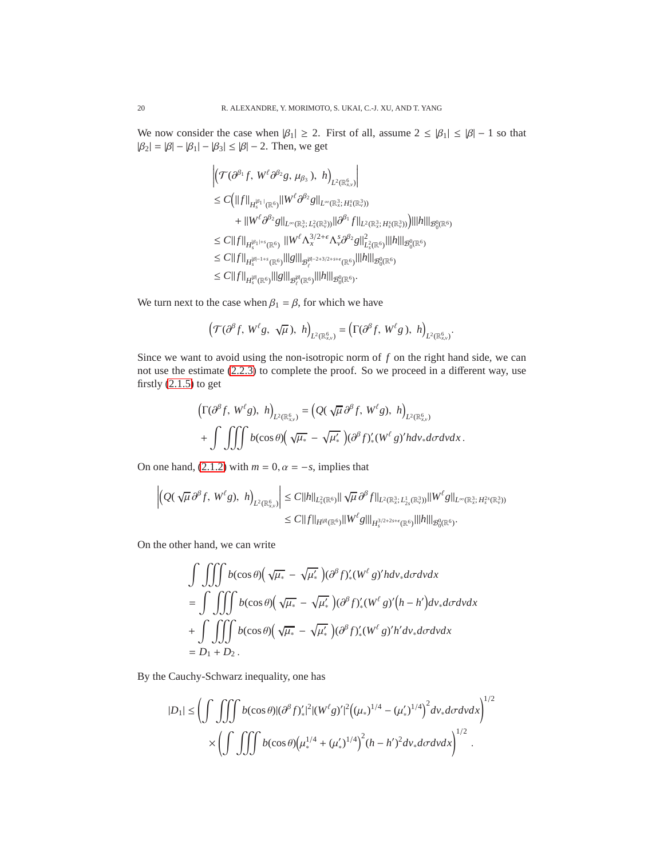We now consider the case when  $|\beta_1| \ge 2$ . First of all, assume  $2 \le |\beta_1| \le |\beta_1| - 1$  so that  $|\beta_2| = |\beta| - |\beta_1| - |\beta_3| \leq |\beta| - 2$ . Then, we get

$$
\begin{aligned} &\left|\left(\mathcal{T}(\partial^{\beta_{1}}f,\,W^{\ell}\partial^{\beta_{2}}g,\,\mu_{\beta_{3}}\,),\,h\right)_{L^{2}(\mathbb{R}^{6}_{x,v})}\right|\\ &\leq C\Big(\|f\|_{H^{\beta_{1}}_{x}(\mathbb{R}^{6})}\|W^{\ell}\partial^{\beta_{2}}g\|_{L^{\infty}(\mathbb{R}^{3}_{x},H^{s}_{s}(\mathbb{R}^{3}_{v}))}\\ &\quad+\|W^{\ell}\partial^{\beta_{2}}g\|_{L^{\infty}(\mathbb{R}^{3}_{x};L^{2}_{s}(\mathbb{R}^{3}_{v}))}\|\partial^{\beta_{1}}f\|_{L^{2}(\mathbb{R}^{3}_{x};H^{s}_{s}(\mathbb{R}^{3}_{v}))}\Big)\|\|h\|\|_{\mathcal{B}^{0}_{0}(\mathbb{R}^{6})}\\ &\leq C\|f\|_{H^{\beta_{1}+\epsilon}_{s}(\mathbb{R}^{6})}\,\|W^{\ell}\Lambda^{3/2+\epsilon}_{x}\Lambda^{s}_{v}\partial^{\beta_{2}}g\|^{2}_{L^{2}_{s}(\mathbb{R}^{6})}\|\|h\|\|_{\mathcal{B}^{0}_{0}(\mathbb{R}^{6})}\\ &\leq C\|f\|_{H^{\beta_{1}+\epsilon}_{s}(\mathbb{R}^{6})}\|\|g\|\|_{\mathcal{B}^{\beta_{1}+\epsilon_{3}+\epsilon}(\mathbb{R}^{6})}\|\|h\|\|_{\mathcal{B}^{0}_{0}(\mathbb{R}^{6})}\\ &\leq C\|f\|_{H^{\beta}_{s}(\mathbb{R}^{6})}\|\|g\|\|_{\mathcal{B}^{\beta_{1}}(\mathbb{R}^{6})}\|\|h\|\|_{\mathcal{B}^{0}_{0}(\mathbb{R}^{6})}. \end{aligned}
$$

We turn next to the case when  $\beta_1 = \beta$ , for which we have

$$
\left(\mathcal{T}(\partial^\beta f, W^\ell g, \sqrt{\mu}), h\right)_{L^2(\mathbb{R}^6_{x,v})} = \left(\Gamma(\partial^\beta f, W^\ell g), h\right)_{L^2(\mathbb{R}^6_{x,v})}.
$$

Since we want to avoid using the non-isotropic norm of *f* on the right hand side, we can not use the estimate [\(2.2.3\)](#page-7-1) to complete the proof. So we proceed in a different way, use firstly [\(2.1.5\)](#page-8-1) to get

$$
\left(\Gamma(\partial^{\beta}f, W^{\ell}g), h\right)_{L^{2}(\mathbb{R}^{6}_{x,v})} = \left(Q(\sqrt{\mu}\,\partial^{\beta}f, W^{\ell}g), h\right)_{L^{2}(\mathbb{R}^{6}_{x,v})} + \int \iiint b(\cos\theta) \left(\sqrt{\mu_{*}} - \sqrt{\mu'_{*}}\right) (\partial^{\beta}f)'_{*}(W^{\ell}g)' h dv_{*} d\sigma dv dx.
$$

On one hand, [\(2.1.2\)](#page-7-2) with  $m = 0$ ,  $\alpha = -s$ , implies that

$$
\left|\left(Q(\sqrt{\mu}\,\partial^\beta f, \,W^\ell g), \,h\right)_{L^2(\mathbb{R}^6_{x,v})}\right|\leq C\|h\|_{L^2_x(\mathbb{R}^6)}\|\sqrt{\mu}\,\partial^\beta f\|_{L^2(\mathbb{R}^3_x; \, L^1_{2s}(\mathbb{R}^3_v))}\|W^\ell g\|_{L^\infty(\mathbb{R}^3_x; \, H^{2s}_s(\mathbb{R}^3_v))}\\ \leq C\|f\|_{H^{[\beta]}(\mathbb{R}^6)}\|W^\ell g\|_{H^{3/2+2s+\epsilon}_x(\mathbb{R}^6)}\|h\|\|_{\mathcal{B}^0_0(\mathbb{R}^6)}.
$$

On the other hand, we can write

$$
\int \iiint b(\cos \theta) \left(\sqrt{\mu_*} - \sqrt{\mu'_*}\right) (\partial^{\beta} f)'_*(W^{\ell} g)' h dv_* d\sigma dv dx
$$
  
= 
$$
\int \iiint b(\cos \theta) \left(\sqrt{\mu_*} - \sqrt{\mu'_*}\right) (\partial^{\beta} f)'_*(W^{\ell} g)' (h - h') dv_* d\sigma dv dx
$$
  
+ 
$$
\int \iiint b(\cos \theta) \left(\sqrt{\mu_*} - \sqrt{\mu'_*}\right) (\partial^{\beta} f)'_*(W^{\ell} g)' h' dv_* d\sigma dv dx
$$
  
= 
$$
D_1 + D_2.
$$

By the Cauchy-Schwarz inequality, one has

$$
|D_1| \leq \left(\int \iiint b(\cos \theta) |(\partial^{\beta} f)'_{*}|^{2} |(W^{\ell} g)'|^{2} ((\mu_{*})^{1/4} - (\mu'_{*})^{1/4})^{2} dv_{*} d\sigma dv dx\right)^{1/2}
$$

$$
\times \left(\int \iiint b(\cos \theta) (\mu_{*}^{1/4} + (\mu'_{*})^{1/4})^{2} (h - h')^{2} dv_{*} d\sigma dv dx\right)^{1/2}.
$$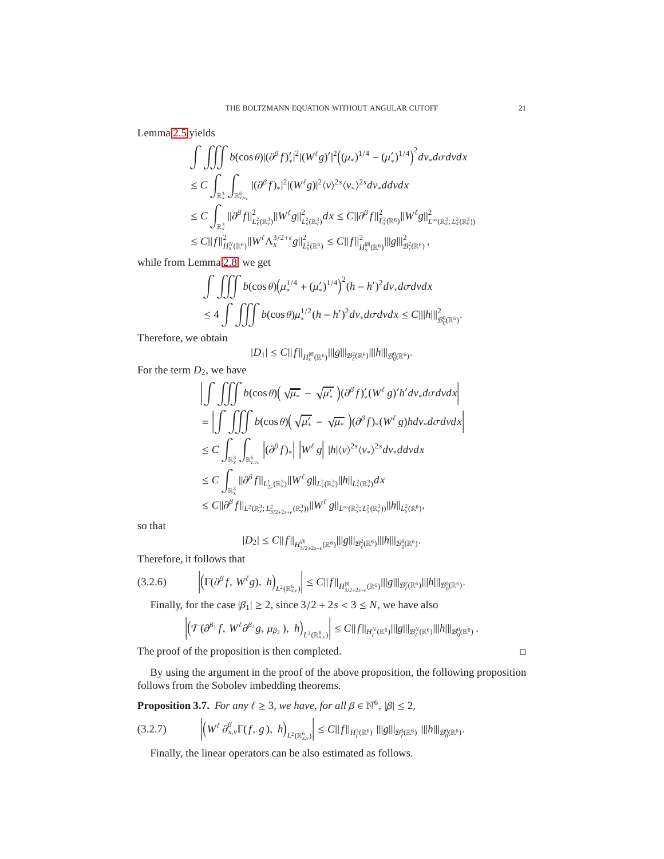Lemma [2.5](#page-8-2) yields

$$
\begin{array}{l} \displaystyle\int\iiint_{\mathbb{R}^{3}_{x}}b(\cos\theta)|(\partial^{\beta}f)'_{*}|^{2}|(W^{\ell}g)'|^{2}\big((\mu_{*})^{1/4}-(\mu'_{*})^{1/4}\big)^{2}dv_{*}d\sigma dvdx\\ \leq C\displaystyle\int_{\mathbb{R}^{3}_{x}}\displaystyle\int_{\mathbb{R}^{6}_{v,v_{*}}}|(\partial^{\beta}f)_{*}|^{2}|(W^{\ell}g)|^{2}\langle v\rangle^{2s}\langle v_{*}\rangle^{2s}dv_{*}d dvdx\\ \leq C\displaystyle\int_{\mathbb{R}^{3}_{x}}||\partial^{\beta}f||^{2}_{L^{2}_{s}(\mathbb{R}^{3}_{v})}||W^{\ell}g||^{2}_{L^{2}_{s}(\mathbb{R}^{3}_{v})}dx\leq C||\partial^{\beta}f||^{2}_{L^{2}_{s}(\mathbb{R}^{6})}||W^{\ell}g||^{2}_{L^{\infty}(\mathbb{R}^{3}_{x};L^{2}_{s}(\mathbb{R}^{3}_{v}))}\\ \leq C||f||^{2}_{H^{N}_{s}(\mathbb{R}^{6})}||W^{\ell}\Lambda^{3/2+\epsilon}_{x}g||^{2}_{L^{2}_{s}(\mathbb{R}^{6})}\leq C||f||^{2}_{H^{|\beta}_{s}(\mathbb{R}^{6})}|||g|||^{2}_{\mathcal{B}^{2}_{\ell}(\mathbb{R}^{6})}, \end{array}
$$

while from Lemma [2.8,](#page-13-2) we get

$$
\int \iiint b(\cos \theta) \left(\mu_{*}^{1/4} + (\mu_{*}')^{1/4}\right)^{2} (h - h')^{2} dv_{*} d\sigma dv dx
$$
  
\n
$$
\leq 4 \int \iiint b(\cos \theta) \mu_{*}'^{1/2} (h - h')^{2} dv_{*} d\sigma dv dx \leq C |||h|||_{\mathcal{B}_{0}^{0}(\mathbb{R}^{6})}^{2}.
$$

Therefore, we obtain

 $|D_1| \leq C ||f||_{H^{\beta_1}_s(\mathbb{R}^6)} ||g||_{\mathcal{B}^2_{\ell}(\mathbb{R}^6)} |||h|||_{\mathcal{B}^0_0(\mathbb{R}^6)}.$ 

For the term  $D_2$ , we have

$$
\begin{split} &\int\int\int\int\int b(\cos\theta)\Big(\sqrt{\mu_*}-\sqrt{\mu_*'}\Big)(\partial^\beta f)'_*(W^\ell\,g)'h'dv_*d\sigma dvdx\Big|\\ &=\Big|\int\int\int\int\int b(\cos\theta)\Big(\sqrt{\mu_*'}-\sqrt{\mu_*}\Big)(\partial^\beta f)_*(W^\ell\,g)hdv_*d\sigma dvdx\Big|\\ &\leq C\int_{\mathbb{R}^3_x}\int_{\mathbb{R}^6_{\nu,\nu_*}}\Big|(\partial^\beta f)_*\Big|\, \Big|W^\ell\,g\Big|\; |h|\langle v\rangle^{2s}\langle v_*\rangle^{2s}dv_*d dvdx\\ &\leq C\int_{\mathbb{R}^3_x}\|\partial^\beta f\|_{L^1_{2s}(\mathbb{R}^3_v)}\|W^\ell\,g\|_{L^2_s(\mathbb{R}^3_v)}\|h\|_{L^2_s(\mathbb{R}^3_v)}dx\\ &\leq C\|\partial^\beta f\|_{L^2(\mathbb{R}^3_x;L^2_{3/2+2s+\epsilon}(\mathbb{R}^3_v))}\|W^\ell\,g\|_{L^\infty(\mathbb{R}^3_x;L^2_s(\mathbb{R}^3_v))}\|h\|_{L^2_s(\mathbb{R}^6)}, \end{split}
$$

so that

$$
|D_2| \leq C ||f||_{H^{\beta}_{3/2+2s+\epsilon}(\mathbb{R}^6)} ||g||_{\mathcal{B}^2_{\ell}(\mathbb{R}^6)} ||h||_{\mathcal{B}^0_0(\mathbb{R}^6)}.
$$

Therefore, it follows that

<span id="page-20-1"></span>
$$
(3.2.6) \qquad \left|\left(\Gamma({\partial}^{\beta} f,\,W^{\ell} g),\;h\right)_{L^{2}(\mathbb{R}^{6}_{x,v})}\right|\leq C\|f\|_{H^{\beta]}_{3/2+2s+\epsilon}(\mathbb{R}^{6})}\|g\|_{\mathcal{B}^{2}_{\ell}(\mathbb{R}^{6})}\|h\|\|_{\mathcal{B}^{0}_{0}(\mathbb{R}^{6})}.
$$

Finally, for the case  $|\beta_1| \ge 2$ , since  $3/2 + 2s < 3 \le N$ , we have also

$$
\left|\left(\mathcal{T}(\partial^{\beta_1}f,\; W^\ell\partial^{\beta_2}g,\,\mu_{\beta_3}\,),\;h\right)_{L^2(\mathbb{R}^6_{x,v})}\right|\leq C\|f\|_{H^N_\ell(\mathbb{R}^6)}\|g\|_{\mathcal{B}^N_\ell(\mathbb{R}^6)}\|h\|_{\mathcal{B}^0_0(\mathbb{R}^6)}.
$$

The proof of the proposition is then completed.  $\Box$ 

By using the argument in the proof of the above proposition, the following proposition follows from the Sobolev imbedding theorems.

<span id="page-20-2"></span>**Proposition 3.7.** *For any*  $\ell \geq 3$ *, we have, for all*  $\beta \in \mathbb{N}^6$ *,*  $|\beta| \leq 2$ *,* 

$$
(3.2.7) \qquad \left|\left(W^{\ell}\,\partial_{x,\nu}^{\beta}\Gamma(f,\,g\,),\,h\right)_{L^{2}(\mathbb{R}^{6}_{x,\nu})}\right|\leq C\|f\|_{H^{3}_{\ell}(\mathbb{R}^{6})}\,\left\||g\right\||_{\mathcal{B}^{3}_{\ell}(\mathbb{R}^{6})}\,\left\||h\right\||_{\mathcal{B}^{0}_{0}(\mathbb{R}^{6})}.
$$

<span id="page-20-0"></span>Finally, the linear operators can be also estimated as follows.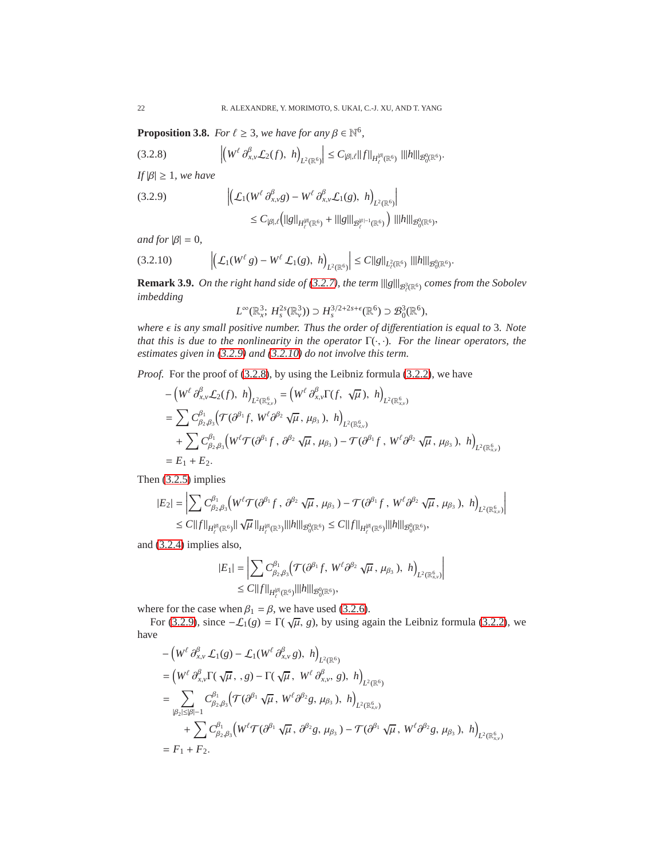<span id="page-21-3"></span>**Proposition 3.8.** *For*  $\ell \geq 3$ *, we have for any*  $\beta \in \mathbb{N}^6$ *,* 

<span id="page-21-2"></span>
$$
(3.2.8) \t\t \left| \left( W^{\ell} \partial_{x,v}^{\beta} \mathcal{L}_2(f), \ h \right)_{L^2(\mathbb{R}^6)} \right| \leq C_{|\beta|, \ell} \|f\|_{H_{\ell}^{|\beta|}(\mathbb{R}^6)} \ \|h\|_{\mathcal{B}_0^0(\mathbb{R}^6)}.
$$

 $If|\beta| \geq 1$ *, we have* 

<span id="page-21-0"></span>
$$
(3.2.9) \qquad \left| \left( \mathcal{L}_1(W^\ell \partial_{x,\nu}^\beta g) - W^\ell \partial_{x,\nu}^\beta \mathcal{L}_1(g), \ h \right)_{L^2(\mathbb{R}^6)} \right|
$$
  

$$
\leq C_{|\beta|, \ell} \left( ||g||_{H_\ell^{|\beta|}(\mathbb{R}^6)} + ||g||_{\mathcal{B}_\ell^{|\beta|-1}(\mathbb{R}^6)} \right) |||h||_{\mathcal{B}_0^0(\mathbb{R}^6)},
$$

*and for*  $|\beta| = 0$ *,* 

$$
(3.2.10) \qquad \left| \left( \mathcal{L}_1(W^\ell g) - W^\ell \, \mathcal{L}_1(g), \ h \right)_{L^2(\mathbb{R}^6)} \right| \leq C \|g\|_{L^2(\mathbb{R}^6)} \, \| |h| \|_{\mathcal{B}^0_0(\mathbb{R}^6)}.
$$

**Remark 3.9.** *On the right hand side of* [\(3.2.7\)](#page-20-0)*, the term*  $\|\|g\|\|_{\mathcal{B}^3_{\ell}(\mathbb{R}^6)}$  comes from the Sobolev *imbedding*

<span id="page-21-1"></span>
$$
L^{\infty}(\mathbb{R}^3_x; H_s^{2s}(\mathbb{R}^3_v)) \supset H_s^{3/2+2s+\epsilon}(\mathbb{R}^6) \supset \mathcal{B}_0^3(\mathbb{R}^6),
$$

*where ε is any small positive number. Thus the order of differentiation is equal to* 3*. Note that this is due to the nonlinearity in the operator* Γ(·, ·)*. For the linear operators, the estimates given in [\(3.2.9\)](#page-21-0) and [\(3.2.10\)](#page-21-1) do not involve this term.*

*Proof.* For the proof of [\(3.2.8\)](#page-21-2), by using the Leibniz formula [\(3.2.2\)](#page-16-2), we have

$$
\begin{split}\n&-\left(W^{\ell}\partial_{x,\nu}^{\beta}\mathcal{L}_{2}(f),\ h\right)_{L^{2}(\mathbb{R}_{x,v}^{6})} = \left(W^{\ell}\partial_{x,\nu}^{\beta}\Gamma(f,\ \sqrt{\mu}\,),\ h\right)_{L^{2}(\mathbb{R}_{x,v}^{6})} \\
&=\sum C^{\beta_{1}}_{\beta_{2},\beta_{3}}\left(\mathcal{T}(\partial^{\beta_{1}}f,\ W^{\ell}\partial^{\beta_{2}}\sqrt{\mu},\mu_{\beta_{3}}),\ h\right)_{L^{2}(\mathbb{R}_{x,v}^{6})} \\
&+\sum C^{\beta_{1}}_{\beta_{2},\beta_{3}}\left(W^{\ell}\mathcal{T}(\partial^{\beta_{1}}f,\ \partial^{\beta_{2}}\sqrt{\mu},\mu_{\beta_{3}}\,) - \mathcal{T}(\partial^{\beta_{1}}f,\ W^{\ell}\partial^{\beta_{2}}\sqrt{\mu},\mu_{\beta_{3}}\,),\ h\right)_{L^{2}(\mathbb{R}_{x,v}^{6})} \\
&= E_{1} + E_{2}.\n\end{split}
$$

Then [\(3.2.5\)](#page-18-0) implies

$$
|E_2| = \left| \sum_{\beta_2, \beta_3} C^{\beta_1}_{\beta_2, \beta_3} \left( W^{\ell} \mathcal{T}(\partial^{\beta_1} f, \partial^{\beta_2} \sqrt{\mu}, \mu_{\beta_3}) - \mathcal{T}(\partial^{\beta_1} f, W^{\ell} \partial^{\beta_2} \sqrt{\mu}, \mu_{\beta_3}), h \right)_{L^2(\mathbb{R}^6_{x,v})} \right|
$$
  
\$\leq C ||f||\_{H^{\beta}(\mathbb{R}^6)} || \sqrt{\mu} ||\_{H^{\beta}(\mathbb{R}^3)} ||h||\_{\mathcal{B}^0\_0(\mathbb{R}^6)} \leq C ||f||\_{H^{\beta}(\mathbb{R}^6)} ||h|| ||\_{\mathcal{B}^0\_0(\mathbb{R}^6)},

and [\(3.2.4\)](#page-17-0) implies also,

$$
\begin{aligned} |E_1|=&\left|\sum_{\beta_2,\beta_3}\left(\mathcal{T}(\partial^{\beta_1}f,\;W^\ell\partial^{\beta_2}\sqrt{\mu}\,,\,\mu_{\beta_3}\,),\;h\right)_{L^2(\mathbb{R}^6_{x,v})}\right|\\&\leq C||f||_{H_\ell^{|\beta|}(\mathbb{R}^6)}|||h|||_{\mathcal{B}_0^0(\mathbb{R}^6)},\end{aligned}
$$

where for the case when  $\beta_1 = \beta$ , we have used [\(3.2.6\)](#page-20-1).

 $\sim$  10

For [\(3.2.9\)](#page-21-0), since  $-\mathcal{L}_1(g) = \Gamma(\sqrt{\mu}, g)$ , by using again the Leibniz formula [\(3.2.2\)](#page-16-2), we have

$$
\begin{split}\n& -\left(W^{\ell}\partial_{x,\nu}^{\beta}\mathcal{L}_{1}(g) - \mathcal{L}_{1}(W^{\ell}\partial_{x,\nu}^{\beta}g),\ h\right)_{L^{2}(\mathbb{R}^{6})} \\
& = \left(W^{\ell}\partial_{x,\nu}^{\beta}\Gamma(\sqrt{\mu},\ g) - \Gamma(\sqrt{\mu},\ W^{\ell}\partial_{x,\nu}^{\beta},g),\ h\right)_{L^{2}(\mathbb{R}^{6})} \\
& = \sum_{|\beta_{2}| \leq |\beta| - 1} C^{\beta_{1}}_{\beta_{2},\beta_{3}} \left(\mathcal{T}(\partial^{\beta_{1}}\sqrt{\mu},\ W^{\ell}\partial^{\beta_{2}}g,\mu_{\beta_{3}}),\ h\right)_{L^{2}(\mathbb{R}^{6}_{x,v})} \\
& + \sum_{\beta_{2}} C^{\beta_{1}}_{\beta_{2},\beta_{3}} \left(W^{\ell}\mathcal{T}(\partial^{\beta_{1}}\sqrt{\mu},\ \partial^{\beta_{2}}g,\mu_{\beta_{3}}) - \mathcal{T}(\partial^{\beta_{1}}\sqrt{\mu},\ W^{\ell}\partial^{\beta_{2}}g,\mu_{\beta_{3}}),\ h\right)_{L^{2}(\mathbb{R}^{6}_{x,v})} \\
& = F_{1} + F_{2}.\n\end{split}
$$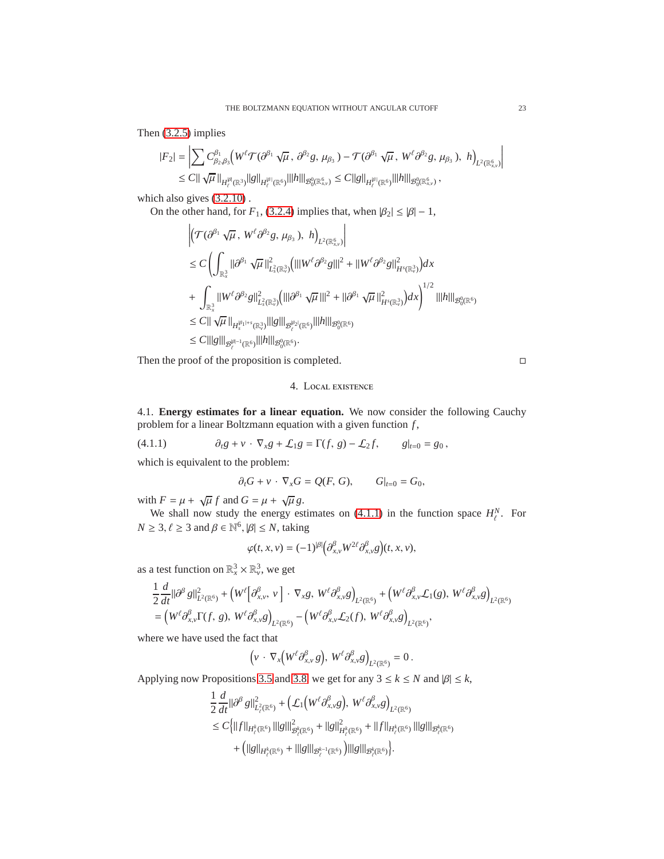Then [\(3.2.5\)](#page-18-0) implies

$$
\begin{aligned} |F_2|=&\left|\sum C^{\beta_1}_{\beta_2,\beta_3}\big(W^\ell\mathcal{T}(\partial^{\beta_1}\sqrt{\mu}\,,\,\partial^{\beta_2}g,\,\mu_{\beta_3}\,) -\mathcal{T}(\partial^{\beta_1}\sqrt{\mu}\,,\,W^\ell\partial^{\beta_2}g,\,\mu_{\beta_3}\,),\,\,h\right)_{L^2(\mathbb{R}^6_{x,v})}\\ &\leq C\|\sqrt{\mu}\,\|_{H_\ell^{\beta}(\mathbb{R}^3)}\|g\|_{H_\ell^{\beta_1}(\mathbb{R}^6)}\| |h|\|_{\mathcal{B}^0_0(\mathbb{R}^6_{x,v})}\leq C\|g\|_{H_\ell^{\beta_1}(\mathbb{R}^6)}\| |h|\|_{\mathcal{B}^0_0(\mathbb{R}^6_{x,v})}\,, \end{aligned}
$$

which also gives  $(3.2.10)$ .

 $\mathbf{r}$ 

On the other hand, for  $F_1$ , [\(3.2.4\)](#page-17-0) implies that, when  $|\beta_2| \leq |\beta| - 1$ ,

$$
\begin{split} &\left|\left(\mathcal{T}(\partial^{\beta_1}\sqrt{\mu}\,,\,W^\ell\partial^{\beta_2}g,\,\mu_{\beta_3}\,),\,\,h\right)_{L^2(\mathbb{R}^6_{x,v})}\right|\\ &\leq C\bigg(\int_{\mathbb{R}^3_x}\|\partial^{\beta_1}\sqrt{\mu}\,\|^2_{L^2_x(\mathbb{R}^3_v)}\bigg(\|\|W^\ell\partial^{\beta_2}g\|^2 +\|W^\ell\partial^{\beta_2}g\|^2_{H^s(\mathbb{R}^3_v)}\bigg)dx\\ &+\int_{\mathbb{R}^3_x}\|W^\ell\partial^{\beta_2}g\|^2_{L^2_x(\mathbb{R}^3_v)}\bigg(\|\|\partial^{\beta_1}\sqrt{\mu}\,\|^2 +\|\partial^{\beta_1}\sqrt{\mu}\,\|^2_{H^s(\mathbb{R}^3_v)}\bigg)dx\bigg)^{1/2}\|\|h\|\|_{\mathcal{B}^0_0(\mathbb{R}^6)}\\ &\leq C\|\sqrt{\mu}\,\|_{H^{\beta_1+s}_s(\mathbb{R}^3_v)}\|\|g\|\|_{\mathcal{B}^{\beta_2(\mathbb{R}^6_v)}}\|\|h\|\|_{\mathcal{B}^0_0(\mathbb{R}^6)}\\ &\leq C\|\|g\|\|_{\mathcal{B}^{\beta_1-1}_\ell(\mathbb{R}^6)}\|\|h\|\|_{\mathcal{B}^0_0(\mathbb{R}^6)}. \end{split}
$$

 $\mathbf{r}$ 

<span id="page-22-0"></span>Then the proof of the proposition is completed.  $\Box$ 

# 4. Local existence

<span id="page-22-1"></span>4.1. **Energy estimates for a linear equation.** We now consider the following Cauchy problem for a linear Boltzmann equation with a given function *f* ,

(4.1.1) 
$$
\partial_t g + v \cdot \nabla_x g + \mathcal{L}_1 g = \Gamma(f, g) - \mathcal{L}_2 f, \qquad g|_{t=0} = g_0,
$$

which is equivalent to the problem:

$$
\partial_t G + v \cdot \nabla_x G = Q(F, G), \qquad G|_{t=0} = G_0,
$$

with  $F = \mu + \sqrt{\mu} f$  and  $G = \mu + \sqrt{\mu} g$ .

We shall now study the energy estimates on  $(4.1.1)$  in the function space  $H_{\ell}^{N}$ . For  $N \ge 3, \ell \ge 3$  and  $\beta \in \mathbb{N}^6, |\beta| \le N$ , taking

$$
\varphi(t,x,v)=(-1)^{|\beta|}\big(\partial_{x,v}^{\beta}W^{2\ell}\partial_{x,v}^{\beta}g\big)(t,x,v),
$$

as a test function on  $\mathbb{R}_x^3 \times \mathbb{R}_y^3$ , we get

$$
\begin{split} &\frac{1}{2}\frac{d}{dt}\|\partial^{\beta}g\|^{2}_{L^{2}(\mathbb{R}^{6})}+\left(W^{\ell}\Big[\partial^{\beta}_{x,v},\,v\,\Big]\,\cdot\,\nabla_{x}g,\,W^{\ell}\partial^{\beta}_{x,v}g\right)_{L^{2}(\mathbb{R}^{6})}+\left(W^{\ell}\partial^{\beta}_{x,v}\mathcal{L}_{1}(g),\,W^{\ell}\partial^{\beta}_{x,v}g\right)_{L^{2}(\mathbb{R}^{6})} \\ & =\left(W^{\ell}\partial^{\beta}_{x,v}\Gamma(f,\,g),\,W^{\ell}\partial^{\beta}_{x,v}g\right)_{L^{2}(\mathbb{R}^{6})}-\left(W^{\ell}\partial^{\beta}_{x,v}\mathcal{L}_{2}(f),\,W^{\ell}\partial^{\beta}_{x,v}g\right)_{L^{2}(\mathbb{R}^{6})}, \end{split}
$$

where we have used the fact that

$$
\left(v\,\cdot\,\nabla_x\big(W^\ell\partial_{x,v}^\beta\,g\big),\,W^\ell\partial_{x,v}^\beta g\right)_{L^2(\mathbb{R}^6)}=0\,.
$$

Applying now Propositions [3.5](#page-18-1) and [3.8,](#page-21-3) we get for any  $3 \le k \le N$  and  $|\beta| \le k$ ,

$$
\begin{split} &\frac{1}{2}\frac{d}{dt}\|\partial^{\beta}g\|^{2}_{L^{2}_{t}(\mathbb{R}^{6})}+\left(\mathcal{L}_{1}\big(W^{\ell}\partial^{\beta}_{x,v}g\big),\,W^{\ell}\partial^{\beta}_{x,v}g\right)_{L^{2}(\mathbb{R}^{6})}\\ &\leq C\Big\{||f||_{H^{k}_{t}(\mathbb{R}^{6})}\,||g|||^{2}_{\mathcal{B}^{k}_{t}(\mathbb{R}^{6})}+||g||^{2}_{H^{k}_{\ell}(\mathbb{R}^{6})}+||f||_{H^{k}_{t}(\mathbb{R}^{6})}\,||g|||_{\mathcal{B}^{k}_{t}(\mathbb{R}^{6})}\\ &+\Big(||g||_{H^{k}_{t}(\mathbb{R}^{6})}+||g|||_{\mathcal{B}^{k-1}_{t}(\mathbb{R}^{6})}\Big)\,||g|||_{\mathcal{B}^{k}_{t}(\mathbb{R}^{6})}\Big\}. \end{split}
$$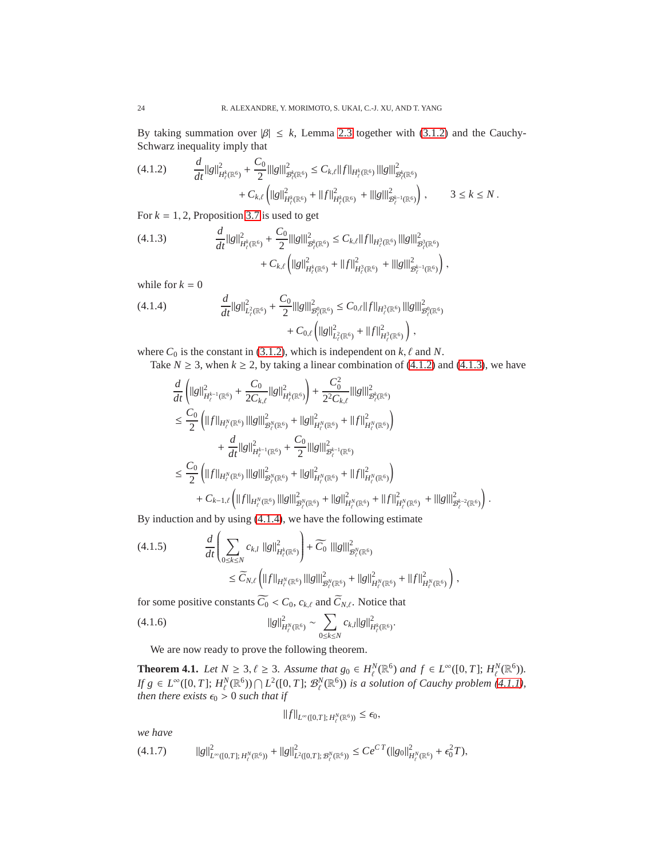By taking summation over  $|\beta| \leq k$ , Lemma [2.3](#page-7-4) together with [\(3.1.2\)](#page-16-2) and the Cauchy-Schwarz inequality imply that

$$
(4.1.2) \t\t \t\frac{d}{dt} ||g||_{H^{k}_{\ell}(\mathbb{R}^{6})}^{2} + \frac{C_{0}}{2} ||g||_{\mathcal{B}^{k}_{\ell}(\mathbb{R}^{6})}^{2} \leq C_{k,\ell} ||f||_{H^{k}_{\ell}(\mathbb{R}^{6})} ||g||_{\mathcal{B}^{k}_{\ell}(\mathbb{R}^{6})}^{2} + C_{k,\ell} \left( ||g||_{H^{k}_{\ell}(\mathbb{R}^{6})}^{2} + ||f||_{H^{k}_{\ell}(\mathbb{R}^{6})}^{2} + ||g||_{\mathcal{B}^{k-1}_{\ell}(\mathbb{R}^{6})}^{2} \right), \t\t 3 \leq k \leq N.
$$

For  $k = 1, 2$ , Proposition [3.7](#page-20-2) is used to get

$$
(4.1.3) \qquad \frac{d}{dt} ||g||_{H_{\ell}^{k}(\mathbb{R}^{6})}^{2} + \frac{C_{0}}{2} ||g||_{\mathcal{B}_{\ell}^{k}(\mathbb{R}^{6})}^{2} \leq C_{k,\ell} ||f||_{H_{\ell}^{3}(\mathbb{R}^{6})} ||g||_{\mathcal{B}_{\ell}^{3}(\mathbb{R}^{6})}^{2} + C_{k,\ell} \left( ||g||_{H_{\ell}^{k}(\mathbb{R}^{6})}^{2} + ||f||_{H_{\ell}^{3}(\mathbb{R}^{6})}^{2} + ||g||_{\mathcal{B}_{\ell}^{k-1}(\mathbb{R}^{6})}^{2} \right),
$$

while for  $k = 0$ 

<span id="page-23-0"></span>(4.1.4) 
$$
\frac{d}{dt} ||g||_{L_t^2(\mathbb{R}^6)}^2 + \frac{C_0}{2} ||g||_{\mathcal{B}_t^0(\mathbb{R}^6)}^2 \leq C_{0,\ell} ||f||_{H_t^3(\mathbb{R}^6)} ||g||_{\mathcal{B}_\ell^0(\mathbb{R}^6)}^2 + C_{0,\ell} (||g||_{L_t^2(\mathbb{R}^6)}^2 + ||f||_{H_t^3(\mathbb{R}^6)}^2),
$$

where  $C_0$  is the constant in [\(3.1.2\)](#page-16-2), which is independent on  $k, \ell$  and  $N$ .

Take  $N \ge 3$ , when  $k \ge 2$ , by taking a linear combination of [\(4.1.2\)](#page-26-2) and [\(4.1.3\)](#page-25-0), we have

$$
\begin{split} &\frac{d}{dt}\left(\|g\|_{H^{k-1}_\ell(\mathbb{R}^6)}^2+\frac{C_0}{2C_{k,\ell}}\|g\|_{H^{k}_\ell(\mathbb{R}^6)}^2\right)+\frac{C_0^2}{2^2C_{k,\ell}}\|g\|_{\mathcal{B}^k_\ell(\mathbb{R}^6)}^2\\ &\leq \frac{C_0}{2}\left(\|f\|_{H^{N}_\ell(\mathbb{R}^6)}\|\|g\|_{\mathcal{B}^N_\ell(\mathbb{R}^6)}^2+\|g\|_{H^{N}_\ell(\mathbb{R}^6)}^2+\|f\|_{H^{N}_\ell(\mathbb{R}^6)}^2\right)\\ &\quad+\frac{d}{dt}\|g\|_{H^{k-1}_\ell(\mathbb{R}^6)}^2+\frac{C_0}{2}\|\|g\|_{\mathcal{B}^{k-1}_\ell(\mathbb{R}^6)}^2\\ &\leq \frac{C_0}{2}\left(\|f\|_{H^{N}_\ell(\mathbb{R}^6)}\|\|g\|_{\mathcal{B}^N_\ell(\mathbb{R}^6)}^2+\|g\|_{H^{N}_\ell(\mathbb{R}^6)}^2+\|f\|_{H^{N}_\ell(\mathbb{R}^6)}^2\right)\\ &\quad+C_{k-1,\ell}\left(\|f\|_{H^{N}_\ell(\mathbb{R}^6)}\|\|g\|_{\mathcal{B}^N_\ell(\mathbb{R}^6)}^2+\|g\|_{H^{N}_\ell(\mathbb{R}^6)}^2+\|f\|_{H^{N}_\ell(\mathbb{R}^6)}^2+\|\|g\|_{\mathcal{B}^{k-2}_\ell(\mathbb{R}^6)}^2\right). \end{split}
$$

By induction and by using [\(4.1.4\)](#page-23-0), we have the following estimate

<span id="page-23-1"></span>
$$
(4.1.5) \qquad \frac{d}{dt} \left( \sum_{0 \le k \le N} c_{k,l} \left\| g \right\|_{H^k_{\ell}(\mathbb{R}^6)}^2 \right) + \widetilde{C_0} \left\| \left\| g \right\|_{\mathcal{B}^N_{\ell}(\mathbb{R}^6)}^2
$$
  

$$
\le \widetilde{C}_{N,\ell} \left( \left\| f \right\|_{H^N_{\ell}(\mathbb{R}^6)} \left\| \left\| g \right\| \right\|_{\mathcal{B}^N_{\ell}(\mathbb{R}^6)}^2 + \left\| g \right\|_{H^N_{\ell}(\mathbb{R}^6)}^2 + \left\| f \right\|_{H^N_{\ell}(\mathbb{R}^6)}^2 \right),
$$

for some positive constants  $\widetilde{C_0} < C_0$ ,  $c_{k,\ell}$  and  $\widetilde{C}_{N,\ell}$ . Notice that

(4.1.6) 
$$
||g||^2_{H^N_{\ell}(\mathbb{R}^6)} \sim \sum_{0 \le k \le N} c_{k,l} ||g||^2_{H^k_{\ell}(\mathbb{R}^6)}
$$

We are now ready to prove the following theorem.

<span id="page-23-3"></span>**Theorem 4.1.** *Let*  $N \ge 3, \ell \ge 3$ *. Assume that*  $g_0 \in H_{\ell}^N(\mathbb{R}^6)$  *and*  $f \in L^{\infty}([0, T]; H_{\ell}^N(\mathbb{R}^6))$ *.*  $H g \in L^{\infty}([0, T]; H_{\ell}^{N}(\mathbb{R}^{6})) \cap L^{2}([0, T]; \mathcal{B}_{\ell}^{N}(\mathbb{R}^{6}))$  *is a solution of Cauchy problem* [\(4.1.1\)](#page-26-1)*, then there exists*  $\epsilon_0 > 0$  *such that if* 

.

$$
||f||_{L^{\infty}([0,T];H_{\ell}^{N}(\mathbb{R}^{6}))} \leq \epsilon_{0},
$$

*we have*

<span id="page-23-2"></span>
$$
(4.1.7) \t\t\t\t||g||^2_{L^{\infty}([0,T];H_{\ell}^N(\mathbb{R}^6))}+||g||^2_{L^2([0,T];\mathcal{B}_{\ell}^N(\mathbb{R}^6))}\leq Ce^{CT}(||g_0||^2_{H_{\ell}^N(\mathbb{R}^6)}+\epsilon_0^2T),
$$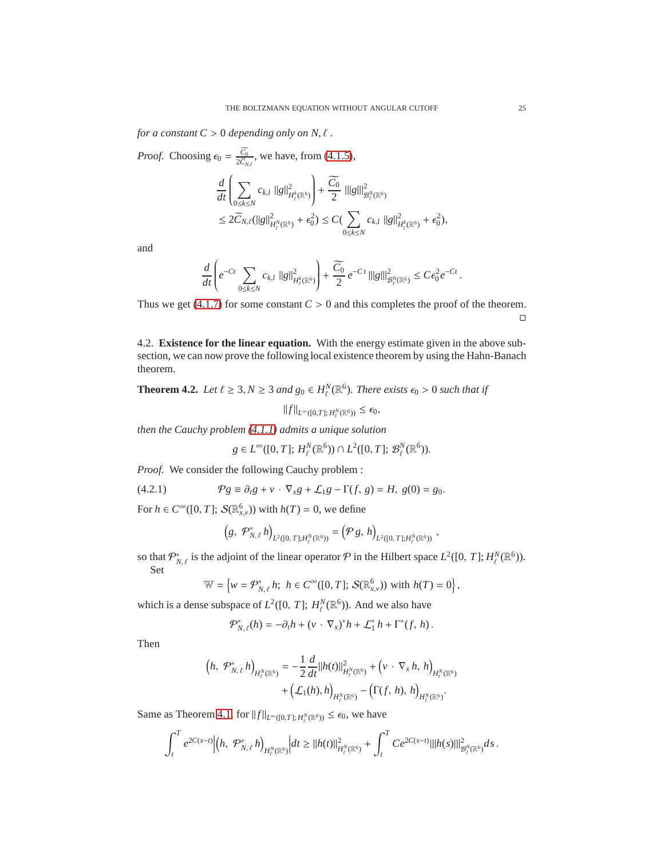*for a constant*  $C > 0$  *depending only on*  $N, \ell$ .

*Proof.* Choosing 
$$
\epsilon_0 = \frac{\overline{C_0}}{2\overline{C}_{N,\ell}}
$$
, we have, from (4.1.5),  
\n
$$
\frac{d}{dt} \left( \sum_{0 \le k \le N} c_{k,l} ||g||_{H_{\ell}^k(\mathbb{R}^6)}^2 \right) + \frac{\widetilde{C_0}}{2} ||g||_{B_{\ell}^N(\mathbb{R}^6)}^2
$$
\n
$$
\le 2\widetilde{C}_{N,\ell} (||g||_{H_{\ell}^N(\mathbb{R}^6)}^2 + \epsilon_0^2) \le C(\sum_{0 \le k \le N} c_{k,l} ||g||_{H_{\ell}^k(\mathbb{R}^6)}^2 + \epsilon_0^2),
$$

and

$$
\frac{d}{dt}\left(e^{-Ct}\sum_{0\leq k\leq N}c_{k,l}\,\|g\|_{H^k_{\ell}(\mathbb{R}^6)}^2\right)+\frac{\widetilde{C_0}}{2}\,e^{-C\,t}\,\|g\|_{\mathcal{B}^N_{\ell}(\mathbb{R}^6)}^2\leq C\epsilon_0^2e^{-C t}\,.
$$

Thus we get [\(4.1.7\)](#page-23-2) for some constant  $C > 0$  and this completes the proof of the theorem.  $\Box$ 

<span id="page-24-0"></span>4.2. **Existence for the linear equation.** With the energy estimate given in the above subsection, we can now prove the following local existence theorem by using the Hahn-Banach theorem.

<span id="page-24-1"></span>**Theorem 4.2.** *Let*  $\ell \geq 3, N \geq 3$  *and*  $g_0 \in H_{\ell}^N(\mathbb{R}^6)$ *. There exists*  $\epsilon_0 > 0$  *such that if* 

 $||f||_{L^{\infty}([0,T]; H_{\ell}^N(\mathbb{R}^6))} \leq \epsilon_0,$ 

*then the Cauchy problem [\(4.1.1\)](#page-26-1) admits a unique solution*

 $g \in L^{\infty}([0, T]; H_{\ell}^{N}(\mathbb{R}^{6})) \cap L^{2}([0, T]; \mathcal{B}_{\ell}^{N}(\mathbb{R}^{6})).$ 

*Proof.* We consider the following Cauchy problem :

(4.2.1) 
$$
\mathcal{P}g \equiv \partial_t g + v \cdot \nabla_x g + \mathcal{L}_1 g - \Gamma(f, g) = H, g(0) = g_0.
$$

For  $h \in C^{\infty}([0, T]; \mathcal{S}(\mathbb{R}^6_{x,v}))$  with  $h(T) = 0$ , we define

$$
\left(g,\ \mathcal{P}_{N,\ell}^*\,h\right)_{L^2([0,\,T];H^N_\ell(\mathbb{R}^6))}=\left(\mathcal{P}\,g,\,h\right)_{L^2([0,\,T];H^N_\ell(\mathbb{R}^6))},
$$

so that  $\mathcal{P}_{N,\ell}^*$  is the adjoint of the linear operator  $\mathcal P$  in the Hilbert space  $L^2([0, T]; H^N_{\ell}(\mathbb{R}^6))$ . Set

$$
\mathbb{W} = \left\{ w = \mathcal{P}_{N,\ell}^* h; \ h \in C^\infty([0,T];\ \mathcal{S}(\mathbb{R}^6_{x,v})) \text{ with } h(T) = 0 \right\},\
$$

which is a dense subspace of  $L^2([0, T]; H^N_{\ell}(\mathbb{R}^6))$ . And we also have

 $\mathcal{P}_{N,\ell}^*(h) = -\partial_t h + (v \cdot \nabla_x)^* h + \mathcal{L}_1^* h + \Gamma^*(f, h).$ 

Then

$$
\left(h, \ \mathcal{P}_{N,\ell}^* h\right)_{H_{\ell}^N(\mathbb{R}^6)} = -\frac{1}{2} \frac{d}{dt} ||h(t)||_{H_{\ell}^N(\mathbb{R}^6)}^2 + \left(v \cdot \nabla_x h, \ h\right)_{H_{\ell}^N(\mathbb{R}^6)} + \left(\mathcal{L}_1(h), h\right)_{H_{\ell}^N(\mathbb{R}^6)} - \left(\Gamma(f, h), \ h\right)_{H_{\ell}^N(\mathbb{R}^6)}.
$$

Same as Theorem [4.1,](#page-23-3) for  $||f||_{L^{\infty}([0,T]; H_{\ell}^{N}(\mathbb{R}^{6}))} \leq \epsilon_{0}$ , we have

$$
\int_t^T e^{2C(s-t)} \Big| \Big(h,\ \mathcal{P}_{N,\ell}^* \, h\Big)_{H^N_{\ell}(\mathbb{R}^6)} \Big| dt \geq \|h(t)\|^2_{H^N_{\ell}(\mathbb{R}^6)} + \int_t^T Ce^{2C(s-t)} |||h(s)|||^2_{\mathcal{B}^N_{\ell}(\mathbb{R}^6)} ds \, .
$$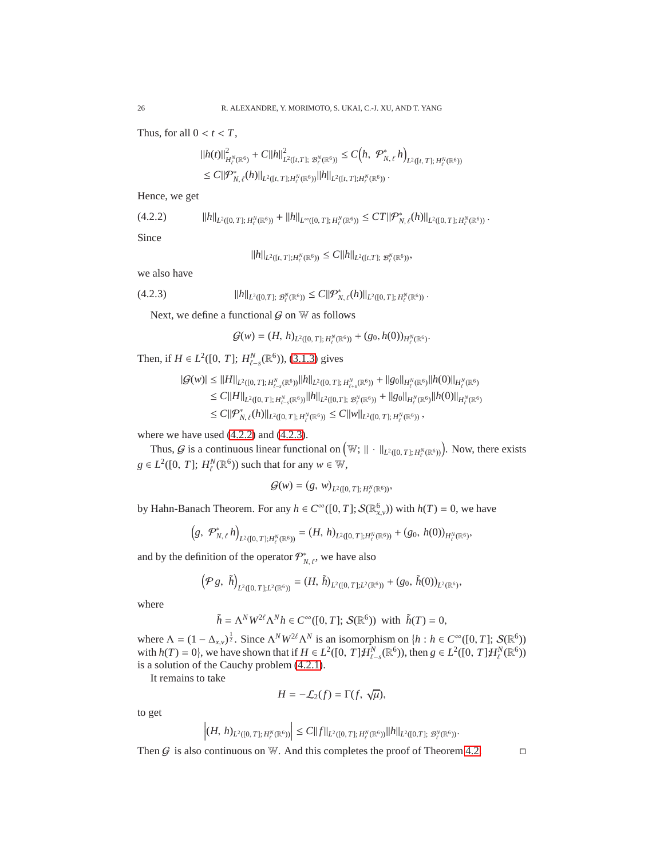Thus, for all  $0 < t < T$ ,

$$
\begin{aligned} &||h(t)||^2_{H^N_{\ell}(\mathbb{R}^6)}+C||h||^2_{L^2([t,T];\mathcal{B}^N_{\ell}(\mathbb{R}^6))}\leq C\big(h,\ \mathcal{P}^*_{N,\ell}\,h\big)_{L^2([t,T];H^N_{\ell}(\mathbb{R}^6))}\\ &\leq C||\mathcal{P}^*_{N,\ell}(h)||_{L^2([t,T];H^N_{\ell}(\mathbb{R}^6))}||h||_{L^2([t,T];H^N_{\ell}(\mathbb{R}^6))}\,.\end{aligned}
$$

Hence, we get

$$
(4.2.2) \t\t ||h||_{L^{2}([0,T];H_{\ell}^{N}(\mathbb{R}^{6}))}+||h||_{L^{\infty}([0,T];H_{\ell}^{N}(\mathbb{R}^{6}))}\leq CT||\mathcal{P}_{N,\ell}^{*}(h)||_{L^{2}([0,T];H_{\ell}^{N}(\mathbb{R}^{6}))}.
$$

Since

<span id="page-25-0"></span> $||h||_{L^2([t, T]; H^N_{\ell}(\mathbb{R}^6))} \leq C ||h||_{L^2([t, T]; \mathcal{B}_\ell^N(\mathbb{R}^6))},$ 

we also have

$$
(4.2.3) \t\t ||h||_{L^2([0,T];\mathcal{B}_\ell^N(\mathbb{R}^6))} \leq C||\mathcal{P}_{N,\ell}^*(h)||_{L^2([0,T];H_\ell^N(\mathbb{R}^6))}.
$$

Next, we define a functional  $G$  on  $W$  as follows

 $G(w) = (H, h)_{L^2([0, T]; H_\ell^N(\mathbb{R}^6))} + (g_0, h(0))_{H_\ell^N(\mathbb{R}^6)}.$ 

Then, if  $H \in L^2([0, T]; H^N_{\ell-s}(\mathbb{R}^6))$ , [\(3.1.3\)](#page-16-3) gives

$$
|G(w)| \leq ||H||_{L^{2}([0, T]; H_{\ell-s}^{N}(\mathbb{R}^{6}))}||h||_{L^{2}([0, T]; H_{\ell+s}^{N}(\mathbb{R}^{6}))} + ||g_{0}||_{H_{\ell}^{N}(\mathbb{R}^{6})}||h(0)||_{H_{\ell}^{N}(\mathbb{R}^{6})}
$$
  
\n
$$
\leq C||H||_{L^{2}([0, T]; H_{\ell-s}^{N}(\mathbb{R}^{6}))}||h||_{L^{2}([0, T]; H_{\ell}^{N}(\mathbb{R}^{6}))} + ||g_{0}||_{H_{\ell}^{N}(\mathbb{R}^{6})}||h(0)||_{H_{\ell}^{N}(\mathbb{R}^{6})}
$$
  
\n
$$
\leq C||\mathcal{P}_{N,\ell}^{*}(h)||_{L^{2}([0, T]; H_{\ell}^{N}(\mathbb{R}^{6}))} \leq C||w||_{L^{2}([0, T]; H_{\ell}^{N}(\mathbb{R}^{6}))},
$$

where we have used [\(4.2.2\)](#page-26-2) and [\(4.2.3\)](#page-25-0).

Thus, G is a continuous linear functional on  $(\mathbb{W}; \| \cdot \|_{L^2([0,T]; H^N_{\ell}(\mathbb{R}^6))})$ . Now, there exists  $g \in L^2([0, T]; H^N_{\ell}(\mathbb{R}^6))$  such that for any  $w \in \mathbb{W}$ ,

$$
\mathcal{G}(w) = (g, w)_{L^2([0, T]; H^N_{\ell}(\mathbb{R}^6))},
$$

by Hahn-Banach Theorem. For any  $h \in C^{\infty}([0, T]; \mathcal{S}(\mathbb{R}^6_{x,v}))$  with  $h(T) = 0$ , we have

$$
\left(g,\ \mathcal{P}_{N,\ \ell}^*\,h\right)_{L^2([0,\,T];H^N_\ell(\mathbb{R}^6))}=(H,\,h)_{L^2([0,\,T];H^N_\ell(\mathbb{R}^6))}+(g_0,\,h(0))_{H^N_\ell(\mathbb{R}^6)},
$$

and by the definition of the operator  $\mathcal{P}_{N,\ell}^*$ , we have also

$$
\left(\mathcal{P} \, g, \ \tilde{h} \right)_{L^2([0,\,T];L^2(\mathbb{R}^6))} = (H, \ \tilde{h})_{L^2([0,\,T];L^2(\mathbb{R}^6))} + (g_0, \ \tilde{h}(0))_{L^2(\mathbb{R}^6)},
$$

where

$$
\tilde{h} = \Lambda^N W^{2\ell} \Lambda^N h \in C^\infty([0, T]; \mathcal{S}(\mathbb{R}^6)) \text{ with } \tilde{h}(T) = 0,
$$

where  $\Lambda = (1 - \Delta_{x,v})^{\frac{1}{2}}$ . Since  $\Lambda^N W^{2\ell} \Lambda^N$  is an isomorphism on  $\{h : h \in C^{\infty}([0, T]; \mathcal{S}(\mathbb{R}^6))\}$ with  $h(T) = 0$ , we have shown that if  $H \in L^2([0, T]; H^N_{\ell-s}(\mathbb{R}^6))$ , then  $g \in L^2([0, T]; H^N_{\ell}(\mathbb{R}^6))$ is a solution of the Cauchy problem [\(4.2.1\)](#page-26-1).

It remains to take

 $\overline{\phantom{a}}$ I I

$$
H=-\mathcal{L}_2(f)=\Gamma(f,\sqrt{\mu}),
$$

to get

$$
\left|(H,\,h)_{L^2([0,\,T];\,H^N_\ell(\mathbb{R}^6))}\right|\leq C\|f\|_{L^2([0,\,T];\,H^N_\ell(\mathbb{R}^6))}\|h\|_{L^2([0,\,T];\,\mathcal{B}^N_\ell(\mathbb{R}^6))}.
$$

Then  $G$  is also continuous on W. And this completes the proof of Theorem [4.2.](#page-24-1)

$$
\overline{26}
$$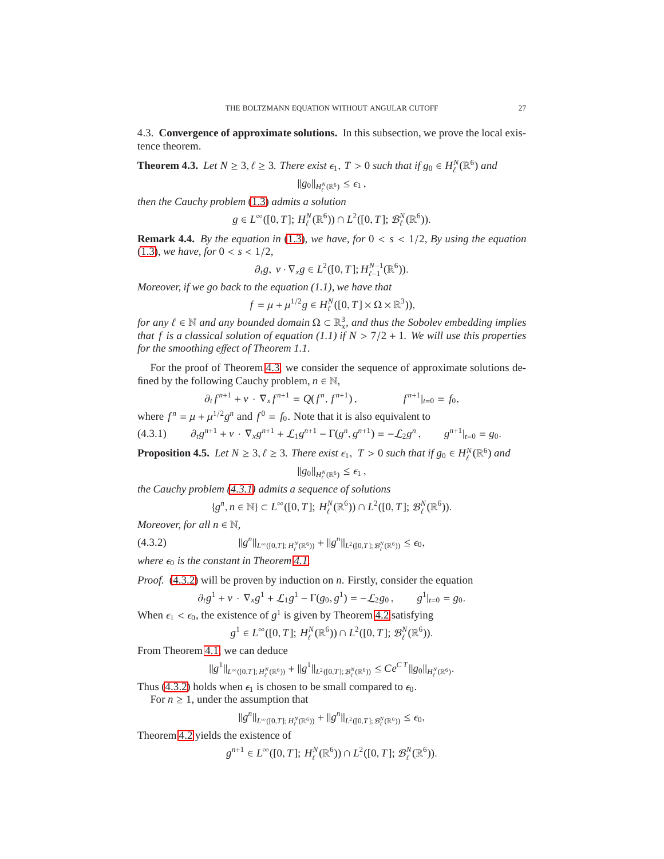<span id="page-26-0"></span>4.3. **Convergence of approximate solutions.** In this subsection, we prove the local existence theorem.

<span id="page-26-3"></span>**Theorem 4.3.** *Let*  $N \geq 3$ ,  $\ell \geq 3$ . *There exist*  $\epsilon_1$ ,  $T > 0$  *such that if*  $g_0 \in H_{\ell}^N(\mathbb{R}^6)$  *and* 

 $||g_0||_{H^N_{\ell}(\mathbb{R}^6)} \leq \epsilon_1$ ,

*then the Cauchy problem* [\(1.3\)](#page-4-0) *admits a solution*

$$
g \in L^{\infty}([0, T]; H^N_{\ell}(\mathbb{R}^6)) \cap L^2([0, T]; \mathcal{B}^N_{\ell}(\mathbb{R}^6)).
$$

<span id="page-26-5"></span>**Remark 4.4.** *By the equation in* [\(1.3\)](#page-4-0)*, we have, for*  $0 < s < 1/2$ *, By using the equation* [\(1.3\)](#page-4-0)*, we have, for*  $0 < s < 1/2$ *,* 

$$
\partial_t g, \ v \cdot \nabla_x g \in L^2([0, T]; H_{\ell-1}^{N-1}(\mathbb{R}^6)).
$$

*Moreover, if we go back to the equation (1.1), we have that*

$$
f = \mu + \mu^{1/2} g \in H^N_{\ell}([0, T] \times \Omega \times \mathbb{R}^3)),
$$

*for any*  $\ell \in \mathbb{N}$  *and any bounded domain*  $\Omega \subset \mathbb{R}^3$ *<sub>x</sub>*, *and thus the Sobolev embedding implies that f is a classical solution of equation (1.1) if N* > 7/2 + 1*. We will use this properties for the smoothing e*ff*ect of Theorem 1.1.*

For the proof of Theorem [4.3,](#page-26-3) we consider the sequence of approximate solutions defined by the following Cauchy problem,  $n \in \mathbb{N}$ ,

<span id="page-26-1"></span>
$$
\partial_t f^{n+1} + v \cdot \nabla_x f^{n+1} = Q(f^n, f^{n+1}), \qquad f^{n+1}|_{t=0} = f_0,
$$

where  $f^n = \mu + \mu^{1/2} g^n$  and  $f^0 = f_0$ . Note that it is also equivalent to

$$
(4.3.1) \t\t \partial_t g^{n+1} + v \cdot \nabla_x g^{n+1} + \mathcal{L}_1 g^{n+1} - \Gamma(g^n, g^{n+1}) = -\mathcal{L}_2 g^n, \t\t g^{n+1}|_{t=0} = g_0.
$$

<span id="page-26-4"></span>**Proposition 4.5.** *Let*  $N \geq 3$ ,  $\ell \geq 3$ . *There exist*  $\epsilon_1$ ,  $T > 0$  *such that if*  $g_0 \in H_{\ell}^N(\mathbb{R}^6)$  *and* 

$$
\|g_0\|_{H^N_\ell(\mathbb{R}^6)}\leq \epsilon_1\,,
$$

*the Cauchy problem [\(4.3.1\)](#page-26-1) admits a sequence of solutions*

<span id="page-26-2"></span>
$$
\{g^n, n \in \mathbb{N}\} \subset L^{\infty}([0, T]; H^N_{\ell}(\mathbb{R}^6)) \cap L^2([0, T]; \mathcal{B}^N_{\ell}(\mathbb{R}^6)).
$$

*Moreover, for all*  $n \in \mathbb{N}$ *,* 

$$
(4.3.2) \t\t ||g^n||_{L^{\infty}([0,T];H^N_{\ell}(\mathbb{R}^6))}+||g^n||_{L^2([0,T];{\mathcal B}^N_{\ell}(\mathbb{R}^6))}\leq\epsilon_0,
$$

*where*  $\epsilon_0$  *is the constant in Theorem [4.1.](#page-23-3)* 

*Proof.* [\(4.3.2\)](#page-26-2) will be proven by induction on *n*. Firstly, consider the equation

$$
\partial_t g^1 + v \cdot \nabla_x g^1 + \mathcal{L}_1 g^1 - \Gamma(g_0, g^1) = -\mathcal{L}_2 g_0, \qquad g^1|_{t=0} = g_0.
$$

When  $\epsilon_1 < \epsilon_0$ , the existence of  $g^1$  is given by Theorem [4.2](#page-24-1) satisfying

$$
g^{1} \in L^{\infty}([0, T]; H_{\ell}^{N}(\mathbb{R}^{6})) \cap L^{2}([0, T]; \mathcal{B}_{\ell}^{N}(\mathbb{R}^{6})).
$$

From Theorem [4.1,](#page-23-3) we can deduce

 $||g^1||_{L^{\infty}([0,T]; H^N_{\ell}(\mathbb{R}^6))} + ||g^1||_{L^2([0,T]; \mathcal{B}^N_{\ell}(\mathbb{R}^6))} \leq Ce^{CT} ||g_0||_{H^N_{\ell}(\mathbb{R}^6)}.$ 

Thus [\(4.3.2\)](#page-26-2) holds when  $\epsilon_1$  is chosen to be small compared to  $\epsilon_0$ .

For  $n \geq 1$ , under the assumption that

$$
\|g^n\|_{L^\infty([0,T];\, H^N_\ell(\mathbb{R}^6))} + \|g^n\|_{L^2([0,T];\, \mathcal{B}^N_\ell(\mathbb{R}^6))} \leq \epsilon_0,
$$

Theorem [4.2](#page-24-1) yields the existence of

 $g^{n+1} \in L^{\infty}([0, T]; H_{\ell}^{N}(\mathbb{R}^{6})) \cap L^{2}([0, T]; \mathcal{B}_{\ell}^{N}(\mathbb{R}^{6}))$ .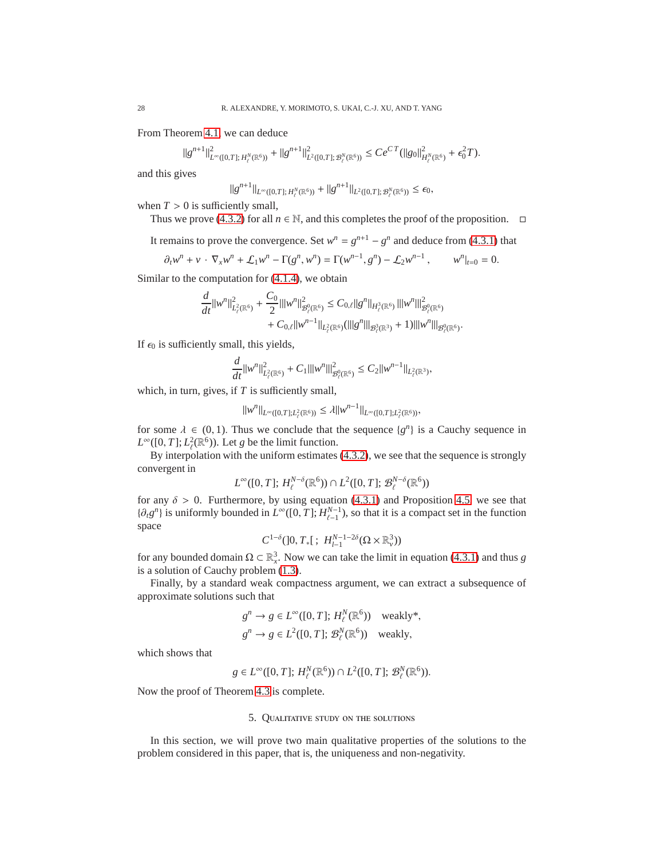From Theorem [4.1,](#page-23-3) we can deduce

$$
||g^{n+1}||^2_{L^{\infty}([0,T];H_{\ell}^N(\mathbb{R}^6))}+||g^{n+1}||^2_{L^2([0,T];\mathcal{B}_{\ell}^N(\mathbb{R}^6))}\leq Ce^{CT}(||g_0||^2_{H_{\ell}^N(\mathbb{R}^6)}+\epsilon_0^2T).
$$

and this gives

$$
||g^{n+1}||_{L^{\infty}([0,T];H_{\ell}^{N}(\mathbb{R}^{6}))}+||g^{n+1}||_{L^{2}([0,T];\mathcal{B}_{\ell}^{N}(\mathbb{R}^{6}))}\leq\epsilon_{0},
$$

when  $T > 0$  is sufficiently small,

Thus we prove [\(4.3.2\)](#page-26-2) for all  $n \in \mathbb{N}$ , and this completes the proof of the proposition.  $\Box$ 

It remains to prove the convergence. Set  $w^n = g^{n+1} - g^n$  and deduce from [\(4.3.1\)](#page-26-1) that

$$
\partial_t w^n + v \cdot \nabla_x w^n + \mathcal{L}_1 w^n - \Gamma(g^n, w^n) = \Gamma(w^{n-1}, g^n) - \mathcal{L}_2 w^{n-1}, \qquad w^n|_{t=0} = 0.
$$

Similar to the computation for [\(4.1.4\)](#page-23-0), we obtain

$$
\frac{d}{dt}||w^n||^2_{L^2(\mathbb{R}^6)} + \frac{C_0}{2}|||w^n||^2_{\mathcal{B}^0_{\ell}(\mathbb{R}^6)} \leq C_{0,\ell}||g^n||_{H^3_{\ell}(\mathbb{R}^6)} |||w^n|||^2_{\mathcal{B}^0_{\ell}(\mathbb{R}^6)} + C_{0,\ell}||w^{n-1}||_{L^2_{\ell}(\mathbb{R}^6)}(|||g^n|||_{\mathcal{B}^3_{\ell}(\mathbb{R}^3)} + 1)|||w^n|||_{\mathcal{B}^0_{\ell}(\mathbb{R}^6)}.
$$

If  $\epsilon_0$  is sufficiently small, this yields,

$$
\frac{d}{dt}||w^n||^2_{L^2_{\ell}(\mathbb{R}^6)} + C_1|||w^n|||^2_{\mathcal{B}^0_{\ell}(\mathbb{R}^6)} \leq C_2||w^{n-1}||_{L^2_{\ell}(\mathbb{R}^3)},
$$

which, in turn, gives, if *T* is sufficiently small,

$$
\|w^n\|_{L^\infty([0,T];L^2_\ell(\mathbb{R}^6))}\leq \lambda \|w^{n-1}\|_{L^\infty([0,T];L^2_\ell(\mathbb{R}^6))},
$$

for some  $\lambda \in (0, 1)$ . Thus we conclude that the sequence  $\{g^n\}$  is a Cauchy sequence in  $L^{\infty}([0, T]; L^2_{\ell}(\mathbb{R}^6))$ . Let *g* be the limit function.

By interpolation with the uniform estimates [\(4.3.2\)](#page-26-2), we see that the sequence is strongly convergent in

$$
L^{\infty}([0, T]; H_{\ell}^{N-\delta}(\mathbb{R}^{6})) \cap L^{2}([0, T]; \mathcal{B}_{\ell}^{N-\delta}(\mathbb{R}^{6}))
$$

for any  $\delta > 0$ . Furthermore, by using equation [\(4.3.1\)](#page-26-1) and Proposition [4.5,](#page-26-4) we see that { $∂<sub>t</sub>g<sup>n</sup>$ } is uniformly bounded in  $L^∞([0, T]; H^{N-1}_{\ell-1})$ , so that it is a compact set in the function space

$$
C^{1-\delta}(]0,T_*[ \ ; \ H_{l-1}^{N-1-2\delta}(\Omega\times\mathbb{R}^3_\nu))
$$

for any bounded domain  $\Omega \subset \mathbb{R}^3$ . Now we can take the limit in equation [\(4.3.1\)](#page-26-1) and thus *g* is a solution of Cauchy problem [\(1.3\)](#page-4-0).

Finally, by a standard weak compactness argument, we can extract a subsequence of approximate solutions such that

$$
g^n \to g \in L^{\infty}([0, T]; H^N_{\ell}(\mathbb{R}^6)) \quad \text{weakly*},
$$
  

$$
g^n \to g \in L^2([0, T]; \mathcal{B}^N_{\ell}(\mathbb{R}^6)) \quad \text{weakly},
$$

which shows that

 $g \in L^{\infty}([0, T]; H_{\ell}^{N}(\mathbb{R}^{6})) \cap L^{2}([0, T]; \mathcal{B}_{\ell}^{N}(\mathbb{R}^{6})).$ 

<span id="page-27-0"></span>Now the proof of Theorem [4.3](#page-26-3) is complete.

## 5. Qualitative study on the solutions

In this section, we will prove two main qualitative properties of the solutions to the problem considered in this paper, that is, the uniqueness and non-negativity.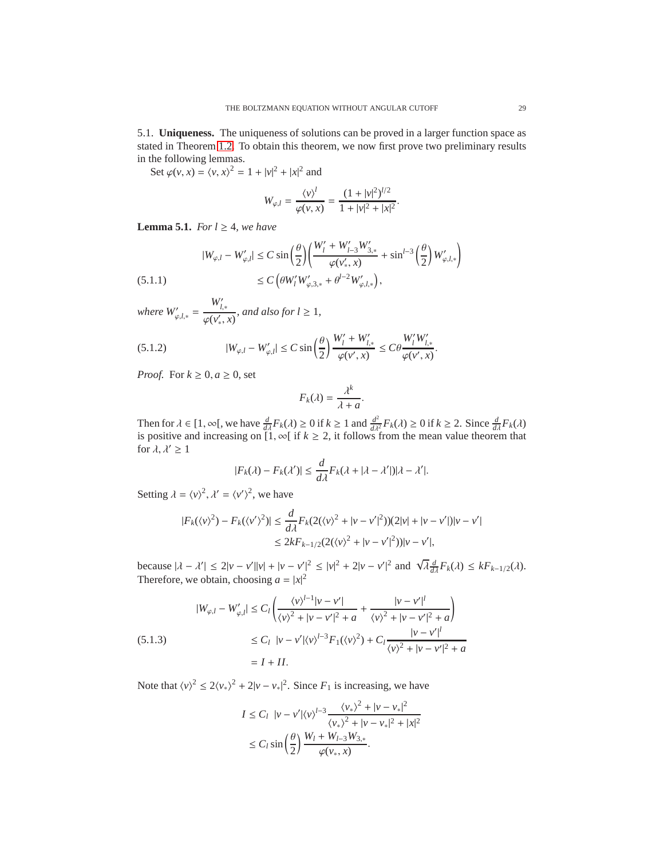<span id="page-28-0"></span>5.1. **Uniqueness.** The uniqueness of solutions can be proved in a larger function space as stated in Theorem [1.2.](#page-4-1) To obtain this theorem, we now first prove two preliminary results in the following lemmas.

Set  $\varphi(v, x) = \langle v, x \rangle^2 = 1 + |v|^2 + |x|^2$  and

$$
W_{\varphi,l} = \frac{\langle v \rangle^l}{\varphi(v,x)} = \frac{(1+|v|^2)^{l/2}}{1+|v|^2+|x|^2}.
$$

**Lemma 5.1.** *For*  $l \geq 4$ *, we have* 

$$
\begin{aligned} |W_{\varphi,l} - W'_{\varphi,l}| &\leq C \sin\left(\frac{\theta}{2}\right) \left(\frac{W_l' + W_{l-3}' W_{3,*}'}{\varphi(v_{*}', x)} + \sin^{l-3}\left(\frac{\theta}{2}\right) W_{\varphi,l,*}'\right) \\ &\leq C \left(\theta W_l' W_{\varphi,3,*}'+ \theta^{l-2} W_{\varphi,l,*}'\right), \end{aligned}
$$

 $where W'_{\varphi, l,*} =$ *W*′ *l*,∗  $\frac{u^{(k)}}{\varphi(v'_*, x)}$ , and also for  $l \geq 1$ ,

(5.1.2) 
$$
|W_{\varphi,l} - W'_{\varphi,l}| \leq C \sin\left(\frac{\theta}{2}\right) \frac{W'_l + W'_{l,*}}{\varphi(v',x)} \leq C \theta \frac{W'_l W'_{l,*}}{\varphi(v',x)}.
$$

*Proof.* For  $k \geq 0, a \geq 0$ , set

$$
F_k(\lambda) = \frac{\lambda^k}{\lambda + a}.
$$

Then for  $\lambda \in [1, \infty)$ , we have  $\frac{d}{d\lambda} F_k(\lambda) \ge 0$  if  $k \ge 1$  and  $\frac{d^2}{d\lambda}$  $\frac{d^2}{d\lambda^2} F_k(\lambda) \ge 0$  if  $k \ge 2$ . Since  $\frac{d}{d\lambda} F_k(\lambda)$ is positive and increasing on  $[1, \infty)$  if  $k \ge 2$ , it follows from the mean value theorem that for  $\lambda, \lambda' \geq 1$ 

$$
|F_k(\lambda) - F_k(\lambda')| \le \frac{d}{d\lambda} F_k(\lambda + |\lambda - \lambda'|) |\lambda - \lambda'|.
$$

Setting  $\lambda = \langle v \rangle^2$ ,  $\lambda' = \langle v' \rangle^2$ , we have

$$
|F_k(\langle v \rangle^2) - F_k(\langle v' \rangle^2)| \le \frac{d}{d\lambda} F_k(2(\langle v \rangle^2 + |v - v'|^2))(2|v| + |v - v'|)|v - v'|
$$
  

$$
\le 2kF_{k-1/2}(2(\langle v \rangle^2 + |v - v'|^2))|v - v'|,
$$

because  $|\lambda - \lambda'| \le 2|\nu - \nu'| |\nu| + |\nu - \nu'|^2 \le |\nu|^2 + 2|\nu - \nu'|^2$  and  $\sqrt{\lambda} \frac{d}{d\lambda} F_k(\lambda) \le kF_{k-1/2}(\lambda)$ . | | Therefore, we obtain, choosing  $a = |x|^2$ 

(5.1.3)  
\n
$$
|W_{\varphi,l} - W'_{\varphi,l}| \le C_l \left( \frac{\langle v \rangle^{l-1} |v - v'|}{\langle v \rangle^2 + |v - v'|^2 + a} + \frac{|v - v'|^l}{\langle v \rangle^2 + |v - v'|^2 + a} \right)
$$
\n
$$
\le C_l |v - v'| \langle v \rangle^{l-3} F_1(\langle v \rangle^2) + C_l \frac{|v - v'|^l}{\langle v \rangle^2 + |v - v'|^2 + a}
$$
\n
$$
= I + II.
$$

Note that  $\langle v \rangle^2 \le 2 \langle v_* \rangle^2 + 2|v - v_*|^2$ . Since  $F_1$  is increasing, we have

$$
I \le C_l \ |v - v'| \langle v \rangle^{l-3} \frac{\langle v_* \rangle^2 + |v - v_*|^2}{\langle v_* \rangle^2 + |v - v_*|^2 + |x|^2}
$$
  

$$
\le C_l \sin\left(\frac{\theta}{2}\right) \frac{W_l + W_{l-3} W_{3,*}}{\varphi(v_*, x)}.
$$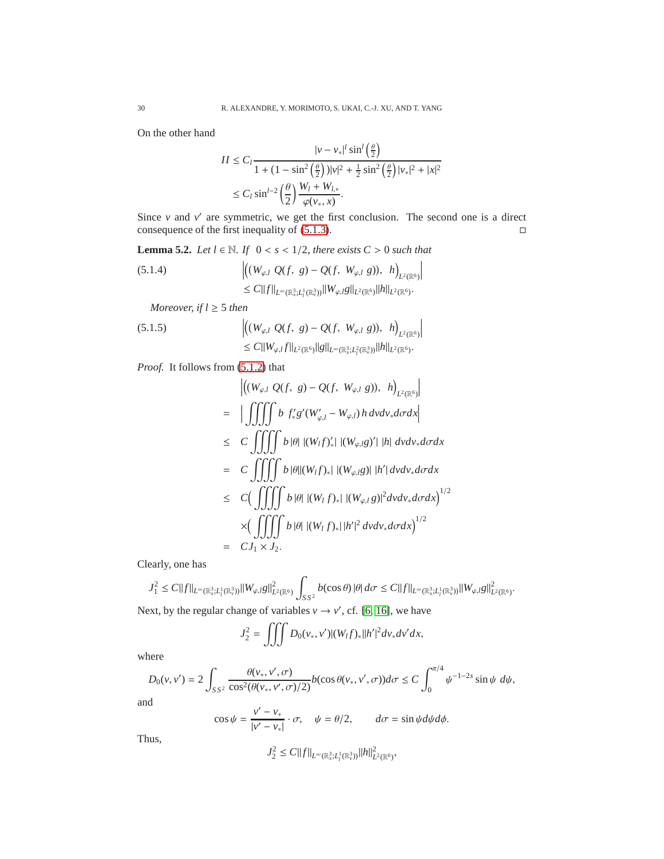On the other hand

$$
II \le C_l \frac{|v - v_*|^l \sin^l\left(\frac{\theta}{2}\right)}{1 + (1 - \sin^2\left(\frac{\theta}{2}\right))|v|^2 + \frac{1}{2}\sin^2\left(\frac{\theta}{2}\right)|v_*|^2 + |x|^2}
$$
  

$$
\le C_l \sin^{l-2}\left(\frac{\theta}{2}\right) \frac{W_l + W_{l,*}}{\varphi(v_*, x)}.
$$

Since  $v$  and  $v'$  are symmetric, we get the first conclusion. The second one is a direct consequence of the first inequality of  $(5.1.3)$ .

<span id="page-29-2"></span>**Lemma 5.2.** *Let*  $l \in \mathbb{N}$ *. If*  $0 < s < 1/2$ *, there exists C* > 0 *such that* 

<span id="page-29-0"></span>(5.1.4) 
$$
\begin{aligned} \left| \left( (W_{\varphi,l} \ Q(f, \ g) - Q(f, \ W_{\varphi,l} \ g)), \ h \right)_{L^2(\mathbb{R}^6)} \right| \\ &\leq C ||f||_{L^{\infty}(\mathbb{R}^3_x; L^1_l(\mathbb{R}^3_v))} ||W_{\varphi,l} g||_{L^2(\mathbb{R}^6)} ||h||_{L^2(\mathbb{R}^6)}. \end{aligned}
$$

*Moreover, if l* ≥ 5 *then*

<span id="page-29-1"></span>(5.1.5) 
$$
\left| \left( (W_{\varphi,l} Q(f, g) - Q(f, W_{\varphi,l} g)), h \right)_{L^2(\mathbb{R}^6)} \right|
$$

$$
\leq C \| W_{\varphi,l} f \|_{L^2(\mathbb{R}^6)} \|g\|_{L^\infty(\mathbb{R}^3_x; L^2_{\rho}(\mathbb{R}^3_v))} \|h\|_{L^2(\mathbb{R}^6)}.
$$

*Proof.* It follows from [\(5.1.2\)](#page-32-1) that

$$
\begin{aligned}\n& \left| \left( (W_{\varphi,l} Q(f, g) - Q(f, W_{\varphi,l} g)), h \right)_{L^2(\mathbb{R}^6)} \right| \\
&= \left| \iiint\int b f'_* g'(W'_{\varphi,l} - W_{\varphi,l}) h \, dv dv_* d\sigma dx \right| \\
&\leq C \iiint\int b |\theta| |(W_l f)'_*| |(W_{\varphi,l} g)'| |h| \, dv dv_* d\sigma dx \\
&= C \iiint\int b |\theta| |(W_l f)_*| |(W_{\varphi,l} g)| |h'| \, dv dv_* d\sigma dx \\
&\leq C \left( \iiint\int b |\theta| |(W_l f)_*| |(W_{\varphi,l} g)|^2 dv dv_* d\sigma dx \right)^{1/2} \\
& \times \left( \iiint\int b |\theta| |(W_l f)_*| |h'|^2 dv dv_* d\sigma dx \right)^{1/2} \\
&= C J_1 \times J_2.\n\end{aligned}
$$

Clearly, one has

$$
J_1^2 \leq C||f||_{L^{\infty}(\mathbb{R}^3_x; L^1_l(\mathbb{R}^3_v))}||W_{\varphi,l}g||^2_{L^2(\mathbb{R}^6)} \int_{SS^2} b(\cos\theta) |\theta| d\sigma \leq C||f||_{L^{\infty}(\mathbb{R}^3_x; L^1_l(\mathbb{R}^3_v))}||W_{\varphi,l}g||^2_{L^2(\mathbb{R}^6)}.
$$
  
Next, by the regular change of variables  $v \to v'$ , cf. [6, 16], we have

$$
J_2^2 = \iiint D_0(v_*, v') |(W_l f)_*||h'|^2 dv_* dv' dx,
$$

where

$$
D_0(v, v') = 2 \int_{SS^2} \frac{\theta(v_*, v', \sigma)}{\cos^2(\theta(v_*, v', \sigma)/2)} b(\cos \theta(v_*, v', \sigma)) d\sigma \le C \int_0^{\pi/4} \psi^{-1-2s} \sin \psi \ d\psi,
$$

an

$$
\cos \psi = \frac{v' - v_*}{|v' - v_*|} \cdot \sigma, \quad \psi = \theta/2, \qquad d\sigma = \sin \psi d\psi d\phi.
$$

Thus,

$$
J_2^2 \leq C ||f||_{L^{\infty}(\mathbb{R}^3_x; L^1_l(\mathbb{R}^3_v))} ||h||^2_{L^2(\mathbb{R}^6)},
$$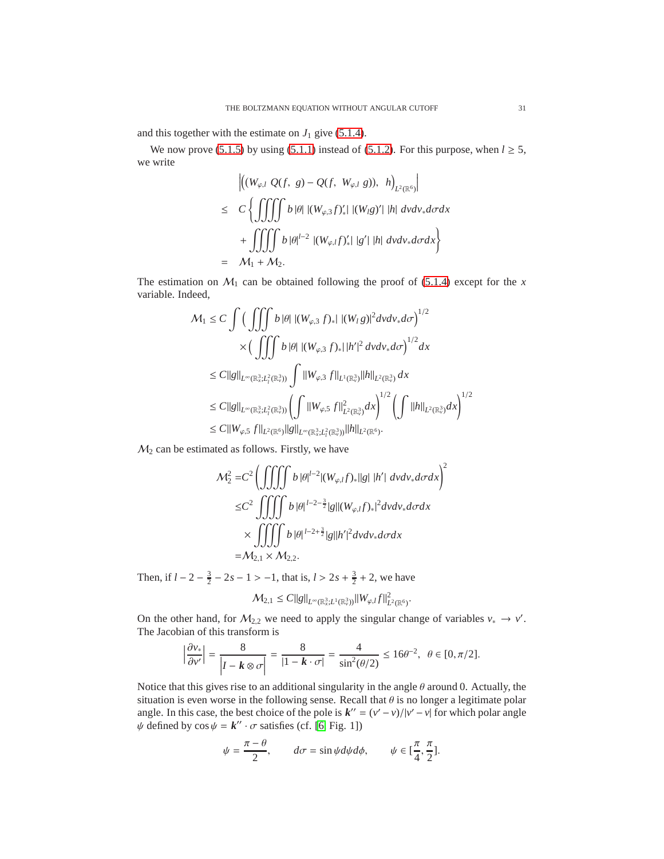and this together with the estimate on  $J_1$  give [\(5.1.4\)](#page-29-0).

We now prove [\(5.1.5\)](#page-29-1) by using [\(5.1.1\)](#page-32-2) instead of [\(5.1.2\)](#page-32-1). For this purpose, when  $l \geq 5$ , we write

$$
\left| \left( (W_{\varphi,l} Q(f, g) - Q(f, W_{\varphi,l} g)), h \right)_{L^2(\mathbb{R}^6)} \right|
$$
  
\n
$$
\leq C \left\{ \iiint b |\theta| |(W_{\varphi,3} f)'_*| |(W_{l} g)'| |h| dv dv_* d\sigma dx \right\}
$$
  
\n
$$
+ \iiint b |\theta|^{l-2} |(W_{\varphi,l} f)'_*| |g'| |h| dv dv_* d\sigma dx \right\}
$$
  
\n
$$
= M_1 + M_2.
$$

The estimation on  $M_1$  can be obtained following the proof of [\(5.1.4\)](#page-29-0) except for the  $x$ variable. Indeed,

$$
\mathcal{M}_{1} \leq C \int \Big( \iiint b |\theta| |(W_{\varphi,3} f)_{*}| |(W_{l} g)|^{2} dv dv_{*} d\sigma \Big)^{1/2}
$$
  
\n
$$
\times \Big( \iiint b |\theta| |(W_{\varphi,3} f)_{*}| |h'|^{2} dv dv_{*} d\sigma \Big)^{1/2} dx
$$
  
\n
$$
\leq C ||g||_{L^{\infty}(\mathbb{R}_{*}^{3}; L_{l}^{2}(\mathbb{R}_{*}^{3}))} \int ||W_{\varphi,3} f||_{L^{1}(\mathbb{R}_{*}^{3})} ||h||_{L^{2}(\mathbb{R}_{*}^{3})} dx
$$
  
\n
$$
\leq C ||g||_{L^{\infty}(\mathbb{R}_{*}^{3}; L_{l}^{2}(\mathbb{R}_{*}^{3}))} \Big( \int ||W_{\varphi,5} f||_{L^{2}(\mathbb{R}_{*}^{3})}^{2} dx \Big)^{1/2} \Big( \int ||h||_{L^{2}(\mathbb{R}_{*}^{3})} dx \Big)^{1/2}
$$
  
\n
$$
\leq C ||W_{\varphi,5} f||_{L^{2}(\mathbb{R}^{6})} ||g||_{L^{\infty}(\mathbb{R}_{*}^{3}; L_{l}^{2}(\mathbb{R}_{*}^{3}))} ||h||_{L^{2}(\mathbb{R}^{6})}.
$$

 $M<sub>2</sub>$  can be estimated as follows. Firstly, we have

$$
\mathcal{M}_{2}^{2} = C^{2} \left( \iiint_{\mathcal{D}} b |\theta|^{l-2} |(W_{\varphi,l}f)_{*}| |g| |h'| dv dv_{*} d\sigma dx \right)^{2}
$$
  
\n
$$
\leq C^{2} \iiint_{\mathcal{D}} b |\theta|^{l-2-\frac{3}{2}} |g| |(W_{\varphi,l}f)_{*}|^{2} dv dv_{*} d\sigma dx
$$
  
\n
$$
\times \iiint_{\mathcal{D}} b |\theta|^{l-2+\frac{3}{2}} |g| |h'|^{2} dv dv_{*} d\sigma dx
$$
  
\n
$$
= M_{2,1} \times M_{2,2}.
$$

Then, if  $l - 2 - \frac{3}{2} - 2s - 1 > -1$ , that is,  $l > 2s + \frac{3}{2} + 2$ , we have

$$
\mathcal{M}_{2,1} \leq C \|g\|_{L^{\infty}(\mathbb{R}^3_x;L^1(\mathbb{R}^3_v))} \|W_{\varphi,l}f\|_{L^2(\mathbb{R}^6)}^2.
$$

On the other hand, for  $M_{2,2}$  we need to apply the singular change of variables  $v_* \to v'$ . The Jacobian of this transform is

$$
\left|\frac{\partial v_*}{\partial v'}\right| = \frac{8}{\left|I - k \otimes \sigma\right|} = \frac{8}{\left|1 - k \cdot \sigma\right|} = \frac{4}{\sin^2(\theta/2)} \le 16\theta^{-2}, \ \ \theta \in [0, \pi/2].
$$

Notice that this gives rise to an additional singularity in the angle  $\theta$  around 0. Actually, the situation is even worse in the following sense. Recall that  $\theta$  is no longer a legitimate polar angle. In this case, the best choice of the pole is  $k'' = (v' - v)/|v' - v|$  for which polar angle  $\psi$  defined by  $\cos \psi = \mathbf{k}'' \cdot \sigma$  satisfies (cf. [\[6,](#page-56-2) Fig. 1])

$$
\psi = \frac{\pi - \theta}{2}, \qquad d\sigma = \sin\psi d\psi d\phi, \qquad \psi \in [\frac{\pi}{4}, \frac{\pi}{2}].
$$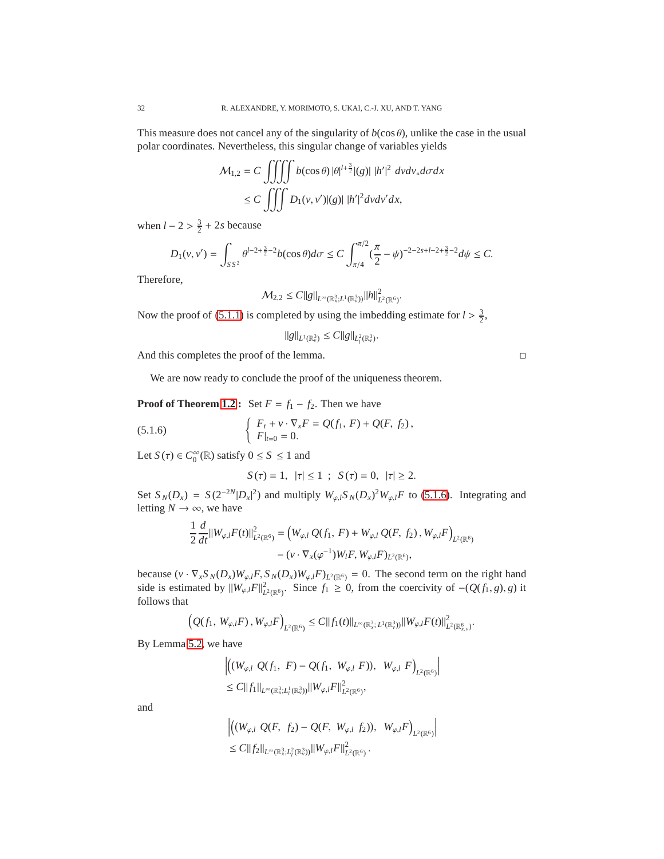This measure does not cancel any of the singularity of  $b$ (cos  $\theta$ ), unlike the case in the usual polar coordinates. Nevertheless, this singular change of variables yields

$$
\mathcal{M}_{1,2} = C \iiint b(\cos \theta) |\theta|^{l+\frac{3}{2}}|(g)| |h'|^2 dv dv_* d\sigma dx
$$
  

$$
\leq C \iiint D_1(v,v')|(g)| |h'|^2 dv dv' dx,
$$

when  $l - 2 > \frac{3}{2} + 2s$  because

$$
D_1(\nu,\nu')=\int_{SS^2} \theta^{l-2+\frac{3}{2}-2}b(\cos\theta)d\sigma\leq C\int_{\pi/4}^{\pi/2}(\frac{\pi}{2}-\psi)^{-2-2s+l-2+\frac{3}{2}-2}d\psi\leq C.
$$

Therefore,

$$
\mathcal{M}_{2,2} \leq C ||g||_{L^{\infty}(\mathbb{R}^3_x;L^1(\mathbb{R}^3_v))} ||h||^2_{L^2(\mathbb{R}^6)}.
$$

Now the proof of [\(5.1.1\)](#page-32-2) is completed by using the imbedding estimate for  $l > \frac{3}{2}$ ,

$$
||g||_{L^1(\mathbb{R}^3_\nu)} \leq C ||g||_{L^2(\mathbb{R}^3_\nu)}.
$$

And this completes the proof of the lemma.

We are now ready to conclude the proof of the uniqueness theorem.

**Proof of Theorem [1.2](#page-4-1)** : Set  $F = f_1 - f_2$ . Then we have

(5.1.6) 
$$
\begin{cases} F_t + v \cdot \nabla_x F = Q(f_1, F) + Q(F, f_2), \\ F|_{t=0} = 0. \end{cases}
$$

Let  $S(\tau) \in C_0^{\infty}(\mathbb{R})$  satisfy  $0 \le S \le 1$  and

<span id="page-31-0"></span>
$$
S(\tau) = 1, |\tau| \le 1
$$
;  $S(\tau) = 0, |\tau| \ge 2$ .

Set  $S_N(D_x) = S(2^{-2N}|D_x|^2)$  and multiply  $W_{\varphi,l}S_N(D_x)^2W_{\varphi,l}F$  to [\(5.1.6\)](#page-31-0). Integrating and letting  $N \rightarrow \infty$ , we have

$$
\frac{1}{2}\frac{d}{dt}\|W_{\varphi,l}F(t)\|_{L^2(\mathbb{R}^6)}^2 = \left(W_{\varphi,l}Q(f_1, F) + W_{\varphi,l}Q(F, f_2), W_{\varphi,l}F\right)_{L^2(\mathbb{R}^6)} - \left(v \cdot \nabla_x(\varphi^{-1})W_lF, W_{\varphi,l}F\right)_{L^2(\mathbb{R}^6)},
$$

because  $(v \cdot \nabla_x S_N(D_x) W_{\varphi,l} F, S_N(D_x) W_{\varphi,l} F)_{L^2(\mathbb{R}^6)} = 0$ . The second term on the right hand side is estimated by  $\|W_{\varphi,l}F\|_{L^2(\mathbb{R}^6)}^2$ . Since  $f_1 \ge 0$ , from the coercivity of  $-(Q(f_1, g), g)$  it follows that

$$
\left(Q(f_1,\,W_{\varphi,I} F),\,W_{\varphi,I} F\right)_{L^2(\mathbb{R}^6)}\leq C\|f_1(t)\|_{L^\infty(\mathbb{R}^3_x; \,L^1(\mathbb{R}^3_v))}\|W_{\varphi,I} F(t)\|^2_{L^2(\mathbb{R}^6_{x,v})}.
$$

By Lemma [5.2,](#page-29-2) we have

 $\mathbf{r}$ 

$$
\begin{aligned} & \left| \left( (W_{\varphi, l} \ Q(f_1, \ F) - Q(f_1, \ W_{\varphi, l} \ F)), \ W_{\varphi, l} \ F \right)_{L^2(\mathbb{R}^6)} \right| \\ & \leq C \|f_1\|_{L^\infty(\mathbb{R}^3_x; L^1_l(\mathbb{R}^3_v))} \|W_{\varphi, l} F \|^2_{L^2(\mathbb{R}^6)}, \end{aligned}
$$

and

$$
\begin{aligned} &\left|\left((W_{\varphi,l} \ Q(F, \ f_2) - Q(F, \ W_{\varphi,l} \ f_2)), \ W_{\varphi,l} F\right)_{L^2(\mathbb{R}^6)}\right|\\ &\leq C\|f_2\|_{L^\infty(\mathbb{R}^3_x; L^2_l(\mathbb{R}^3_v))}\|W_{\varphi,l} F\|^2_{L^2(\mathbb{R}^6)}\,. \end{aligned}
$$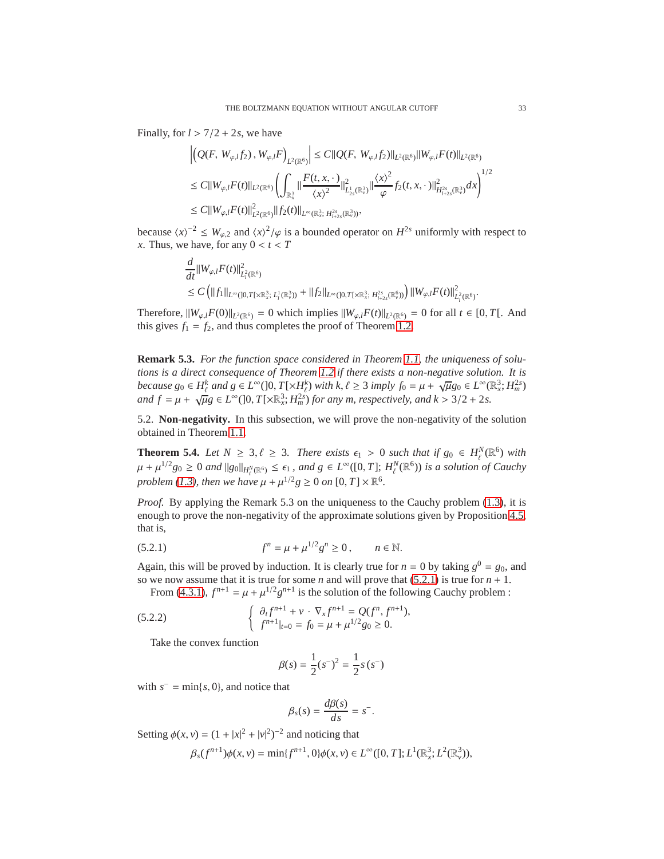Finally, for  $l > 7/2 + 2s$ , we have

$$
\begin{aligned} &\left|\left(Q(F,\,W_{\varphi,l}f_2)\,,W_{\varphi,l}F\right)_{L^2(\mathbb{R}^6)}\right|\leq C||Q(F,\,W_{\varphi,l}f_2)||_{L^2(\mathbb{R}^6)}||W_{\varphi,l}F(t)||_{L^2(\mathbb{R}^6)}\\ &\leq C||W_{\varphi,l}F(t)||_{L^2(\mathbb{R}^6)}\left(\int_{\mathbb{R}^3_x}\|\frac{F(t,x,\cdot)}{\langle x\rangle^2}||^2_{L^1_{2s}(\mathbb{R}^3_v)}\|\frac{\langle x\rangle^2}{\varphi}f_2(t,x,\cdot)\|^2_{H^{2s}_{l+2s}(\mathbb{R}^3_v)}dx\right)^{1/2}\\ &\leq C||W_{\varphi,l}F(t)||^2_{L^2(\mathbb{R}^6)}||f_2(t)||_{L^\infty(\mathbb{R}^3_x;\,H^{2s}_{l+2s}(\mathbb{R}^3_v))}, \end{aligned}
$$

because  $\langle x \rangle^{-2} \le W_{\varphi,2}$  and  $\langle x \rangle^2 / \varphi$  is a bounded operator on  $H^{2s}$  uniformly with respect to *x*. Thus, we have, for any  $0 < t < T$ 

$$
\frac{d}{dt}||W_{\varphi,l}F(t)||_{L^{2}(\mathbb{R}^{6})}^{2} \n\leq C \left(||f_{1}||_{L^{\infty}(]0,T[ \times \mathbb{R}^{3}_{x}; L^{1}_{l}(\mathbb{R}^{3}_{y}))} + ||f_{2}||_{L^{\infty}(]0,T[ \times \mathbb{R}^{3}_{x}; H^{2s}_{l+2s}(\mathbb{R}^{6}_{y}))}\right) ||W_{\varphi,l}F(t)||_{L^{2}_{l}(\mathbb{R}^{6})}^{2}.
$$

Therefore,  $||W_{\varphi,l}F(0)||_{L^2(\mathbb{R}^6)} = 0$  which implies  $||W_{\varphi,l}F(t)||_{L^2(\mathbb{R}^6)} = 0$  for all  $t \in [0, T[$ . And this gives  $f_1 = f_2$ , and thus completes the proof of Theorem [1.2.](#page-4-1)

**Remark 5.3.** *For the function space considered in Theorem [1.1,](#page-4-2) the uniqueness of solutions is a direct consequence of Theorem [1.2](#page-4-1) if there exists a non-negative solution. It is because*  $g_0 \in H^k_\ell$  *and*  $g \in L^\infty(]0, T[ \times H^k_\ell)$  *with*  $k, \ell \geq 3$  *imply*  $f_0 = \mu + \sqrt{\mu} g_0 \in L^\infty(\mathbb{R}^3_x; H^{2s}_m)$ *and*  $f = \mu + \sqrt{\mu}g \in L^{\infty}(]0, T[\times \mathbb{R}^3_x; H_m^{2s})$  *for any m, respectively, and*  $k > 3/2 + 2s$ .

<span id="page-32-0"></span>5.2. **Non-negativity.** In this subsection, we will prove the non-negativity of the solution obtained in Theorem [1.1.](#page-4-2)

<span id="page-32-3"></span>**Theorem 5.4.** *Let*  $N \geq 3, \ell \geq 3$ . *There exists*  $\epsilon_1 > 0$  *such that if*  $g_0 \in H_{\ell}^N(\mathbb{R}^6)$  *with*  $\mu + \mu^{1/2} g_0 \geq 0$  and  $\|g_0\|_{H^N_{\ell}(\mathbb{R}^6)} \leq \epsilon_1$ , and  $g \in L^{\infty}([0,T]; H^N_{\ell}(\mathbb{R}^6))$  *is a solution of Cauchy problem* [\(1.3\)](#page-4-0), then we have  $\mu + \mu^{1/2}g \ge 0$  on  $[0, T] \times \mathbb{R}^6$ .

*Proof.* By applying the Remark 5.3 on the uniqueness to the Cauchy problem [\(1.3\)](#page-4-0), it is enough to prove the non-negativity of the approximate solutions given by Proposition [4.5,](#page-26-4) that is,

(5.2.1) 
$$
f^{n} = \mu + \mu^{1/2} g^{n} \ge 0, \qquad n \in \mathbb{N}.
$$

Again, this will be proved by induction. It is clearly true for  $n = 0$  by taking  $g^0 = g_0$ , and so we now assume that it is true for some *n* and will prove that  $(5.2.1)$  is true for  $n + 1$ .

From [\(4.3.1\)](#page-26-1),  $f^{n+1} = \mu + \mu^{1/2} g^{n+1}$  is the solution of the following Cauchy problem :

(5.2.2) 
$$
\begin{cases} \frac{\partial_t f^{n+1} + v \cdot \nabla_x f^{n+1} = Q(f^n, f^{n+1}), \\ f^{n+1}|_{t=0} = f_0 = \mu + \mu^{1/2} g_0 \ge 0. \end{cases}
$$

Take the convex function

<span id="page-32-2"></span><span id="page-32-1"></span>
$$
\beta(s) = \frac{1}{2}(s^{-})^{2} = \frac{1}{2}s(s^{-})
$$

with  $s^- = \min\{s, 0\}$ , and notice that

$$
\beta_s(s) = \frac{d\beta(s)}{ds} = s^-.
$$

Setting  $\phi(x, y) = (1 + |x|^2 + |y|^2)^{-2}$  and noticing that

$$
\beta_s(f^{n+1})\phi(x,v) = \min\{f^{n+1},0\}\phi(x,v) \in L^{\infty}([0,T];L^1(\mathbb{R}^3_x;L^2(\mathbb{R}^3_y)),
$$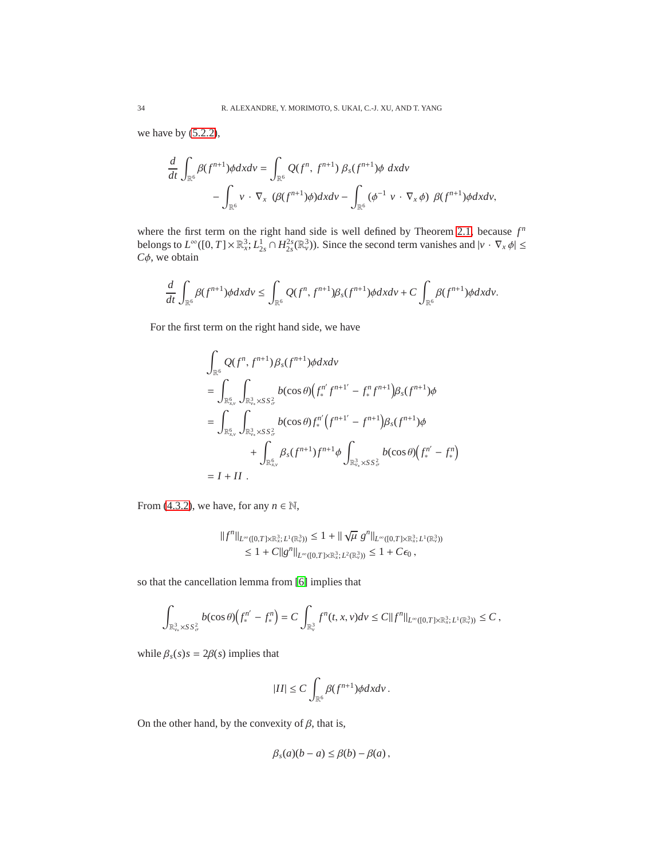we have by [\(5.2.2\)](#page-32-1),

$$
\frac{d}{dt} \int_{\mathbb{R}^6} \beta(f^{n+1}) \phi dx dv = \int_{\mathbb{R}^6} Q(f^n, f^{n+1}) \beta_s(f^{n+1}) \phi dx dv \n- \int_{\mathbb{R}^6} v \cdot \nabla_x \left( \beta(f^{n+1}) \phi \right) dx dv - \int_{\mathbb{R}^6} (\phi^{-1} v \cdot \nabla_x \phi) \beta(f^{n+1}) \phi dx dv,
$$

where the first term on the right hand side is well defined by Theorem [2.1,](#page-5-2) because  $f^n$ belongs to  $L^{\infty}([0, T] \times \mathbb{R}^3_x; L^1_{2s} \cap H^{2s}_{2s}(\mathbb{R}^3_v))$ . Since the second term vanishes and  $|v \cdot \nabla_x \phi| \le$ *C*φ, we obtain

$$
\frac{d}{dt}\int_{\mathbb{R}^6}\beta(f^{n+1})\phi dx dv \leq \int_{\mathbb{R}^6}Q(f^{n},f^{n+1})\beta_s(f^{n+1})\phi dx dv + C\int_{\mathbb{R}^6}\beta(f^{n+1})\phi dx dv.
$$

For the first term on the right hand side, we have

$$
\int_{\mathbb{R}^{6}} Q(f^{n}, f^{n+1}) \beta_{s}(f^{n+1}) \phi dx dv
$$
\n
$$
= \int_{\mathbb{R}^{6}_{x,v}} \int_{\mathbb{R}^{3}_{v_{*}} \times S S_{\sigma}^{2}} b(\cos \theta) \left( f_{*}^{n'} f^{n+1'} - f_{*}^{n} f^{n+1} \right) \beta_{s}(f^{n+1}) \phi
$$
\n
$$
= \int_{\mathbb{R}^{6}_{x,v}} \int_{\mathbb{R}^{3}_{v_{*}} \times S S_{\sigma}^{2}} b(\cos \theta) f_{*}^{n'} \left( f^{n+1'} - f^{n+1} \right) \beta_{s}(f^{n+1}) \phi
$$
\n
$$
+ \int_{\mathbb{R}^{6}_{x,v}} \beta_{s}(f^{n+1}) f^{n+1} \phi \int_{\mathbb{R}^{3}_{v_{*}} \times S S_{\sigma}^{2}} b(\cos \theta) \left( f_{*}^{n'} - f_{*}^{n} \right)
$$
\n
$$
= I + II.
$$

From [\(4.3.2\)](#page-26-2), we have, for any  $n \in \mathbb{N}$ ,

$$
\begin{aligned} ||f^n||_{L^{\infty}([0,T]\times\mathbb{R}^3_x; \, L^1(\mathbb{R}^3_v))} &\leq 1 + ||\sqrt{\mu} g^n||_{L^{\infty}([0,T]\times\mathbb{R}^3_x; \, L^1(\mathbb{R}^3_v))} \\ &\leq 1 + C ||g^n||_{L^{\infty}([0,T]\times\mathbb{R}^3_x; \, L^2(\mathbb{R}^3_v))} \leq 1 + C\epsilon_0 \,, \end{aligned}
$$

so that the cancellation lemma from [\[6\]](#page-56-2) implies that

$$
\int_{\mathbb{R}^3_{\nu}} \times S S^2_{\sigma} b(\cos \theta) \Big( f_*^{n'} - f_*^n \Big) = C \int_{\mathbb{R}^3_{\nu}} f^n(t, x, v) dv \leq C ||f^n||_{L^{\infty}([0, T] \times \mathbb{R}^3_x; L^1(\mathbb{R}^3_v))} \leq C,
$$

while  $\beta_s(s)$ *s* = 2 $\beta(s)$  implies that

$$
|II|\leq C\int_{\mathbb{R}^6}\beta(f^{n+1})\phi dx dv\,.
$$

On the other hand, by the convexity of  $\beta$ , that is,

$$
\beta_s(a)(b-a) \leq \beta(b) - \beta(a),
$$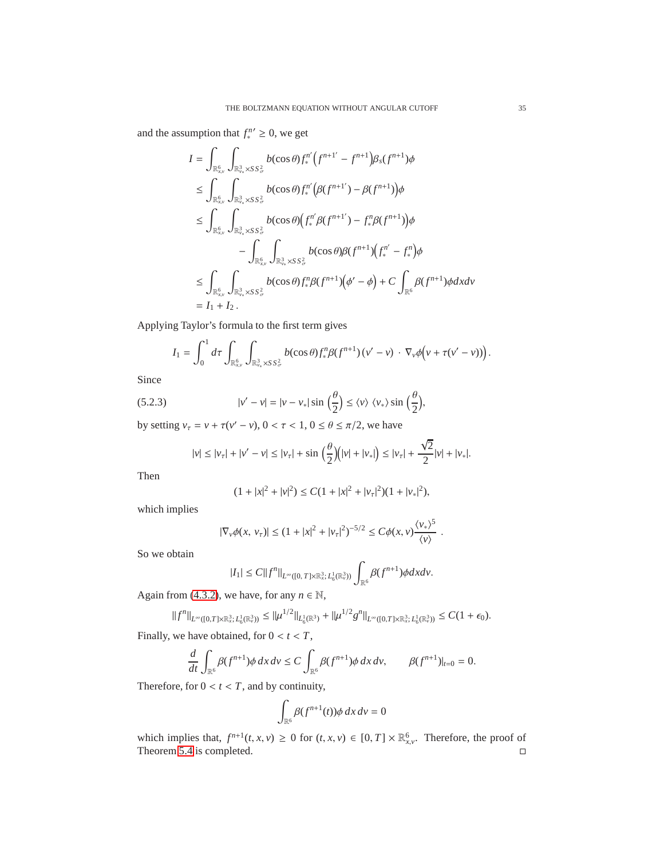and the assumption that  $f_*^n$  $\binom{m'}{k} \geq 0$ , we get

$$
I = \int_{\mathbb{R}_{x,v}^6} \int_{\mathbb{R}_{x,v}^3 \times S S_{\sigma}^2} b(\cos \theta) f_*^{n'}(f^{n+1'} - f^{n+1}) \beta_s(f^{n+1}) \phi
$$
  
\n
$$
\leq \int_{\mathbb{R}_{x,v}^6} \int_{\mathbb{R}_{x,v}^3 \times S S_{\sigma}^2} b(\cos \theta) f_*^{n'}(\beta(f^{n+1'}) - \beta(f^{n+1})) \phi
$$
  
\n
$$
\leq \int_{\mathbb{R}_{x,v}^6} \int_{\mathbb{R}_{x,v}^3 \times S S_{\sigma}^2} b(\cos \theta) (f_*^{n'} \beta(f^{n+1'}) - f_*^n \beta(f^{n+1})) \phi
$$
  
\n
$$
- \int_{\mathbb{R}_{x,v}^6} \int_{\mathbb{R}_{x,v}^3 \times S S_{\sigma}^2} b(\cos \theta) \beta(f^{n+1})(f_*^{n'} - f_*^n) \phi
$$
  
\n
$$
\leq \int_{\mathbb{R}_{x,v}^6} \int_{\mathbb{R}_{x,v}^3 \times S S_{\sigma}^2} b(\cos \theta) f_*^n \beta(f^{n+1})(\phi' - \phi) + C \int_{\mathbb{R}^6} \beta(f^{n+1}) \phi dx dv
$$
  
\n
$$
= I_1 + I_2.
$$

Applying Taylor's formula to the first term gives

$$
I_1=\int_0^1 d\tau \int_{\mathbb{R}^6_{x,v}}\int_{\mathbb{R}^3_{v_*}\times S\,S^2_{\sigma}}b(\cos\theta)f_*^n\beta(f^{n+1})(v'-v)\cdot\nabla_v\phi(v+\tau(v'-v))\Big).
$$

Since

(5.2.3) 
$$
|v'-v| = |v-v_*| \sin\left(\frac{\theta}{2}\right) \le \langle v \rangle \langle v_* \rangle \sin\left(\frac{\theta}{2}\right),
$$

by setting  $v_{\tau} = v + \tau(v' - v)$ ,  $0 < \tau < 1$ ,  $0 \le \theta \le \pi/2$ , we have

<span id="page-34-0"></span>
$$
|v| \le |v_{\tau}| + |v' - v| \le |v_{\tau}| + \sin \left(\frac{\theta}{2}\right) \left(|v| + |v_{*}|\right) \le |v_{\tau}| + \frac{\sqrt{2}}{2}|v| + |v_{*}|.
$$

Then

$$
(1+|x|^2+|v|^2) \leq C(1+|x|^2+|v_\tau|^2)(1+|v_*|^2),
$$

which implies

$$
|\nabla_{\nu}\phi(x,\nu_{\tau})| \le (1+|x|^2+|\nu_{\tau}|^2)^{-5/2} \le C\phi(x,\nu)\frac{\langle \nu_*\rangle^5}{\langle \nu \rangle}.
$$

So we obtain

$$
|I_1|\leq C\|f^n\|_{L^\infty([0,\,T]\times{\mathbb R}^3_x; \,L^1_\delta({\mathbb R}^3_v))}\,\int_{{\mathbb R}^6}\beta(f^{n+1})\phi dx dv.
$$

Again from [\(4.3.2\)](#page-26-2), we have, for any  $n \in \mathbb{N}$ ,

$$
||f^n||_{L^{\infty}([0,T]\times\mathbb{R}^3_x;L_6^1(\mathbb{R}^3_v))} \leq ||\mu^{1/2}||_{L_6^1(\mathbb{R}^3)} + ||\mu^{1/2}g^n||_{L^{\infty}([0,T]\times\mathbb{R}^3_x;L_6^1(\mathbb{R}^3_v))} \leq C(1+\epsilon_0).
$$

Finally, we have obtained, for  $0 < t < T$ ,

$$
\frac{d}{dt}\int_{\mathbb{R}^6}\beta(f^{n+1})\phi\,dx\,d\nu\leq C\int_{\mathbb{R}^6}\beta(f^{n+1})\phi\,dx\,d\nu,\qquad \beta(f^{n+1})|_{t=0}=0.
$$

Therefore, for  $0 < t < T$ , and by continuity,

$$
\int_{\mathbb{R}^6} \beta(f^{n+1}(t)) \phi \, dx \, dv = 0
$$

which implies that,  $f^{n+1}(t, x, v) \ge 0$  for  $(t, x, v) \in [0, T] \times \mathbb{R}_{x,v}^6$ . Therefore, the proof of Theorem [5.4](#page-32-3) is completed.  $\Box$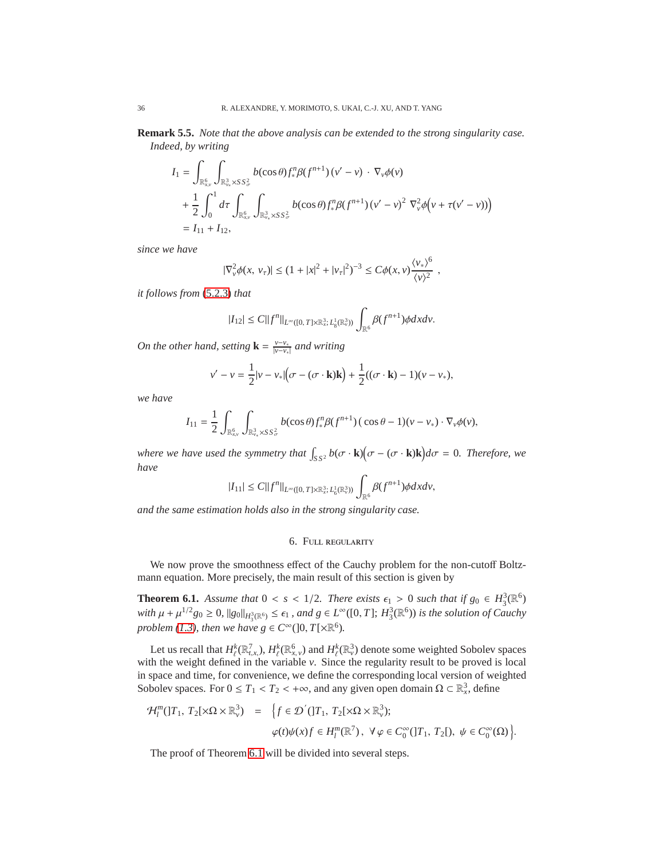**Remark 5.5.** *Note that the above analysis can be extended to the strong singularity case. Indeed, by writing*

$$
I_{1} = \int_{\mathbb{R}_{x,v}^{6}} \int_{\mathbb{R}_{y_{*}}^{3} \times S S_{\sigma}^{2}} b(\cos \theta) f_{*}^{n} \beta(f^{n+1}) (\nu' - \nu) \cdot \nabla_{\nu} \phi(\nu)
$$
  
+  $\frac{1}{2} \int_{0}^{1} d\tau \int_{\mathbb{R}_{x,v}^{6}} \int_{\mathbb{R}_{y_{*}}^{3} \times S S_{\sigma}^{2}} b(\cos \theta) f_{*}^{n} \beta(f^{n+1}) (\nu' - \nu)^{2} \nabla_{\nu}^{2} \phi(\nu + \tau(\nu' - \nu)) \Big)$   
=  $I_{11} + I_{12}$ ,

*since we have*

$$
|\nabla_{\nu}^{2} \phi(x, \nu_{\tau})| \le (1 + |x|^{2} + |\nu_{\tau}|^{2})^{-3} \le C\phi(x, \nu)\frac{\langle \nu_{*} \rangle^{6}}{\langle \nu \rangle^{2}} ,
$$

*it follows from* [\(5.2.3\)](#page-34-0) *that*

$$
|I_{12}|\leq C\|f^n\|_{L^\infty([0,\,T]\times\mathbb{R}^3_x; \,L^1_\delta(\mathbb{R}^3_v))}\int_{\mathbb{R}^6}\beta(f^{n+1})\phi dx dv.
$$

*On the other hand, setting*  $\mathbf{k} = \frac{v - v_*}{|v - v_*|}$  *and writing* 

$$
v'-v=\frac{1}{2}|v-v_*|(\sigma-(\sigma\cdot\mathbf{k})\mathbf{k})+\frac{1}{2}((\sigma\cdot\mathbf{k})-1)(v-v_*),
$$

*we have*

$$
I_{11} = \frac{1}{2} \int_{\mathbb{R}^6_{x,v}} \int_{\mathbb{R}^3_{v_*} \times S S^2_{\sigma}} b(\cos \theta) f^n_* \beta(f^{n+1}) (\cos \theta - 1)(v - v_*) \cdot \nabla_v \phi(v),
$$

*where we have used the symmetry that*  $\int_{SS^2} b(\sigma \cdot \mathbf{k}) (\sigma - (\sigma \cdot \mathbf{k}) \mathbf{k}) d\sigma = 0$ . Therefore, we *have*

$$
|I_{11}|\leq C\|f^n\|_{L^\infty([0,T]\times\mathbb{R}^3_x; \, L^1_6(\mathbb{R}^3_v))}\int_{\mathbb{R}^6}\beta(f^{n+1})\phi dx dv,
$$

<span id="page-35-0"></span>*and the same estimation holds also in the strong singularity case.*

## 6. Full regularity

We now prove the smoothness effect of the Cauchy problem for the non-cutoff Boltzmann equation. More precisely, the main result of this section is given by

<span id="page-35-1"></span>**Theorem 6.1.** *Assume that*  $0 < s < 1/2$ *. There exists*  $\epsilon_1 > 0$  *such that* if  $g_0 \in H_3^3(\mathbb{R}^6)$  $\omega$  *with*  $\mu + \mu^{1/2} g_0 \ge 0$ ,  $||g_0||_{H_3^3(\mathbb{R}^6)} \le \epsilon_1$ , and  $g \in L^\infty([0, T]; H_3^3(\mathbb{R}^6))$  *is the solution of Cauchy problem* [\(1.3\)](#page-4-0)*, then we have*  $g \in C^{\infty}(]0, T[\times \mathbb{R}^{6})$ *.* 

Let us recall that  $H^k_\ell(\mathbb{R}^7_{t,x, v})$ ,  $H^k_\ell(\mathbb{R}^6_{x,v})$  and  $H^k_\ell(\mathbb{R}^3_v)$  denote some weighted Sobolev spaces with the weight defined in the variable *v*. Since the regularity result to be proved is local in space and time, for convenience, we define the corresponding local version of weighted Sobolev spaces. For  $0 \le T_1 < T_2 < +\infty$ , and any given open domain  $\Omega \subset \mathbb{R}^3$ , define

$$
\mathcal{H}_l^m(]T_1, T_2[\times \Omega \times \mathbb{R}^3_\nu) = \left\{ f \in \mathcal{D}^{'}(]T_1, T_2[\times \Omega \times \mathbb{R}^3_\nu); \right\}
$$

$$
\varphi(t)\psi(x)f \in H_l^m(\mathbb{R}^7), \ \forall \varphi \in C_0^\infty(]T_1, T_2[, \ \psi \in C_0^\infty(\Omega) \right\}.
$$

The proof of Theorem [6.1](#page-35-1) will be divided into several steps.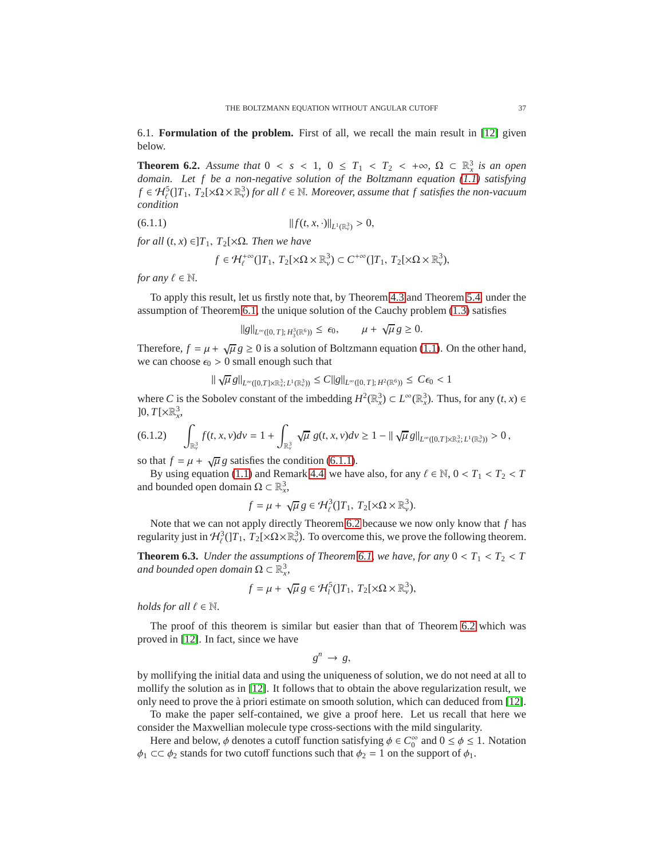<span id="page-36-0"></span>6.1. **Formulation of the problem.** First of all, we recall the main result in [\[12\]](#page-56-6) given below.

<span id="page-36-1"></span>**Theorem 6.2.** *Assume that*  $0 \lt s \lt 1$ ,  $0 \leq T_1 \lt T_2 \lt +\infty$ ,  $\Omega \subset \mathbb{R}^3$  *is an open domain. Let f be a non-negative solution of the Boltzmann equation [\(1.1\)](#page-1-1) satisfying*  $f \in H_{\ell}^{5}(|T_1, T_2[\times \Omega \times \mathbb{R}_{\nu}^{3})$  *for all*  $\ell \in \mathbb{N}$ *. Moreover, assume that*  $f$  *satisfies the non-vacuum condition*

(6.1.1) 
$$
||f(t, x, \cdot)||_{L^1(\mathbb{R}^3_v)} > 0,
$$

*for all*  $(t, x) \in ]T_1, T_2[ \times \Omega]$ *. Then we have* 

$$
f \in \mathcal{H}_\ell^{+\infty}(|T_1, T_2[\times \Omega \times \mathbb{R}^3_\nu) \subset C^{+\infty}(|T_1, T_2[\times \Omega \times \mathbb{R}^3_\nu),
$$

*for any*  $\ell \in \mathbb{N}$ *.* 

To apply this result, let us firstly note that, by Theorem [4.3](#page-26-3) and Theorem [5.4,](#page-32-3) under the assumption of Theorem [6.1,](#page-35-1) the unique solution of the Cauchy problem [\(1.3\)](#page-4-0) satisfies

$$
\|g\|_{L^\infty([0,T];\,H^3_3(\mathbb{R}^6))}\leq\,\epsilon_0,\qquad\mu+\sqrt{\mu}\,g\geq 0.
$$

Therefore,  $f = \mu + \sqrt{\mu} g \ge 0$  is a solution of Boltzmann equation [\(1.1\)](#page-1-1). On the other hand, we can choose  $\epsilon_0 > 0$  small enough such that

$$
\|\sqrt{\mu} g\|_{L^\infty([0,T]\times\mathbb{R}^3_x;L^1(\mathbb{R}^3_v))}\leq C\|g\|_{L^\infty([0,T];H^2(\mathbb{R}^6))}\leq\,C\epsilon_0<1
$$

where *C* is the Sobolev constant of the imbedding  $H^2(\mathbb{R}^3_x) \subset L^\infty(\mathbb{R}^3_x)$ . Thus, for any  $(t, x) \in$  $]0,T[\times \mathbb{R}_{x}^{3},$ 

$$
(6.1.2) \qquad \int_{\mathbb{R}^3_v} f(t,x,v) dv = 1 + \int_{\mathbb{R}^3_v} \sqrt{\mu} \ g(t,x,v) dv \ge 1 - ||\sqrt{\mu} \ g||_{L^{\infty}([0,T] \times \mathbb{R}^3_x; L^1(\mathbb{R}^3_v))} > 0,
$$

so that  $f = \mu + \sqrt{\mu} g$  satisfies the condition [\(6.1.1\)](#page-38-1).

By using equation [\(1.1\)](#page-1-1) and Remark [4.4,](#page-26-5) we have also, for any  $\ell \in \mathbb{N}$ ,  $0 < T_1 < T_2 < T$ and bounded open domain  $\Omega \subset \mathbb{R}^3$ ,

$$
f = \mu + \sqrt{\mu} g \in \mathcal{H}_\ell^3(\ ]T_1, T_2[\times \Omega \times \mathbb{R}^3_\nu).
$$

Note that we can not apply directly Theorem [6.2](#page-36-1) because we now only know that *f* has regularity just in  $H^3$ <sub> $\ell$ </sub> $(|T_1, T_2[\times \Omega \times \mathbb{R}^3_\nu)$ . To overcome this, we prove the following theorem.

<span id="page-36-2"></span>**Theorem 6.3.** *Under the assumptions of Theorem [6.1,](#page-35-1) we have, for any*  $0 < T_1 < T_2 < T$ *and bounded open domain*  $\Omega \subset \mathbb{R}^3$ ,

$$
f = \mu + \sqrt{\mu} g \in \mathcal{H}_l^5(\mathbf{1}_1, T_2[\times \Omega \times \mathbb{R}^3_{\nu}),
$$

*holds for all*  $\ell \in \mathbb{N}$ *.* 

The proof of this theorem is similar but easier than that of Theorem [6.2](#page-36-1) which was proved in [\[12\]](#page-56-6). In fact, since we have

 $g^n \rightarrow g$ ,

by mollifying the initial data and using the uniqueness of solution, we do not need at all to mollify the solution as in [\[12\]](#page-56-6). It follows that to obtain the above regularization result, we only need to prove the `a priori estimate on smooth solution, which can deduced from [\[12\]](#page-56-6).

To make the paper self-contained, we give a proof here. Let us recall that here we consider the Maxwellian molecule type cross-sections with the mild singularity.

Here and below,  $\phi$  denotes a cutoff function satisfying  $\phi \in C_0^{\infty}$  and  $0 \le \phi \le 1$ . Notation  $\phi_1 \subset \phi_2$  stands for two cutoff functions such that  $\phi_2 = 1$  on the support of  $\phi_1$ .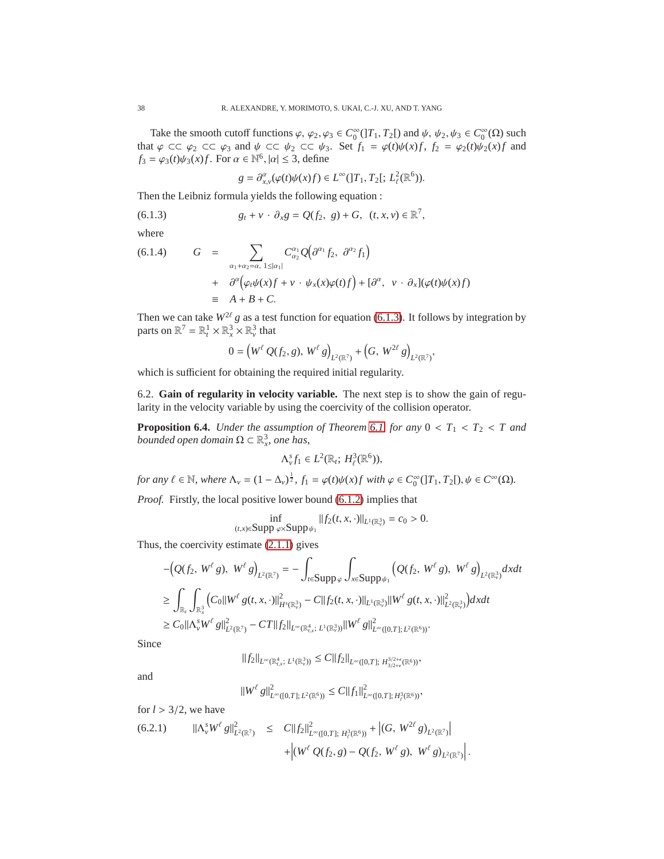Take the smooth cutoff functions  $\varphi$ ,  $\varphi_2$ ,  $\varphi_3 \in C_0^{\infty}(]T_1, T_2[)$  and  $\psi$ ,  $\psi_2$ ,  $\psi_3 \in C_0^{\infty}(\Omega)$  such that  $\varphi \subset \varphi_2 \subset \varphi_3$  and  $\psi \subset \varphi_2 \subset \psi_3$ . Set  $f_1 = \varphi(t)\psi(x)f$ ,  $f_2 = \varphi_2(t)\psi_2(x)f$  and  $f_3 = \varphi_3(t)\psi_3(x)f$ . For  $\alpha \in \mathbb{N}^6$ ,  $|\alpha| \le 3$ , define

$$
g = \partial_{x,v}^{\alpha}(\varphi(t)\psi(x)f) \in L^{\infty}(]T_1, T_2[; L^2(\mathbb{R}^6)).
$$

Then the Leibniz formula yields the following equation :

(6.1.3) 
$$
g_t + v \cdot \partial_x g = Q(f_2, g) + G, (t, x, v) \in \mathbb{R}^7
$$

where

(6.1.4) 
$$
G = \sum_{\alpha_1 + \alpha_2 = \alpha, \ 1 \leq |\alpha_1|} C_{\alpha_2}^{\alpha_1} Q(\partial^{\alpha_1} f_2, \ \partial^{\alpha_2} f_1)
$$

$$
+ \ \partial^{\alpha} (\varphi_t \psi(x) f + v \cdot \psi_x(x) \varphi(t) f) + [\partial^{\alpha}, \ v \cdot \partial_x] (\varphi(t) \psi(x) f)
$$

$$
\equiv A + B + C.
$$

Then we can take  $W^{2\ell}$  *g* as a test function for equation [\(6.1.3\)](#page-39-0). It follows by integration by parts on  $\mathbb{R}^7 = \mathbb{R}^1_t \times \mathbb{R}^3_x \times \mathbb{R}^3_v$  that

$$
0 = \left(W^{\ell} Q(f_2, g), W^{\ell} g\right)_{L^2(\mathbb{R}^7)} + \left(G, W^{2\ell} g\right)_{L^2(\mathbb{R}^7)},
$$

<span id="page-37-0"></span>which is sufficient for obtaining the required initial regularity.

6.2. **Gain of regularity in velocity variable.** The next step is to show the gain of regularity in the velocity variable by using the coercivity of the collision operator.

<span id="page-37-1"></span>**Proposition 6.4.** *Under the assumption of Theorem [6.1,](#page-35-1) for any*  $0 < T_1 < T_2 < T$  *and bounded open domain*  $\Omega \subset \mathbb{R}^3$ *, one has,* 

$$
\Lambda_v^s f_1 \in L^2(\mathbb{R}_t; H^3(\mathbb{R}^6)),
$$

*for any*  $\ell \in \mathbb{N}$ *, where*  $\Lambda_v = (1 - \Delta_v)^{\frac{1}{2}}$ *,*  $f_1 = \varphi(t)\psi(x)f$  *with*  $\varphi \in C_0^{\infty}(|T_1, T_2|)$ *,*  $\psi \in C^{\infty}(\Omega)$ *.* 

*Proof.* Firstly, the local positive lower bound [\(6.1.2\)](#page-39-1) implies that

$$
\inf_{(t,x)\in \text{Supp }\varphi\times \text{Supp }\psi_1}||f_2(t,x,\cdot)||_{L^1(\mathbb{R}^3_\nu)}=c_0>0.
$$

Thus, the coercivity estimate [\(2.1.1\)](#page-13-1) gives

$$
\begin{split} &-\left(Q(f_2, \, W^\ell \, g), \; W^\ell \, g\right)_{L^2(\mathbb{R}^7)} = - \int_{t \in \text{Supp}\,\varphi} \int_{x \in \text{Supp}\,\psi_1} \left(Q(f_2, \, W^\ell \, g), \; W^\ell \, g\right)_{L^2(\mathbb{R}^3_v)} dx dt \\ & \geq \int_{\mathbb{R}_t} \int_{\mathbb{R}^3_x} \left(C_0 ||W^\ell \, g(t,x,\cdot)||^2_{H^s(\mathbb{R}^3_v)} - C ||f_2(t,x,\cdot)||_{L^1(\mathbb{R}^3_v)} ||W^\ell \, g(t,x,\cdot)||^2_{L^2(\mathbb{R}^3_v)}\right) dx dt \\ & \geq C_0 ||\Lambda_v^s W^\ell \, g||^2_{L^2(\mathbb{R}^7)} - CT ||f_2||_{L^\infty(\mathbb{R}^4_{t,x};\, L^1(\mathbb{R}^3_v))} ||W^\ell \, g||^2_{L^\infty([0,T];\, L^2(\mathbb{R}^6_v))}. \end{split}
$$

Since

and

$$
||f_2||_{L^{\infty}(\mathbb{R}^4_{t,x};\ L^1(\mathbb{R}^3_v))} \leq C||f_2||_{L^{\infty}([0,T];\ H^{3/2+\epsilon}_{3/2+\epsilon}(\mathbb{R}^6))},
$$

$$
||W^{\ell} g||^2_{L^{\infty}([0,T];L^2(\mathbb{R}^6))} \leq C||f_1||^2_{L^{\infty}([0,T];H^3_{\ell}(\mathbb{R}^6))},
$$

for  $l > 3/2$ , we have

(6.2.1) 
$$
\| \Lambda_{\nu}^{s} W^{\ell} g \|_{L^{2}(\mathbb{R}^{7})}^{2} \leq C \| f_{2} \|_{L^{\infty}([0,T];\; H^{3}_{\ell}(\mathbb{R}^{6}))}^{2} + \left| (G, W^{2\ell} g)_{L^{2}(\mathbb{R}^{7})} \right| + \left| (W^{\ell} Q(f_{2}, g) - Q(f_{2}, W^{\ell} g), W^{\ell} g)_{L^{2}(\mathbb{R}^{7})} \right|.
$$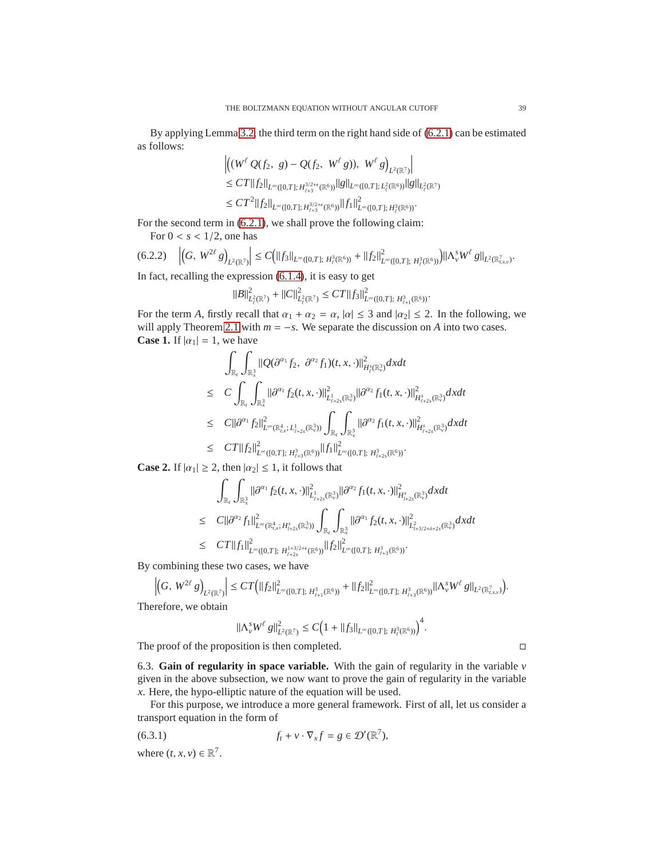By applying Lemma [3.2,](#page-16-4) the third term on the right hand side of [\(6.2.1\)](#page-38-1) can be estimated as follows:

$$
\begin{aligned} &\left|\left((W^\ell\,Q(f_2,\ g)-Q(f_2,\ W^\ell\,g)),\ W^\ell\,g\right)_{L^2(\mathbb{R}^7)}\right|\\ &\leq CT\|f_2\|_{L^\infty([0,T];\,H_{\ell+3}^{3/2+\epsilon}(\mathbb{R}^6))}\|g\|_{L^\infty([0,T];\,L_\ell^2(\mathbb{R}^6))}\|g\|_{L_\ell^2(\mathbb{R}^7)}\\ &\leq CT^2\|f_2\|_{L^\infty([0,T];\,H_{\ell+3}^{3/2+\epsilon}(\mathbb{R}^6))}\|f_1\|_{L^\infty([0,T];\,H_\ell^3(\mathbb{R}^6))}^2.\end{aligned}
$$

For the second term in [\(6.2.1\)](#page-38-1), we shall prove the following claim:

For  $0 < s < 1/2$ , one has

$$
(6.2.2)\quad \left|\left(G,\,W^{2\ell}\,g\right)_{L^2(\mathbb{R}^7)}\right|\leq C\big(\|f_3\|_{L^\infty([0,T];\,H^3_\ell(\mathbb{R}^6))}+\|f_2\|_{L^\infty([0,T];\,H^3_\ell(\mathbb{R}^6))}^2\big)\|\Lambda_\nu^sW^\ell\,g\|_{L^2(\mathbb{R}^7_{t,x,\nu})}.
$$

In fact, recalling the expression [\(6.1.4\)](#page-39-2), it is easy to get

$$
||B||^2_{L^2_{\ell}(\mathbb{R}^7)} + ||C||^2_{L^2_{\ell}(\mathbb{R}^7)} \leq CT||f_3||^2_{L^{\infty}([0,T];\, H^3_{\ell+1}(\mathbb{R}^6))}.
$$

For the term *A*, firstly recall that  $\alpha_1 + \alpha_2 = \alpha$ ,  $|\alpha| \leq 3$  and  $|\alpha_2| \leq 2$ . In the following, we will apply Theorem [2.1](#page-5-2) with  $m = -s$ . We separate the discussion on *A* into two cases. **Case 1.** If  $|\alpha_1| = 1$ , we have

$$
\int_{\mathbb{R}_{t}}\int_{\mathbb{R}_{x}^{3}}\|Q(\partial^{\alpha_{1}}f_{2}, \ \partial^{\alpha_{2}}f_{1})(t, x, \cdot)\|_{H_{t}^{2}(\mathbb{R}_{v}^{3})}^{2}dxdt
$$
\n
$$
\leq C\int_{\mathbb{R}_{t}}\int_{\mathbb{R}_{x}^{3}}\|\partial^{\alpha_{1}}f_{2}(t, x, \cdot)\|_{L_{t+2s}(\mathbb{R}_{v}^{3})}^{2}\|\partial^{\alpha_{2}}f_{1}(t, x, \cdot)\|_{H_{t+2s}(\mathbb{R}_{v}^{3})}^{2}dxdt
$$
\n
$$
\leq C\|\partial^{\alpha_{1}}f_{2}\|_{L^{\infty}(\mathbb{R}_{t,x}^{4}; L_{t+2s}(\mathbb{R}_{v}^{3}))}\int_{\mathbb{R}_{t}}\int_{\mathbb{R}_{x}^{3}}\|\partial^{\alpha_{2}}f_{1}(t, x, \cdot)\|_{H_{t+2s}(\mathbb{R}_{v}^{3})}^{2}dxdt
$$
\n
$$
\leq C T\|f_{2}\|_{L^{\infty}([0, T]; \ H_{t+3}^{3}(\mathbb{R}^{6}))}^{2}\|f_{1}\|_{L^{\infty}([0, T]; \ H_{t+2s}^{3}(\mathbb{R}^{6}))}^{2}.
$$

**Case 2.** If  $|\alpha_1| \geq 2$ , then  $|\alpha_2| \leq 1$ , it follows that

$$
\begin{array}{lll}\displaystyle\int_{\mathbb{R}_t}\int_{\mathbb{R}^3_x}\|\partial^{\alpha_1} f_2(t,x,\cdot)\|^2_{L^1_{\ell+2s}(\mathbb{R}^3_v)}\|\partial^{\alpha_2} f_1(t,x,\cdot)\|^2_{H^s_{l+2s}(\mathbb{R}^3_v)}dxdt\\ \leq & C\|\partial^{\alpha_2} f_1\|^2_{L^\infty(\mathbb{R}^4_{l,x};H^s_{l+2s}(\mathbb{R}^3_v))}\int_{\mathbb{R}_t}\int_{\mathbb{R}^3_x}\|\partial^{\alpha_1} f_2(t,x,\cdot)\|^2_{L^2_{l+3/2+\delta+2s}(\mathbb{R}^3_v)}dxdt\\ \leq & CT\|f_1\|^2_{L^\infty([0,T];\;H^{1+3/2+\epsilon}_{\ell+2s}(\mathbb{R}^6))}\|f_2\|^2_{L^\infty([0,T];\;H^{3}_{\ell+3}(\mathbb{R}^6))}. \end{array}
$$

By combining these two cases, we have

$$
\left| \left(G, W^{2\ell} g\right)_{L^2(\mathbb{R}^7)} \right| \leq C T \Big( \|f_2\|_{L^\infty([0,T];\, H^3_{\ell+1}(\mathbb{R}^6))}^2 + \|f_2\|_{L^\infty([0,T];\, H^3_{\ell+3}(\mathbb{R}^6))}^2 \| \Lambda_{\nu}^s W^{\ell} g \|_{L^2(\mathbb{R}^7_{t,x,v})} \Big).
$$

Therefore, we obtain

<span id="page-38-1"></span>
$$
\|\Lambda_{\nu}^{s}W^{\ell} g\|_{L^{2}(\mathbb{R}^{7})}^{2} \leq C\big(1 + \|f_{3}\|_{L^{\infty}([0,T];\,H^{3}_{\ell}(\mathbb{R}^{6}))}\big)^{4}.
$$

<span id="page-38-0"></span>The proof of the proposition is then completed.  $\square$ 

6.3. **Gain of regularity in space variable.** With the gain of regularity in the variable  $v$ given in the above subsection, we now want to prove the gain of regularity in the variable *x*. Here, the hypo-elliptic nature of the equation will be used.

For this purpose, we introduce a more general framework. First of all, let us consider a transport equation in the form of

(6.3.1) 
$$
f_t + v \cdot \nabla_x f = g \in \mathcal{D}'(\mathbb{R}^7),
$$

where  $(t, x, v) \in \mathbb{R}^7$ .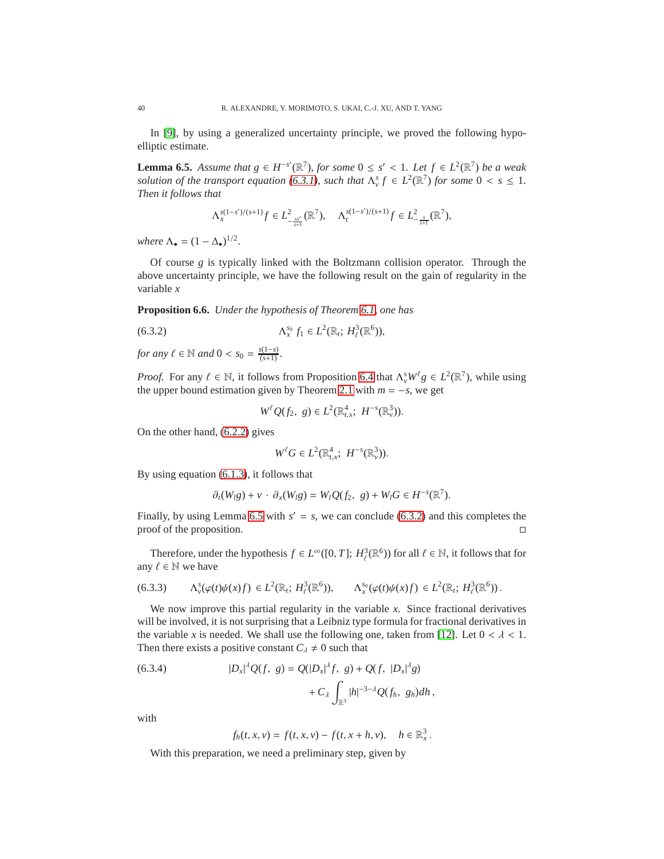In [\[9\]](#page-56-8), by using a generalized uncertainty principle, we proved the following hypoelliptic estimate.

<span id="page-39-3"></span>**Lemma 6.5.** *Assume that*  $g \in H^{-s'}(\mathbb{R}^7)$ *, for some*  $0 \le s' < 1$ *. Let*  $f \in L^2(\mathbb{R}^7)$  *be a weak solution of the transport equation* [\(6.3.1\)](#page-38-1)*, such that*  $\Lambda_{\nu}^{s} f \in L^{2}(\mathbb{R}^{7})$  *for some*  $0 < s \leq 1$ *. Then it follows that*

$$
\Lambda^{s(1-s')/(s+1)}_x f \in L^2_{\frac{s s'}{s+1}}(\mathbb{R}^7), \quad \Lambda^{s(1-s')/(s+1)}_t f \in L^2_{-\frac{s}{s+1}}(\mathbb{R}^7),
$$

*where*  $\Lambda_{\bullet} = (1 - \Delta_{\bullet})^{1/2}$ *.* 

Of course *g* is typically linked with the Boltzmann collision operator. Through the above uncertainty principle, we have the following result on the gain of regularity in the variable *x*

**Proposition 6.6.** *Under the hypothesis of Theorem [6.1,](#page-35-1) one has*

(6.3.2) 
$$
\Lambda_x^{s_0} f_1 \in L^2(\mathbb{R}_t; H^3(\mathbb{R}^6)),
$$

*for any*  $\ell \in \mathbb{N}$  *and*  $0 < s_0 = \frac{s(1-s)}{(s+1)}$ *.* 

*Proof.* For any  $\ell \in \mathbb{N}$ , it follows from Proposition [6.4](#page-37-1) that  $\Lambda_v^s W^\ell g \in L^2(\mathbb{R}^7)$ , while using the upper bound estimation given by Theorem [2.1](#page-5-2) with  $m = -s$ , we get

<span id="page-39-1"></span>
$$
W^{l}Q(f_2, g) \in L^{2}(\mathbb{R}^{4}_{t,x}; H^{-s}(\mathbb{R}^{3}_{v})).
$$

On the other hand, [\(6.2.2\)](#page-39-1) gives

$$
W^{\ell}G \in L^2(\mathbb{R}^4_{t,x};\;H^{-s}(\mathbb{R}^3_{v})).
$$

By using equation [\(6.1.3\)](#page-39-0), it follows that

$$
\partial_t(W_l g) + v \cdot \partial_x(W_l g) = W_l Q(f_2, g) + W_l G \in H^{-s}(\mathbb{R}^7).
$$

Finally, by using Lemma [6.5](#page-39-3) with  $s' = s$ , we can conclude [\(6.3.2\)](#page-39-1) and this completes the proof of the proposition.

Therefore, under the hypothesis  $f \in L^{\infty}([0, T]; H^3_{\ell}(\mathbb{R}^6))$  for all  $\ell \in \mathbb{N}$ , it follows that for any  $\ell \in \mathbb{N}$  we have

<span id="page-39-0"></span>
$$
(6.3.3) \qquad \Lambda^s_\nu(\varphi(t)\psi(x)f) \in L^2(\mathbb{R}_t; H^3_\ell(\mathbb{R}^6)), \qquad \Lambda^{s_0}_x(\varphi(t)\psi(x)f) \in L^2(\mathbb{R}_t; H^3_\ell(\mathbb{R}^6)).
$$

We now improve this partial regularity in the variable *x*. Since fractional derivatives will be involved, it is not surprising that a Leibniz type formula for fractional derivatives in the variable *x* is needed. We shall use the following one, taken from [\[12\]](#page-56-6). Let  $0 < \lambda < 1$ . Then there exists a positive constant  $C_{\lambda} \neq 0$  such that

<span id="page-39-2"></span>(6.3.4) 
$$
|D_x|^{\lambda} Q(f, g) = Q(|D_x|^{\lambda} f, g) + Q(f, |D_x|^{\lambda} g) + C_{\lambda} \int_{\mathbb{R}^3} |h|^{-3-\lambda} Q(f_h, g_h) dh,
$$

with

$$
f_h(t, x, v) = f(t, x, v) - f(t, x + h, v), \quad h \in \mathbb{R}^3
$$

With this preparation, we need a preliminary step, given by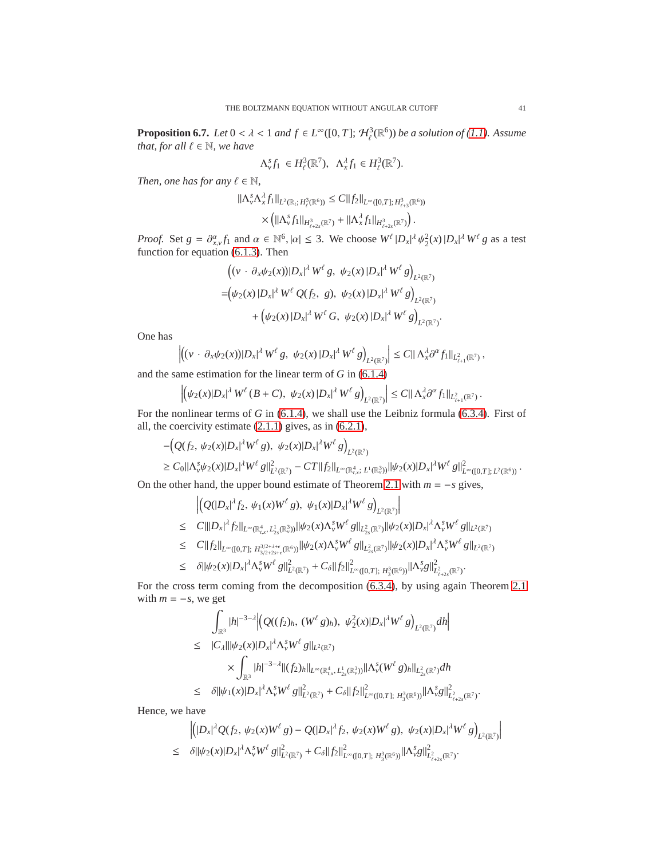<span id="page-40-0"></span>**Proposition 6.7.** *Let*  $0 < \lambda < 1$  *and*  $f \in L^{\infty}([0, T]; \mathcal{H}^{3}_{\ell}(\mathbb{R}^{6}))$  *be a solution of* [\(1.1\)](#page-1-1)*.* Assume *that, for all*  $\ell \in \mathbb{N}$ *, we have* 

$$
\Lambda_{\nu}^s f_1 \in H^3_{\ell}(\mathbb{R}^7), \ \Lambda_x^{\lambda} f_1 \in H^3_{\ell}(\mathbb{R}^7).
$$

*Then, one has for any*  $\ell \in \mathbb{N}$ *,* 

$$
\|\Lambda_{\nu}^s \Lambda_{x}^{\lambda} f_1\|_{L^2(\mathbb{R}_t; H^3_{\ell}(\mathbb{R}^6))} \leq C \|f_2\|_{L^{\infty}([0,T]; H^3_{\ell+3}(\mathbb{R}^6))}
$$
  
\$\times (\|\Lambda^s f\_1\|\_{\infty^2} \leq \pi\_{\nu}^s + \|\Lambda^{\lambda} f\_1\|\_{\infty^2} \leq \pi\_{\nu}^s \}

$$
\times \left( \|\Lambda_{\nu}^{s} f_1\|_{H^3_{\ell+2s}(\mathbb{R}^7)} + \|\Lambda_{x}^{3} f_1\|_{H^3_{\ell+2s}(\mathbb{R}^7)} \right).
$$

*Proof.* Set  $g = \partial_{x,y}^{\alpha} f_1$  and  $\alpha \in \mathbb{N}^6$ ,  $|\alpha| \leq 3$ . We choose  $W^{\ell} |D_x|^{\lambda} \psi_2^2(x) |D_x|^{\lambda} W^{\ell} g$  as a test function for equation [\(6.1.3\)](#page-39-0). Then

$$
\begin{aligned} & \left( (v \cdot \partial_x \psi_2(x)) |D_x|^{\lambda} \, W^{\ell} \, g, \, \, \psi_2(x) \, |D_x|^{\lambda} \, W^{\ell} \, g \right)_{L^2(\mathbb{R}^7)} \\ = & \left( \psi_2(x) \, |D_x|^{\lambda} \, W^{\ell} \, Q(f_2, \, g), \, \, \psi_2(x) \, |D_x|^{\lambda} \, W^{\ell} \, g \right)_{L^2(\mathbb{R}^7)} \\ & + \left( \psi_2(x) \, |D_x|^{\lambda} \, W^{\ell} \, G, \, \, \psi_2(x) \, |D_x|^{\lambda} \, W^{\ell} \, g \right)_{L^2(\mathbb{R}^7)}. \end{aligned}
$$

One has

$$
\left| \left( \left( v \cdot \partial_x \psi_2(x) \right) |D_x|^{\lambda} W^{\ell} g, \ \psi_2(x) |D_x|^{\lambda} W^{\ell} g \right)_{L^2(\mathbb{R}^7)} \right| \leq C || \Lambda_x^{\lambda} \partial^{\alpha} f_1 ||_{L^2_{\ell+1}(\mathbb{R}^7)}
$$

and the same estimation for the linear term of *G* in [\(6.1.4\)](#page-39-2)

$$
\left| \left( \psi_2(x) |D_x|^{\lambda} W^{\ell} \left( B + C \right), \ \psi_2(x) |D_x|^{\lambda} W^{\ell} g \right)_{L^2(\mathbb{R}^7)} \right| \leq C || \Lambda_x^{\lambda} \partial^{\alpha} f_1 ||_{L^2_{\ell+1}(\mathbb{R}^7)}.
$$

For the nonlinear terms of *G* in [\(6.1.4\)](#page-39-2), we shall use the Leibniz formula [\(6.3.4\)](#page-39-2). First of all, the coercivity estimate [\(2.1.1\)](#page-13-1) gives, as in [\(6.2.1\)](#page-38-1),

$$
-\big(Q(f_2,\psi_2(x)|D_x|^{\lambda}W^{\ell}g),\ \psi_2(x)|D_x|^{\lambda}W^{\ell}g\big)_{L^2(\mathbb{R}^7)}.
$$

 $\geq C_0\|\Lambda_\nu^s\psi_2(x)|D_x|^\lambda W^\ell g\|^2_{L^2(\mathbb R^7)}-CT\|f_2\|_{L^\infty(\mathbb R^4_{t,x};\ L^1(\mathbb R^3_v))}\|\psi_2(x)|D_x|^\lambda W^\ell g\|^2_{L^\infty([0,T];L^2(\mathbb R^6))}\,.$ On the other hand, the upper bound estimate of Theorem [2.1](#page-5-2) with  $m = -s$  gives,

$$
\begin{array}{lll}\left|\left(Q(|D_x|^{\lambda}f_2, \psi_1(x)W^{\ell}g), \psi_1(x)|D_x|^{\lambda}W^{\ell}g\right)_{L^2(\mathbb{R}^7)}\right|\\ \leq & C|||D_x|^{\lambda}f_2||_{L^{\infty}(\mathbb{R}^4_{t,x},L^1_{2s}(\mathbb{R}^3_{t}))}||\psi_2(x)\Lambda^s_vW^{\ell}g||_{L^2_{2s}(\mathbb{R}^7)}||\psi_2(x)|D_x|^{\lambda}\Lambda^s_vW^{\ell}g||_{L^2(\mathbb{R}^7)}\\ \leq & C||f_2||_{L^{\infty}([0,T];\;H^{3/2+\lambda+\epsilon}_{3/2+2s+\epsilon}(\mathbb{R}^6))}||\psi_2(x)\Lambda^s_vW^{\ell}g||_{L^2_{2s}(\mathbb{R}^7)}||\psi_2(x)|D_x|^{\lambda}\Lambda^s_vW^{\ell}g||_{L^2(\mathbb{R}^7)}\end{array}
$$

- 
- $\leq \quad \delta \|\psi_2(x)|D_x|^{\lambda} \Lambda_v^s W^{\ell} g\|_{L^2(\mathbb{R}^7)}^2 + C_{\delta} \|f_2\|_{L^2(\mathbb{R}^7)}^2$  $\frac{2}{L^{\infty}([0,T]; H_3^3(\mathbb{R}^6))} \|\Lambda_{\nu}^s g\|_{L^2_{\ell+2s}(\mathbb{R}^7)}^2.$

For the cross term coming from the decomposition [\(6.3.4\)](#page-39-2), by using again Theorem [2.1](#page-5-2) with  $m = -s$ , we get

$$
\begin{array}{lcl} & \displaystyle \int_{\mathbb{R}^3} |h|^{-3-\lambda} \Big| \Big( Q((f_2)_h, \, (W^\ell \, g)_h), \, \, \psi_2^2(x)|D_x|^\lambda W^\ell \, g \Big)_{L^2(\mathbb{R}^7)} dh \Big| \\ \\ & \leq & \displaystyle |C_\lambda| ||\psi_2(x)|D_x|^\lambda \Lambda_\nu^s W^\ell \, g||_{L^2(\mathbb{R}^7)} \\ & \times \displaystyle \int_{\mathbb{R}^3} |h|^{-3-\lambda} ||(f_2)_h||_{L^\infty(\mathbb{R}^4_{t,x},L^1_{2s}(\mathbb{R}^3_v))} \|\Lambda_\nu^s (W^\ell \, g)_h||_{L^2_{2s}(\mathbb{R}^7)} dh \\ \\ & \leq & \displaystyle \delta ||\psi_1(x)|D_x|^\lambda \Lambda_\nu^s W^\ell \, g||^2_{L^2(\mathbb{R}^7)} + C_\delta ||f_2||^2_{L^\infty([0,T]; \, H^3_3(\mathbb{R}^6))} \|\Lambda_\nu^s g\|^2_{L^2_{t+2s}(\mathbb{R}^7)}. \end{array}
$$

Hence, we have

$$
\begin{array}{lll} & \left| \left( |D_x|^{\lambda}Q(f_2,\,\psi_2(x)W^{\ell}\,g) - Q(|D_x|^{\lambda}f_2,\,\psi_2(x)W^{\ell}\,g) ,\,\,\psi_2(x)|D_x|^{\lambda}W^{\ell}\,g \right) \right|_{L^2(\mathbb{R}^7)} \right| \\ \leq & \delta \|\psi_2(x)|D_x|^{\lambda}\Lambda_{\nu}^{s}W^{\ell}\,g\|_{L^2(\mathbb{R}^7)}^2 + C_{\delta}\|f_2\|_{L^{\infty}([0,T];\;H^3_3(\mathbb{R}^6))}^2\|\Lambda_{\nu}^{s}g\|_{L^2_{\ell+2s}(\mathbb{R}^7)}^2. \end{array}
$$

,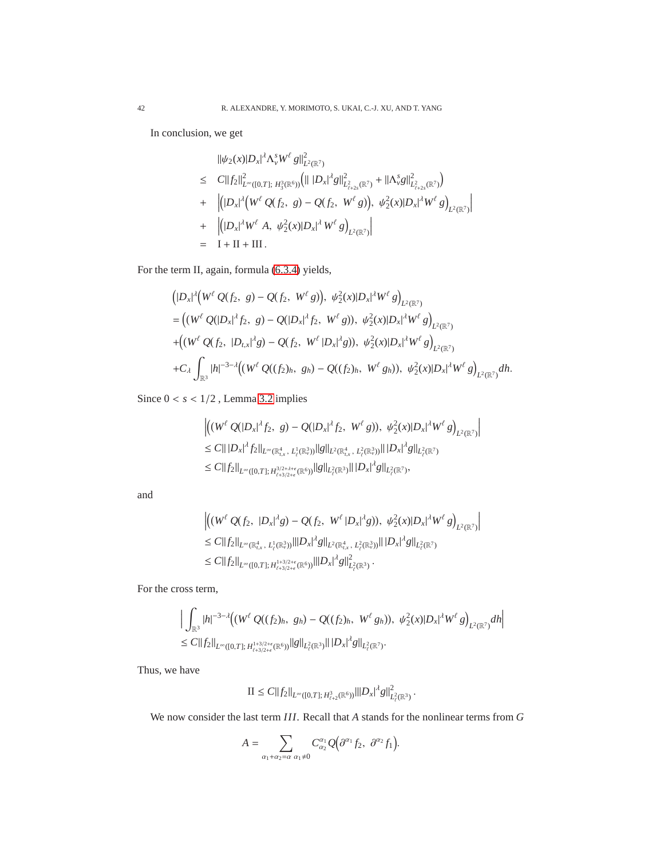In conclusion, we get

$$
\| \psi_2(x) |D_x|^{\lambda} \Lambda_v^s W^{\ell} g \|_{L^2(\mathbb{R}^7)}^2
$$
\n
$$
\leq C \| f_2 \|_{L^{\infty}([0,T]; H_3^3(\mathbb{R}^6))}^2 \Big( \| |D_x|^{\lambda} g \|_{L^2_{\ell+2s}(\mathbb{R}^7)}^2 + \| \Lambda_v^s g \|_{L^2_{\ell+2s}(\mathbb{R}^7)}^2 \Big)
$$
\n+ 
$$
\Big( |D_x|^{\lambda} \Big( W^{\ell} Q(f_2, g) - Q(f_2, W^{\ell} g) \Big), \psi_2^2(x) |D_x|^{\lambda} W^{\ell} g \Big)_{L^2(\mathbb{R}^7)} \Big|
$$
\n+ 
$$
\Big( |D_x|^{\lambda} W^{\ell} A, \psi_2^2(x) |D_x|^{\lambda} W^{\ell} g \Big)_{L^2(\mathbb{R}^7)} \Big|
$$
\n= I + II + III.

For the term II, again, formula [\(6.3.4\)](#page-39-2) yields,

$$
\begin{split}\n&\left(|D_x|^{\lambda}\left(W^{\ell}Q(f_2, g) - Q(f_2, W^{\ell}g)\right), \psi_2^2(x)|D_x|^{\lambda}W^{\ell}g\right)_{L^2(\mathbb{R}^7)} \\
&= \left((W^{\ell}Q(|D_x|^{\lambda}f_2, g) - Q(|D_x|^{\lambda}f_2, W^{\ell}g)), \psi_2^2(x)|D_x|^{\lambda}W^{\ell}g\right)_{L^2(\mathbb{R}^7)} \\
&+ \left((W^{\ell}Q(f_2, |D_{t,x}|^{\lambda}g) - Q(f_2, W^{\ell} |D_x|^{\lambda}g)), \psi_2^2(x)|D_x|^{\lambda}W^{\ell}g\right)_{L^2(\mathbb{R}^7)} \\
&+ C_{\lambda}\int_{\mathbb{R}^3}|h|^{-3-\lambda}\left((W^{\ell}Q((f_2)_h, g_h) - Q((f_2)_h, W^{\ell}g_h)), \psi_2^2(x)|D_x|^{\lambda}W^{\ell}g\right)_{L^2(\mathbb{R}^7)}dh.\n\end{split}
$$

Since  $0 < s < 1/2$ , Lemma [3.2](#page-16-4) implies

$$
\begin{aligned} &\left|\left((W^\ell \ Q(|D_x|^{ \lambda} f_2, \ g)-Q(|D_x|^{ \lambda} f_2, \ W^\ell \ g)), \ \psi_2^2(x)|D_x|^{ \lambda} W^\ell \ g\right)_{L^2(\mathbb R^7)}\right|\\ &\leq C||\ |D_x|^\lambda f_2||_{L^\infty(\mathbb R^4_{t,x},\ L^1_\ell(\mathbb R^3_v))}||g||_{L^2(\mathbb R^4_{t,x},\ L^2_\ell(\mathbb R^3_v))}||\ |D_x|^\lambda g||_{L^2_\ell(\mathbb R^7)}\\ &\leq C||f_2||_{L^\infty([0,T];H^{3/2+\lambda+\epsilon}_{t+3/2+\epsilon}(\mathbb R^6))}||g||_{L^2_\ell(\mathbb R^3)}||\ |D_x|^\lambda g||_{L^2_\ell(\mathbb R^7)}, \end{aligned}
$$

and

$$
\begin{aligned} &\left|\left((W^\ell\ Q(f_2,\ |D_x|^{\lambda}g)-Q(f_2,\ W^\ell\,|D_x|^{\lambda}g)),\ \psi_2^2(x)|D_x|^{\lambda}W^\ell\,g\right)_{L^2(\mathbb R^7)}\right|\\ &\leq C||f_2||_{L^\infty(\mathbb R^4_{t,x},\ L^1_\ell(\mathbb R^3_v))}|||D_x|^{\lambda}g||_{L^2(\mathbb R^4_{t,x},\ L^2_\ell(\mathbb R^3_v))}|||D_x|^{\lambda}g||_{L^2_\ell(\mathbb R^7)}\\ &\leq C||f_2||_{L^\infty([0,T];\ H^{1+3/2+\epsilon}_{t+3/2+\epsilon}(\mathbb R^6))}|||D_x|^{\lambda}g||^2_{L^2_\ell(\mathbb R^3)}\,. \end{aligned}
$$

 $\overline{\phantom{a}}$ I I  $\mathsf{I}$ 

For the cross term,

$$
\Big| \int_{\mathbb{R}^3} |h|^{-3-\lambda} \Big( (W^\ell \mathcal{Q}((f_2)_h, g_h) - \mathcal{Q}((f_2)_h, W^\ell g_h)), \psi_2^2(x) |D_x|^\lambda W^\ell g \Big)_{L^2(\mathbb{R}^7)} dh \Big|
$$
  
\n
$$
\leq C ||f_2||_{L^\infty([0,T]; H^{1+3/2+\epsilon}_{\ell+3/2+\epsilon}(\mathbb{R}^6))} ||g||_{L^2_\ell(\mathbb{R}^3)} |||D_x|^\lambda g||_{L^2_\ell(\mathbb{R}^7)}.
$$

Thus, we have

$$
\mathrm{II} \leq C \|f_2\|_{L^\infty([0,T];H^3_{\ell+2}(\mathbb{R}^6))} \|\|D_x\|^{\lambda} g\|^2_{L^2_{\ell}(\mathbb{R}^3)}.
$$

We now consider the last term *III*. Recall that *A* stands for the nonlinear terms from *G*

$$
A = \sum_{\alpha_1 + \alpha_2 = \alpha \alpha_1 \neq 0} C_{\alpha_2}^{\alpha_1} Q(\partial^{\alpha_1} f_2, \ \partial^{\alpha_2} f_1).
$$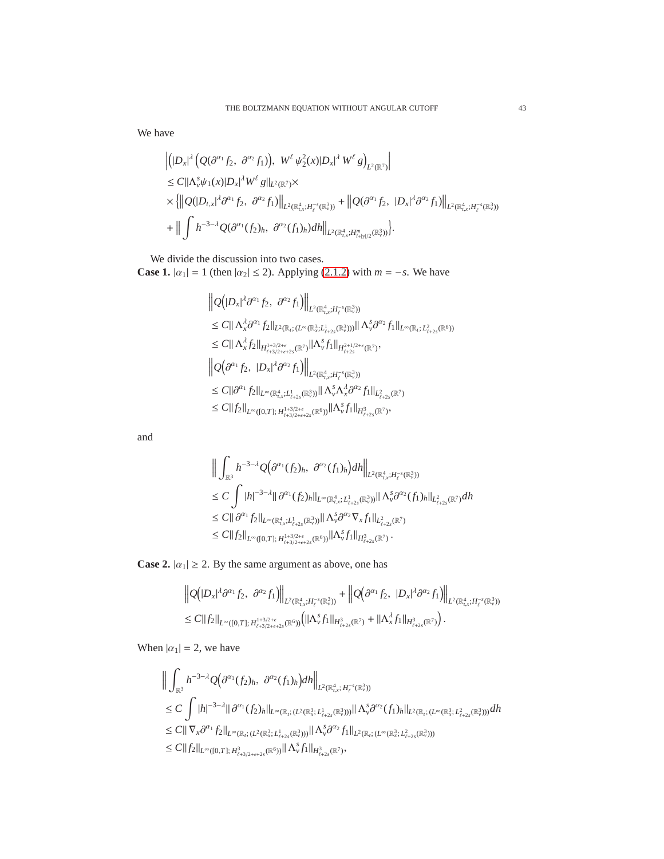We have

$$
\begin{split} & \left| \left( |D_x|^{\lambda} \left( Q(\partial^{\alpha_1} f_2, \ \partial^{\alpha_2} f_1) \right), \ W^{\ell} \psi_2^2(x) |D_x|^{\lambda} \ W^{\ell} g \right)_{L^2(\mathbb{R}^7)} \right| \\ & \leq C || \Lambda_{\nu}^s \psi_1(x) |D_x|^{\lambda} W^{\ell} g ||_{L^2(\mathbb{R}^7)} \times \\ & \times \left\{ \left\| Q(|D_{t,x}|^{\lambda} \partial^{\alpha_1} f_2, \ \partial^{\alpha_2} f_1) \right\|_{L^2(\mathbb{R}^4_{t,x};H^{-s}_\ell(\mathbb{R}^3_v))} + \left\| Q(\partial^{\alpha_1} f_2, \ |D_x|^{\lambda} \partial^{\alpha_2} f_1) \right\|_{L^2(\mathbb{R}^4_{t,x};H^{-s}_\ell(\mathbb{R}^3_v))} \\ & + \left\| \int h^{-3-\lambda} Q(\partial^{\alpha_1} (f_2)_h, \ \partial^{\alpha_2} (f_1)_h) dh \right\|_{L^2(\mathbb{R}^4_{t,x};H^m_{t+\gamma/2}(\mathbb{R}^3_v))} . \end{split}
$$

We divide the discussion into two cases.

**Case 1.**  $|\alpha_1| = 1$  (then  $|\alpha_2| \le 2$ ). Applying [\(2.1.2\)](#page-7-2) with  $m = -s$ . We have

$$
\label{eq:20} \begin{split} &\left\| \mathcal{Q} \big( |D_x|^{\lambda}\partial^{\alpha_1} f_2, \ \partial^{\alpha_2} f_1 \big) \right\|_{L^2(\mathbb{R}^4_{t,x};H^{-s}_\ell(\mathbb{R}^3_v))} \\ &\leq C\|\ \Lambda_x^\lambda \partial^{\alpha_1} f_2 \|_{L^2(\mathbb{R}_t;(L^\infty(\mathbb{R}^3_x;L^1_{t+2s}(\mathbb{R}^3_v)))} \|\ \Lambda_y^s \partial^{\alpha_2} f_1 \|_{L^\infty(\mathbb{R}_t;L^2_{t+2s}(\mathbb{R}^6))} \\ &\leq C\|\ \Lambda_x^\lambda f_2 \|_{H^{1+3/2+\epsilon}_{t+3/2+\epsilon+2s}(\mathbb{R}^7)} \|\Lambda_y^s f_1 \|_{H^{2+1/2+\epsilon}_{t+2s}(\mathbb{R}^7)}, \\ &\left\| \mathcal{Q} \big( \partial^{\alpha_1} f_2, \ |D_x|^{\lambda} \partial^{\alpha_2} f_1 \big) \right\|_{L^2(\mathbb{R}^4_{t,x};H^{-s}_\ell(\mathbb{R}^3_v))} \\ &\leq C\|\partial^{\alpha_1} f_2 \|_{L^\infty(\mathbb{R}^4_{t,x};L^1_{t+2s}(\mathbb{R}^3_v))} \|\ \Lambda_y^s \Lambda_x^\lambda \partial^{\alpha_2} f_1 \|_{L^2_{t+2s}(\mathbb{R}^7)} \\ &\leq C\|f_2\|_{L^\infty([0,T];H^{1+3/2+\epsilon}_{t+3/2+\epsilon+2s}(\mathbb{R}^6))} \|\Lambda_y^s f_1 \|_{H^3_{t+2s}(\mathbb{R}^7)}, \end{split}
$$

and

$$
\label{eq:3.1} \begin{split} &\Big\|\int_{\mathbb{R}^3}h^{-3-\lambda}Q\Big(\partial^{\alpha_1}(f_2)_h,\ \partial^{\alpha_2}(f_1)_h\Big)dh\Big\|_{L^2(\mathbb{R}^4_{t,x};H^{-s}_\ell(\mathbb{R}^3_v))}\\ &\leq C\int|h|^{-3-\lambda}\|\,\partial^{\alpha_1}(f_2)_h\|_{L^\infty(\mathbb{R}^4_{t,x};L^1_{\ell+2s}(\mathbb{R}^3_v))}\|\,\Lambda^s_\nu\partial^{\alpha_2}(f_1)_h\|_{L^2_{\ell+2s}(\mathbb{R}^7)}dh\\ &\leq C\|\,\partial^{\alpha_1}f_2\|_{L^\infty(\mathbb{R}^4_{t,x};L^1_{\ell+2s}(\mathbb{R}^3_v))}\|\,\Lambda^s_\nu\partial^{\alpha_2}\nabla_x f_1\|_{L^2_{\ell+2s}(\mathbb{R}^7)}\\ &\leq C\|f_2\|_{L^\infty([0,T];\,H^{1+3/2+\epsilon+2}_{\ell+3/2,\mathbb{R}^6(s)})}\|\Lambda^s_\nu f_1\|_{H^3_{\ell+2s}(\mathbb{R}^7)}\,. \end{split}
$$

**Case 2.**  $|\alpha_1| \ge 2$ . By the same argument as above, one has

$$
\begin{split} &\left\| \mathcal{Q} \big( |D_x|^{\lambda} \partial^{\alpha_1} f_2, \ \partial^{\alpha_2} f_1 \big) \right\|_{L^2(\mathbb{R}^4_{t,x};H^{-s}_\varepsilon(\mathbb{R}^3_v))} + \left\| \mathcal{Q} \big( \partial^{\alpha_1} f_2, \ |D_x|^{\lambda} \partial^{\alpha_2} f_1 \big) \right\|_{L^2(\mathbb{R}^4_{t,x};H^{-s}_\varepsilon(\mathbb{R}^3_v))} \\ &\leq C \| f_2 \|_{L^\infty([0,T];H^{1+3/2+\epsilon}_{t+3/2+\epsilon+2s}(\mathbb{R}^6))} \big( \| \Lambda_\nu^s f_1 \|_{H^3_{t+2s}(\mathbb{R}^7)} + \| \Lambda_x^\lambda f_1 \|_{H^3_{t+2s}(\mathbb{R}^7)} \big) . \end{split}
$$

When  $|\alpha_1| = 2$ , we have

$$
\label{eq:20} \begin{split} &\Big\|\int_{\mathbb{R}^3}h^{-3-\lambda}Q\Big(\partial^{\alpha_1}(f_2)_h,\ \partial^{\alpha_2}(f_1)_h\Big)dh\Big\|_{L^2(\mathbb{R}^4_{t,x};\, H^{-s}_\ell(\mathbb{R}^3_v))}\\ &\leq C\int|h|^{-3-\lambda}\|\,\partial^{\alpha_1}(f_2)_h\|_{L^\infty(\mathbb{R}_t;(L^2(\mathbb{R}^3_x; L^1_{t+2s}(\mathbb{R}^3_v)))}\|\,\Lambda^s_v\partial^{\alpha_2}(f_1)_h\|_{L^2(\mathbb{R}_t;(L^\infty(\mathbb{R}^3_x; L^2_{t+2s}(\mathbb{R}^3_v)))}dh\\ &\leq C\|\nabla_x\partial^{\alpha_1}f_2\|_{L^\infty(\mathbb{R}_t;(L^2(\mathbb{R}^3_x; L^1_{t+2s}(\mathbb{R}^3_v)))}\|\,\Lambda^s_v\partial^{\alpha_2}f_1\|_{L^2(\mathbb{R}_t;(L^\infty(\mathbb{R}^3_x; L^2_{t+2s}(\mathbb{R}^3_v)))}\\ &\leq C\|f_2\|_{L^\infty([0,T];\, H^3_{t+3/2+\epsilon+2s}(\mathbb{R}^6))}\|\,\Lambda^s_vf_1\|_{H^3_{t+2s}(\mathbb{R}^7)}, \end{split}
$$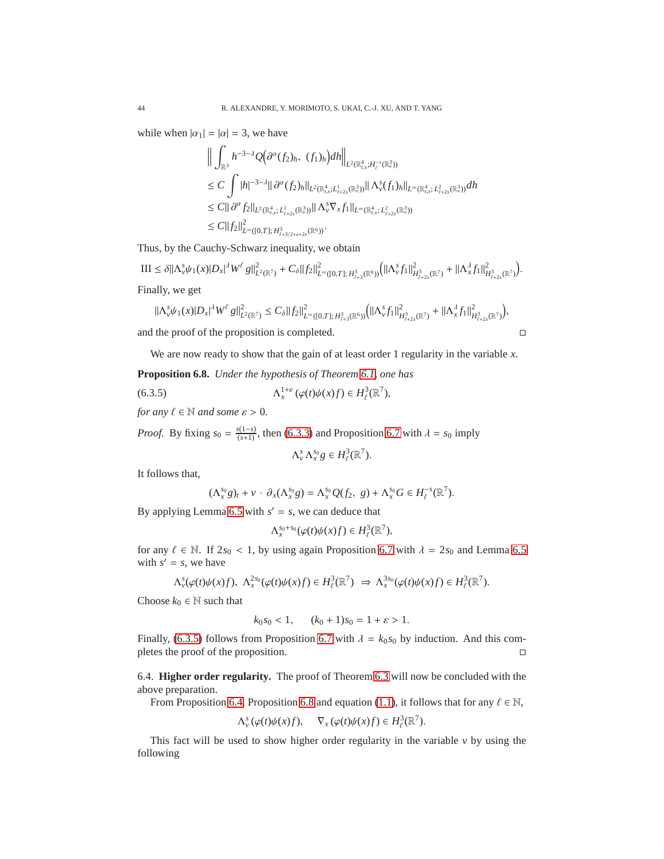while when  $|\alpha_1| = |\alpha| = 3$ , we have

$$
\begin{split} &\left\|\int_{\mathbb{R}^3}h^{-3-\lambda}Q\big(\partial^\alpha (f_2)_h, \ (f_1)_h\big)dh\right\|_{L^2(\mathbb{R}^4_{t,x};H^{-s}_\ell(\mathbb{R}^3_v))}\\ &\leq C\int |h|^{-3-\lambda}\|\,\partial^\alpha (f_2)_h\|_{L^2(\mathbb{R}^4_{t,x};L^1_{\ell+2s}(\mathbb{R}^3_v))}\|\,\Lambda^\delta_\nu(f_1)_h\|_{L^\infty(\mathbb{R}^4_{t,x};L^2_{\ell+2s}(\mathbb{R}^3_v))}dh\\ &\leq C\|\,\partial^\alpha f_2\|_{L^2(\mathbb{R}^4_{t,x};L^1_{\ell+2s}(\mathbb{R}^3_v))}\|\,\Lambda^\delta_\nu\nabla_x f_1\|_{L^\infty(\mathbb{R}^4_{t,x};L^2_{\ell+2s}(\mathbb{R}^3_v))}\\ &\leq C\|f_2\|^2_{L^\infty([0,T];H^3_{\ell+3/2+\epsilon+2s}(\mathbb{R}^6))}. \end{split}
$$

Thus, by the Cauchy-Schwarz inequality, we obtain

 $\text{III} \leq \delta \|\Lambda_{\nu}^{s}\psi_{1}(x)|D_{x}|^{\lambda}W^{\ell}g\|_{L^{2}(\mathbb{R}^{7})}^{2} + C_{\delta}||f_{2}||_{L^{2}(\mathbb{R}^{7})}^{2}$  $L^{\infty}([0,T]; H^3_{\ell+3}(\mathbb{R}^6)) \bigg( || \Lambda^s_\nu f_1 ||_H^2$  $\frac{2}{H^3_{\ell+2s}(\mathbb{R}^7)} + ||\Lambda_x^{\lambda} f_1||_F^2$ 2<br>  $H^3_{\ell+2s}(\mathbb{R}^7)$ . Finally, we get

$$
\|\Lambda_\nu^s\psi_1(x)|D_x|^\lambda W^\ell\,g\|_{L^2(\mathbb{R}^7)}^2\leq C_\delta \|f_2\|_{L^\infty([0,T];\,H_{\ell+3}^3(\mathbb{R}^6))}^2\big(\|\Lambda_\nu^sf_1\|_{H_{\ell+2s}^3(\mathbb{R}^7)}^2+\|\Lambda_x^{\lambda}f_1\|_{H_{\ell+2s}^3(\mathbb{R}^7)}^2\big),
$$
 and the proof of the proposition is completed.

We are now ready to show that the gain of at least order 1 regularity in the variable *x*.

<span id="page-43-2"></span>**Proposition 6.8.** *Under the hypothesis of Theorem [6.1,](#page-35-1) one has*

(6.3.5) 
$$
\Lambda_x^{1+\varepsilon}(\varphi(t)\psi(x)f) \in H^3_{\ell}(\mathbb{R}^7),
$$

*for any*  $\ell \in \mathbb{N}$  *and some*  $\varepsilon > 0$ *.* 

*Proof.* By fixing  $s_0 = \frac{s(1-s)}{(s+1)}$ , then [\(6.3.3\)](#page-39-0) and Proposition [6.7](#page-40-0) with  $\lambda = s_0$  imply

<span id="page-43-1"></span> $\Lambda_v^s \Lambda_x^{s_0} g \in H^3_\ell(\mathbb{R}^7)$ .

It follows that,

$$
(\Lambda_x^{s_0}g)_t+\nu\cdot\partial_x(\Lambda_x^{s_0}g)=\Lambda_x^{s_0}Q(f_2,\ g)+\Lambda_x^{s_0}G\in H^{-s}_\ell(\mathbb{R}^7).
$$

By applying Lemma [6.5](#page-39-3) with  $s' = s$ , we can deduce that

$$
\Lambda_x^{s_0+s_0}(\varphi(t)\psi(x)f) \in H^3_{\ell}(\mathbb{R}^7),
$$

for any  $\ell \in \mathbb{N}$ . If  $2s_0 < 1$ , by using again Proposition [6.7](#page-40-0) with  $\lambda = 2s_0$  and Lemma [6.5](#page-39-3) with  $s' = s$ , we have

$$
\Lambda^s_\nu(\varphi(t)\psi(x)f),\ \Lambda^{2s_0}_x(\varphi(t)\psi(x)f) \in H^3_\ell(\mathbb{R}^7) \ \Rightarrow \ \Lambda^{3s_0}_x(\varphi(t)\psi(x)f) \in H^3_\ell(\mathbb{R}^7).
$$

Choose  $k_0 \in \mathbb{N}$  such that

$$
k_0s_0 < 1, \qquad (k_0+1)s_0 = 1 + \varepsilon > 1.
$$

Finally, [\(6.3.5\)](#page-43-1) follows from Proposition [6.7](#page-40-0) with  $\lambda = k_0 s_0$  by induction. And this completes the proof of the proposition.

<span id="page-43-0"></span>6.4. **Higher order regularity.** The proof of Theorem [6.3](#page-36-2) will now be concluded with the above preparation.

From Proposition [6.4,](#page-37-1) Proposition [6.8](#page-43-2) and equation [\(1.1\)](#page-1-1), it follows that for any  $\ell \in \mathbb{N}$ ,

$$
\Lambda_{\nu}^{s}(\varphi(t)\psi(x)f), \quad \nabla_{x}(\varphi(t)\psi(x)f) \in H_{\ell}^{3}(\mathbb{R}^{7}).
$$

This fact will be used to show higher order regularity in the variable *v* by using the following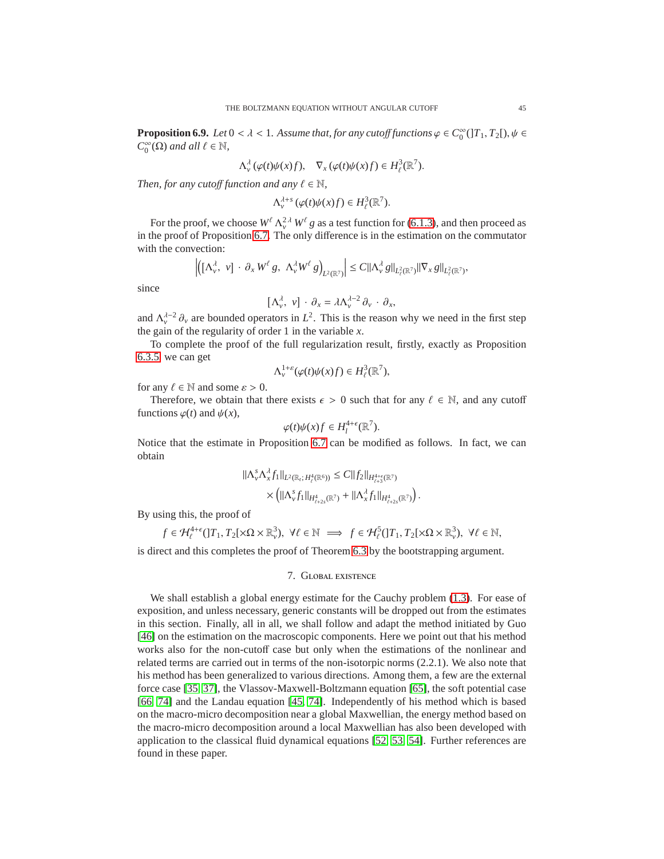**Proposition 6.9.** *Let*  $0 < \lambda < 1$ *. Assume that, for any cutoff functions*  $\varphi \in C_0^{\infty}(|T_1, T_2|)$ *,*  $\psi \in C_0^{\infty}$  $C_0^{\infty}(\Omega)$  *and all*  $\ell \in \mathbb{N}$ *,* 

$$
\Lambda_v^{\lambda}(\varphi(t)\psi(x)f), \quad \nabla_x(\varphi(t)\psi(x)f) \in H^3_{\ell}(\mathbb{R}^7).
$$

*Then, for any cutoff function and any*  $\ell \in \mathbb{N}$ *,* 

$$
\Lambda_{\nu}^{\lambda+s}(\varphi(t)\psi(x)f)\in H_{\ell}^{3}(\mathbb{R}^{7}).
$$

For the proof, we choose  $W^{\ell} \Lambda_{\nu}^{2\lambda} W^{\ell} g$  as a test function for [\(6.1.3\)](#page-39-0), and then proceed as in the proof of Proposition [6.7.](#page-40-0) The only difference is in the estimation on the commutator with the convection:

$$
\left|\left(\left[\Lambda_{\nu}^{\lambda},\ \nu\right]\, \cdot\, \partial_x\, W^{\ell}\, g,\ \Lambda_{\nu}^{\lambda} W^{\ell}\, g\right)_{L^2(\mathbb R^7)}\right|\leq C\|\Lambda_{\nu}^{\lambda}\, g\|_{L^2_{\ell}(\mathbb R^7)}\|\nabla_x\, g\|_{L^2_{\ell}(\mathbb R^7)},
$$

since

$$
[\Lambda_v^{\lambda},\ v]\cdot\partial_x=\lambda\Lambda_v^{\lambda-2}\,\partial_v\cdot\partial_x,
$$

and  $\Lambda_v^{\lambda-2} \partial_v$  are bounded operators in  $L^2$ . This is the reason why we need in the first step the gain of the regularity of order 1 in the variable *x*.

To complete the proof of the full regularization result, firstly, exactly as Proposition [6.3.5,](#page-43-1) we can get

$$
\Lambda_{\nu}^{1+\varepsilon}(\varphi(t)\psi(x)f) \in H_{\ell}^{3}(\mathbb{R}^{7}),
$$

for any  $\ell \in \mathbb{N}$  and some  $\varepsilon > 0$ .

Therefore, we obtain that there exists  $\epsilon > 0$  such that for any  $\ell \in \mathbb{N}$ , and any cutoff functions  $\varphi(t)$  and  $\psi(x)$ ,

$$
\varphi(t)\psi(x)f \in H_l^{4+\epsilon}(\mathbb{R}^7).
$$

Notice that the estimate in Proposition [6.7](#page-40-0) can be modified as follows. In fact, we can obtain

$$
\begin{aligned} \|\Lambda_v^s \Lambda_x^{\lambda} f_1\|_{L^2(\mathbb{R}_t; H^4_\ell(\mathbb{R}^6))} &\leq C \|f_2\|_{H^4_{\ell+3}(\mathbb{R}^7)} \\ &\times \left( \|\Lambda_v^s f_1\|_{H^4_{\ell+2s}(\mathbb{R}^7)} + \|\Lambda_x^{\lambda} f_1\|_{H^4_{\ell+2s}(\mathbb{R}^7)} \right). \end{aligned}
$$

By using this, the proof of

$$
f \in \mathcal{H}_{\ell}^{4+\epsilon}(]T_1, T_2[\times \Omega \times \mathbb{R}_{\nu}^3), \ \forall \ell \in \mathbb{N} \implies f \in \mathcal{H}_{\ell}^5(]T_1, T_2[\times \Omega \times \mathbb{R}_{\nu}^3), \ \forall \ell \in \mathbb{N},
$$

<span id="page-44-0"></span>is direct and this completes the proof of Theorem [6.3](#page-36-2) by the bootstrapping argument.

## 7. Global existence

We shall establish a global energy estimate for the Cauchy problem [\(1.3\)](#page-4-0). For ease of exposition, and unless necessary, generic constants will be dropped out from the estimates in this section. Finally, all in all, we shall follow and adapt the method initiated by Guo [\[46\]](#page-57-5) on the estimation on the macroscopic components. Here we point out that his method works also for the non-cutoff case but only when the estimations of the nonlinear and related terms are carried out in terms of the non-isotorpic norms (2.2.1). We also note that his method has been generalized to various directions. Among them, a few are the external force case [\[35,](#page-57-28) [37\]](#page-57-29), the Vlassov-Maxwell-Boltzmann equation [\[65\]](#page-58-24), the soft potential case [\[66,](#page-58-25) [74\]](#page-58-26) and the Landau equation [\[45,](#page-57-22) [74\]](#page-58-26). Independently of his method which is based on the macro-micro decomposition near a global Maxwellian, the energy method based on the macro-micro decomposition around a local Maxwellian has also been developed with application to the classical fluid dynamical equations [\[52,](#page-58-15) [53,](#page-58-16) [54\]](#page-58-27). Further references are found in these paper.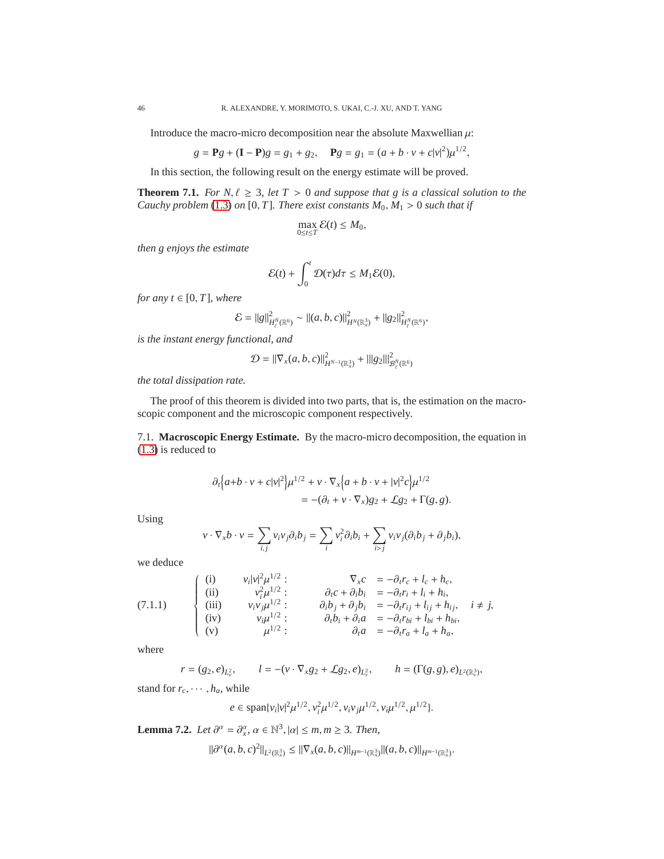Introduce the macro-micro decomposition near the absolute Maxwellian  $\mu$ :

$$
g = \mathbf{P}g + (\mathbf{I} - \mathbf{P})g = g_1 + g_2
$$
,  $\mathbf{P}g = g_1 = (a + b \cdot v + c|v|^2)\mu^{1/2}$ ,

In this section, the following result on the energy estimate will be proved.

<span id="page-45-2"></span>**Theorem 7.1.** *For N,*  $\ell \geq 3$ *, let T > 0 and suppose that g is a classical solution to the Cauchy problem* [\(1.3\)](#page-4-0) *on* [0, *T*]*. There exist constants*  $M_0$ ,  $M_1 > 0$  *such that if* 

$$
\max_{0\leq t\leq T}\mathcal{E}(t)\leq M_0,
$$

*then g enjoys the estimate*

$$
\mathcal{E}(t) + \int_0^t \mathcal{D}(\tau) d\tau \le M_1 \mathcal{E}(0),
$$

*for any*  $t \in [0, T]$ *, where* 

$$
\mathcal{E} = ||g||_{H^N_{\ell}(\mathbb{R}^6)}^2 \sim ||(a,b,c)||_{H^N(\mathbb{R}^3_x)}^2 + ||g_2||_{H^N_{\ell}(\mathbb{R}^6)}^2,
$$

*is the instant energy functional, and*

$$
\mathcal{D} = ||\nabla_x(a, b, c)||^2_{H^{N-1}(\mathbb{R}^3_x)} + ||g_2||^2_{\mathcal{B}^N_\ell(\mathbb{R}^6)}
$$

*the total dissipation rate.*

The proof of this theorem is divided into two parts, that is, the estimation on the macroscopic component and the microscopic component respectively.

<span id="page-45-0"></span>7.1. **Macroscopic Energy Estimate.** By the macro-micro decomposition, the equation in [\(1.3\)](#page-4-0) is reduced to

$$
\partial_t \Big\{ a+b\cdot v + c|v|^2 \Big\} \mu^{1/2} + v\cdot \nabla_x \Big\{ a+b\cdot v + |v|^2 c \Big\} \mu^{1/2}
$$
  
= -(\partial\_t + v\cdot \nabla\_x) g\_2 + \mathcal{L} g\_2 + \Gamma(g,g).

Using

$$
v \cdot \nabla_x b \cdot v = \sum_{i,j} v_i v_j \partial_i b_j = \sum_i v_i^2 \partial_i b_i + \sum_{i>j} v_i v_j (\partial_i b_j + \partial_j b_i),
$$

we deduce

(7.1.1) 
$$
\begin{cases}\n(i) & v_i|v|^2 \mu^{1/2} : & \nabla_x c = -\partial_t r_c + l_c + h_c, \\
(ii) & v_i^2 \mu^{1/2} : & \partial_t c + \partial_i b_i = -\partial_t r_i + l_i + h_i, \\
(iii) & v_i v_j \mu^{1/2} : & \partial_i b_j + \partial_j b_i = -\partial_t r_{ij} + l_{ij} + h_{ij}, \quad i \neq j, \\
(iv) & v_i \mu^{1/2} : & \partial_t b_i + \partial_i a = -\partial_t r_{bi} + l_{bi} + h_{bi}, \\
(v) & \mu^{1/2} : & \partial_t a = -\partial_t r_a + l_a + h_a,\n\end{cases}
$$

where

$$
r = (g_2, e)_{L_v^2},
$$
  $l = -(v \cdot \nabla_x g_2 + \mathcal{L} g_2, e)_{L_v^2},$   $h = (\Gamma(g, g), e)_{L^2(\mathbb{R}_v^3)},$ 

stand for  $r_c$ ,  $\cdots$  ,  $h_a$ , while

$$
e \in \text{span}\{v_i|v|^2\mu^{1/2}, v_i^2\mu^{1/2}, v_i v_j\mu^{1/2}, v_i\mu^{1/2}, \mu^{1/2}\}.
$$

<span id="page-45-1"></span>**Lemma 7.2.** *Let*  $\partial^{\alpha} = \partial^{\alpha}_x, \alpha \in \mathbb{N}^3, |\alpha| \leq m, m \geq 3$ . *Then,* 

 $||\partial^{\alpha}(a,b,c)^{2}||_{L^{2}(\mathbb{R}^{3}_{x})} \leq ||\nabla_{x}(a,b,c)||_{H^{m-1}(\mathbb{R}^{3}_{x})} ||(a,b,c)||_{H^{m-1}(\mathbb{R}^{3}_{x})}.$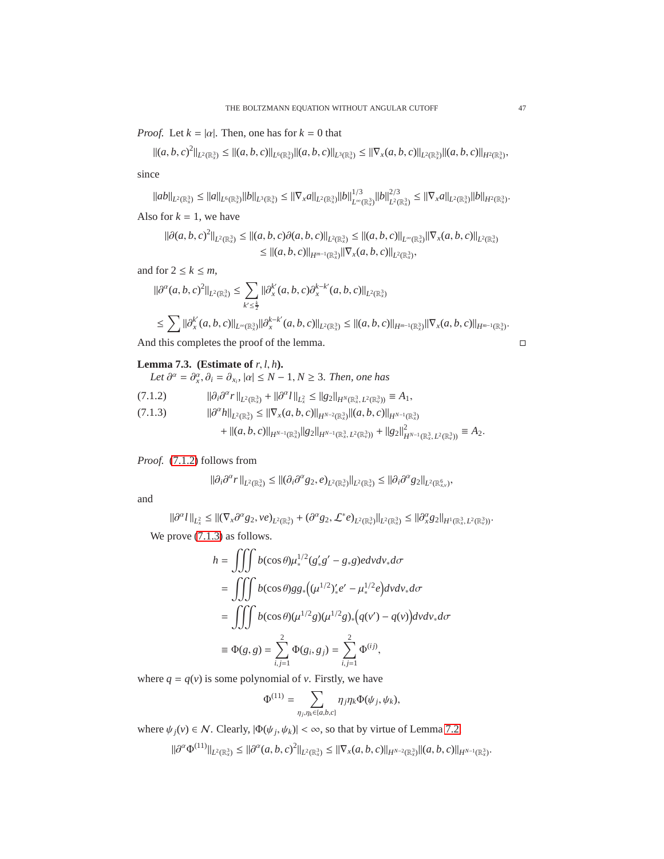*Proof.* Let  $k = |\alpha|$ . Then, one has for  $k = 0$  that

 $||(a, b, c)^{2}||_{L^{2}(\mathbb{R}^{3}_{x})} \leq ||(a, b, c)||_{L^{6}(\mathbb{R}^{3}_{x})} ||(a, b, c)||_{L^{3}(\mathbb{R}^{3}_{x})} \leq ||\nabla_{x}(a, b, c)||_{L^{2}(\mathbb{R}^{3}_{x})} ||(a, b, c)||_{H^{2}(\mathbb{R}^{3}_{x})}$ 

since

$$
||ab||_{L^2(\mathbb{R}^3_x)} \leq ||a||_{L^6(\mathbb{R}^3_x)} ||b||_{L^3(\mathbb{R}^3_x)} \leq ||\nabla_x a||_{L^2(\mathbb{R}^3_x)} ||b||_{L^{\infty}(\mathbb{R}^3_x)}^{1/3} ||b||_{L^2(\mathbb{R}^3_x)}^{2/3} \leq ||\nabla_x a||_{L^2(\mathbb{R}^3_x)} ||b||_{H^2(\mathbb{R}^3_x)}.
$$

Also for  $k = 1$ , we have

$$
\begin{aligned} \|\partial(a,b,c)^2\|_{L^2(\mathbb{R}^3_x)} &\leq \|(a,b,c)\partial(a,b,c)\|_{L^2(\mathbb{R}^3_x)} \leq \|(a,b,c)\|_{L^\infty(\mathbb{R}^3_x)} \|\nabla_x(a,b,c)\|_{L^2(\mathbb{R}^3_x)} \\ &\leq \|(a,b,c)\|_{H^{m-1}(\mathbb{R}^3_x)} \|\nabla_x(a,b,c)\|_{L^2(\mathbb{R}^3_x)}, \end{aligned}
$$

and for  $2 \leq k \leq m$ ,

$$
\|\partial^{\alpha}(a,b,c)^2\|_{L^2(\mathbb{R}^3_x)} \leq \sum_{k' \leq \frac{k}{2}} \|\partial_x^{k'}(a,b,c)\partial_x^{k-k'}(a,b,c)\|_{L^2(\mathbb{R}^3_x)}
$$

$$
\leq \sum ||\partial_x^{k'}(a,b,c)||_{L^{\infty}(\mathbb{R}^3_x)} ||\partial_x^{k-k'}(a,b,c)||_{L^2(\mathbb{R}^3_x)} \leq ||(a,b,c)||_{H^{m-1}(\mathbb{R}^3_x)} ||\nabla_x(a,b,c)||_{H^{m-1}(\mathbb{R}^3_x)}.
$$
  
And this completes the proof of the lemma.

# <span id="page-46-0"></span>**Lemma 7.3.** (Estimate of  $r$ ,  $l$ ,  $h$ ).

Let  $\partial^{\alpha} = \partial^{\alpha}_x, \partial_i = \partial_{x_i}, |\alpha| \leq N - 1, N \geq 3$ . Then, one has

- $\|\partial_i \partial^\alpha r\|_{L^2(\mathbb{R}^3_x)} + \|\partial^\alpha l\|_{L^2_x} \le \|g_2\|_{H^N(\mathbb{R}^3_x, L^2(\mathbb{R}^3_v))} \equiv A_1,$
- $||\partial^{\alpha}h||_{L^{2}(\mathbb{R}^{3}_{x})} \leq ||\nabla_{x}(a,b,c)||_{H^{N-2}(\mathbb{R}^{3}_{x})} ||(a,b,c)||_{H^{N-1}(\mathbb{R}^{3}_{x})}$ (7.1.3)

$$
+ \left\|(a,b,c)\right\|_{H^{N-1}(\mathbb{R}^3_x)} \|\mathfrak{g}_2\|_{H^{N-1}(\mathbb{R}^3_x,L^2(\mathbb{R}^3_v))} + \|\mathfrak{g}_2\|_{H^{N-1}(\mathbb{R}^3_x,L^2(\mathbb{R}^3_v))}^2 \equiv A_2.
$$

*Proof.* [\(7.1.2\)](#page-49-0) follows from

$$
\|\partial_i\partial^\alpha r\|_{L^2(\mathbb{R}^3_x)}\leq \|(\partial_i\partial^\alpha g_2,e)_{L^2(\mathbb{R}^3_v)}\|_{L^2(\mathbb{R}^3_x)}\leq \|\partial_i\partial^\alpha g_2\|_{L^2(\mathbb{R}^6_{x,v})},
$$

and

 $\|\partial^\alpha l\|_{L^2_x} \leq \|(\nabla_x \partial^\alpha g_2, v e)_{L^2(\mathbb{R}^3_v)} + (\partial^\alpha g_2, \mathcal{L}^* e)_{L^2(\mathbb{R}^3_v)}\|_{L^2(\mathbb{R}^3_x)} \leq \|\partial_x^\alpha g_2\|_{H^1(\mathbb{R}^3_x, L^2(\mathbb{R}^3_v))}.$ We prove [\(7.1.3\)](#page-49-1) as follows.

$$
h = \iiint b(\cos \theta) \mu_{*}^{1/2} (g'_{*}g' - g_{*}g) e dv dv_{*} d\sigma
$$
  
= 
$$
\iiint b(\cos \theta) g g_{*} ((\mu^{1/2})'_{*}e' - \mu_{*}^{1/2}e) dv dv_{*} d\sigma
$$
  
= 
$$
\iiint b(\cos \theta) (\mu^{1/2}g) (\mu^{1/2}g)_{*} (q(v') - q(v)) dv dv_{*} d\sigma
$$
  
= 
$$
\Phi(g, g) = \sum_{i,j=1}^{2} \Phi(g_{i}, g_{j}) = \sum_{i,j=1}^{2} \Phi^{(ij)},
$$

where  $q = q(v)$  is some polynomial of *v*. Firstly, we have

$$
\Phi^{(11)} = \sum_{\eta_j,\eta_k \in [a,b,c]} \eta_j \eta_k \Phi(\psi_j,\psi_k),
$$

where  $\psi_j(v) \in \mathcal{N}$ . Clearly,  $|\Phi(\psi_j, \psi_k)| < \infty$ , so that by virtue of Lemma [7.2,](#page-45-1)

 $\|\partial^{\alpha}\Phi^{(11)}\|_{L^2(\mathbb{R}^3_x)} \leq \|\partial^{\alpha}(a,b,c)^2\|_{L^2(\mathbb{R}^3_x)} \leq \|\nabla_x(a,b,c)\|_{H^{N-2}(\mathbb{R}^3_x)} \|(a,b,c)\|_{H^{N-1}(\mathbb{R}^3_x)}.$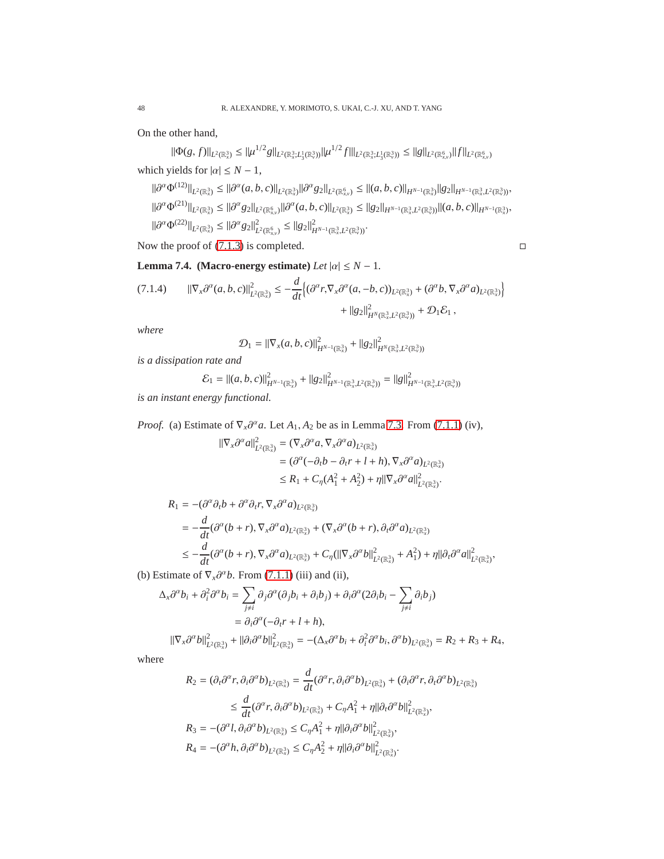On the other hand,

 $\|\Phi(g,f)\|_{L^2(\mathbb{R}^3_x)} \leq \|\mu^{1/2}g\|_{L^2(\mathbb{R}^3_x;L^1_3(\mathbb{R}^3_v))} \|\mu^{1/2}f\|_{L^2(\mathbb{R}^3_x;L^1_3(\mathbb{R}^3_v))} \leq \|g\|_{L^2(\mathbb{R}^6_{x,v})} \|f\|_{L^2(\mathbb{R}^6_{x,v})}$ which yields for  $|\alpha| \leq N - 1$ ,

 $\|\partial^\alpha \Phi^{(12)}\|_{L^2(\mathbb{R}^3_x)} \leq \|\partial^\alpha(a,b,c)\|_{L^2(\mathbb{R}^3_x)} \|\partial^\alpha g_2\|_{L^2(\mathbb{R}^6_{x,v})} \leq \|(a,b,c)\|_{H^{N-1}(\mathbb{R}^3_x)} \|g_2\|_{H^{N-1}(\mathbb{R}^3_{x},L^2(\mathbb{R}^3_v))},$  $\|\partial^\alpha \Phi^{(21)}\|_{L^2(\mathbb{R}^3_x)} \leq \|\partial^\alpha g_2\|_{L^2(\mathbb{R}^6_{x,v})}\|\partial^\alpha(a,b,c)\|_{L^2(\mathbb{R}^3_x)} \leq \|g_2\|_{H^{N-1}(\mathbb{R}^3_x,L^2(\mathbb{R}^3_v))}\|(a,b,c)\|_{H^{N-1}(\mathbb{R}^3_x)},$  $\|\partial^{\alpha}\Phi^{(22)}\|_{L^2(\mathbb{R}^3_x)} \leq \|\partial^{\alpha}g_2\|_{L^2}^2$  $\vert L^2(\mathbb{R}^6_{x,v}) \vert \leq \Vert g_2 \Vert^2_{H^{N-1}(\mathbb{R}^3_x, L^2(\mathbb{R}^3_v))}.$ 

Now the proof of  $(7.1.3)$  is completed.

**Lemma 7.4.** (Macro-energy estimate)  $Let |\alpha| \leq N - 1$ .

$$
(7.1.4) \qquad \|\nabla_x \partial^{\alpha}(a,b,c)\|_{L^2(\mathbb{R}^3_x)}^2 \leq -\frac{d}{dt} \Big\{ (\partial^{\alpha} r, \nabla_x \partial^{\alpha}(a,-b,c))_{L^2(\mathbb{R}^3_x)} + (\partial^{\alpha} b, \nabla_x \partial^{\alpha} a)_{L^2(\mathbb{R}^3_x)} + \|\mathbf{g}_2\|_{H^N(\mathbb{R}^3_x, L^2(\mathbb{R}^3_x))}^2 + \mathcal{D}_1 \mathcal{E}_1 \,,
$$

*where*

$$
\mathcal{D}_1 = \|\nabla_x(a, b, c)\|_{H^{N-1}(\mathbb{R}^3_x)}^2 + \|g_2\|_{H^N(\mathbb{R}^3_x, L^2(\mathbb{R}^3_v))}^2
$$

*is a dissipation rate and*

$$
\mathcal{E}_1 = ||(a, b, c)||^2_{H^{N-1}(\mathbb{R}^3_x)} + ||g_2||^2_{H^{N-1}(\mathbb{R}^3_x, L^2(\mathbb{R}^3_v))} = ||g||^2_{H^{N-1}(\mathbb{R}^3_x, L^2(\mathbb{R}^3_v))}
$$

*is an instant energy functional.*

*Proof.* (a) Estimate of  $\nabla_x \partial^\alpha a$ . Let  $A_1, A_2$  be as in Lemma [7.3.](#page-46-0) From [\(7.1.1\)](#page-55-1) (iv),

$$
\begin{aligned} \|\nabla_x \partial^\alpha a\|_{L^2(\mathbb{R}^3_x)}^2 &= (\nabla_x \partial^\alpha a, \nabla_x \partial^\alpha a)_{L^2(\mathbb{R}^3_x)} \\ &= (\partial^\alpha (-\partial_t b - \partial_t r + l + h), \nabla_x \partial^\alpha a)_{L^2(\mathbb{R}^3_x)} \\ &\le R_1 + C_\eta (A_1^2 + A_2^2) + \eta \|\nabla_x \partial^\alpha a\|_{L^2(\mathbb{R}^3_x)}^2. \end{aligned}
$$

$$
\begin{split} R_1 &= -(\partial^\alpha \partial_t b + \partial^\alpha \partial_t r, \nabla_x \partial^\alpha a)_{L^2(\mathbb{R}^3_x)} \\ &= -\frac{d}{dt} (\partial^\alpha (b+r), \nabla_x \partial^\alpha a)_{L^2(\mathbb{R}^3_x)} + (\nabla_x \partial^\alpha (b+r), \partial_t \partial^\alpha a)_{L^2(\mathbb{R}^3_x)} \\ &\leq -\frac{d}{dt} (\partial^\alpha (b+r), \nabla_x \partial^\alpha a)_{L^2(\mathbb{R}^3_x)} + C_\eta (\|\nabla_x \partial^\alpha b\|_{L^2(\mathbb{R}^3_x)}^2 + A_1^2) + \eta \|\partial_t \partial^\alpha a\|_{L^2(\mathbb{R}^3_x)}^2, \end{split}
$$

(b) Estimate of  $\nabla_x \partial^\alpha b$ . From [\(7.1.1\)](#page-55-1) (iii) and (ii),

$$
\Delta_x \partial^\alpha b_i + \partial_i^2 \partial^\alpha b_i = \sum_{j \neq i} \partial_j \partial^\alpha (\partial_j b_i + \partial_i b_j) + \partial_i \partial^\alpha (2\partial_i b_i - \sum_{j \neq i} \partial_i b_j)
$$
  
=  $\partial_i \partial^\alpha (-\partial_i r + l + h)$ ,

$$
\|\nabla_x\partial^\alpha b\|^2_{L^2(\mathbb{R}^3_x)} + \|\partial_i\partial^\alpha b\|^2_{L^2(\mathbb{R}^3_x)} = -(\Delta_x\partial^\alpha b_i + \partial_i^2\partial^\alpha b_i, \partial^\alpha b)_{L^2(\mathbb{R}^3_x)} = R_2 + R_3 + R_4,
$$

where

$$
R_2 = (\partial_t \partial^\alpha r, \partial_i \partial^\alpha b)_{L^2(\mathbb{R}^3_x)} = \frac{d}{dt} (\partial^\alpha r, \partial_i \partial^\alpha b)_{L^2(\mathbb{R}^3_x)} + (\partial_i \partial^\alpha r, \partial_i \partial^\alpha b)_{L^2(\mathbb{R}^3_x)}
$$
  
\n
$$
\leq \frac{d}{dt} (\partial^\alpha r, \partial_i \partial^\alpha b)_{L^2(\mathbb{R}^3_x)} + C_\eta A_1^2 + \eta ||\partial_t \partial^\alpha b||_{L^2(\mathbb{R}^3_x)}^2,
$$
  
\n
$$
R_3 = -(\partial^\alpha l, \partial_i \partial^\alpha b)_{L^2(\mathbb{R}^3_x)} \leq C_\eta A_1^2 + \eta ||\partial_i \partial^\alpha b||_{L^2(\mathbb{R}^3_x)}^2,
$$
  
\n
$$
R_4 = -(\partial^\alpha h, \partial_i \partial^\alpha b)_{L^2(\mathbb{R}^3_x)} \leq C_\eta A_2^2 + \eta ||\partial_i \partial^\alpha b||_{L^2(\mathbb{R}^3_x)}^2.
$$

o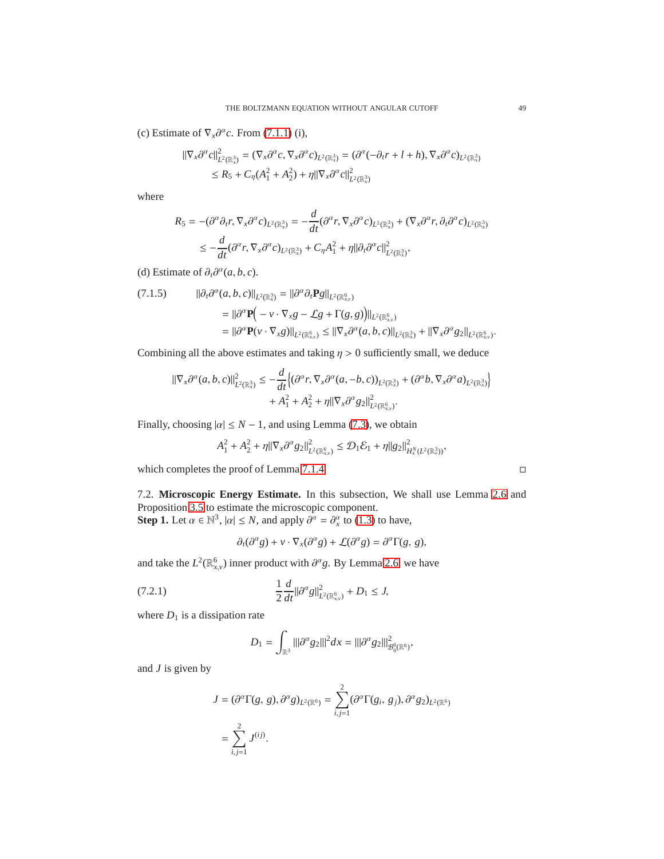(c) Estimate of  $\nabla_x \partial^\alpha c$ . From [\(7.1.1\)](#page-55-1) (i),

$$
\begin{aligned} \|\nabla_x \partial^\alpha c\|^2_{L^2(\mathbb{R}^3_x)} &= (\nabla_x \partial^\alpha c, \nabla_x \partial^\alpha c)_{L^2(\mathbb{R}^3_x)} = (\partial^\alpha (-\partial_t r + l + h), \nabla_x \partial^\alpha c)_{L^2(\mathbb{R}^3_x)} \\ &\le R_5 + C_\eta (A_1^2 + A_2^2) + \eta \|\nabla_x \partial^\alpha c\|^2_{L^2(\mathbb{R}^3_x)} \end{aligned}
$$

where

$$
R_5 = -(\partial^{\alpha}\partial_t r, \nabla_x \partial^{\alpha} c)_{L^2(\mathbb{R}^3_x)} = -\frac{d}{dt}(\partial^{\alpha} r, \nabla_x \partial^{\alpha} c)_{L^2(\mathbb{R}^3_x)} + (\nabla_x \partial^{\alpha} r, \partial_t \partial^{\alpha} c)_{L^2(\mathbb{R}^3_x)}
$$
  

$$
\leq -\frac{d}{dt}(\partial^{\alpha} r, \nabla_x \partial^{\alpha} c)_{L^2(\mathbb{R}^3_x)} + C_{\eta} A_1^2 + \eta \|\partial_t \partial^{\alpha} c\|_{L^2(\mathbb{R}^3_x)}^2,
$$

(d) Estimate of  $\partial_t \partial^\alpha (a, b, c)$ .

$$
(7.1.5) \t ||\partial_t \partial^{\alpha} (a, b, c)||_{L^2(\mathbb{R}^3_x)} = ||\partial^{\alpha} \partial_t \mathbf{P}g||_{L^2(\mathbb{R}^6_{x,v})}
$$
  
\t\t\t\t
$$
= ||\partial^{\alpha} \mathbf{P} \Big( -v \cdot \nabla_x g - \mathcal{L}g + \Gamma(g, g) \Big) ||_{L^2(\mathbb{R}^6_{x,v})}
$$
  
\t\t\t\t
$$
= ||\partial^{\alpha} \mathbf{P}(v \cdot \nabla_x g)||_{L^2(\mathbb{R}^6_{x,v})} \le ||\nabla_x \partial^{\alpha} (a, b, c)||_{L^2(\mathbb{R}^3_x)} + ||\nabla_x \partial^{\alpha} g_2||_{L^2(\mathbb{R}^6_{x,v})}.
$$

Combining all the above estimates and taking  $\eta > 0$  sufficiently small, we deduce

$$
\begin{split} \|\nabla_x \partial^{\alpha} (a,b,c)\|_{L^2(\mathbb{R}^3_x)}^2 &\leq -\frac{d}{dt} \Big\{ (\partial^{\alpha} r, \nabla_x \partial^{\alpha} (a,-b,c))_{L^2(\mathbb{R}^3_x)} + (\partial^{\alpha} b, \nabla_x \partial^{\alpha} a)_{L^2(\mathbb{R}^3_x)} \Big\} \\ &+ A_1^2 + A_2^2 + \eta \|\nabla_x \partial^{\alpha} g_2\|_{L^2(\mathbb{R}^6_{x,v})}^2. \end{split}
$$

Finally, choosing  $|\alpha| \leq N - 1$ , and using Lemma [\(7.3\)](#page-46-0), we obtain

$$
A_1^2 + A_2^2 + \eta \|\nabla_x \partial^\alpha g_2\|_{L^2(\mathbb{R}^6_{x,v})}^2 \leq \mathcal{D}_1 \mathcal{E}_1 + \eta \|g_2\|_{H^N_x(L^2(\mathbb{R}^3_v))}^2,
$$

which completes the proof of Lemma [7.1.4.](#page-49-2)  $\Box$ 

<span id="page-48-0"></span>7.2. **Microscopic Energy Estimate.** In this subsection, We shall use Lemma [2.6](#page-8-3) and Proposition [3.5](#page-18-1) to estimate the microscopic component. **Step 1.** Let  $\alpha \in \mathbb{N}^3$ ,  $|\alpha| \le N$ , and apply  $\partial^{\alpha} = \partial^{\alpha}_x$  to [\(1.3\)](#page-4-0) to have,

$$
\partial_t(\partial^\alpha g)+v\cdot\nabla_x(\partial^\alpha g)+\mathcal{L}(\partial^\alpha g)=\partial^\alpha\Gamma(g,\,g),
$$

and take the  $L^2(\mathbb{R}^6_{x,v})$  inner product with  $\partial^{\alpha} g$ . By Lemma [2.6,](#page-8-3) we have

$$
(7.2.1) \qquad \qquad \frac{1}{2}\frac{d}{dt}\|\partial^{\alpha}g\|_{L^{2}(\mathbb{R}^{6}_{x,v})}^{2}+D_{1}\leq J,
$$

where  $D_1$  is a dissipation rate

$$
D_1 = \int_{\mathbb{R}^3} ||\partial^{\alpha} g_2|||^2 dx = ||\partial^{\alpha} g_2|||_{\mathcal{B}^0_0(\mathbb{R}^6)}^2,
$$

and *J* is given by

$$
J = (\partial^{\alpha} \Gamma(g, g), \partial^{\alpha} g)_{L^2(\mathbb{R}^6)} = \sum_{i,j=1}^2 (\partial^{\alpha} \Gamma(g_i, g_j), \partial^{\alpha} g_2)_{L^2(\mathbb{R}^6)}
$$
  
= 
$$
\sum_{i,j=1}^2 J^{(ij)}.
$$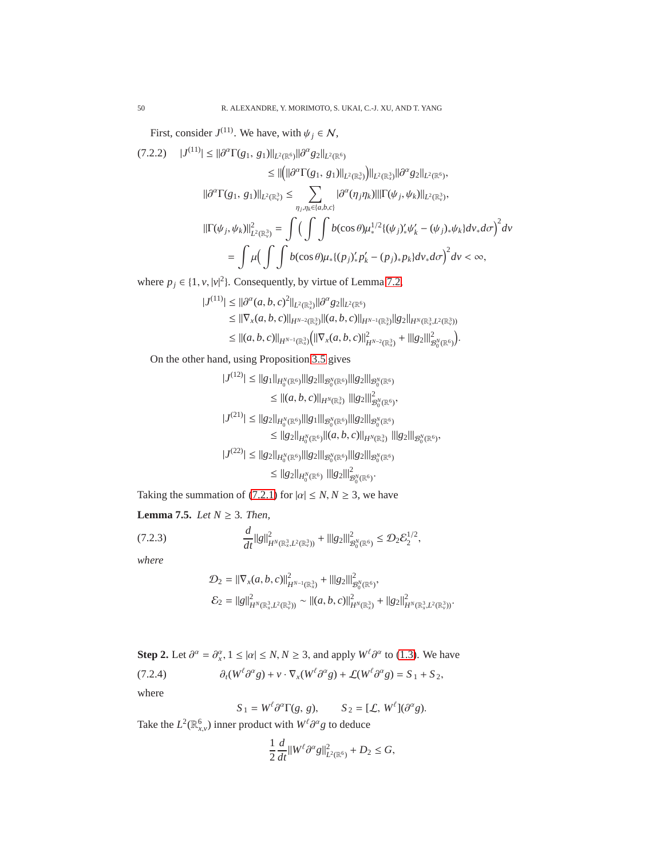First, consider  $J^{(11)}$ . We have, with  $\psi_j \in \mathcal{N}$ ,

<span id="page-49-0"></span> $|J^{(11)}| \le ||\partial^{\alpha}\Gamma(g_1, g_1)||_{L^2(\mathbb{R}^6)} ||\partial^{\alpha}g_2||_{L^2(\mathbb{R}^6)}$ 

$$
\leq ||\left(||\partial^{\alpha}\Gamma(g_{1}, g_{1})||_{L^{2}(\mathbb{R}_{v}^{3})}\right)||_{L^{2}(\mathbb{R}_{v}^{3})}||\partial^{\alpha}g_{2}||_{L^{2}(\mathbb{R}_{v}^{6})},
$$
  
\n
$$
||\partial^{\alpha}\Gamma(g_{1}, g_{1})||_{L^{2}(\mathbb{R}_{v}^{3})} \leq \sum_{\eta_{j}, \eta_{k}\in\{a,b,c\}} |\partial^{\alpha}(\eta_{j}\eta_{k})|||\Gamma(\psi_{j}, \psi_{k})||_{L^{2}(\mathbb{R}_{v}^{3})},
$$
  
\n
$$
||\Gamma(\psi_{j}, \psi_{k})||_{L^{2}(\mathbb{R}_{v}^{3})}^{2} = \int \left(\int \int b(\cos\theta)\mu_{*}^{1/2}\{(\psi_{j})'_{*}\psi'_{k} - (\psi_{j})_{*}\psi_{k}\}d\nu_{*}d\sigma\right)^{2}d\nu
$$
  
\n
$$
= \int \mu\left(\int \int b(\cos\theta)\mu_{*}\{(p_{j})'_{*}p'_{k} - (p_{j})_{*}p_{k}\}d\nu_{*}d\sigma\right)^{2}d\nu < \infty,
$$

where  $p_j \in \{1, v, |v|^2\}$ . Consequently, by virtue of Lemma [7.2,](#page-45-1)

$$
\begin{aligned} |J^{(11)}| &\leq \|\partial^{\alpha}(a,b,c)^2\|_{L^2(\mathbb{R}^3_x)}\|\partial^{\alpha}g_2\|_{L^2(\mathbb{R}^6)}\\ &\leq \|\nabla_x(a,b,c)\|_{H^{N-2}(\mathbb{R}^3_x)}\|(a,b,c)\|_{H^{N-1}(\mathbb{R}^3_x)}\|g_2\|_{H^N(\mathbb{R}^3_x,L^2(\mathbb{R}^3_v))}\\ &\leq \|(a,b,c)\|_{H^{N-1}(\mathbb{R}^3_x)}\Big(\|\nabla_x(a,b,c)\|_{H^{N-2}(\mathbb{R}^3_x)}^2+\|g_2\|_{\mathcal{B}_0^N(\mathbb{R}^6)}^2\Big). \end{aligned}
$$

On the other hand, using Proposition [3.5](#page-18-1) gives

 $|J^{(12)}| \leq ||g_1||_{H_0^N(\mathbb{R}^6)} |||g_2|||_{\mathcal{B}_0^N(\mathbb{R}^6)} |||g_2|||_{\mathcal{B}_0^N(\mathbb{R}^6)}$  $\leq ||(a, b, c)||_{H^N(\mathbb{R}^3_x)} |||g_2|||_{\mathcal{B}_0^N(\mathbb{R}^6)}^2$  $|J^{(21)}| \leq ||g_2||_{H_0^N(\mathbb{R}^6)} |||g_1|||_{\mathcal{B}_0^N(\mathbb{R}^6)} |||g_2|||_{\mathcal{B}_0^N(\mathbb{R}^6)}$  $\leq ||g_2||_{H_0^N(\mathbb{R}^6)} ||(a, b, c)||_{H^N(\mathbb{R}^3_x)} |||g_2|||_{\mathcal{B}_0^N(\mathbb{R}^6)},$  $|J^{(22)}| \leq ||g_2||_{H_0^N(\mathbb{R}^6)} |||g_2|||_{\mathcal{B}_0^N(\mathbb{R}^6)} |||g_2|||_{\mathcal{B}_0^N(\mathbb{R}^6)}$  $\leq ||g_2||_{H_0^N(\mathbb{R}^6)}$   $|||g_2|||_{\mathcal{B}_0^N(\mathbb{R}^6)}^2$ .

Taking the summation of [\(7.2.1\)](#page-55-1) for  $|\alpha| \le N, N \ge 3$ , we have

**Lemma 7.5.** *Let*  $N \geq 3$ *. Then,* 

$$
(7.2.3) \t\t \t\t \frac{d}{dt} \|g\|_{H^N(\mathbb{R}^3_x, L^2(\mathbb{R}^3_x))}^2 + \|g_2\|_{\mathcal{B}_0^N(\mathbb{R}^6)}^2 \leq \mathcal{D}_2 \mathcal{E}_2^{1/2},
$$

*where*

<span id="page-49-1"></span>
$$
\begin{aligned} \mathcal{D}_2 &= ||\nabla_x(a,b,c)||^2_{H^{N-1}(\mathbb{R}^3_x)} + |||g_2|||^2_{\mathcal{B}_0^N(\mathbb{R}^6)},\\ \mathcal{E}_2 &= ||g||^2_{H^N(\mathbb{R}^3_x,L^2(\mathbb{R}^3_v))} \sim ||(a,b,c)||^2_{H^N(\mathbb{R}^3_x)} + ||g_2||^2_{H^N(\mathbb{R}^3_x,L^2(\mathbb{R}^3_v))}. \end{aligned}
$$

**Step 2.** Let  $\partial^{\alpha} = \partial_{x}^{\alpha}, 1 \leq |\alpha| \leq N, N \geq 3$ , and apply  $W^{\ell} \partial^{\alpha}$  to [\(1.3\)](#page-4-0). We have  $(7.2.4)$  $\partial^{\alpha} g$ ) + *v* ·  $\nabla_{x} (W^{\ell} \partial^{\alpha} g) + \mathcal{L} (W^{\ell} \partial^{\alpha} g) = S_1 + S_2$ ,

where

<span id="page-49-2"></span>
$$
S_1 = W^{\ell} \partial^{\alpha} \Gamma(g, g), \qquad S_2 = [\mathcal{L}, W^{\ell}] (\partial^{\alpha} g).
$$

Take the  $L^2(\mathbb{R}^6_{x,v})$  inner product with  $W^{\ell}\partial^{\alpha}g$  to deduce

$$
\frac{1}{2}\frac{d}{dt}||W^{\ell}\partial^{\alpha}g||_{L^{2}(\mathbb{R}^{6})}^{2}+D_{2}\leq G,
$$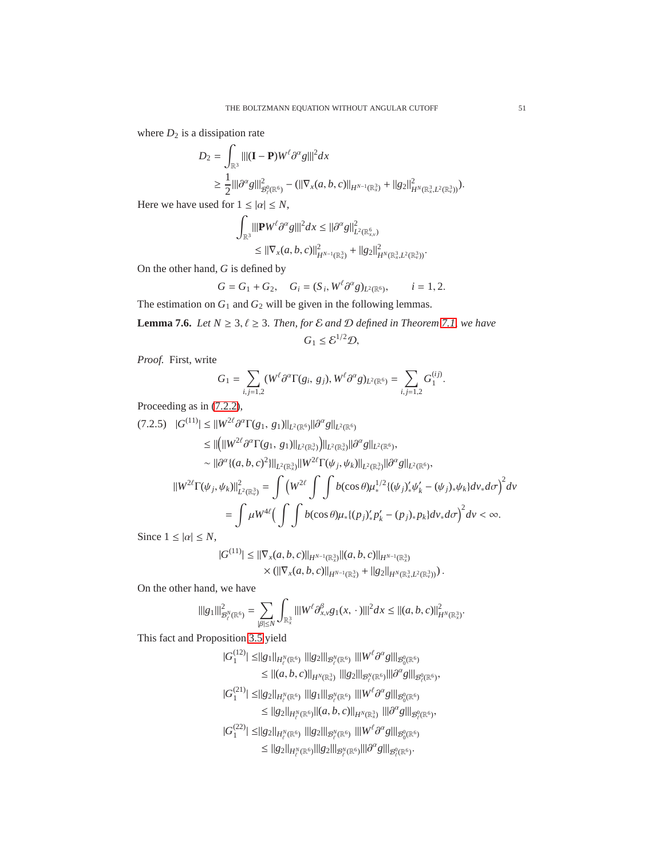where  $D_2$  is a dissipation rate

$$
D_2 = \int_{\mathbb{R}^3} ||| (\mathbf{I} - \mathbf{P}) W^{\ell} \partial^{\alpha} g |||^2 dx
$$
  
\n
$$
\geq \frac{1}{2} ||| \partial^{\alpha} g |||_{\mathcal{B}_{\ell}^{0}(\mathbb{R}^6)}^2 - (||\nabla_x(a, b, c)||_{H^{N-1}(\mathbb{R}^3_x)} + ||g_2||_{H^N(\mathbb{R}^3_x, L^2(\mathbb{R}^3_x))}^2).
$$

Here we have used for  $1 \leq |\alpha| \leq N$ ,

$$
\begin{aligned} \int_{\mathbb{R}^3} & \|\|\mathbf{P}W^\ell\partial^\alpha g\|\|^2 dx \leq \|\partial^\alpha g\|^2_{L^2(\mathbb{R}^6_{x,v})} \\ & \leq \|\nabla_x(a,b,c)\|^2_{H^{N-1}(\mathbb{R}^3_x)} + \|g_2\|^2_{H^N(\mathbb{R}^3_x,L^2(\mathbb{R}^3_v))}. \end{aligned}
$$

On the other hand, *G* is defined by

$$
G = G_1 + G_2
$$
,  $G_i = (S_i, W^{\ell} \partial^{\alpha} g)_{L^2(\mathbb{R}^6)}$ ,  $i = 1, 2$ .

The estimation on  $G_1$  and  $G_2$  will be given in the following lemmas.

**Lemma 7.6.** *Let*  $N \geq 3, \ell \geq 3$ *. Then, for*  $\mathcal E$  *and*  $\mathcal D$  *defined in Theorem [7.1,](#page-45-2) we have*  $G_1 \leq \mathcal{E}^{1/2} \mathcal{D}$ ,

*Proof.* First, write

$$
G_1 = \sum_{i,j=1,2} (W^{\ell} \partial^{\alpha} \Gamma(g_i, g_j), W^{\ell} \partial^{\alpha} g)_{L^2(\mathbb{R}^6)} = \sum_{i,j=1,2} G_1^{(ij)}.
$$

Proceeding as in [\(7.2.2\)](#page-49-0),

<span id="page-50-0"></span>
$$
(7.2.5) \quad |G^{(11)}| \leq ||W^{2\ell}\partial^{\alpha}\Gamma(g_1, g_1)||_{L^2(\mathbb{R}^6)}||\partial^{\alpha}g||_{L^2(\mathbb{R}^6)}
$$
  
\n
$$
\leq ||(\|W^{2\ell}\partial^{\alpha}\Gamma(g_1, g_1)||_{L^2(\mathbb{R}^3_v)}|||_{L^2(\mathbb{R}^3_x)}||\partial^{\alpha}g||_{L^2(\mathbb{R}^6_v)},
$$
  
\n
$$
\sim ||\partial^{\alpha}\{(a, b, c)^2\}||_{L^2(\mathbb{R}^3_x)}||W^{2\ell}\Gamma(\psi_j, \psi_k)||_{L^2(\mathbb{R}^3_v)}||\partial^{\alpha}g||_{L^2(\mathbb{R}^6_v)},
$$
  
\n
$$
||W^{2\ell}\Gamma(\psi_j, \psi_k)||_{L^2(\mathbb{R}^3_v)}^2 = \int (W^{2\ell} \int \int b(\cos\theta)\mu_*^{1/2}\{(\psi_j)'_{\ast}\psi'_k - (\psi_j)_{\ast}\psi_k\}d\nu_{\ast}d\sigma\}^2 dv
$$
  
\n
$$
= \int \mu W^{4\ell} (\int \int b(\cos\theta)\mu_*\{(p_j)'_{\ast}p'_k - (p_j)_{\ast}p_k\}d\nu_{\ast}d\sigma\}^2 dv < \infty.
$$
  
\nSince  $1 \leq |\alpha| \leq N$ ,

Since  $1 \leq |\alpha| \leq N$ ,

 $|G^{(11)}| \leq ||\nabla_x(a, b, c)||_{H^{N-1}(\mathbb{R}^3_x)} ||(a, b, c)||_{H^{N-1}(\mathbb{R}^3_x)}$ 

$$
\times (\|\nabla_x (a,b,c)\|_{H^{N-1}(\mathbb{R}^3_x)} + \|g_2\|_{H^N(\mathbb{R}^3_x, L^2(\mathbb{R}^3_v))}).
$$

On the other hand, we have

$$
\|g_1\|_{\mathcal{B}_{\ell}^N(\mathbb{R}^6)}^2=\sum_{|\beta|\leq N}\int_{\mathbb{R}^3_x}\|\|W^{\ell}\partial_{x,v}^{\beta}g_1(x,\,\cdot\,)\|_1^2dx\leq \|(a,b,c)\|_{H^N(\mathbb{R}^3_x)}^2.
$$

This fact and Proposition [3.5](#page-18-1) yield

$$
\begin{aligned} |G_1^{(12)}| \leq & \|g_1\|_{H^N_{\ell}(\mathbb{R}^6)}\ \|g_2\|_{\mathcal{B}^N_{\ell}(\mathbb{R}^6)}\ \|W^{\ell}\partial^{\alpha}g\|_{\mathcal{B}^0_0(\mathbb{R}^6)}\\ \leq & \|(a,b,c)\|_{H^N(\mathbb{R}^3_x)}\ \|g_2\|_{\mathcal{B}^N_{\ell}(\mathbb{R}^6)}\| \|\partial^{\alpha}g\|_{\mathcal{B}^0_{\ell}(\mathbb{R}^6)},\\ |G_1^{(21)}| \leq & \|g_2\|_{H^N_{\ell}(\mathbb{R}^6)}\ \|g_1\|_{\mathcal{B}^N_{\ell}(\mathbb{R}^6)}\ \| W^{\ell}\partial^{\alpha}g\|_{\mathcal{B}^0_0(\mathbb{R}^6)}\\ \leq & \|g_2\|_{H^N_{\ell}(\mathbb{R}^6)}\|(a,b,c)\|_{H^N(\mathbb{R}^3_x)}\ \|\partial^{\alpha}g\|_{\mathcal{B}^0_{\ell}(\mathbb{R}^6)},\\ |G_1^{(22)}| \leq & \|g_2\|_{H^N_{\ell}(\mathbb{R}^6)}\ \|g_2\|_{\mathcal{B}^N_{\ell}(\mathbb{R}^6)}\ \| W^{\ell}\partial^{\alpha}g\|_{\mathcal{B}^0_0(\mathbb{R}^6)}\\ \leq & \|g_2\|_{H^N_{\ell}(\mathbb{R}^6)}\|g_2\|_{\mathcal{B}^N_{\ell}(\mathbb{R}^6)}\|\partial^{\alpha}g\|_{\mathcal{B}^0_{\ell}(\mathbb{R}^6)}. \end{aligned}
$$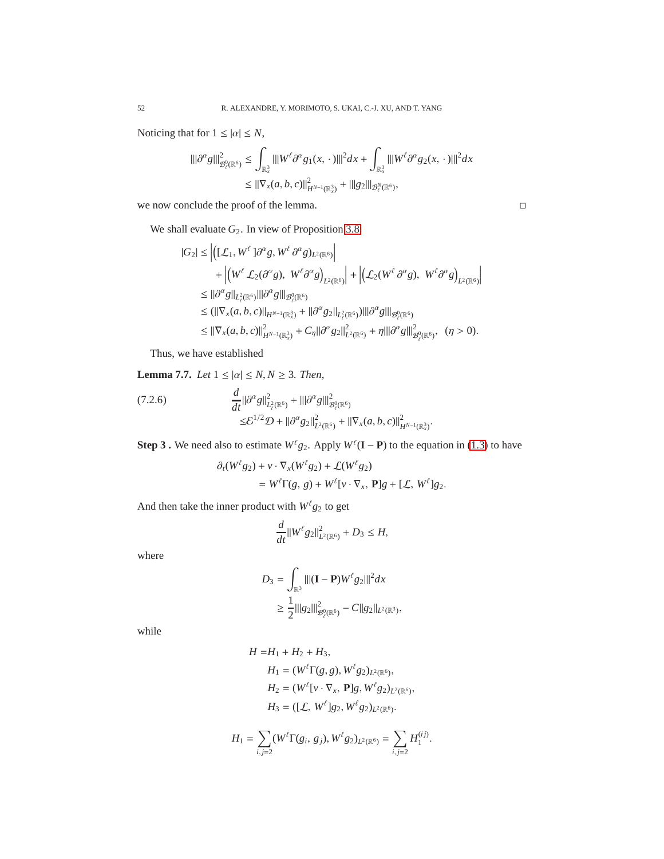Noticing that for  $1 \leq |\alpha| \leq N$ ,

$$
\begin{aligned} \| \|\partial^\alpha g\| \|_{\mathcal{B}^0_\ell(\mathbb{R}^6)}^2 & \leq \int_{\mathbb{R}^3_x} \| \| W^\ell \partial^\alpha g_1(x, \, \cdot \, ) \|^2 dx + \int_{\mathbb{R}^3_x} \| \| W^\ell \partial^\alpha g_2(x, \, \cdot \, ) \|^2 dx \\ & \leq \| \nabla_x (a, b, c) \|^2_{H^{N-1}(\mathbb{R}^3_x)} + \| \| g_2 \| \|_{\mathcal{B}^N_\ell(\mathbb{R}^6)}, \end{aligned}
$$

we now conclude the proof of the lemma.

 $\mathbf{r}$ 

We shall evaluate  $G_2$ . In view of Proposition [3.8,](#page-21-3)

$$
\begin{aligned} |G_2| &\leq \left|\left(\left[\mathcal{L}_1, W^\ell\right]\partial^\alpha g, W^\ell\partial^\alpha g\right)_{L^2(\mathbb{R}^6)}\right| \\ &\quad + \left|\left(W^\ell\mathcal{L}_2(\partial^\alpha g),\ W^\ell\partial^\alpha g\right)_{L^2(\mathbb{R}^6)}\right| + \left|\left(\mathcal{L}_2(W^\ell\partial^\alpha g),\ W^\ell\partial^\alpha g\right)_{L^2(\mathbb{R}^6)}\right| \\ &\leq ||\partial^\alpha g||_{L^2_t(\mathbb{R}^6)} |||\partial^\alpha g||_{\mathcal{B}^0_t(\mathbb{R}^6)} \\ &\leq (||\nabla_x(a,b,c)||_{H^{N-1}(\mathbb{R}^3_x)} + ||\partial^\alpha g_2||_{L^2_t(\mathbb{R}^6)}) |||\partial^\alpha g|||_{\mathcal{B}^0_t(\mathbb{R}^6)} \\ &\leq ||\nabla_x(a,b,c)||_{H^{N-1}(\mathbb{R}^3_x)}^2 + C_\eta ||\partial^\alpha g_2||_{L^2(\mathbb{R}^6)}^2 + \eta |||\partial^\alpha g|||_{\mathcal{B}^0_t(\mathbb{R}^6)}^2, \quad (\eta > 0). \end{aligned}
$$

Thus, we have established

**Lemma 7.7.** *Let*  $1 \leq |\alpha| \leq N, N \geq 3$ *. Then,* 

<span id="page-51-0"></span>(7.2.6) 
$$
\frac{d}{dt} ||\partial^{\alpha} g||_{L_{\ell}^{2}(\mathbb{R}^{6})}^{2} + |||\partial^{\alpha} g||_{\mathcal{B}_{\ell}^{0}(\mathbb{R}^{6})}^{2} \leq \mathcal{E}^{1/2} \mathcal{D} + ||\partial^{\alpha} g_{2}||_{L^{2}(\mathbb{R}^{6})}^{2} + ||\nabla_{x}(a, b, c)||_{H^{N-1}(\mathbb{R}^{3}_{x})}^{2}
$$

**Step 3.** We need also to estimate  $W^{\ell}g_2$ . Apply  $W^{\ell}(\mathbf{I} - \mathbf{P})$  to the equation in [\(1.3\)](#page-4-0) to have

.

$$
\partial_t (W^\ell g_2) + v \cdot \nabla_x (W^\ell g_2) + \mathcal{L}(W^\ell g_2)
$$
  
=  $W^\ell \Gamma(g, g) + W^\ell [v \cdot \nabla_x, \mathbf{P}] g + [\mathcal{L}, W^\ell] g_2.$ 

And then take the inner product with  $W$ <sup> $\ell$ </sup> $g_2$  to get

$$
\frac{d}{dt}||W^{\ell}g_2||^2_{L^2(\mathbb{R}^6)} + D_3 \leq H,
$$

where

$$
D_3 = \int_{\mathbb{R}^3} ||| (\mathbf{I} - \mathbf{P}) W^{\ell} g_2 |||^2 dx
$$
  
 
$$
\geq \frac{1}{2} |||g_2|||_{\mathcal{B}^0_{\ell}(\mathbb{R}^6)}^2 - C ||g_2||_{L^2(\mathbb{R}^3)},
$$

while

$$
H = H_1 + H_2 + H_3,
$$
  
\n
$$
H_1 = (W^{\ell} \Gamma(g, g), W^{\ell} g_2)_{L^2(\mathbb{R}^6)},
$$
  
\n
$$
H_2 = (W^{\ell} [v \cdot \nabla_x, \mathbf{P}] g, W^{\ell} g_2)_{L^2(\mathbb{R}^6)},
$$
  
\n
$$
H_3 = ([\mathcal{L}, W^{\ell}] g_2, W^{\ell} g_2)_{L^2(\mathbb{R}^6)}.
$$

$$
H_1=\sum_{i,j=2} (W^\ell\Gamma(g_i,\,g_j), W^\ell g_2)_{L^2(\mathbb{R}^6)}=\sum_{i,j=2} H_1^{(ij)}.
$$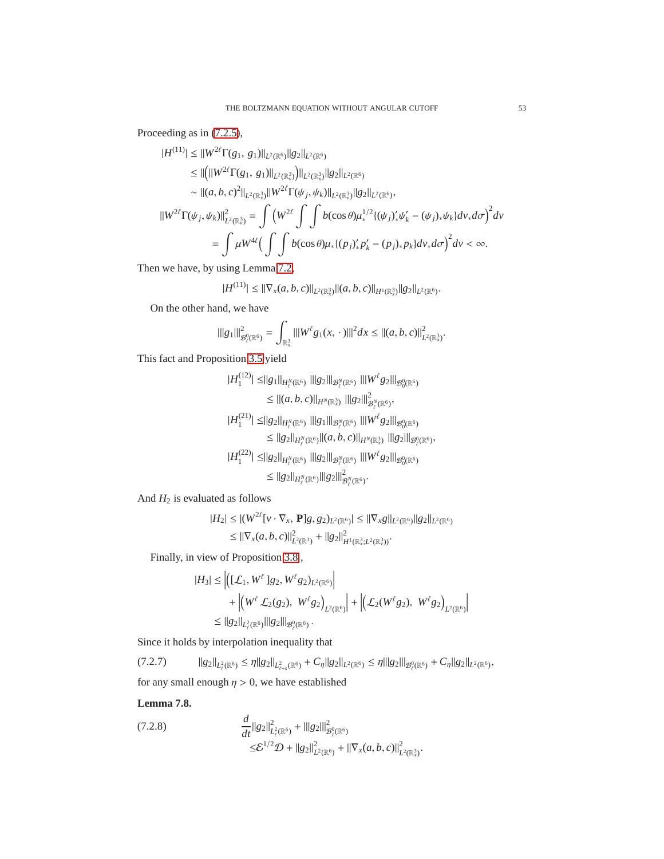Proceeding as in  $(7.2.5)$ ,

 $|H^{(11)}| \leq ||W^{2\ell}\Gamma(g_1, g_1)||_{L^2(\mathbb{R}^6)}||g_2||_{L^2(\mathbb{R}^6)}$  $\leq ||\left(||W^{2\ell}\Gamma(g_1, g_1)||_{L^2(\mathbb{R}^3_v)}\right)||_{L^2(\mathbb{R}^3_x)}||g_2||_{L^2(\mathbb{R}^6)}$  $\sim ||(a, b, c)^2||_{L^2(\mathbb{R}^3_x)}||W^{2\ell}\Gamma(\psi_j, \psi_k)||_{L^2(\mathbb{R}^3_y)}||g_2||_{L^2(\mathbb{R}^6)},$  $\|W^{2\ell}\Gamma(\psi_j,\psi_k)\|_{L}^2$  $L^2(\mathbb{R}^3) = \int (W^{2\ell} \int b(\cos \theta) \mu_*^{1/2})$  $\int_{\alpha}^{1/2} \{ (\psi_j)'_{\alpha} \psi'_k - (\psi_j)_{\alpha} \psi_k \} dv_{\alpha} d\sigma \right)^2 dv$  $=\int \mu W^{4\ell} \left( \int \int b(\cos \theta) \mu_* \{(p_j)'_* p'_k - (p_j)_* p_k\} d\nu_* d\sigma \right)^2 d\nu < \infty.$ 

Then we have, by using Lemma [7.2,](#page-45-1)

$$
|H^{(11)}| \leq \|\nabla_x(a,b,c)\|_{L^2(\mathbb{R}^3_x)} \|(a,b,c)\|_{H^1(\mathbb{R}^3_x)} \|g_2\|_{L^2(\mathbb{R}^6)}.
$$

On the other hand, we have

$$
\|\|g_1\|\|_{\mathcal{B}^0_\ell(\mathbb{R}^6)}^2 = \int_{\mathbb{R}^3_x} \|\|W^\ell g_1(x,\,\cdot\,)\|^2 dx \leq \|(a,b,c)\|_{L^2(\mathbb{R}^3_x)}^2.
$$

This fact and Proposition [3.5](#page-18-1) yield

$$
\begin{aligned} |H_1^{(12)}| \leq & ||g_1||_{H^N_{\ell}(\mathbb{R}^6)} \ |||g_2|||_{\mathcal{B}^N_{\ell}(\mathbb{R}^6)} \ |||W^{\ell}g_2|||_{\mathcal{B}^0_0(\mathbb{R}^6)} \\ & \leq ||(a,b,c)||_{H^N(\mathbb{R}^3_x)} \ |||g_2|||_{\mathcal{B}^N_{\ell}(\mathbb{R}^6)}, \\ |H_1^{(21)}| \leq & ||g_2||_{H^N_{\ell}(\mathbb{R}^6)} \ |||g_1|||_{\mathcal{B}^N_{\ell}(\mathbb{R}^6)} \ |||W^{\ell}g_2|||_{\mathcal{B}^0_0(\mathbb{R}^6)} \\ & \leq ||g_2||_{H^N_{\ell}(\mathbb{R}^6)} ||(a,b,c)||_{H^N(\mathbb{R}^3_x)} \ |||g_2|||_{\mathcal{B}^0_{\ell}(\mathbb{R}^6)}, \\ |H_1^{(22)}| \leq & ||g_2||_{H^N_{\ell}(\mathbb{R}^6)} \ |||g_2|||_{\mathcal{B}^N_{\ell}(\mathbb{R}^6)} \ |||W^{\ell}g_2|||_{\mathcal{B}^0_0(\mathbb{R}^6)} \\ & \leq ||g_2||_{H^N_{\ell}(\mathbb{R}^6)} |||g_2|||_{\mathcal{B}^N_{\ell}(\mathbb{R}^6)} . \end{aligned}
$$

And  $H_2$  is evaluated as follows

$$
|H_2| \le |(W^{2\ell}[\nu \cdot \nabla_x, \mathbf{P}]g, g_2)_{L^2(\mathbb{R}^6)}| \le ||\nabla_x g||_{L^2(\mathbb{R}^6)} ||g_2||_{L^2(\mathbb{R}^6)}
$$
  

$$
\le ||\nabla_x(a, b, c)||^2_{L^2(\mathbb{R}^3)} + ||g_2||^2_{H^1(\mathbb{R}^3_x; L^2(\mathbb{R}^3_x))}.
$$

Finally, in view of Proposition [3.8](#page-21-3) ,  $\mathbf{r}$ 

$$
\begin{aligned} |H_3| &\le \left| \left( [\mathcal{L}_1, W^\ell \, ] g_2, W^\ell g_2 \right)_{L^2(\mathbb{R}^6)} \right| \\ &\quad + \left| \left( W^\ell \, \mathcal{L}_2(g_2), \ W^\ell g_2 \right)_{L^2(\mathbb{R}^6)} \right| + \left| \left( \mathcal{L}_2(W^\ell g_2), \ W^\ell g_2 \right)_{L^2(\mathbb{R}^6)} \right| \\ &\le \| g_2 \|_{L^2_{\ell}(\mathbb{R}^6)} \| \| g_2 \|_{B^0_{\ell}(\mathbb{R}^6)} \,. \end{aligned}
$$

Since it holds by interpolation inequality that

<span id="page-52-0"></span> $(7.2.7)$  $\mathbb{E}_{\ell}^{2}(\mathbb{R}^{6})} \leq \eta \|g_{2}\|_{L^{2}_{\ell+s}(\mathbb{R}^{6})} + C_{\eta} \|g_{2}\|_{L^{2}(\mathbb{R}^{6})} \leq \eta \|g_{2}\|_{\mathcal{B}_{\ell}^{0}(\mathbb{R}^{6})} + C_{\eta} \|g_{2}\|_{L^{2}(\mathbb{R}^{6})},$ for any small enough  $\eta > 0$ , we have established

# **Lemma 7.8.**

<span id="page-52-1"></span>(7.2.8) 
$$
\frac{d}{dt} ||g_2||^2_{L^2(\mathbb{R}^6)} + ||g_2||^2_{\mathcal{B}^0_{\ell}(\mathbb{R}^6)} \leq \mathcal{E}^{1/2} \mathcal{D} + ||g_2||^2_{L^2(\mathbb{R}^6)} + ||\nabla_x(a, b, c)||^2_{L^2(\mathbb{R}^3_x)}.
$$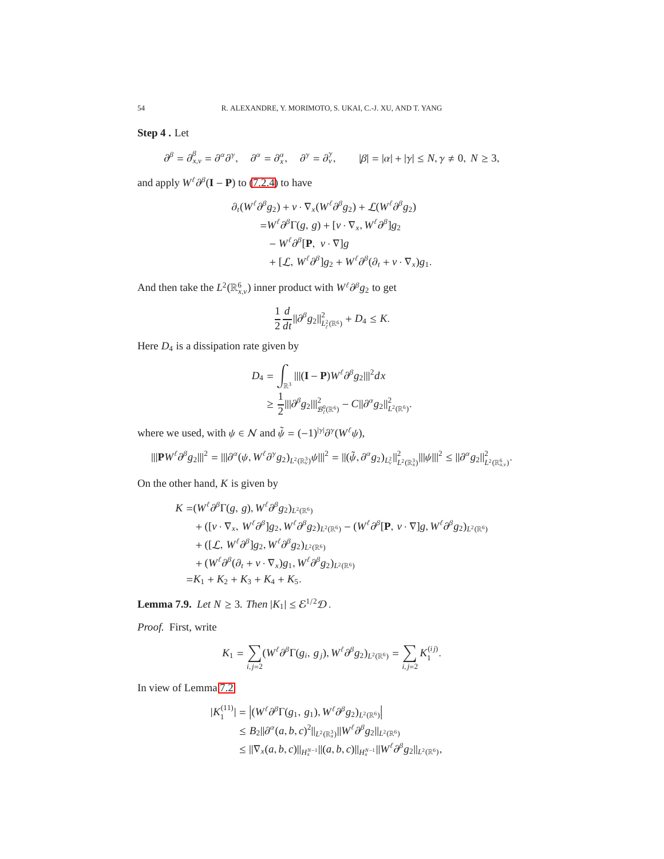**Step 4 .** Let

 $\partial^{\beta} = \partial_{x,v}^{\beta} = \partial^{\alpha} \partial^{\gamma}, \quad \partial^{\alpha} = \partial_{x}^{\alpha}, \quad \partial^{\gamma} = \partial_{\nu}^{\gamma}, \quad |\beta| = |\alpha| + |\gamma| \le N, \gamma \ne 0, N \ge 3,$ 

and apply  $W^{\ell} \partial^{\beta} (\mathbf{I} - \mathbf{P})$  to [\(7.2.4\)](#page-49-2) to have

$$
\partial_t (W^{\ell} \partial^{\beta} g_2) + v \cdot \nabla_x (W^{\ell} \partial^{\beta} g_2) + \mathcal{L} (W^{\ell} \partial^{\beta} g_2)
$$
  
\n
$$
= W^{\ell} \partial^{\beta} \Gamma(g, g) + [v \cdot \nabla_x, W^{\ell} \partial^{\beta}] g_2
$$
  
\n
$$
- W^{\ell} \partial^{\beta} [\mathbf{P}, v \cdot \nabla] g
$$
  
\n
$$
+ [\mathcal{L}, W^{\ell} \partial^{\beta}] g_2 + W^{\ell} \partial^{\beta} (\partial_t + v \cdot \nabla_x) g_1.
$$

And then take the  $L^2(\mathbb{R}^6_{x,v})$  inner product with  $W^{\ell}\partial^{\beta}g_2$  to get

$$
\frac{1}{2}\frac{d}{dt}\|\partial^{\beta}g_2\|_{L^2(\mathbb{R}^6)}^2 + D_4 \leq K.
$$

Here *D*<sup>4</sup> is a dissipation rate given by

$$
D_4 = \int_{\mathbb{R}^3} ||| (\mathbf{I} - \mathbf{P}) W^{\ell} \partial^{\beta} g_2 |||^2 dx
$$
  
 
$$
\geq \frac{1}{2} ||| \partial^{\beta} g_2 |||_{\mathcal{B}_{\ell}^0(\mathbb{R}^6)}^2 - C ||\partial^{\alpha} g_2 ||_{L^2(\mathbb{R}^6)}^2.
$$

where we used, with  $\psi \in \mathcal{N}$  and  $\tilde{\psi} = (-1)^{|\gamma|} \partial^{\gamma} (W^{\ell} \psi)$ ,

$$
\| |\mathbf{P} W^{\ell} \partial^{\beta} g_2 | \| ^2 = \| |\partial^{\alpha} (\psi, W^{\ell} \partial^{\gamma} g_2)_{L^2(\mathbb{R}^3_v)} \psi \| | ^2 = \| (\tilde{\psi}, \partial^{\alpha} g_2)_{L^2_v} \|_{L^2(\mathbb{R}^3_v)}^2 \| |\psi | \|^2 \leq \| \partial^{\alpha} g_2 \|_{L^2(\mathbb{R}^6_{x,v})}^2.
$$

On the other hand, *K* is given by

$$
K = (W^{\ell}\partial^{\beta}\Gamma(g, g), W^{\ell}\partial^{\beta}g_{2})_{L^{2}(\mathbb{R}^{6})}
$$
  
+ 
$$
([v \cdot \nabla_{x}, W^{\ell}\partial^{\beta}]g_{2}, W^{\ell}\partial^{\beta}g_{2})_{L^{2}(\mathbb{R}^{6})} - (W^{\ell}\partial^{\beta}[\mathbf{P}, v \cdot \nabla]g, W^{\ell}\partial^{\beta}g_{2})_{L^{2}(\mathbb{R}^{6})}
$$
  
+ 
$$
([L, W^{\ell}\partial^{\beta}]g_{2}, W^{\ell}\partial^{\beta}g_{2})_{L^{2}(\mathbb{R}^{6})}
$$
  
+ 
$$
(W^{\ell}\partial^{\beta}(\partial_{t} + v \cdot \nabla_{x})g_{1}, W^{\ell}\partial^{\beta}g_{2})_{L^{2}(\mathbb{R}^{6})}
$$
  
= 
$$
K_{1} + K_{2} + K_{3} + K_{4} + K_{5}.
$$

**Lemma 7.9.** *Let*  $N \geq 3$ *. Then*  $|K_1| \leq \mathcal{E}^{1/2} \mathcal{D}$ *.* 

*Proof.* First, write

$$
K_1 = \sum_{i,j=2} (W^{\ell} \partial^{\beta} \Gamma(g_i, g_j), W^{\ell} \partial^{\beta} g_2)_{L^2(\mathbb{R}^6)} = \sum_{i,j=2} K_1^{(ij)}.
$$

In view of Lemma [7.2,](#page-45-1)

$$
\begin{aligned} |K_1^{(11)}| &= \left| (W^\ell \partial^\beta \Gamma(g_1, \, g_1), W^\ell \partial^\beta g_2)_{L^2(\mathbb{R}^6)} \right| \\ &\leq B_2 ||\partial^\alpha(a, b, c)^2||_{L^2(\mathbb{R}^3_x)} ||W^\ell \partial^\beta g_2||_{L^2(\mathbb{R}^6)} \\ &\leq ||\nabla_x(a, b, c)||_{H^{N-1}_x} ||(a, b, c)||_{H^{N-1}_x} ||W^\ell \partial^\beta g_2||_{L^2(\mathbb{R}^6)}, \end{aligned}
$$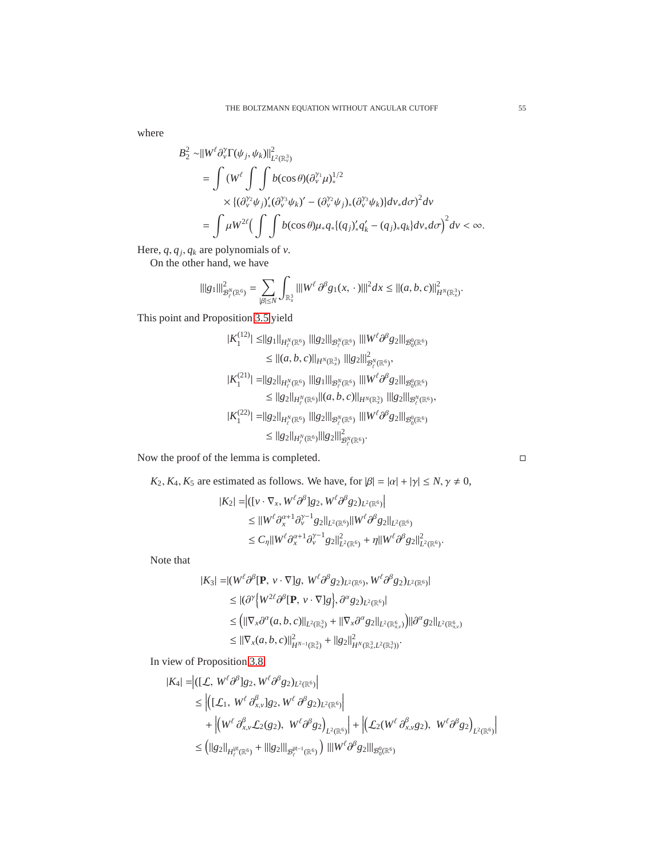where

$$
B_2^2 \sim ||W^{\ell}\partial_{\nu}^{\gamma}\Gamma(\psi_j, \psi_k)||_{L^2(\mathbb{R}^3_v)}^2
$$
  
\n
$$
= \int (W^{\ell} \int \int b(\cos \theta)(\partial_{\nu}^{\gamma_1} \mu)^{1/2} \times \{(\partial_{\nu}^{\gamma_2} \psi_j)'_{*}(\partial_{\nu}^{\gamma_3} \psi_k)' - (\partial_{\nu}^{\gamma_2} \psi_j)_{*}(\partial_{\nu}^{\gamma_3} \psi_k)\}dv_*d\sigma \}^2 dv
$$
  
\n
$$
= \int \mu W^{2\ell} \Big( \int \int b(\cos \theta)\mu_* q_* \{ (q_j)'_{*} q'_k - (q_j)_{*} q_k \}dv_*d\sigma \Big)^2 dv < \infty.
$$

Here,  $q$ ,  $q_j$ ,  $q_k$  are polynomials of  $v$ . On the other hand, we have

$$
\|g_1\|_{\mathcal{B}_\ell^N(\mathbb{R}^6)}^2=\sum_{|\beta|\leq N}\int_{\mathbb{R}^3_x}\|W^\ell\,\partial^\beta g_1(x,\,\cdot\,)\|^2dx\leq \|(a,b,c)\|^2_{H^N(\mathbb{R}^3_x)}.
$$

This point and Proposition [3.5](#page-18-1) yield

$$
\begin{aligned} |K_1^{(12)}| \leq & \|g_1\|_{H^N_\ell(\mathbb{R}^6)}\ \|g_2\| \|_{\mathcal{B}^N_\ell(\mathbb{R}^6)}\ \| \|W^\ell \partial^\beta g_2\| \|_{\mathcal{B}^0_0(\mathbb{R}^6)}\\ \leq & \|(a,b,c)\|_{H^N(\mathbb{R}^3_x)}\ \|g_2\| \|_{\mathcal{B}^N_\ell(\mathbb{R}^6)},\\ |K_1^{(21)}| = & \|g_2\|_{H^N_\ell(\mathbb{R}^6)}\ \|g_1\| \|_{\mathcal{B}^N_\ell(\mathbb{R}^6)}\ \| \|W^\ell \partial^\beta g_2\| \|_{\mathcal{B}^0_0(\mathbb{R}^6)}\\ \leq & \|g_2\|_{H^N_\ell(\mathbb{R}^6)}\ \|g_2\| \|_{\mathcal{B}^N_\ell(\mathbb{R}^6)}\ \| \|W^\ell \partial^\beta g_2\| \|_{\mathcal{B}^N_\ell(\mathbb{R}^6)},\\ |K_1^{(22)}| = & \|g_2\|_{H^N_\ell(\mathbb{R}^6)}\ \|g_2\| \|_{\mathcal{B}^N_\ell(\mathbb{R}^6)}\ \| \|W^\ell \partial^\beta g_2\| \|_{\mathcal{B}^0_0(\mathbb{R}^6)}\\ \leq & \|g_2\|_{H^N_\ell(\mathbb{R}^6)}\| \|g_2\| \|_{\mathcal{B}^N_\ell(\mathbb{R}^6)}^2. \end{aligned}
$$

Now the proof of the lemma is completed.  $\square$ 

*K*<sub>2</sub>, *K*<sub>4</sub>, *K*<sub>5</sub> are estimated as follows. We have, for  $|\beta| = |\alpha| + |\gamma| \le N$ ,  $\gamma \ne 0$ ,

$$
\begin{aligned} |K_2|=&\left|\left([v\cdot\nabla_x,W^\ell\partial^\beta]g_2,W^\ell\partial^\beta g_2\right)_{L^2(\mathbb{R}^6)}\right|\\ \leq&\|W^\ell\partial_x^{\alpha+1}\partial_v^{\gamma-1}g_2\|_{L^2(\mathbb{R}^6)}\|W^\ell\partial^\beta g_2\|_{L^2(\mathbb{R}^6)}\\ \leq& C_\eta\|W^\ell\partial_x^{\alpha+1}\partial_v^{\gamma-1}g_2\|_{L^2(\mathbb{R}^6)}^2+\eta\|W^\ell\partial^\beta g_2\|_{L^2(\mathbb{R}^6)}^2.\end{aligned}
$$

Note that

$$
|K_3| = |(W^{\ell}\partial^{\beta}[\mathbf{P}, v \cdot \nabla]g, W^{\ell}\partial^{\beta}g_2)_{L^2(\mathbb{R}^6)}, W^{\ell}\partial^{\beta}g_2)_{L^2(\mathbb{R}^6)}|
$$
  
\n
$$
\leq |(\partial^{\gamma}\{W^{2\ell}\partial^{\beta}[\mathbf{P}, v \cdot \nabla]g\}, \partial^{\alpha}g_2)_{L^2(\mathbb{R}^6)}|
$$
  
\n
$$
\leq (||\nabla_x \partial^{\alpha}(a, b, c)||_{L^2(\mathbb{R}^3_x)} + ||\nabla_x \partial^{\alpha}g_2||_{L^2(\mathbb{R}^6_{x,v})})||\partial^{\alpha}g_2||_{L^2(\mathbb{R}^6_{x,v})}
$$
  
\n
$$
\leq ||\nabla_x(a, b, c)||_{H^{N-1}(\mathbb{R}^3_x)}^2 + ||g_2||_{H^N(\mathbb{R}^3_x, L^2(\mathbb{R}^3_x))}^2.
$$

In view of Proposition [3.8,](#page-21-3)

$$
\begin{split} |K_4|=&\left|\left([{\mathcal L},\;W^\ell\partial^\beta]g_2,W^\ell\partial^\beta g_2\right)_{L^2(\mathbb{R}^6)}\right|\\ &\leq \left|\left([{\mathcal L}_1,\;W^\ell\,\partial^\beta_{x,v}]g_2,W^\ell\,\partial^\beta g_2\right)_{L^2(\mathbb{R}^6)}\right|\\ &+\left|\left(W^\ell\,\partial^\beta_{x,v}{\mathcal L}_2(g_2),\;W^\ell\partial^\beta g_2\right)_{L^2(\mathbb{R}^6)}\right|+\left|\left({\mathcal L}_2(W^\ell\,\partial^\beta_{x,v}g_2),\;W^\ell\partial^\beta g_2\right)_{L^2(\mathbb{R}^6)}\right|\\ &\leq \left(\|g_2\|_{H^{\beta\beta}_{\ell}(\mathbb{R}^6)}+\|\|g_2\|\|_{\mathcal{B}^{\beta-1}_{\ell}(\mathbb{R}^6)}\right)\|\|W^\ell\partial^\beta g_2\|\|_{\mathcal{B}^0_0(\mathbb{R}^6)}\end{split}
$$

 $\overline{\phantom{a}}$ I I  $\overline{\phantom{a}}$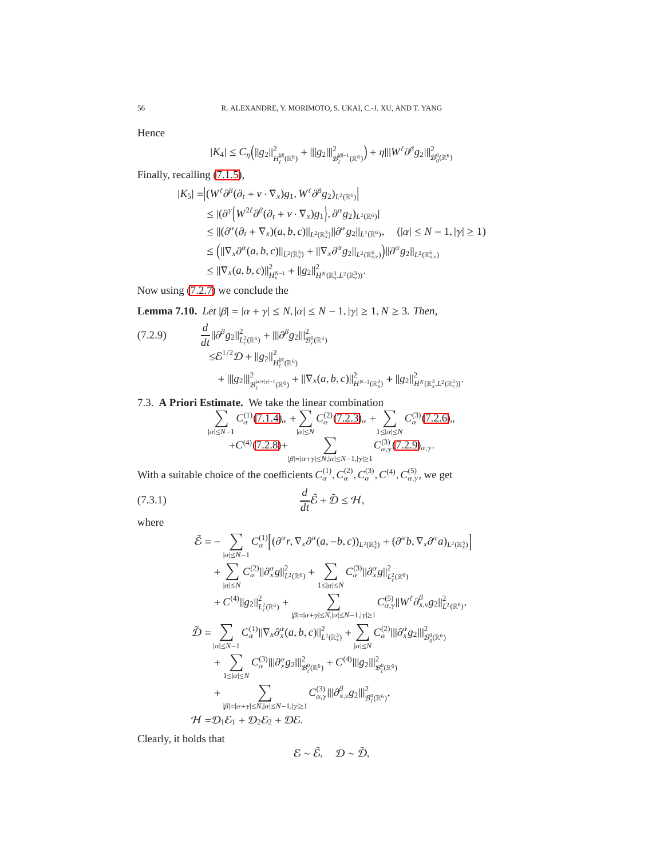Hence

$$
|K_4|\leq C_\eta\big(||g_2||^2_{H^{|\beta|}_\ell(\mathbb{R}^6)}+||g_2|||^2_{\mathcal{B}^{|\beta|-1}_\ell(\mathbb{R}^6)}\big)+\eta\big|\big|\big|W^\ell\partial^\beta g_2\big|\big\|^2_{\mathcal{B}^0_0(\mathbb{R}^6)}
$$

Finally, recalling [\(7.1.5\)](#page-50-0),

$$
\begin{split} |K_5| &= \left| (W^\ell \partial^\beta (\partial_t + v \cdot \nabla_x) g_1, W^\ell \partial^\beta g_2)_{L^2(\mathbb{R}^6)} \right| \\ &\leq |(\partial^\gamma \left\{ W^{2\ell} \partial^\beta (\partial_t + v \cdot \nabla_x) g_1 \right\}, \partial^\alpha g_2)_{L^2(\mathbb{R}^6)}| \\ &\leq |[(\partial^\alpha (\partial_t + \nabla_x) (a, b, c) ||_{L^2(\mathbb{R}^3_x)} || \partial^\alpha g_2 ||_{L^2(\mathbb{R}^6)}, \quad (|\alpha| \leq N - 1, |\gamma| \geq 1) \\ &\leq \left( || \nabla_x \partial^\alpha (a, b, c) ||_{L^2(\mathbb{R}^3_x)} + || \nabla_x \partial^\alpha g_2 ||_{L^2(\mathbb{R}^6_{x,v})} \right) ||\partial^\alpha g_2 ||_{L^2(\mathbb{R}^6_{x,v})} \\ &\leq || \nabla_x (a, b, c) ||^2_{H^{N-1}_x} + ||g_2||^2_{H^N(\mathbb{R}^3_x, L^2(\mathbb{R}^3_v))}. \end{split}
$$

Now using [\(7.2.7\)](#page-52-0) we conclude the

**Lemma 7.10.** *Let*  $|\beta| = |\alpha + \gamma| \le N$ ,  $|\alpha| \le N - 1$ ,  $|\gamma| \ge 1$ ,  $N \ge 3$ *. Then,* 

<span id="page-55-2"></span>
$$
(7.2.9) \t\t \frac{d}{dt} ||\partial^{\beta} g_2||^2_{L^2_{\ell}(\mathbb{R}^6)} + |||\partial^{\beta} g_2|||^2_{\mathcal{B}^0_{\ell}(\mathbb{R}^6)} \n\leq \mathcal{E}^{1/2} \mathcal{D} + ||g_2||^2_{H^{\beta}(\mathbb{R}^6)} \n+ |||g_2||^2_{\mathcal{B}^{|\alpha|+|\gamma|-1}_{\ell}(\mathbb{R}^6)} + ||\nabla_x(a, b, c)||^2_{H^{N-1}(\mathbb{R}^3_x)} + ||g_2||^2_{H^N(\mathbb{R}^3_x, L^2(\mathbb{R}^3_x))}.
$$

## <span id="page-55-0"></span>7.3. **A Priori Estimate.** We take the linear combination

$$
\sum_{|\alpha| \leq N-1} C_{\alpha}^{(1)}(7.1.4)_{\alpha} + \sum_{|\alpha| \leq N} C_{\alpha}^{(2)}(7.2.3)_{\alpha} + \sum_{1 \leq |\alpha| \leq N} C_{\alpha}^{(3)}(7.2.6)_{\alpha} + C^{(4)}(7.2.8) + \sum_{|\beta| = |\alpha + \gamma| \leq N, |\alpha| \leq N-1, |\gamma| \geq 1} C_{\alpha,\gamma}^{(3)}(7.2.9)_{\alpha,\gamma}.
$$

With a suitable choice of the coefficients  $C_{\alpha}^{(1)}$ ,  $C_{\alpha}^{(2)}$ ,  $C_{\alpha}^{(3)}$ ,  $C^{(4)}$ ,  $C_{\alpha,\gamma}^{(5)}$ , we get

<span id="page-55-1"></span>
$$
\frac{d}{dt}\tilde{\mathcal{E}} + \tilde{\mathcal{D}} \le \mathcal{H},
$$

where

$$
\tilde{\mathcal{E}} = -\sum_{|\alpha| \leq N-1} C_{\alpha}^{(1)} \Big[ (\partial^{\alpha} r, \nabla_{x} \partial^{\alpha} (a, -b, c))_{L^{2}(\mathbb{R}^{3}_{x})} + (\partial^{\alpha} b, \nabla_{x} \partial^{\alpha} a)_{L^{2}(\mathbb{R}^{3}_{x})} \Big] \n+ \sum_{|\alpha| \leq N} C_{\alpha}^{(2)} ||\partial^{\alpha}_{x} g||_{L^{2}(\mathbb{R}^{6})}^{2} + \sum_{1 \leq |\alpha| \leq N} C_{\alpha}^{(3)} ||\partial^{\alpha}_{x} g||_{L^{2}(\mathbb{R}^{6})}^{2} \n+ C^{(4)} ||g_{2}||_{L^{2}_{\ell}(\mathbb{R}^{6})}^{2} + \sum_{|\beta| = |\alpha + \gamma| \leq N, |\alpha| \leq N-1, |\gamma| \geq 1} C_{\alpha, \gamma}^{(5)} ||W^{\ell} \partial^{\beta}_{x, \nu} g_{2}||_{L^{2}(\mathbb{R}^{6})}^{2}, \n\tilde{\mathcal{D}} = \sum_{|\alpha| \leq N-1} C_{\alpha}^{(1)} ||\nabla_{x} \partial^{\alpha}_{x} (a, b, c)||_{L^{2}(\mathbb{R}^{3}_{x})}^{2} + \sum_{|\alpha| \leq N} C_{\alpha}^{(2)} ||\partial^{\alpha}_{x} g_{2}||_{\mathcal{B}^{0}_{\ell}(\mathbb{R}^{6})}^{2} \n+ \sum_{1 \leq |\alpha| \leq N} C_{\alpha}^{(3)} ||\partial^{\alpha}_{x} g_{2}||_{\mathcal{B}^{0}_{\ell}(\mathbb{R}^{6})}^{2} + C^{(4)} ||g_{2}||_{\mathcal{B}^{0}_{\ell}(\mathbb{R}^{6})}^{2} \n+ \sum_{|\beta| = |\alpha + \gamma| \leq N, |\alpha| \leq N-1, |\gamma| \geq 1} C_{\alpha, \gamma}^{(3)} ||\partial^{\beta}_{x, \nu} g_{2}||_{\mathcal{B}^{0}_{\ell}(\mathbb{R}^{6})}^{2}, \n\mathcal{H} = \mathcal{D}_{1} \mathcal{E}_{1} + \mathcal{D}_{2} \mathcal{E}_{2} + \mathcal{D} \mathcal{
$$

Clearly, it holds that

$$
\mathcal{E} \sim \tilde{\mathcal{E}}, \quad \mathcal{D} \sim \tilde{\mathcal{D}},
$$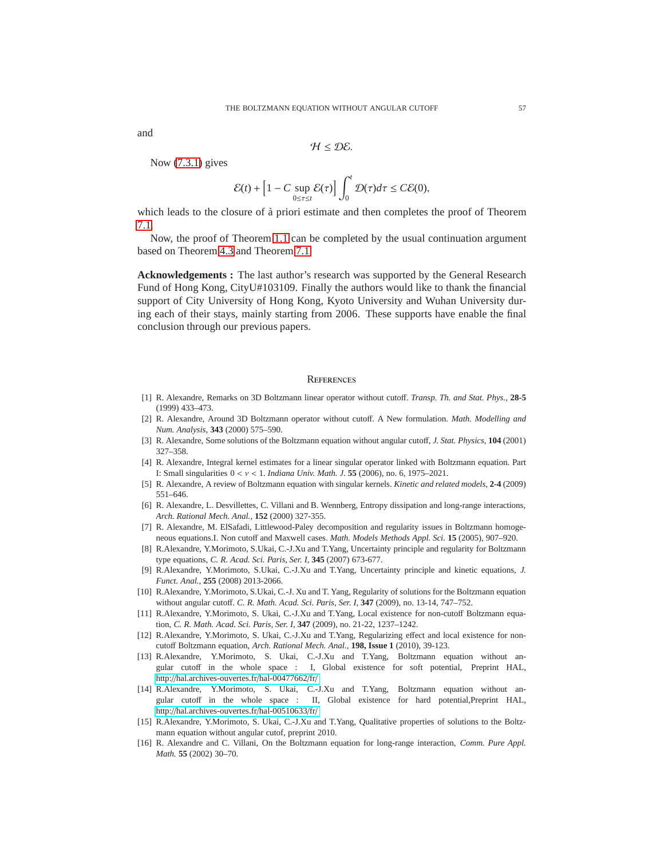and

$$
\mathcal{H}\leq\mathcal{D}\mathcal{E}.
$$

Now [\(7.3.1\)](#page-55-1) gives

$$
\mathcal{E}(t) + \left[1 - C \sup_{0 \leq \tau \leq t} \mathcal{E}(\tau)\right] \int_0^t \mathcal{D}(\tau) d\tau \leq C \mathcal{E}(0),
$$

which leads to the closure of  $\grave{a}$  priori estimate and then completes the proof of Theorem [7.1.](#page-45-2)

Now, the proof of Theorem [1.1](#page-4-2) can be completed by the usual continuation argument based on Theorem [4.3](#page-26-3) and Theorem [7.1.](#page-45-2)

**Acknowledgements :** The last author's research was supported by the General Research Fund of Hong Kong, CityU#103109. Finally the authors would like to thank the financial support of City University of Hong Kong, Kyoto University and Wuhan University during each of their stays, mainly starting from 2006. These supports have enable the final conclusion through our previous papers.

#### <span id="page-56-0"></span>**REFERENCES**

- <span id="page-56-14"></span>[1] R. Alexandre, Remarks on 3D Boltzmann linear operator without cutoff. *Transp. Th. and Stat. Phys.*, **28-5** (1999) 433–473.
- <span id="page-56-15"></span>[2] R. Alexandre, Around 3D Boltzmann operator without cutoff. A New formulation. *Math. Modelling and Num. Analysis*, **343** (2000) 575–590.
- <span id="page-56-16"></span><span id="page-56-5"></span>[3] R. Alexandre, Some solutions of the Boltzmann equation without angular cutoff, *J. Stat. Physics*, **104** (2001) 327–358.
- [4] R. Alexandre, Integral kernel estimates for a linear singular operator linked with Boltzmann equation. Part I: Small singularities 0 < ν < 1. *Indiana Univ. Math. J*. **55** (2006), no. 6, 1975–2021.
- <span id="page-56-2"></span><span id="page-56-1"></span>[5] R. Alexandre, A review of Boltzmann equation with singular kernels. *Kinetic and related models*, **2-4** (2009) 551–646.
- [6] R. Alexandre, L. Desvillettes, C. Villani and B. Wennberg, Entropy dissipation and long-range interactions, *Arch. Rational Mech. Anal.*, **152** (2000) 327-355.
- <span id="page-56-3"></span>[7] R. Alexandre, M. ElSafadi, Littlewood-Paley decomposition and regularity issues in Boltzmann homogeneous equations.I. Non cutoff and Maxwell cases. *Math. Models Methods Appl. Sci*. **15** (2005), 907–920.
- <span id="page-56-7"></span>[8] R.Alexandre, Y.Morimoto, S.Ukai, C.-J.Xu and T.Yang, Uncertainty principle and regularity for Boltzmann type equations, *C. R. Acad. Sci. Paris, Ser. I*, **345** (2007) 673-677.
- <span id="page-56-8"></span>[9] R.Alexandre, Y.Morimoto, S.Ukai, C.-J.Xu and T.Yang, Uncertainty principle and kinetic equations, *J. Funct. Anal.*, **255** (2008) 2013-2066.
- <span id="page-56-9"></span>[10] R.Alexandre, Y.Morimoto, S.Ukai, C.-J. Xu and T. Yang, Regularity of solutions for the Boltzmann equation without angular cutoff. *C. R. Math. Acad. Sci. Paris, Ser. I*, **347** (2009), no. 13-14, 747–752.
- <span id="page-56-10"></span>[11] R.Alexandre, Y.Morimoto, S. Ukai, C.-J.Xu and T.Yang, Local existence for non-cutoff Boltzmann equation, *C. R. Math. Acad. Sci. Paris, Ser. I*, **347** (2009), no. 21-22, 1237–1242.
- <span id="page-56-6"></span>[12] R.Alexandre, Y.Morimoto, S. Ukai, C.-J.Xu and T.Yang, Regularizing effect and local existence for noncutoff Boltzmann equation, *Arch. Rational Mech. Anal.*, **198, Issue 1** (2010), 39-123.
- <span id="page-56-12"></span>[13] R.Alexandre, Y.Morimoto, S. Ukai, C.-J.Xu and T.Yang, Boltzmann equation without angular cutoff in the whole space : I, Global existence for soft potential, Preprint HAL, http://[hal.archives-ouvertes.fr](http://hal.archives-ouvertes.fr/hal-00477662/fr/)/hal-00477662/fr/
- <span id="page-56-13"></span>[14] R.Alexandre, Y.Morimoto, S. Ukai, C.-J.Xu and T.Yang, Boltzmann equation without angular cutoff in the whole space : II, Global existence for hard potential,Preprint HAL, http://[hal.archives-ouvertes.fr](http://hal.archives-ouvertes.fr/hal-00510633/fr/)/hal-00510633/fr/
- <span id="page-56-11"></span>[15] R.Alexandre, Y.Morimoto, S. Ukai, C.-J.Xu and T.Yang, Qualitative properties of solutions to the Boltzmann equation without angular cutof, preprint 2010.
- <span id="page-56-4"></span>[16] R. Alexandre and C. Villani, On the Boltzmann equation for long-range interaction, *Comm. Pure Appl. Math.* **55** (2002) 30–70.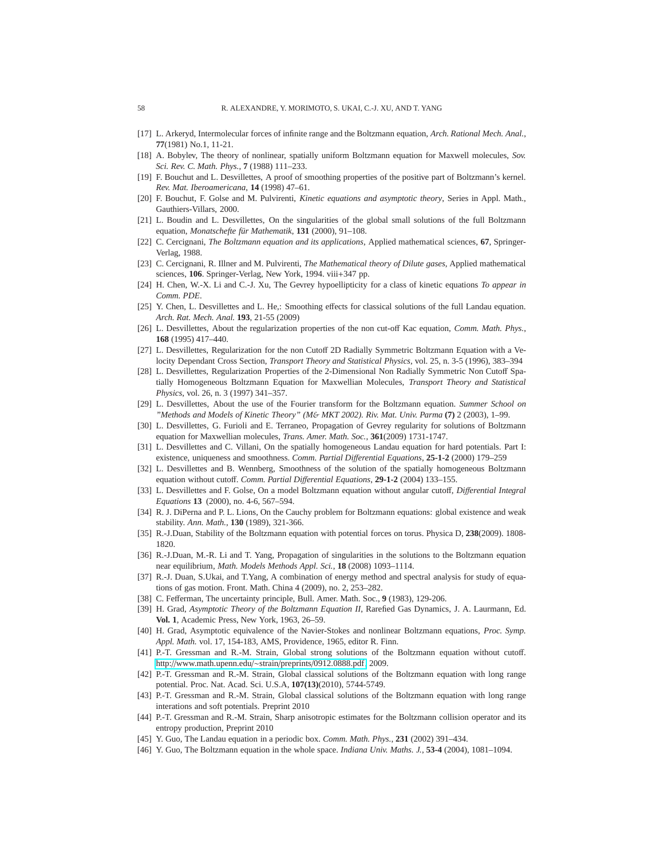- <span id="page-57-27"></span><span id="page-57-6"></span>[17] L. Arkeryd, Intermolecular forces of infinite range and the Boltzmann equation, *Arch. Rational Mech. Anal.*, **77**(1981) No.1, 11-21.
- [18] A. Bobylev, The theory of nonlinear, spatially uniform Boltzmann equation for Maxwell molecules, *Sov. Sci. Rev. C. Math. Phys.*, **7** (1988) 111–233.
- <span id="page-57-17"></span><span id="page-57-16"></span>[19] F. Bouchut and L. Desvillettes, A proof of smoothing properties of the positive part of Boltzmann's kernel. *Rev. Mat. Iberoamericana*, **14** (1998) 47–61.
- <span id="page-57-18"></span>[20] F. Bouchut, F. Golse and M. Pulvirenti, *Kinetic equations and asymptotic theory*, Series in Appl. Math., Gauthiers-Villars, 2000.
- [21] L. Boudin and L. Desvillettes, On the singularities of the global small solutions of the full Boltzmann equation, *Monatschefte für Mathematik*, 131 (2000), 91-108.
- <span id="page-57-0"></span>[22] C. Cercignani, *The Boltzmann equation and its applications*, Applied mathematical sciences, **67**, Springer-Verlag, 1988.
- <span id="page-57-1"></span>[23] C. Cercignani, R. Illner and M. Pulvirenti, *The Mathematical theory of Dilute gases*, Applied mathematical sciences, 106. Springer-Verlag, New York, 1994. viii+347 pp.
- <span id="page-57-20"></span><span id="page-57-13"></span>[24] H. Chen, W.-X. Li and C.-J. Xu, The Gevrey hypoellipticity for a class of kinetic equations *To appear in Comm. PDE*.
- [25] Y. Chen, L. Desvillettes and L. He,: Smoothing effects for classical solutions of the full Landau equation. *Arch. Rat. Mech. Anal.* **193**, 21-55 (2009)
- <span id="page-57-7"></span>[26] L. Desvillettes, About the regularization properties of the non cut-off Kac equation, *Comm. Math. Phys.*, **168** (1995) 417–440.
- <span id="page-57-8"></span>[27] L. Desvillettes, Regularization for the non Cutoff 2D Radially Symmetric Boltzmann Equation with a Velocity Dependant Cross Section, *Transport Theory and Statistical Physics*, vol. 25, n. 3-5 (1996), 383–394
- <span id="page-57-9"></span>[28] L. Desvillettes, Regularization Properties of the 2-Dimensional Non Radially Symmetric Non Cutoff Spatially Homogeneous Boltzmann Equation for Maxwellian Molecules, *Transport Theory and Statistical Physics*, vol. 26, n. 3 (1997) 341–357.
- <span id="page-57-10"></span>[29] L. Desvillettes, About the use of the Fourier transform for the Boltzmann equation. *Summer School on "Methods and Models of Kinetic Theory" (M*& *MKT 2002). Riv. Mat. Univ. Parma* **(7)** 2 (2003), 1–99.
- <span id="page-57-14"></span>[30] L. Desvillettes, G. Furioli and E. Terraneo, Propagation of Gevrey regularity for solutions of Boltzmann equation for Maxwellian molecules, *Trans. Amer. Math. Soc.*, **361**(2009) 1731-1747.
- <span id="page-57-12"></span>[31] L. Desvillettes and C. Villani, On the spatially homogeneous Landau equation for hard potentials. Part I: existence, uniqueness and smoothness. *Comm. Partial Di*ff*erential Equations*, **25-1-2** (2000) 179–259
- <span id="page-57-15"></span>[32] L. Desvillettes and B. Wennberg, Smoothness of the solution of the spatially homogeneous Boltzmann equation without cutoff. *Comm. Partial Di*ff*erential Equations*, **29-1-2** (2004) 133–155.
- <span id="page-57-11"></span>[33] L. Desvillettes and F. Golse, On a model Boltzmann equation without angular cutoff, *Di*ff*erential Integral Equations* **13** (2000), no. 4-6, 567–594.
- <span id="page-57-2"></span>[34] R. J. DiPerna and P. L. Lions, On the Cauchy problem for Boltzmann equations: global existence and weak stability. *Ann. Math.*, **130** (1989), 321-366.
- <span id="page-57-28"></span><span id="page-57-19"></span>[35] R.-J.Duan, Stability of the Boltzmann equation with potential forces on torus. Physica D, **238**(2009). 1808- 1820.
- [36] R.-J.Duan, M.-R. Li and T. Yang, Propagation of singularities in the solutions to the Boltzmann equation near equilibrium, *Math. Models Methods Appl. Sci.*, **18** (2008) 1093–1114.
- <span id="page-57-29"></span>[37] R.-J. Duan, S.Ukai, and T.Yang, A combination of energy method and spectral analysis for study of equations of gas motion. Front. Math. China 4 (2009), no. 2, 253–282.
- <span id="page-57-21"></span><span id="page-57-3"></span>[38] C. Fefferman, The uncertainty principle, Bull. Amer. Math. Soc., **9** (1983), 129-206.
- [39] H. Grad, *Asymptotic Theory of the Boltzmann Equation II*, Rarefied Gas Dynamics, J. A. Laurmann, Ed. **Vol. 1**, Academic Press, New York, 1963, 26–59.
- <span id="page-57-4"></span>[40] H. Grad, Asymptotic equivalence of the Navier-Stokes and nonlinear Boltzmann equations, *Proc. Symp. Appl. Math.* vol. 17, 154-183, AMS, Providence, 1965, editor R. Finn.
- <span id="page-57-23"></span>[41] P.-T. Gressman and R.-M. Strain, Global strong solutions of the Boltzmann equation without cutoff. http://[www.math.upenn.edu](http://www.math.upenn.edu/~strain/preprints/0912.0888.pdf)/∼strain/preprints/0912.0888.pdf, 2009.
- <span id="page-57-24"></span>[42] P.-T. Gressman and R.-M. Strain, Global classical solutions of the Boltzmann equation with long range potential. Proc. Nat. Acad. Sci. U.S.A, **107(13)**(2010), 5744-5749.
- <span id="page-57-25"></span>[43] P.-T. Gressman and R.-M. Strain, Global classical solutions of the Boltzmann equation with long range interations and soft potentials. Preprint 2010
- <span id="page-57-26"></span>[44] P.-T. Gressman and R.-M. Strain, Sharp anisotropic estimates for the Boltzmann collision operator and its entropy production, Preprint 2010
- <span id="page-57-22"></span><span id="page-57-5"></span>[45] Y. Guo, The Landau equation in a periodic box. *Comm. Math. Phys.*, **231** (2002) 391–434.
- [46] Y. Guo, The Boltzmann equation in the whole space. *Indiana Univ. Maths. J.*, **53-4** (2004), 1081–1094.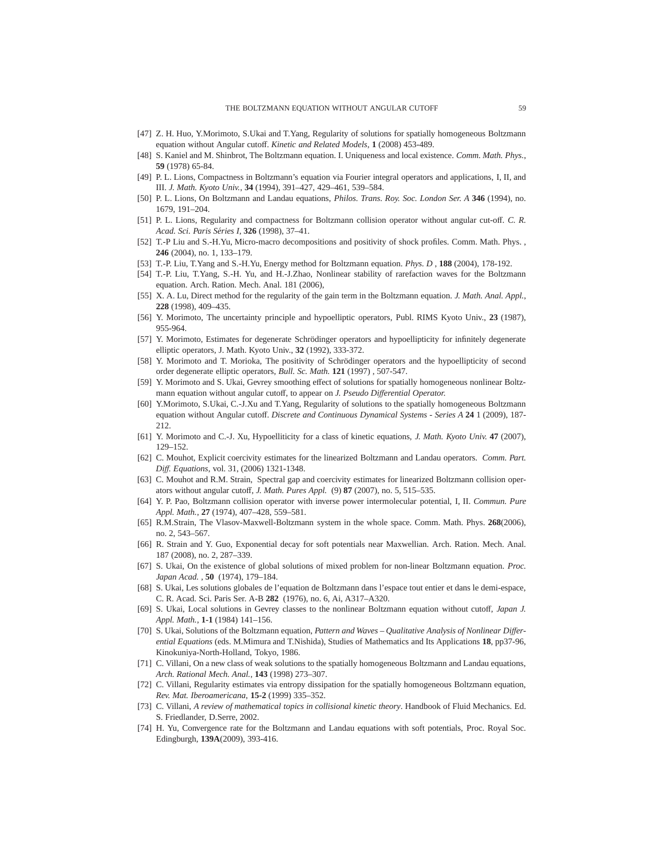- <span id="page-58-11"></span><span id="page-58-1"></span>[47] Z. H. Huo, Y.Morimoto, S.Ukai and T.Yang, Regularity of solutions for spatially homogeneous Boltzmann equation without Angular cutoff. *Kinetic and Related Models*, **1** (2008) 453-489.
- [48] S. Kaniel and M. Shinbrot, The Boltzmann equation. I. Uniqueness and local existence. *Comm. Math. Phys.*, **59** (1978) 65-84.
- <span id="page-58-8"></span><span id="page-58-2"></span>[49] P. L. Lions, Compactness in Boltzmann's equation via Fourier integral operators and applications, I, II, and III. *J. Math. Kyoto Univ.*, **34** (1994), 391–427, 429–461, 539–584.
- <span id="page-58-10"></span>[50] P. L. Lions, On Boltzmann and Landau equations, *Philos. Trans. Roy. Soc. London Ser. A* **346** (1994), no. 1679, 191–204.
- [51] P. L. Lions, Regularity and compactness for Boltzmann collision operator without angular cut-off. *C. R. Acad. Sci. Paris S´eries I*, **326** (1998), 37–41.
- <span id="page-58-15"></span>[52] T.-P Liu and S.-H.Yu, Micro-macro decompositions and positivity of shock profiles. Comm. Math. Phys. , **246** (2004), no. 1, 133–179.
- <span id="page-58-27"></span><span id="page-58-16"></span>[53] T.-P. Liu, T.Yang and S.-H.Yu, Energy method for Boltzmann equation. *Phys. D* , **188** (2004), 178-192.
- [54] T.-P. Liu, T.Yang, S.-H. Yu, and H.-J.Zhao, Nonlinear stability of rarefaction waves for the Boltzmann equation. Arch. Ration. Mech. Anal. 181 (2006),
- <span id="page-58-0"></span>[55] X. A. Lu, Direct method for the regularity of the gain term in the Boltzmann equation. *J. Math. Anal. Appl.*, **228** (1998), 409–435.
- <span id="page-58-20"></span><span id="page-58-19"></span>[56] Y. Morimoto, The uncertainty principle and hypoelliptic operators, Publ. RIMS Kyoto Univ., **23** (1987), 955-964.
- [57] Y. Morimoto, Estimates for degenerate Schrödinger operators and hypoellipticity for infinitely degenerate elliptic operators, J. Math. Kyoto Univ., **32** (1992), 333-372.
- <span id="page-58-21"></span>[58] Y. Morimoto and T. Morioka, The positivity of Schrödinger operators and the hypoellipticity of second order degenerate elliptic operators, *Bull. Sc. Math.* **121** (1997) , 507-547.
- <span id="page-58-12"></span>[59] Y. Morimoto and S. Ukai, Gevrey smoothing effect of solutions for spatially homogeneous nonlinear Boltzmann equation without angular cutoff, to appear on *J. Pseudo Di*ff*erential Operator.*
- <span id="page-58-13"></span>[60] Y.Morimoto, S.Ukai, C.-J.Xu and T.Yang, Regularity of solutions to the spatially homogeneous Boltzmann equation without Angular cutoff. *Discrete and Continuous Dynamical Systems - Series A* **24** 1 (2009), 187- 212.
- <span id="page-58-22"></span><span id="page-58-9"></span>[61] Y. Morimoto and C.-J. Xu, Hypoelliticity for a class of kinetic equations, *J. Math. Kyoto Univ.* **47** (2007), 129–152.
- [62] C. Mouhot, Explicit coercivity estimates for the linearized Boltzmann and Landau operators. *Comm. Part. Di*ff*. Equations*, vol. 31, (2006) 1321-1348.
- <span id="page-58-23"></span>[63] C. Mouhot and R.M. Strain, Spectral gap and coercivity estimates for linearized Boltzmann collision operators without angular cutoff, *J. Math. Pures Appl.* (9) **87** (2007), no. 5, 515–535.
- <span id="page-58-5"></span>[64] Y. P. Pao, Boltzmann collision operator with inverse power intermolecular potential, I, II. *Commun. Pure Appl. Math.*, **27** (1974), 407–428, 559–581.
- <span id="page-58-24"></span>[65] R.M.Strain, The Vlasov-Maxwell-Boltzmann system in the whole space. Comm. Math. Phys. **268**(2006), no. 2, 543–567.
- <span id="page-58-25"></span>[66] R. Strain and Y. Guo, Exponential decay for soft potentials near Maxwellian. Arch. Ration. Mech. Anal. 187 (2008), no. 2, 287–339.
- <span id="page-58-17"></span>[67] S. Ukai, On the existence of global solutions of mixed problem for non-linear Boltzmann equation. *Proc. Japan Acad. ,* **50** (1974), 179–184.
- <span id="page-58-18"></span>[68] S. Ukai, Les solutions globales de l'equation de Boltzmann dans l'espace tout entier et dans le demi-espace, C. R. Acad. Sci. Paris Ser. A-B **282** (1976), no. 6, Ai, A317–A320.
- <span id="page-58-6"></span>[69] S. Ukai, Local solutions in Gevrey classes to the nonlinear Boltzmann equation without cutoff, *Japan J. Appl. Math.*, **1-1** (1984) 141–156.
- <span id="page-58-3"></span>[70] S. Ukai, Solutions of the Boltzmann equation, *Pattern and Waves – Qualitative Analysis of Nonlinear Di*ff*erential Equations* (eds. M.Mimura and T.Nishida), Studies of Mathematics and Its Applications **18**, pp37-96, Kinokuniya-North-Holland, Tokyo, 1986.
- <span id="page-58-14"></span>[71] C. Villani, On a new class of weak solutions to the spatially homogeneous Boltzmann and Landau equations, *Arch. Rational Mech. Anal.*, **143** (1998) 273–307.
- <span id="page-58-7"></span>[72] C. Villani, Regularity estimates via entropy dissipation for the spatially homogeneous Boltzmann equation, *Rev. Mat. Iberoamericana*, **15-2** (1999) 335–352.
- <span id="page-58-4"></span>[73] C. Villani, *A review of mathematical topics in collisional kinetic theory*. Handbook of Fluid Mechanics. Ed. S. Friedlander, D.Serre, 2002.
- <span id="page-58-26"></span>[74] H. Yu, Convergence rate for the Boltzmann and Landau equations with soft potentials, Proc. Royal Soc. Edingburgh, **139A**(2009), 393-416.